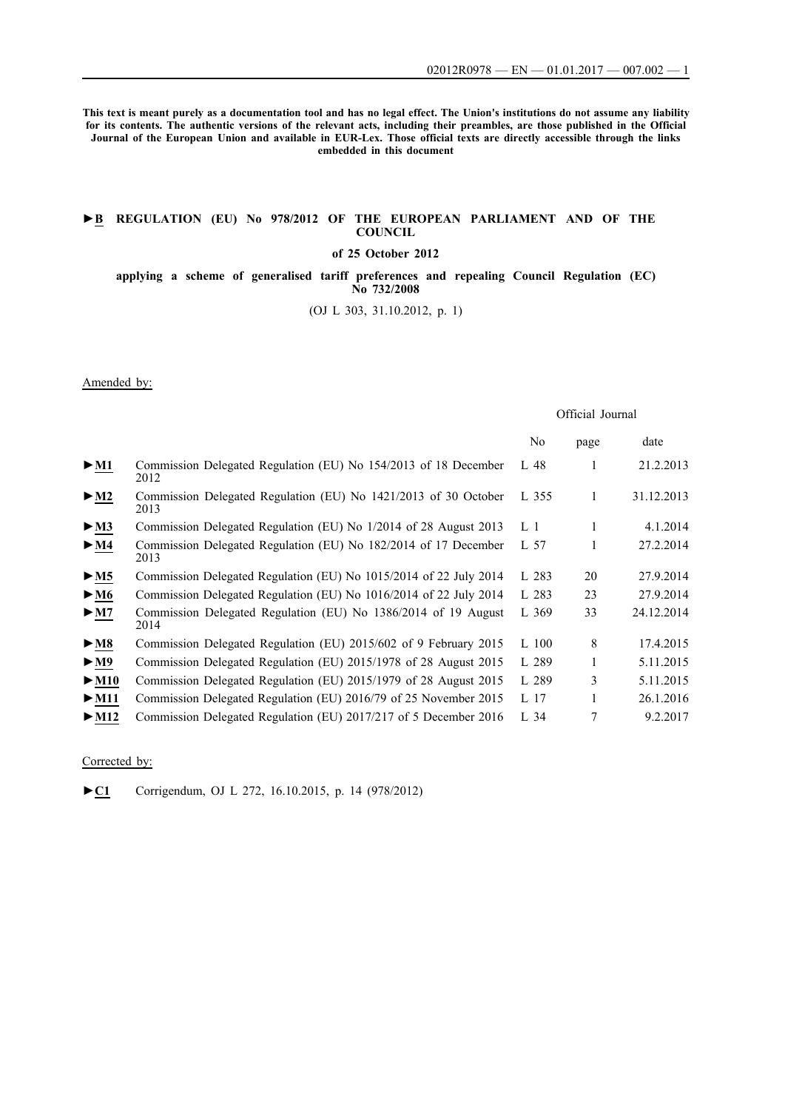**This text is meant purely as a documentation tool and has no legal effect. The Union's institutions do not assume any liability for its contents. The authentic versions of the relevant acts, including their preambles, are those published in the Official Journal of the European Union and available in EUR-Lex. Those official texts are directly accessible through the links embedded in this document**

### **►B [REGULATION \(EU\) No 978/2012 OF THE EUROPEAN PARLIAMENT AND OF THE](http://data.europa.eu/eli/reg/2012/978/oj/eng) [COUNCIL](http://data.europa.eu/eli/reg/2012/978/oj/eng)**

**[of 25 October 2012](http://data.europa.eu/eli/reg/2012/978/oj/eng)**

**[applying a scheme of generalised tariff preferences and repealing Council Regulation \(EC\)](http://data.europa.eu/eli/reg/2012/978/oj/eng) [No 732/2008](http://data.europa.eu/eli/reg/2012/978/oj/eng)**

[\(OJ L 303, 31.10.2012, p. 1\)](http://data.europa.eu/eli/reg/2012/978/oj/eng)

Amended by:

## Official Journal

|                           |                                                                         | N <sub>0</sub> | page | date       |
|---------------------------|-------------------------------------------------------------------------|----------------|------|------------|
| $>$ M1                    | Commission Delegated Regulation (EU) No 154/2013 of 18 December<br>2012 | L 48           | 1    | 21.2.2013  |
| $\blacktriangleright$ M2  | Commission Delegated Regulation (EU) No 1421/2013 of 30 October<br>2013 | L 355          | 1    | 31.12.2013 |
| $\blacktriangleright$ M3  | Commission Delegated Regulation (EU) No 1/2014 of 28 August 2013        | L 1            | 1    | 4.1.2014   |
| $\blacktriangleright$ M4  | Commission Delegated Regulation (EU) No 182/2014 of 17 December<br>2013 | L 57           | 1    | 27.2.2014  |
| > M5                      | Commission Delegated Regulation (EU) No 1015/2014 of 22 July 2014       | L 283          | 20   | 27.9.2014  |
| $\blacktriangleright$ M6  | Commission Delegated Regulation (EU) No 1016/2014 of 22 July 2014       | L 283          | 23   | 27.9.2014  |
| $\blacktriangleright$ M7  | Commission Delegated Regulation (EU) No 1386/2014 of 19 August<br>2014  | L 369          | 33   | 24.12.2014 |
| $\blacktriangleright$ M8  | Commission Delegated Regulation (EU) 2015/602 of 9 February 2015        | $L$ 100        | 8    | 17.4.2015  |
| $\blacktriangleright$ M9  | Commission Delegated Regulation (EU) 2015/1978 of 28 August 2015        | L 289          |      | 5.11.2015  |
| $\blacktriangleright$ M10 | Commission Delegated Regulation (EU) 2015/1979 of 28 August 2015        | L 289          | 3    | 5.11.2015  |
| $\blacktriangleright$ M11 | Commission Delegated Regulation (EU) 2016/79 of 25 November 2015        | L 17           |      | 26.1.2016  |
| $>$ M12                   | Commission Delegated Regulation (EU) 2017/217 of 5 December 2016        | $L_{2}$ 34     | 7    | 9.2.2017   |

#### Corrected by:

[►](http://data.europa.eu/eli/reg/2012/978/corrigendum/2015-10-16/oj/eng)**[C1](http://data.europa.eu/eli/reg/2012/978/corrigendum/2015-10-16/oj/eng)** [Corrigendum, OJ L 272, 16.10.2015, p. 14 \(978/2012\)](http://data.europa.eu/eli/reg/2012/978/corrigendum/2015-10-16/oj/eng)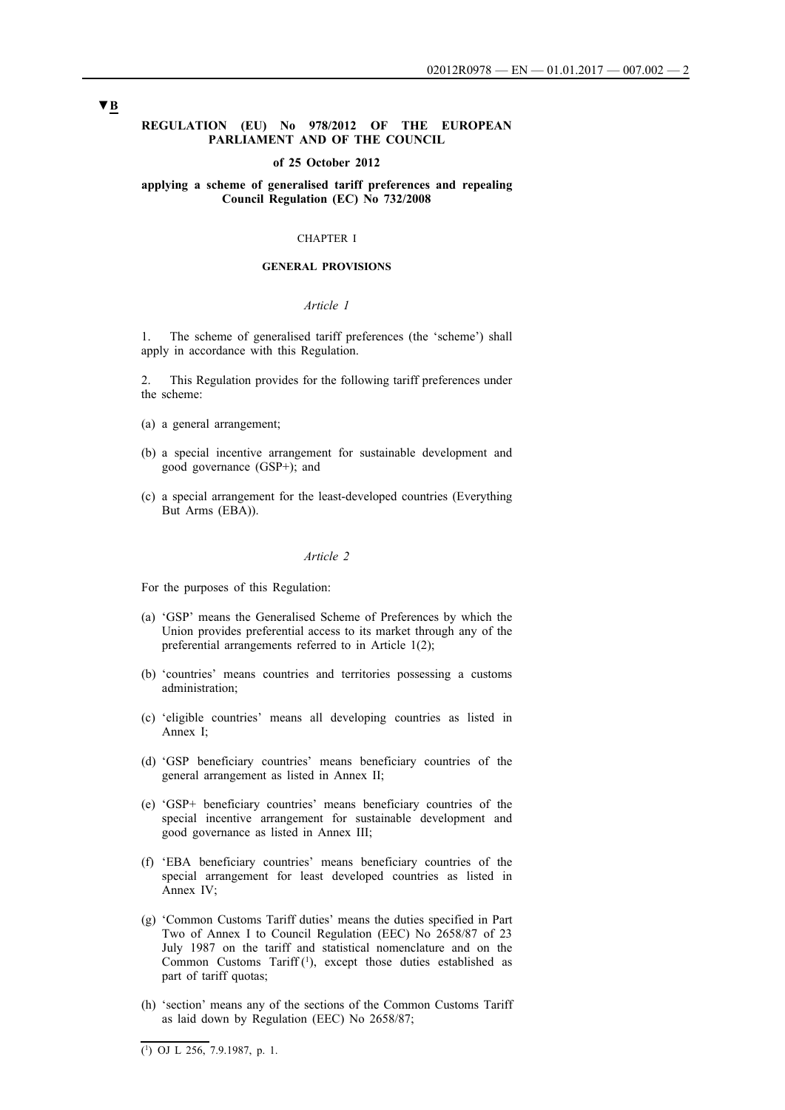### **REGULATION (EU) No 978/2012 OF THE EUROPEAN PARLIAMENT AND OF THE COUNCIL**

#### **of 25 October 2012**

### **applying a scheme of generalised tariff preferences and repealing Council Regulation (EC) No 732/2008**

## CHAPTER I

## **GENERAL PROVISIONS**

#### *Article 1*

1. The scheme of generalised tariff preferences (the 'scheme') shall apply in accordance with this Regulation.

2. This Regulation provides for the following tariff preferences under the scheme:

- (a) a general arrangement;
- (b) a special incentive arrangement for sustainable development and good governance (GSP+); and
- (c) a special arrangement for the least-developed countries (Everything But Arms (EBA)).

### *Article 2*

For the purposes of this Regulation:

- (a) 'GSP' means the Generalised Scheme of Preferences by which the Union provides preferential access to its market through any of the preferential arrangements referred to in Article 1(2);
- (b) 'countries' means countries and territories possessing a customs administration;
- (c) 'eligible countries' means all developing countries as listed in Annex I;
- (d) 'GSP beneficiary countries' means beneficiary countries of the general arrangement as listed in Annex II;
- (e) 'GSP+ beneficiary countries' means beneficiary countries of the special incentive arrangement for sustainable development and good governance as listed in Annex III;
- (f) 'EBA beneficiary countries' means beneficiary countries of the special arrangement for least developed countries as listed in Annex IV;
- (g) 'Common Customs Tariff duties' means the duties specified in Part Two of Annex I to Council Regulation (EEC) No 2658/87 of 23 July 1987 on the tariff and statistical nomenclature and on the Common Customs Tariff (1), except those duties established as part of tariff quotas;
- (h) 'section' means any of the sections of the Common Customs Tariff as laid down by Regulation (EEC) No 2658/87;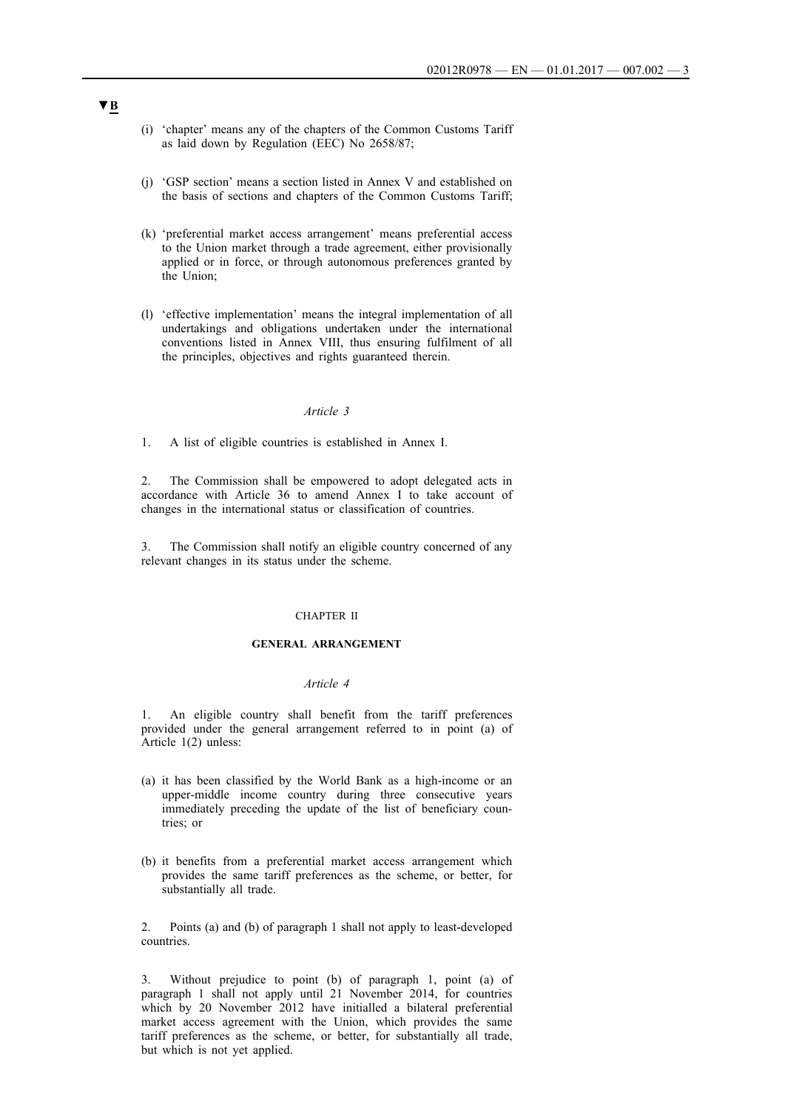- (i) 'chapter' means any of the chapters of the Common Customs Tariff as laid down by Regulation (EEC) No 2658/87;
- (j) 'GSP section' means a section listed in Annex V and established on the basis of sections and chapters of the Common Customs Tariff;
- (k) 'preferential market access arrangement' means preferential access to the Union market through a trade agreement, either provisionally applied or in force, or through autonomous preferences granted by the Union;
- (l) 'effective implementation' means the integral implementation of all undertakings and obligations undertaken under the international conventions listed in Annex VIII, thus ensuring fulfilment of all the principles, objectives and rights guaranteed therein.

1. A list of eligible countries is established in Annex I.

2. The Commission shall be empowered to adopt delegated acts in accordance with Article 36 to amend Annex I to take account of changes in the international status or classification of countries.

3. The Commission shall notify an eligible country concerned of any relevant changes in its status under the scheme.

### CHAPTER II

### **GENERAL ARRANGEMENT**

#### *Article 4*

1. An eligible country shall benefit from the tariff preferences provided under the general arrangement referred to in point (a) of Article 1(2) unless:

- (a) it has been classified by the World Bank as a high-income or an upper-middle income country during three consecutive years immediately preceding the update of the list of beneficiary countries; or
- (b) it benefits from a preferential market access arrangement which provides the same tariff preferences as the scheme, or better, for substantially all trade.

2. Points (a) and (b) of paragraph 1 shall not apply to least-developed countries.

3. Without prejudice to point (b) of paragraph 1, point (a) of paragraph 1 shall not apply until 21 November 2014, for countries which by 20 November 2012 have initialled a bilateral preferential market access agreement with the Union, which provides the same tariff preferences as the scheme, or better, for substantially all trade, but which is not yet applied.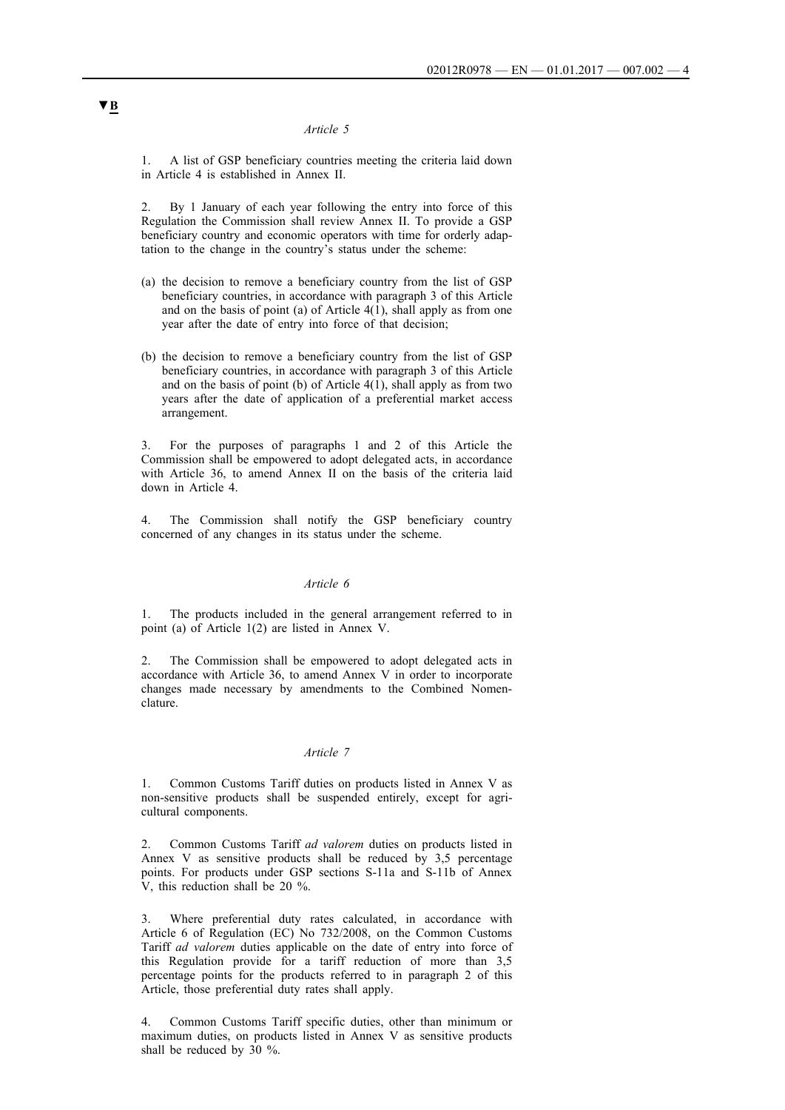1. A list of GSP beneficiary countries meeting the criteria laid down in Article 4 is established in Annex II.

2. By 1 January of each year following the entry into force of this Regulation the Commission shall review Annex II. To provide a GSP beneficiary country and economic operators with time for orderly adaptation to the change in the country's status under the scheme:

- (a) the decision to remove a beneficiary country from the list of GSP beneficiary countries, in accordance with paragraph 3 of this Article and on the basis of point (a) of Article  $4(1)$ , shall apply as from one year after the date of entry into force of that decision;
- (b) the decision to remove a beneficiary country from the list of GSP beneficiary countries, in accordance with paragraph 3 of this Article and on the basis of point (b) of Article  $4(1)$ , shall apply as from two years after the date of application of a preferential market access arrangement.

3. For the purposes of paragraphs 1 and 2 of this Article the Commission shall be empowered to adopt delegated acts, in accordance with Article 36, to amend Annex II on the basis of the criteria laid down in Article 4.

4. The Commission shall notify the GSP beneficiary country concerned of any changes in its status under the scheme.

#### *Article 6*

1. The products included in the general arrangement referred to in point (a) of Article 1(2) are listed in Annex V.

2. The Commission shall be empowered to adopt delegated acts in accordance with Article 36, to amend Annex V in order to incorporate changes made necessary by amendments to the Combined Nomenclature.

## *Article 7*

1. Common Customs Tariff duties on products listed in Annex V as non-sensitive products shall be suspended entirely, except for agricultural components.

2. Common Customs Tariff *ad valorem* duties on products listed in Annex V as sensitive products shall be reduced by 3,5 percentage points. For products under GSP sections S-11a and S-11b of Annex V, this reduction shall be 20 %.

3. Where preferential duty rates calculated, in accordance with Article 6 of Regulation (EC) No 732/2008, on the Common Customs Tariff *ad valorem* duties applicable on the date of entry into force of this Regulation provide for a tariff reduction of more than 3,5 percentage points for the products referred to in paragraph 2 of this Article, those preferential duty rates shall apply.

4. Common Customs Tariff specific duties, other than minimum or maximum duties, on products listed in Annex V as sensitive products shall be reduced by 30 %.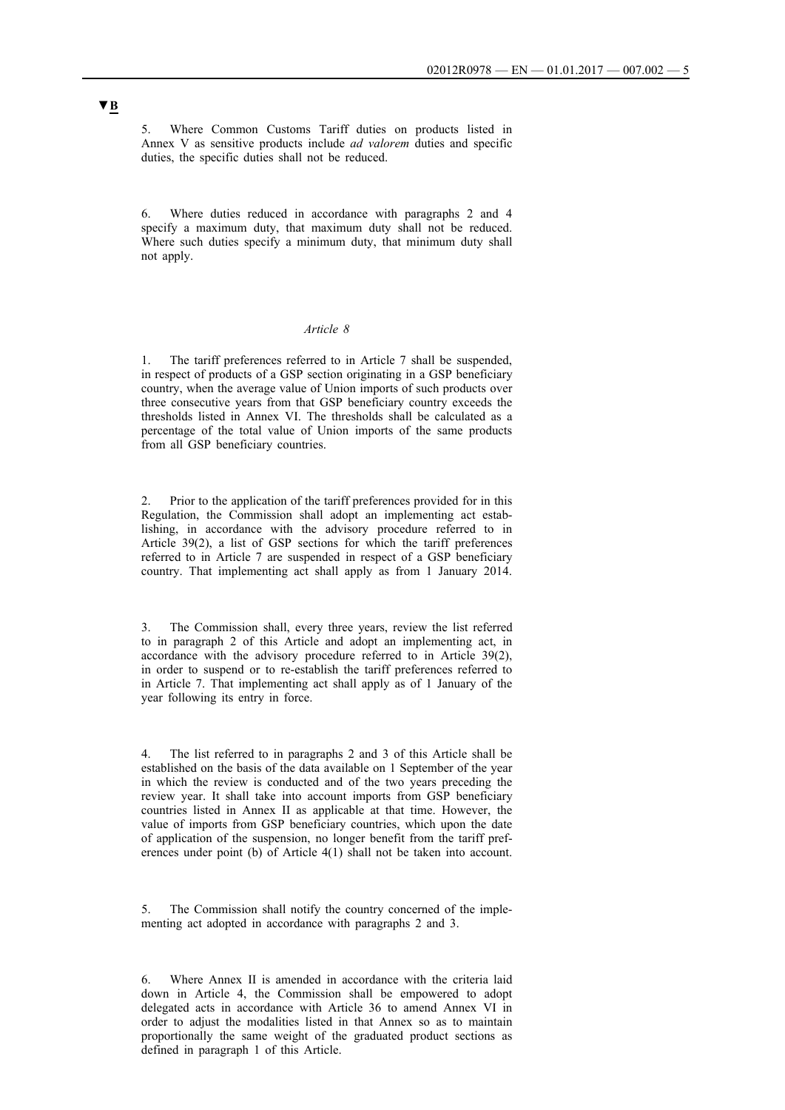5. Where Common Customs Tariff duties on products listed in Annex V as sensitive products include *ad valorem* duties and specific duties, the specific duties shall not be reduced.

Where duties reduced in accordance with paragraphs 2 and 4 specify a maximum duty, that maximum duty shall not be reduced. Where such duties specify a minimum duty, that minimum duty shall not apply.

### *Article 8*

1. The tariff preferences referred to in Article 7 shall be suspended, in respect of products of a GSP section originating in a GSP beneficiary country, when the average value of Union imports of such products over three consecutive years from that GSP beneficiary country exceeds the thresholds listed in Annex VI. The thresholds shall be calculated as a percentage of the total value of Union imports of the same products from all GSP beneficiary countries.

Prior to the application of the tariff preferences provided for in this Regulation, the Commission shall adopt an implementing act establishing, in accordance with the advisory procedure referred to in Article 39(2), a list of GSP sections for which the tariff preferences referred to in Article 7 are suspended in respect of a GSP beneficiary country. That implementing act shall apply as from 1 January 2014.

3. The Commission shall, every three years, review the list referred to in paragraph 2 of this Article and adopt an implementing act, in accordance with the advisory procedure referred to in Article 39(2), in order to suspend or to re-establish the tariff preferences referred to in Article 7. That implementing act shall apply as of 1 January of the year following its entry in force.

The list referred to in paragraphs 2 and 3 of this Article shall be established on the basis of the data available on 1 September of the year in which the review is conducted and of the two years preceding the review year. It shall take into account imports from GSP beneficiary countries listed in Annex II as applicable at that time. However, the value of imports from GSP beneficiary countries, which upon the date of application of the suspension, no longer benefit from the tariff preferences under point (b) of Article 4(1) shall not be taken into account.

The Commission shall notify the country concerned of the implementing act adopted in accordance with paragraphs 2 and 3.

6. Where Annex II is amended in accordance with the criteria laid down in Article 4, the Commission shall be empowered to adopt delegated acts in accordance with Article 36 to amend Annex VI in order to adjust the modalities listed in that Annex so as to maintain proportionally the same weight of the graduated product sections as defined in paragraph 1 of this Article.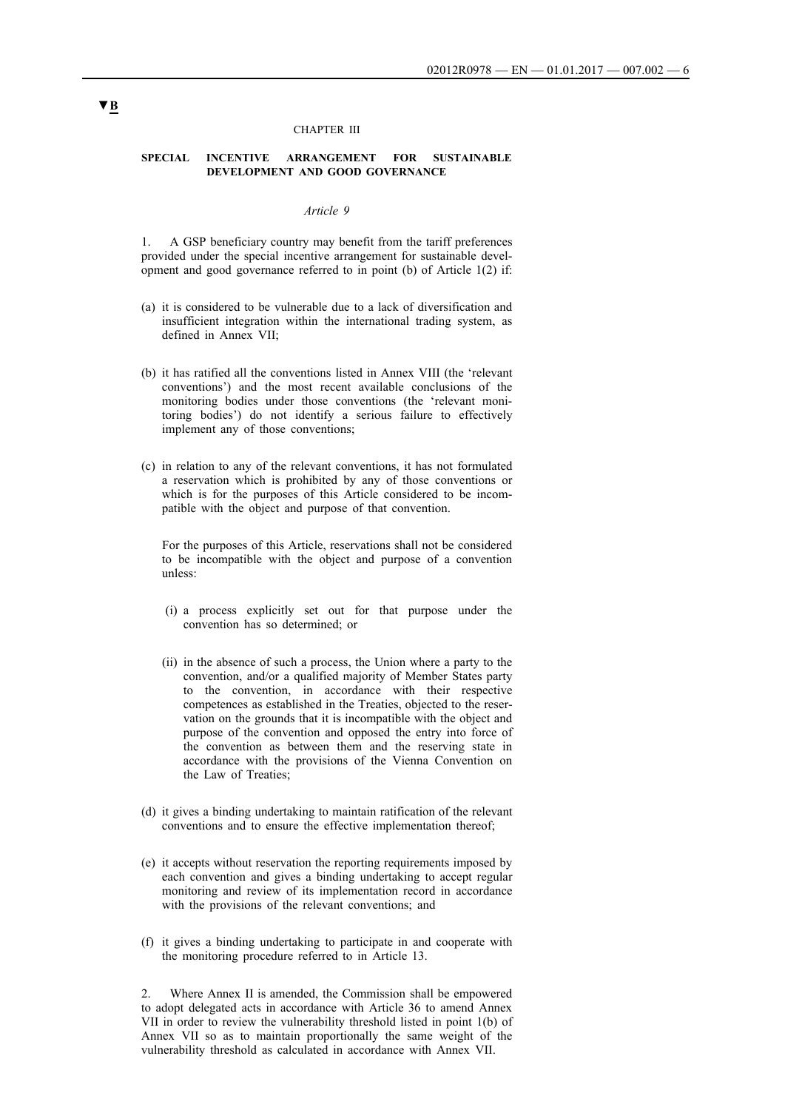#### CHAPTER III

#### **SPECIAL INCENTIVE ARRANGEMENT FOR SUSTAINABLE DEVELOPMENT AND GOOD GOVERNANCE**

### *Article 9*

1. A GSP beneficiary country may benefit from the tariff preferences provided under the special incentive arrangement for sustainable development and good governance referred to in point (b) of Article 1(2) if:

- (a) it is considered to be vulnerable due to a lack of diversification and insufficient integration within the international trading system, as defined in Annex VII;
- (b) it has ratified all the conventions listed in Annex VIII (the 'relevant conventions') and the most recent available conclusions of the monitoring bodies under those conventions (the 'relevant monitoring bodies') do not identify a serious failure to effectively implement any of those conventions;
- (c) in relation to any of the relevant conventions, it has not formulated a reservation which is prohibited by any of those conventions or which is for the purposes of this Article considered to be incompatible with the object and purpose of that convention.

For the purposes of this Article, reservations shall not be considered to be incompatible with the object and purpose of a convention unless:

- (i) a process explicitly set out for that purpose under the convention has so determined; or
- (ii) in the absence of such a process, the Union where a party to the convention, and/or a qualified majority of Member States party to the convention, in accordance with their respective competences as established in the Treaties, objected to the reservation on the grounds that it is incompatible with the object and purpose of the convention and opposed the entry into force of the convention as between them and the reserving state in accordance with the provisions of the Vienna Convention on the Law of Treaties;
- (d) it gives a binding undertaking to maintain ratification of the relevant conventions and to ensure the effective implementation thereof;
- (e) it accepts without reservation the reporting requirements imposed by each convention and gives a binding undertaking to accept regular monitoring and review of its implementation record in accordance with the provisions of the relevant conventions; and
- (f) it gives a binding undertaking to participate in and cooperate with the monitoring procedure referred to in Article 13.

2. Where Annex II is amended, the Commission shall be empowered to adopt delegated acts in accordance with Article 36 to amend Annex VII in order to review the vulnerability threshold listed in point 1(b) of Annex VII so as to maintain proportionally the same weight of the vulnerability threshold as calculated in accordance with Annex VII.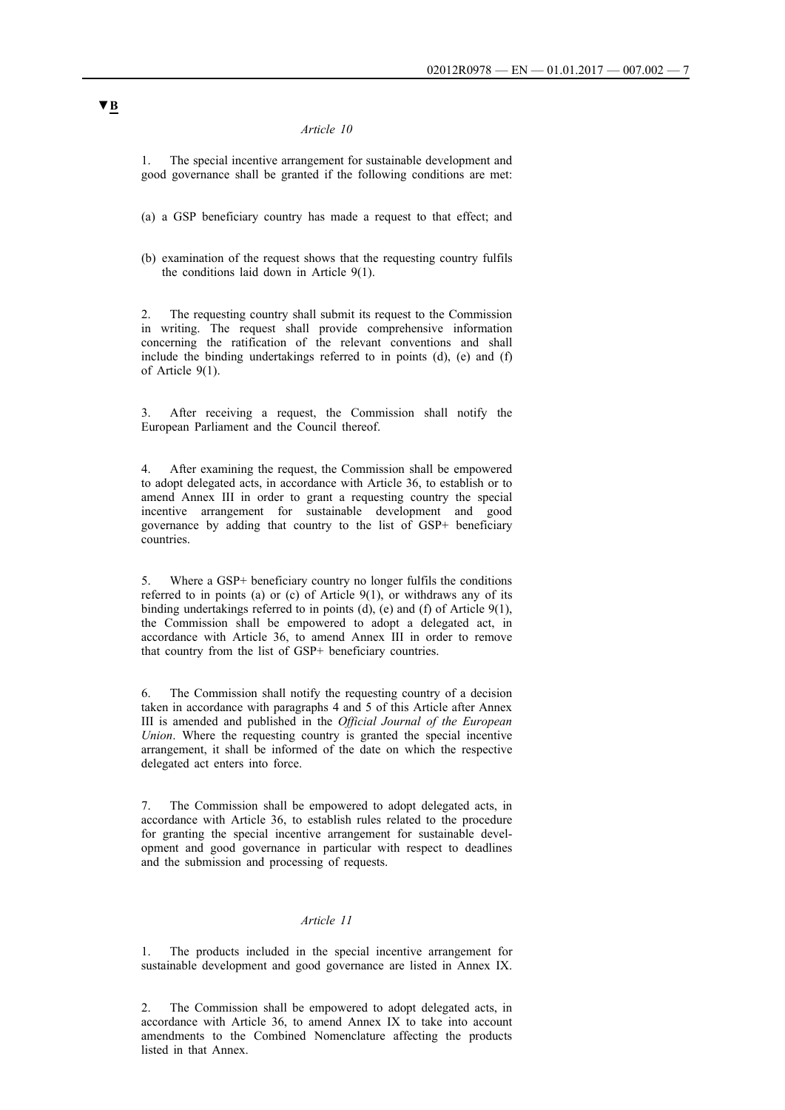1. The special incentive arrangement for sustainable development and good governance shall be granted if the following conditions are met:

(a) a GSP beneficiary country has made a request to that effect; and

(b) examination of the request shows that the requesting country fulfils the conditions laid down in Article 9(1).

2. The requesting country shall submit its request to the Commission in writing. The request shall provide comprehensive information concerning the ratification of the relevant conventions and shall include the binding undertakings referred to in points (d), (e) and (f) of Article 9(1).

After receiving a request, the Commission shall notify the European Parliament and the Council thereof.

4. After examining the request, the Commission shall be empowered to adopt delegated acts, in accordance with Article 36, to establish or to amend Annex III in order to grant a requesting country the special incentive arrangement for sustainable development and good governance by adding that country to the list of GSP+ beneficiary countries.

5. Where a GSP+ beneficiary country no longer fulfils the conditions referred to in points (a) or (c) of Article  $9(1)$ , or withdraws any of its binding undertakings referred to in points (d), (e) and (f) of Article 9(1), the Commission shall be empowered to adopt a delegated act, in accordance with Article 36, to amend Annex III in order to remove that country from the list of GSP+ beneficiary countries.

6. The Commission shall notify the requesting country of a decision taken in accordance with paragraphs 4 and 5 of this Article after Annex III is amended and published in the *Official Journal of the European Union*. Where the requesting country is granted the special incentive arrangement, it shall be informed of the date on which the respective delegated act enters into force.

The Commission shall be empowered to adopt delegated acts, in accordance with Article 36, to establish rules related to the procedure for granting the special incentive arrangement for sustainable development and good governance in particular with respect to deadlines and the submission and processing of requests.

### *Article 11*

The products included in the special incentive arrangement for sustainable development and good governance are listed in Annex IX.

2. The Commission shall be empowered to adopt delegated acts, in accordance with Article 36, to amend Annex IX to take into account amendments to the Combined Nomenclature affecting the products listed in that Annex.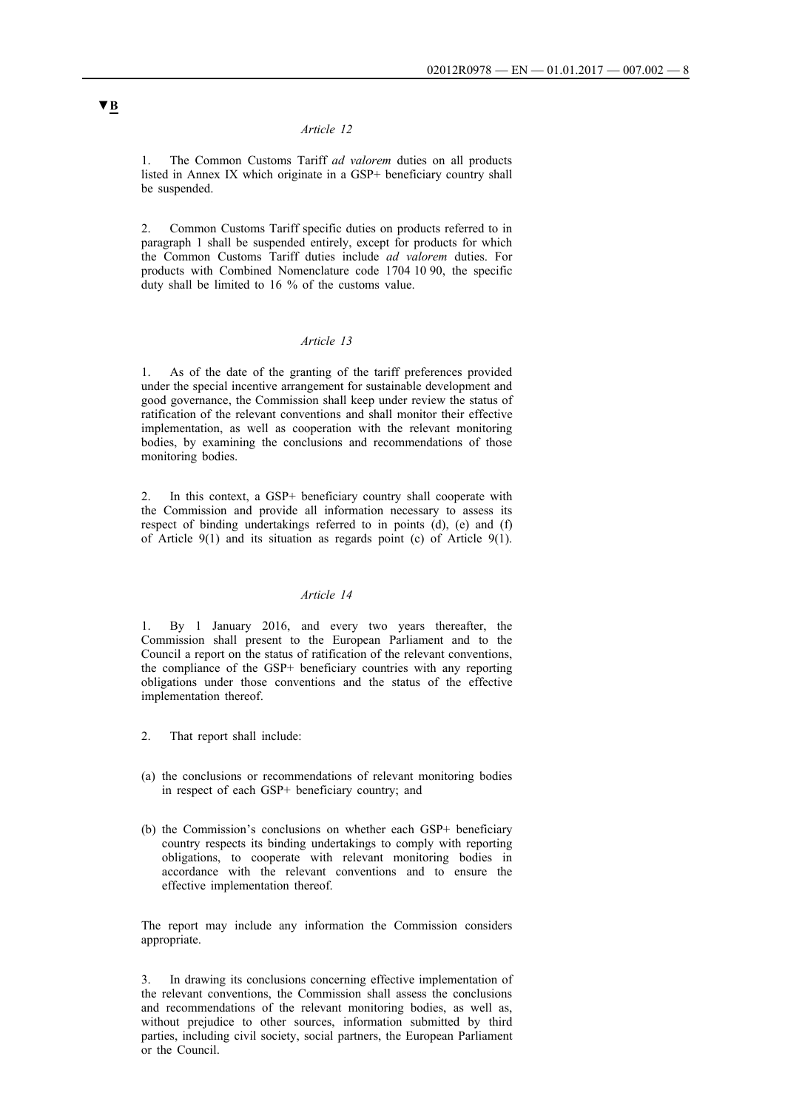1. The Common Customs Tariff *ad valorem* duties on all products listed in Annex IX which originate in a GSP+ beneficiary country shall be suspended.

2. Common Customs Tariff specific duties on products referred to in paragraph 1 shall be suspended entirely, except for products for which the Common Customs Tariff duties include *ad valorem* duties. For products with Combined Nomenclature code 1704 10 90, the specific duty shall be limited to 16 % of the customs value.

## *Article 13*

1. As of the date of the granting of the tariff preferences provided under the special incentive arrangement for sustainable development and good governance, the Commission shall keep under review the status of ratification of the relevant conventions and shall monitor their effective implementation, as well as cooperation with the relevant monitoring bodies, by examining the conclusions and recommendations of those monitoring bodies.

2. In this context, a GSP+ beneficiary country shall cooperate with the Commission and provide all information necessary to assess its respect of binding undertakings referred to in points (d), (e) and (f) of Article 9(1) and its situation as regards point (c) of Article 9(1).

#### *Article 14*

1. By 1 January 2016, and every two years thereafter, the Commission shall present to the European Parliament and to the Council a report on the status of ratification of the relevant conventions, the compliance of the GSP+ beneficiary countries with any reporting obligations under those conventions and the status of the effective implementation thereof.

- 2. That report shall include:
- (a) the conclusions or recommendations of relevant monitoring bodies in respect of each GSP+ beneficiary country; and
- (b) the Commission's conclusions on whether each GSP+ beneficiary country respects its binding undertakings to comply with reporting obligations, to cooperate with relevant monitoring bodies in accordance with the relevant conventions and to ensure the effective implementation thereof.

The report may include any information the Commission considers appropriate.

3. In drawing its conclusions concerning effective implementation of the relevant conventions, the Commission shall assess the conclusions and recommendations of the relevant monitoring bodies, as well as, without prejudice to other sources, information submitted by third parties, including civil society, social partners, the European Parliament or the Council.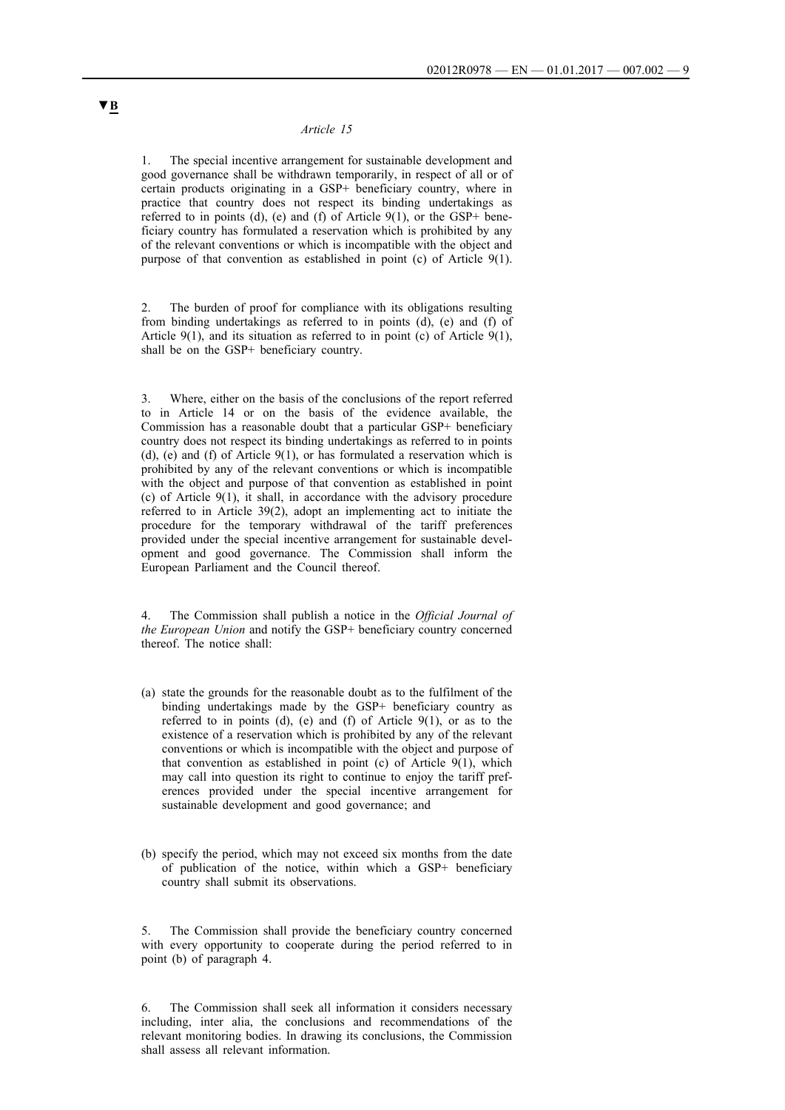1. The special incentive arrangement for sustainable development and good governance shall be withdrawn temporarily, in respect of all or of certain products originating in a GSP+ beneficiary country, where in practice that country does not respect its binding undertakings as referred to in points (d), (e) and (f) of Article  $9(1)$ , or the GSP+ beneficiary country has formulated a reservation which is prohibited by any of the relevant conventions or which is incompatible with the object and purpose of that convention as established in point (c) of Article 9(1).

2. The burden of proof for compliance with its obligations resulting from binding undertakings as referred to in points (d), (e) and (f) of Article  $9(1)$ , and its situation as referred to in point (c) of Article  $9(1)$ , shall be on the GSP+ beneficiary country.

3. Where, either on the basis of the conclusions of the report referred to in Article 14 or on the basis of the evidence available, the Commission has a reasonable doubt that a particular GSP+ beneficiary country does not respect its binding undertakings as referred to in points (d), (e) and (f) of Article 9(1), or has formulated a reservation which is prohibited by any of the relevant conventions or which is incompatible with the object and purpose of that convention as established in point (c) of Article 9(1), it shall, in accordance with the advisory procedure referred to in Article 39(2), adopt an implementing act to initiate the procedure for the temporary withdrawal of the tariff preferences provided under the special incentive arrangement for sustainable development and good governance. The Commission shall inform the European Parliament and the Council thereof.

4. The Commission shall publish a notice in the *Official Journal of the European Union* and notify the GSP+ beneficiary country concerned thereof. The notice shall:

- (a) state the grounds for the reasonable doubt as to the fulfilment of the binding undertakings made by the GSP+ beneficiary country as referred to in points (d), (e) and (f) of Article  $9(1)$ , or as to the existence of a reservation which is prohibited by any of the relevant conventions or which is incompatible with the object and purpose of that convention as established in point (c) of Article  $9(1)$ , which may call into question its right to continue to enjoy the tariff preferences provided under the special incentive arrangement for sustainable development and good governance; and
- (b) specify the period, which may not exceed six months from the date of publication of the notice, within which a GSP+ beneficiary country shall submit its observations.

The Commission shall provide the beneficiary country concerned with every opportunity to cooperate during the period referred to in point (b) of paragraph 4.

6. The Commission shall seek all information it considers necessary including, inter alia, the conclusions and recommendations of the relevant monitoring bodies. In drawing its conclusions, the Commission shall assess all relevant information.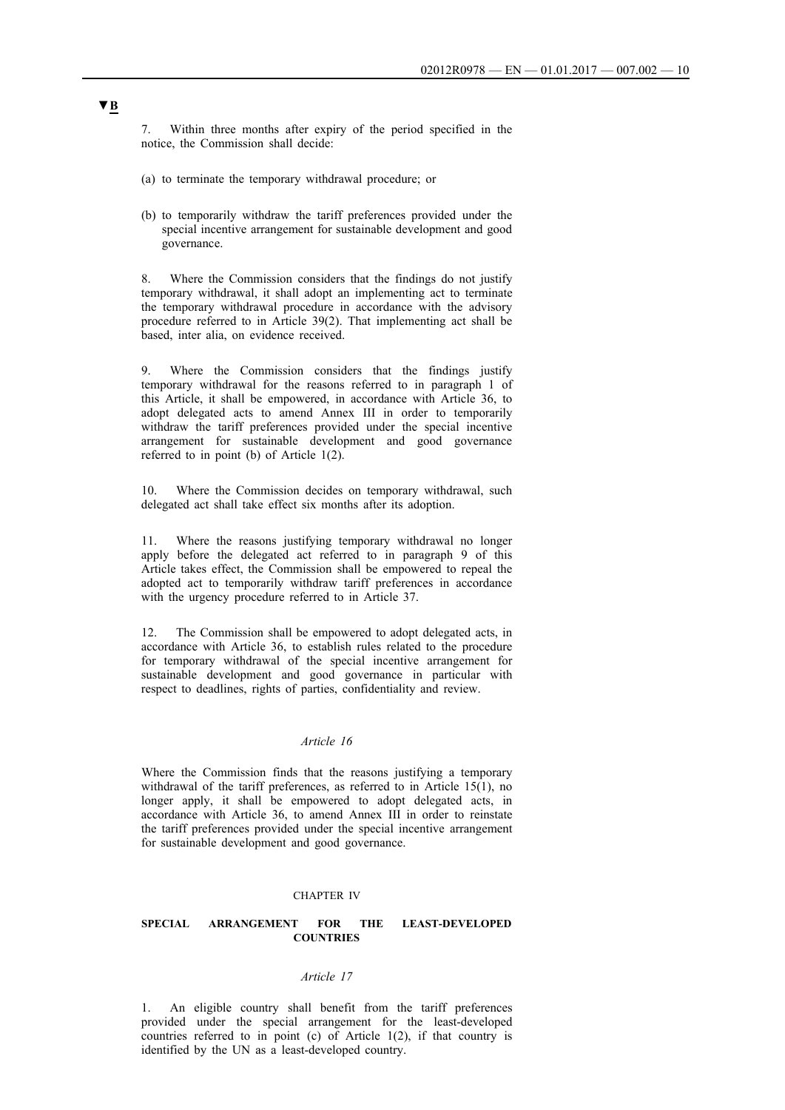7. Within three months after expiry of the period specified in the notice, the Commission shall decide:

- (a) to terminate the temporary withdrawal procedure; or
- (b) to temporarily withdraw the tariff preferences provided under the special incentive arrangement for sustainable development and good governance.

8. Where the Commission considers that the findings do not justify temporary withdrawal, it shall adopt an implementing act to terminate the temporary withdrawal procedure in accordance with the advisory procedure referred to in Article 39(2). That implementing act shall be based, inter alia, on evidence received.

9. Where the Commission considers that the findings justify temporary withdrawal for the reasons referred to in paragraph 1 of this Article, it shall be empowered, in accordance with Article 36, to adopt delegated acts to amend Annex III in order to temporarily withdraw the tariff preferences provided under the special incentive arrangement for sustainable development and good governance referred to in point (b) of Article 1(2).

10. Where the Commission decides on temporary withdrawal, such delegated act shall take effect six months after its adoption.

11. Where the reasons justifying temporary withdrawal no longer apply before the delegated act referred to in paragraph 9 of this Article takes effect, the Commission shall be empowered to repeal the adopted act to temporarily withdraw tariff preferences in accordance with the urgency procedure referred to in Article 37.

12. The Commission shall be empowered to adopt delegated acts, in accordance with Article 36, to establish rules related to the procedure for temporary withdrawal of the special incentive arrangement for sustainable development and good governance in particular with respect to deadlines, rights of parties, confidentiality and review.

## *Article 16*

Where the Commission finds that the reasons justifying a temporary withdrawal of the tariff preferences, as referred to in Article 15(1), no longer apply, it shall be empowered to adopt delegated acts, in accordance with Article 36, to amend Annex III in order to reinstate the tariff preferences provided under the special incentive arrangement for sustainable development and good governance.

#### CHAPTER IV

### **SPECIAL ARRANGEMENT FOR THE LEAST-DEVELOPED COUNTRIES**

#### *Article 17*

1. An eligible country shall benefit from the tariff preferences provided under the special arrangement for the least-developed countries referred to in point (c) of Article 1(2), if that country is identified by the UN as a least-developed country.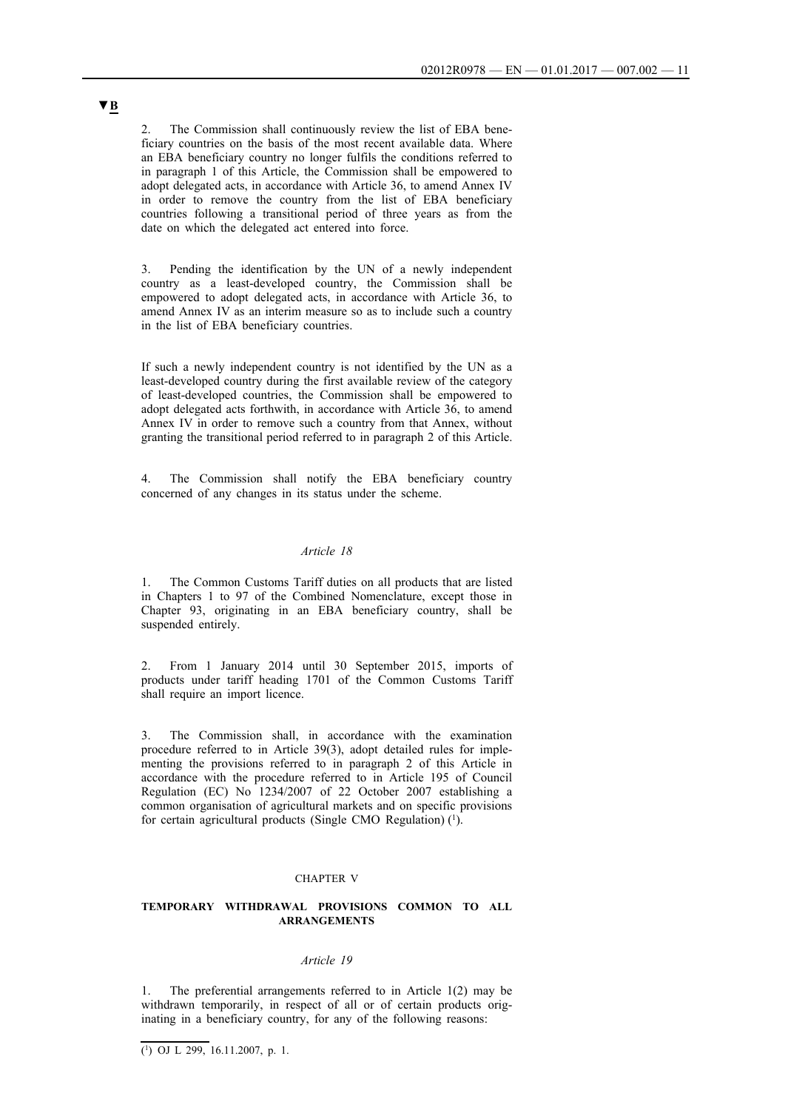The Commission shall continuously review the list of EBA beneficiary countries on the basis of the most recent available data. Where an EBA beneficiary country no longer fulfils the conditions referred to in paragraph 1 of this Article, the Commission shall be empowered to adopt delegated acts, in accordance with Article 36, to amend Annex IV in order to remove the country from the list of EBA beneficiary countries following a transitional period of three years as from the date on which the delegated act entered into force.

3. Pending the identification by the UN of a newly independent country as a least-developed country, the Commission shall be empowered to adopt delegated acts, in accordance with Article 36, to amend Annex IV as an interim measure so as to include such a country in the list of EBA beneficiary countries.

If such a newly independent country is not identified by the UN as a least-developed country during the first available review of the category of least-developed countries, the Commission shall be empowered to adopt delegated acts forthwith, in accordance with Article 36, to amend Annex IV in order to remove such a country from that Annex, without granting the transitional period referred to in paragraph 2 of this Article.

4. The Commission shall notify the EBA beneficiary country concerned of any changes in its status under the scheme.

### *Article 18*

1. The Common Customs Tariff duties on all products that are listed in Chapters 1 to 97 of the Combined Nomenclature, except those in Chapter 93, originating in an EBA beneficiary country, shall be suspended entirely.

2. From 1 January 2014 until 30 September 2015, imports of products under tariff heading 1701 of the Common Customs Tariff shall require an import licence.

The Commission shall, in accordance with the examination procedure referred to in Article 39(3), adopt detailed rules for implementing the provisions referred to in paragraph 2 of this Article in accordance with the procedure referred to in Article 195 of Council Regulation (EC) No 1234/2007 of 22 October 2007 establishing a common organisation of agricultural markets and on specific provisions for certain agricultural products (Single CMO Regulation) (1).

#### CHAPTER V

#### **TEMPORARY WITHDRAWAL PROVISIONS COMMON TO ALL ARRANGEMENTS**

## *Article 19*

The preferential arrangements referred to in Article  $1(2)$  may be withdrawn temporarily, in respect of all or of certain products originating in a beneficiary country, for any of the following reasons: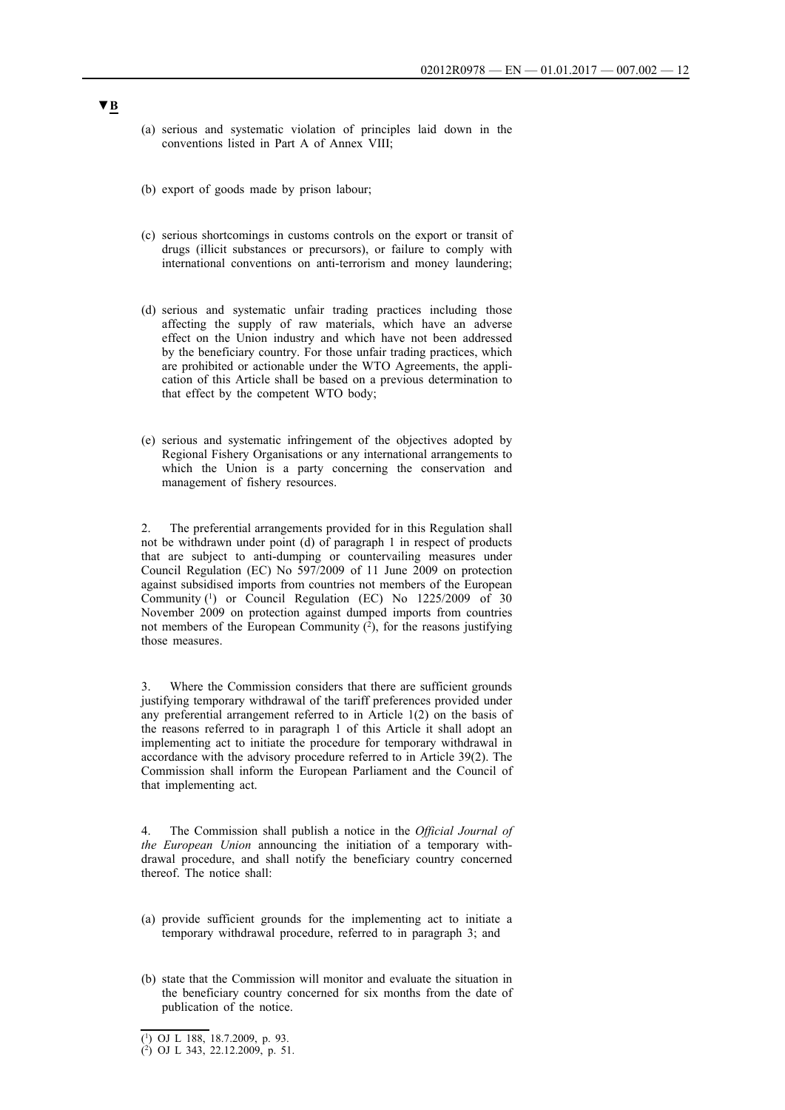- (a) serious and systematic violation of principles laid down in the conventions listed in Part A of Annex VIII;
- (b) export of goods made by prison labour;
- (c) serious shortcomings in customs controls on the export or transit of drugs (illicit substances or precursors), or failure to comply with international conventions on anti-terrorism and money laundering;
- (d) serious and systematic unfair trading practices including those affecting the supply of raw materials, which have an adverse effect on the Union industry and which have not been addressed by the beneficiary country. For those unfair trading practices, which are prohibited or actionable under the WTO Agreements, the application of this Article shall be based on a previous determination to that effect by the competent WTO body;
- (e) serious and systematic infringement of the objectives adopted by Regional Fishery Organisations or any international arrangements to which the Union is a party concerning the conservation and management of fishery resources.

2. The preferential arrangements provided for in this Regulation shall not be withdrawn under point (d) of paragraph 1 in respect of products that are subject to anti-dumping or countervailing measures under Council Regulation (EC) No 597/2009 of 11 June 2009 on protection against subsidised imports from countries not members of the European Community (1) or Council Regulation (EC) No 1225/2009 of 30 November 2009 on protection against dumped imports from countries not members of the European Community  $(\hat{2})$ , for the reasons justifying those measures.

3. Where the Commission considers that there are sufficient grounds justifying temporary withdrawal of the tariff preferences provided under any preferential arrangement referred to in Article 1(2) on the basis of the reasons referred to in paragraph 1 of this Article it shall adopt an implementing act to initiate the procedure for temporary withdrawal in accordance with the advisory procedure referred to in Article 39(2). The Commission shall inform the European Parliament and the Council of that implementing act.

4. The Commission shall publish a notice in the *Official Journal of the European Union* announcing the initiation of a temporary withdrawal procedure, and shall notify the beneficiary country concerned thereof. The notice shall:

- (a) provide sufficient grounds for the implementing act to initiate a temporary withdrawal procedure, referred to in paragraph 3; and
- (b) state that the Commission will monitor and evaluate the situation in the beneficiary country concerned for six months from the date of publication of the notice.

<sup>(1)</sup> OJ L 188, 18.7.2009, p. 93.

 $(2)$  OJ L 343, 22.12.2009, p. 51.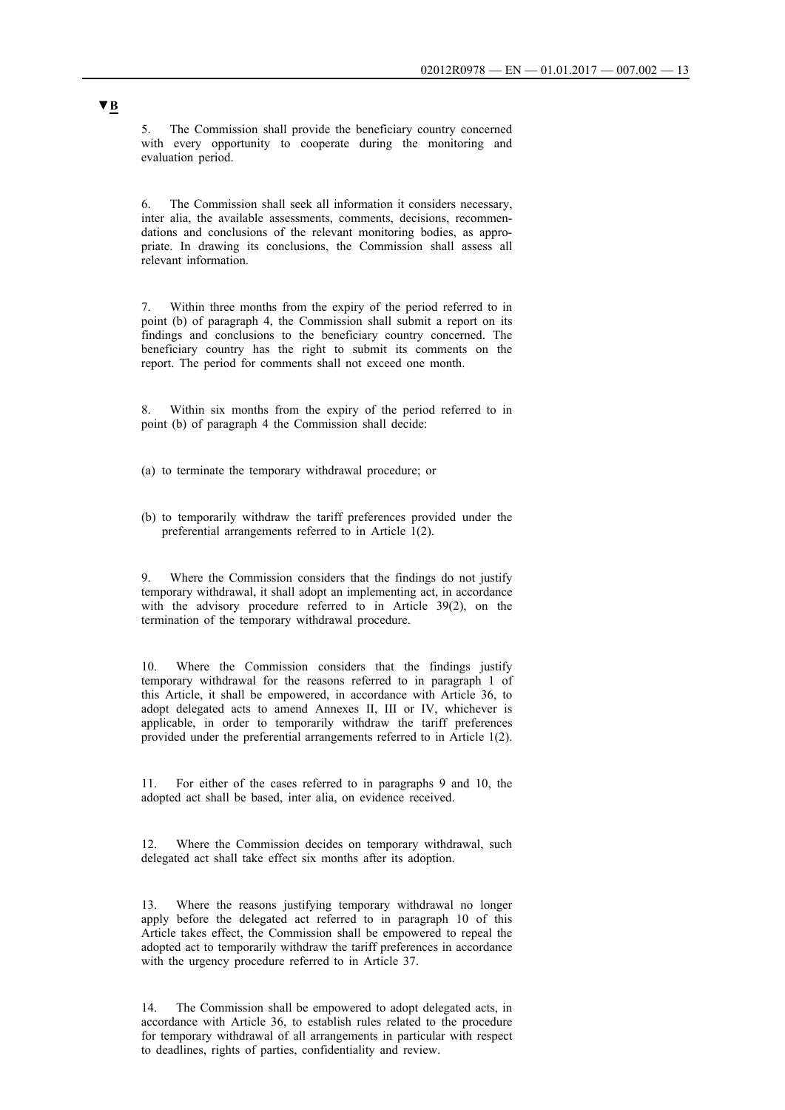5. The Commission shall provide the beneficiary country concerned with every opportunity to cooperate during the monitoring and evaluation period.

6. The Commission shall seek all information it considers necessary, inter alia, the available assessments, comments, decisions, recommendations and conclusions of the relevant monitoring bodies, as appropriate. In drawing its conclusions, the Commission shall assess all relevant information.

7. Within three months from the expiry of the period referred to in point (b) of paragraph 4, the Commission shall submit a report on its findings and conclusions to the beneficiary country concerned. The beneficiary country has the right to submit its comments on the report. The period for comments shall not exceed one month.

8. Within six months from the expiry of the period referred to in point (b) of paragraph 4 the Commission shall decide:

(a) to terminate the temporary withdrawal procedure; or

(b) to temporarily withdraw the tariff preferences provided under the preferential arrangements referred to in Article 1(2).

9. Where the Commission considers that the findings do not justify temporary withdrawal, it shall adopt an implementing act, in accordance with the advisory procedure referred to in Article 39(2), on the termination of the temporary withdrawal procedure.

10. Where the Commission considers that the findings justify temporary withdrawal for the reasons referred to in paragraph 1 of this Article, it shall be empowered, in accordance with Article 36, to adopt delegated acts to amend Annexes II, III or IV, whichever is applicable, in order to temporarily withdraw the tariff preferences provided under the preferential arrangements referred to in Article 1(2).

11. For either of the cases referred to in paragraphs 9 and 10, the adopted act shall be based, inter alia, on evidence received.

12. Where the Commission decides on temporary withdrawal, such delegated act shall take effect six months after its adoption.

13. Where the reasons justifying temporary withdrawal no longer apply before the delegated act referred to in paragraph 10 of this Article takes effect, the Commission shall be empowered to repeal the adopted act to temporarily withdraw the tariff preferences in accordance with the urgency procedure referred to in Article 37.

14. The Commission shall be empowered to adopt delegated acts, in accordance with Article 36, to establish rules related to the procedure for temporary withdrawal of all arrangements in particular with respect to deadlines, rights of parties, confidentiality and review.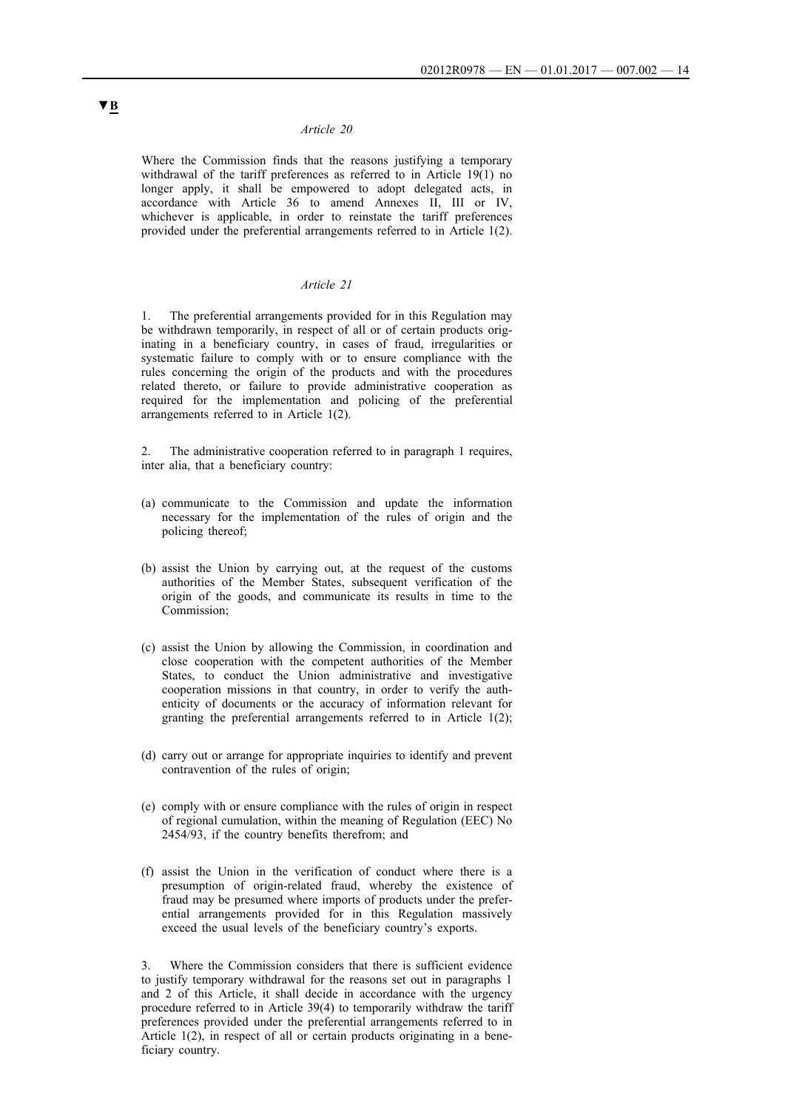Where the Commission finds that the reasons justifying a temporary withdrawal of the tariff preferences as referred to in Article 19(1) no longer apply, it shall be empowered to adopt delegated acts, in accordance with Article 36 to amend Annexes II, III or IV, whichever is applicable, in order to reinstate the tariff preferences provided under the preferential arrangements referred to in Article 1(2).

#### *Article 21*

1. The preferential arrangements provided for in this Regulation may be withdrawn temporarily, in respect of all or of certain products originating in a beneficiary country, in cases of fraud, irregularities or systematic failure to comply with or to ensure compliance with the rules concerning the origin of the products and with the procedures related thereto, or failure to provide administrative cooperation as required for the implementation and policing of the preferential arrangements referred to in Article 1(2).

2. The administrative cooperation referred to in paragraph 1 requires, inter alia, that a beneficiary country:

- (a) communicate to the Commission and update the information necessary for the implementation of the rules of origin and the policing thereof;
- (b) assist the Union by carrying out, at the request of the customs authorities of the Member States, subsequent verification of the origin of the goods, and communicate its results in time to the Commission;
- (c) assist the Union by allowing the Commission, in coordination and close cooperation with the competent authorities of the Member States, to conduct the Union administrative and investigative cooperation missions in that country, in order to verify the authenticity of documents or the accuracy of information relevant for granting the preferential arrangements referred to in Article 1(2);
- (d) carry out or arrange for appropriate inquiries to identify and prevent contravention of the rules of origin;
- (e) comply with or ensure compliance with the rules of origin in respect of regional cumulation, within the meaning of Regulation (EEC) No 2454/93, if the country benefits therefrom; and
- (f) assist the Union in the verification of conduct where there is a presumption of origin-related fraud, whereby the existence of fraud may be presumed where imports of products under the preferential arrangements provided for in this Regulation massively exceed the usual levels of the beneficiary country's exports.

Where the Commission considers that there is sufficient evidence to justify temporary withdrawal for the reasons set out in paragraphs 1 and 2 of this Article, it shall decide in accordance with the urgency procedure referred to in Article 39(4) to temporarily withdraw the tariff preferences provided under the preferential arrangements referred to in Article 1(2), in respect of all or certain products originating in a beneficiary country.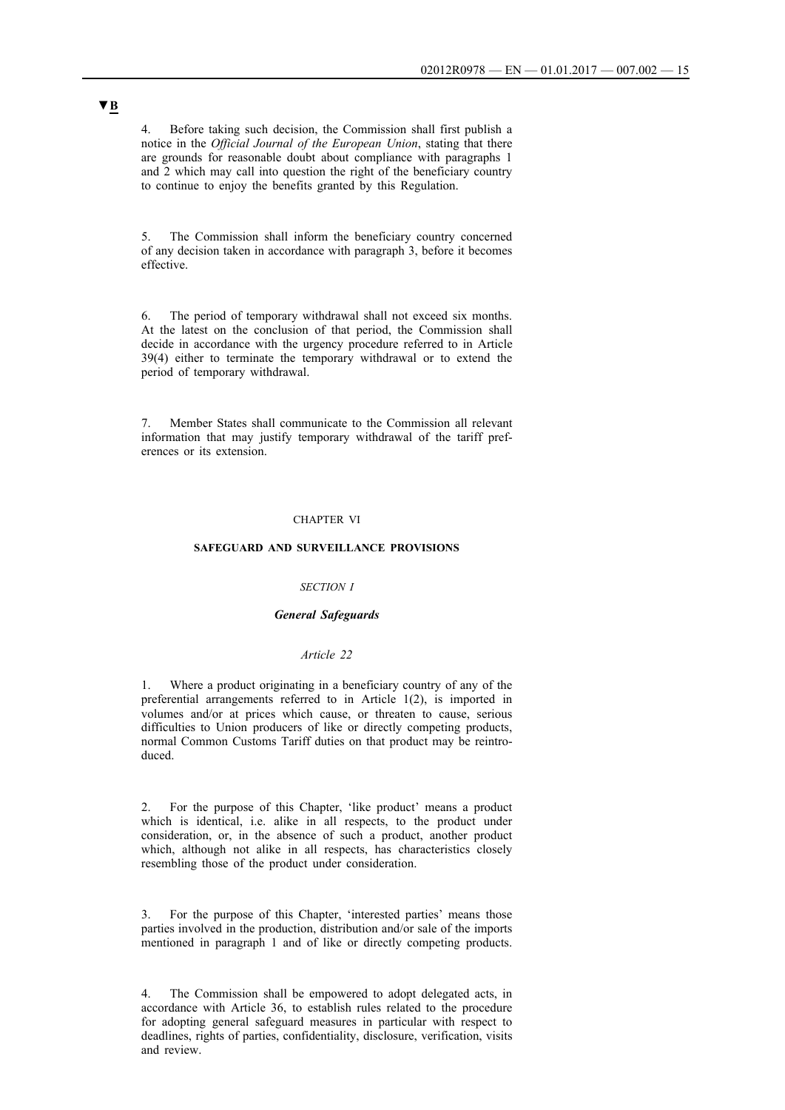4. Before taking such decision, the Commission shall first publish a notice in the *Official Journal of the European Union*, stating that there are grounds for reasonable doubt about compliance with paragraphs 1 and 2 which may call into question the right of the beneficiary country to continue to enjoy the benefits granted by this Regulation.

5. The Commission shall inform the beneficiary country concerned of any decision taken in accordance with paragraph 3, before it becomes effective.

6. The period of temporary withdrawal shall not exceed six months. At the latest on the conclusion of that period, the Commission shall decide in accordance with the urgency procedure referred to in Article 39(4) either to terminate the temporary withdrawal or to extend the period of temporary withdrawal.

7. Member States shall communicate to the Commission all relevant information that may justify temporary withdrawal of the tariff preferences or its extension.

### CHAPTER VI

#### **SAFEGUARD AND SURVEILLANCE PROVISIONS**

### *SECTION I*

### *General Safeguards*

#### *Article 22*

1. Where a product originating in a beneficiary country of any of the preferential arrangements referred to in Article 1(2), is imported in volumes and/or at prices which cause, or threaten to cause, serious difficulties to Union producers of like or directly competing products, normal Common Customs Tariff duties on that product may be reintroduced.

2. For the purpose of this Chapter, 'like product' means a product which is identical, i.e. alike in all respects, to the product under consideration, or, in the absence of such a product, another product which, although not alike in all respects, has characteristics closely resembling those of the product under consideration.

3. For the purpose of this Chapter, 'interested parties' means those parties involved in the production, distribution and/or sale of the imports mentioned in paragraph 1 and of like or directly competing products.

4. The Commission shall be empowered to adopt delegated acts, in accordance with Article 36, to establish rules related to the procedure for adopting general safeguard measures in particular with respect to deadlines, rights of parties, confidentiality, disclosure, verification, visits and review.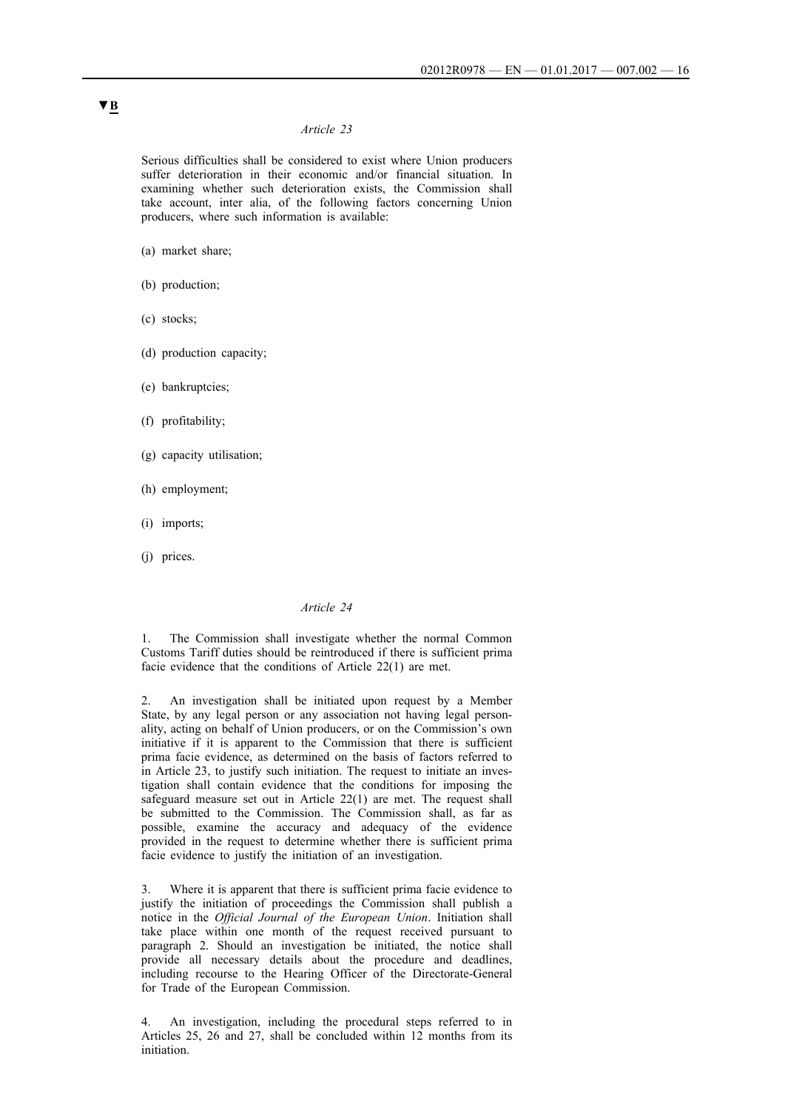Serious difficulties shall be considered to exist where Union producers suffer deterioration in their economic and/or financial situation. In examining whether such deterioration exists, the Commission shall take account, inter alia, of the following factors concerning Union producers, where such information is available:

(a) market share;

- (b) production;
- (c) stocks;
- (d) production capacity;
- (e) bankruptcies;
- (f) profitability;
- (g) capacity utilisation;
- (h) employment;
- (i) imports;
- (j) prices.

## *Article 24*

1. The Commission shall investigate whether the normal Common Customs Tariff duties should be reintroduced if there is sufficient prima facie evidence that the conditions of Article 22(1) are met.

2. An investigation shall be initiated upon request by a Member State, by any legal person or any association not having legal personality, acting on behalf of Union producers, or on the Commission's own initiative if it is apparent to the Commission that there is sufficient prima facie evidence, as determined on the basis of factors referred to in Article 23, to justify such initiation. The request to initiate an investigation shall contain evidence that the conditions for imposing the safeguard measure set out in Article 22(1) are met. The request shall be submitted to the Commission. The Commission shall, as far as possible, examine the accuracy and adequacy of the evidence provided in the request to determine whether there is sufficient prima facie evidence to justify the initiation of an investigation.

3. Where it is apparent that there is sufficient prima facie evidence to justify the initiation of proceedings the Commission shall publish a notice in the *Official Journal of the European Union*. Initiation shall take place within one month of the request received pursuant to paragraph 2. Should an investigation be initiated, the notice shall provide all necessary details about the procedure and deadlines, including recourse to the Hearing Officer of the Directorate-General for Trade of the European Commission.

4. An investigation, including the procedural steps referred to in Articles 25, 26 and 27, shall be concluded within 12 months from its initiation.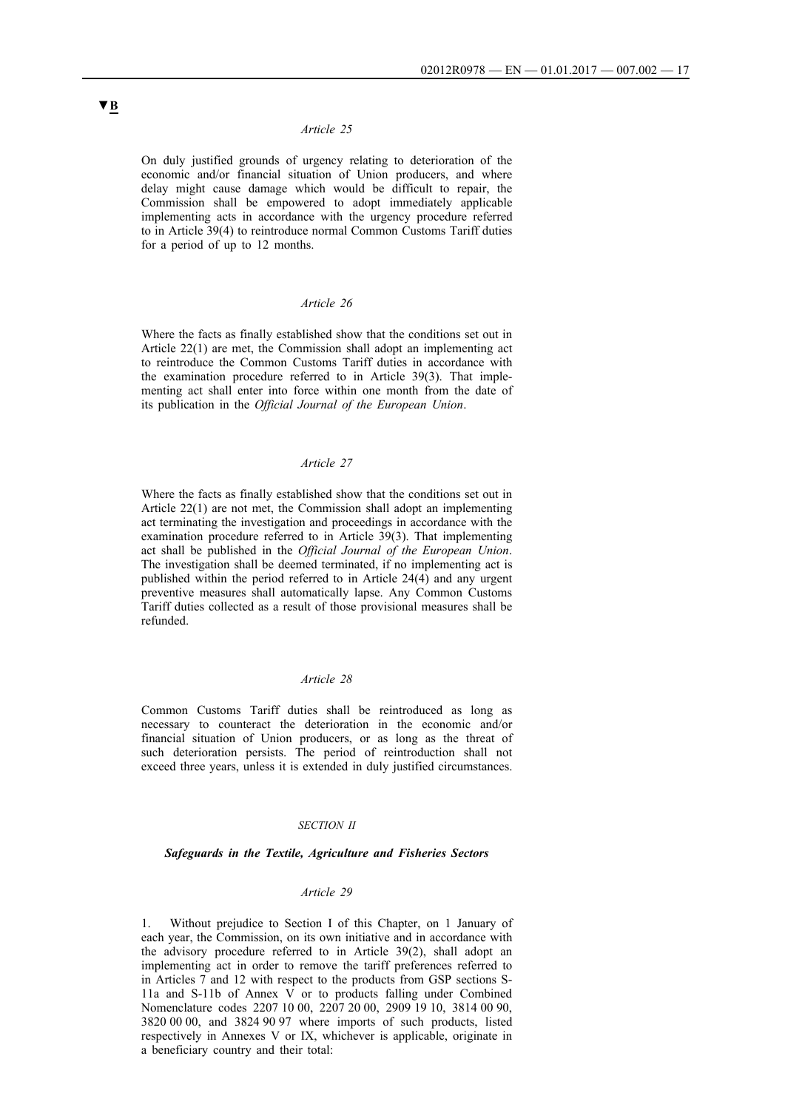On duly justified grounds of urgency relating to deterioration of the economic and/or financial situation of Union producers, and where delay might cause damage which would be difficult to repair, the Commission shall be empowered to adopt immediately applicable implementing acts in accordance with the urgency procedure referred to in Article 39(4) to reintroduce normal Common Customs Tariff duties for a period of up to 12 months.

## *Article 26*

Where the facts as finally established show that the conditions set out in Article 22(1) are met, the Commission shall adopt an implementing act to reintroduce the Common Customs Tariff duties in accordance with the examination procedure referred to in Article 39(3). That implementing act shall enter into force within one month from the date of its publication in the *Official Journal of the European Union*.

#### *Article 27*

Where the facts as finally established show that the conditions set out in Article 22(1) are not met, the Commission shall adopt an implementing act terminating the investigation and proceedings in accordance with the examination procedure referred to in Article 39(3). That implementing act shall be published in the *Official Journal of the European Union*. The investigation shall be deemed terminated, if no implementing act is published within the period referred to in Article 24(4) and any urgent preventive measures shall automatically lapse. Any Common Customs Tariff duties collected as a result of those provisional measures shall be refunded.

#### *Article 28*

Common Customs Tariff duties shall be reintroduced as long as necessary to counteract the deterioration in the economic and/or financial situation of Union producers, or as long as the threat of such deterioration persists. The period of reintroduction shall not exceed three years, unless it is extended in duly justified circumstances.

#### *SECTION II*

#### *Safeguards in the Textile, Agriculture and Fisheries Sectors*

### *Article 29*

1. Without prejudice to Section I of this Chapter, on 1 January of each year, the Commission, on its own initiative and in accordance with the advisory procedure referred to in Article 39(2), shall adopt an implementing act in order to remove the tariff preferences referred to in Articles 7 and 12 with respect to the products from GSP sections S-11a and S-11b of Annex V or to products falling under Combined Nomenclature codes 2207 10 00, 2207 20 00, 2909 19 10, 3814 00 90, 3820 00 00, and 3824 90 97 where imports of such products, listed respectively in Annexes V or IX, whichever is applicable, originate in a beneficiary country and their total: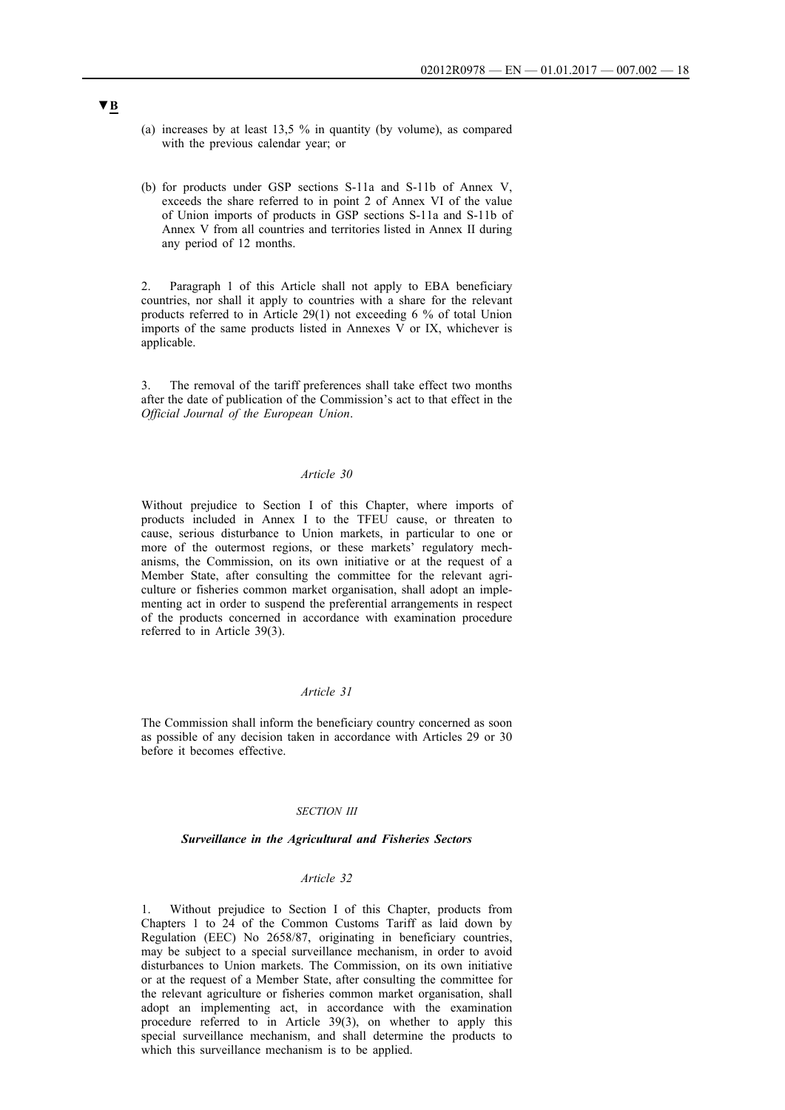- (a) increases by at least 13,5 % in quantity (by volume), as compared with the previous calendar year; or
- (b) for products under GSP sections S-11a and S-11b of Annex V, exceeds the share referred to in point 2 of Annex VI of the value of Union imports of products in GSP sections S-11a and S-11b of Annex V from all countries and territories listed in Annex II during any period of 12 months.

2. Paragraph 1 of this Article shall not apply to EBA beneficiary countries, nor shall it apply to countries with a share for the relevant products referred to in Article 29(1) not exceeding 6 % of total Union imports of the same products listed in Annexes V or IX, whichever is applicable.

3. The removal of the tariff preferences shall take effect two months after the date of publication of the Commission's act to that effect in the *Official Journal of the European Union*.

### *Article 30*

Without prejudice to Section I of this Chapter, where imports of products included in Annex I to the TFEU cause, or threaten to cause, serious disturbance to Union markets, in particular to one or more of the outermost regions, or these markets' regulatory mechanisms, the Commission, on its own initiative or at the request of a Member State, after consulting the committee for the relevant agriculture or fisheries common market organisation, shall adopt an implementing act in order to suspend the preferential arrangements in respect of the products concerned in accordance with examination procedure referred to in Article 39(3).

### *Article 31*

The Commission shall inform the beneficiary country concerned as soon as possible of any decision taken in accordance with Articles 29 or 30 before it becomes effective.

#### *SECTION III*

#### *Surveillance in the Agricultural and Fisheries Sectors*

### *Article 32*

Without prejudice to Section I of this Chapter, products from Chapters 1 to 24 of the Common Customs Tariff as laid down by Regulation (EEC) No 2658/87, originating in beneficiary countries, may be subject to a special surveillance mechanism, in order to avoid disturbances to Union markets. The Commission, on its own initiative or at the request of a Member State, after consulting the committee for the relevant agriculture or fisheries common market organisation, shall adopt an implementing act, in accordance with the examination procedure referred to in Article 39(3), on whether to apply this special surveillance mechanism, and shall determine the products to which this surveillance mechanism is to be applied.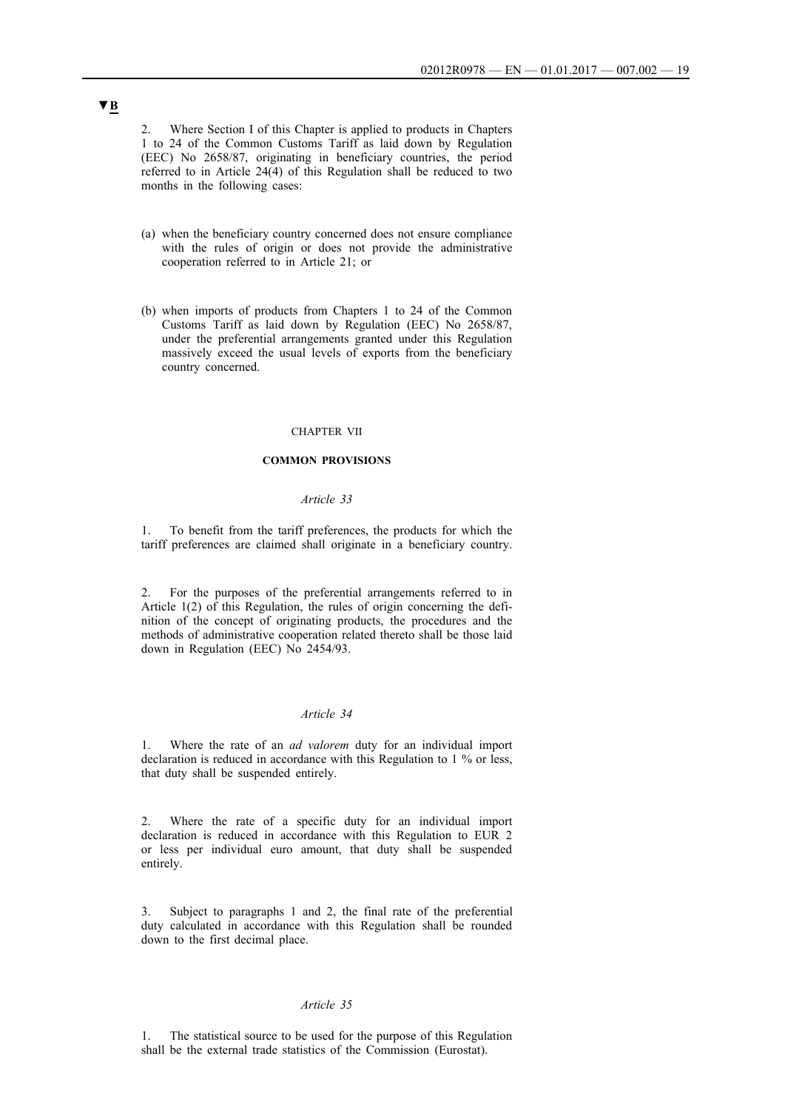2. Where Section I of this Chapter is applied to products in Chapters 1 to 24 of the Common Customs Tariff as laid down by Regulation (EEC) No 2658/87, originating in beneficiary countries, the period referred to in Article 24(4) of this Regulation shall be reduced to two months in the following cases:

- (a) when the beneficiary country concerned does not ensure compliance with the rules of origin or does not provide the administrative cooperation referred to in Article 21; or
- (b) when imports of products from Chapters 1 to 24 of the Common Customs Tariff as laid down by Regulation (EEC) No 2658/87, under the preferential arrangements granted under this Regulation massively exceed the usual levels of exports from the beneficiary country concerned.

#### CHAPTER VII

### **COMMON PROVISIONS**

#### *Article 33*

1. To benefit from the tariff preferences, the products for which the tariff preferences are claimed shall originate in a beneficiary country.

2. For the purposes of the preferential arrangements referred to in Article 1(2) of this Regulation, the rules of origin concerning the definition of the concept of originating products, the procedures and the methods of administrative cooperation related thereto shall be those laid down in Regulation (EEC) No 2454/93.

#### *Article 34*

1. Where the rate of an *ad valorem* duty for an individual import declaration is reduced in accordance with this Regulation to 1 % or less, that duty shall be suspended entirely.

2. Where the rate of a specific duty for an individual import declaration is reduced in accordance with this Regulation to EUR 2 or less per individual euro amount, that duty shall be suspended entirely.

3. Subject to paragraphs 1 and 2, the final rate of the preferential duty calculated in accordance with this Regulation shall be rounded down to the first decimal place.

#### *Article 35*

1. The statistical source to be used for the purpose of this Regulation shall be the external trade statistics of the Commission (Eurostat).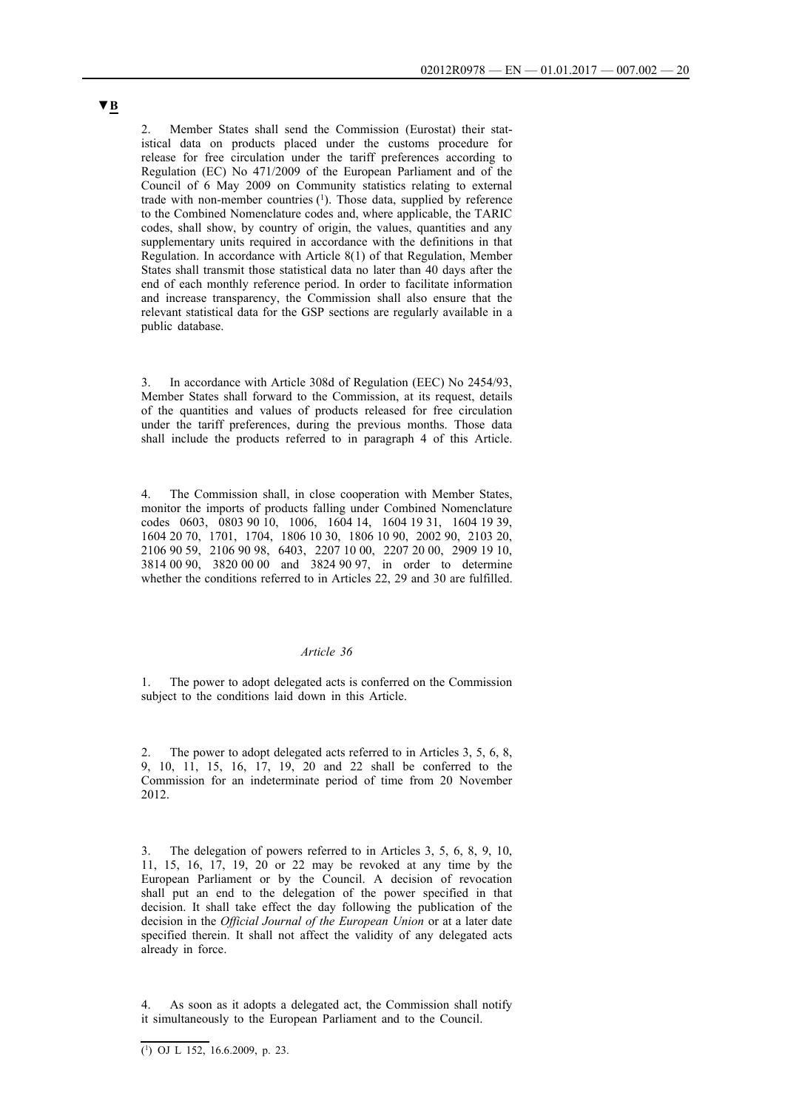2. Member States shall send the Commission (Eurostat) their statistical data on products placed under the customs procedure for release for free circulation under the tariff preferences according to Regulation (EC) No 471/2009 of the European Parliament and of the Council of 6 May 2009 on Community statistics relating to external trade with non-member countries  $(1)$ . Those data, supplied by reference to the Combined Nomenclature codes and, where applicable, the TARIC codes, shall show, by country of origin, the values, quantities and any supplementary units required in accordance with the definitions in that Regulation. In accordance with Article 8(1) of that Regulation, Member States shall transmit those statistical data no later than 40 days after the end of each monthly reference period. In order to facilitate information and increase transparency, the Commission shall also ensure that the relevant statistical data for the GSP sections are regularly available in a public database.

In accordance with Article 308d of Regulation (EEC) No 2454/93, Member States shall forward to the Commission, at its request, details of the quantities and values of products released for free circulation under the tariff preferences, during the previous months. Those data shall include the products referred to in paragraph 4 of this Article.

4. The Commission shall, in close cooperation with Member States, monitor the imports of products falling under Combined Nomenclature codes 0603, 0803 90 10, 1006, 1604 14, 1604 19 31, 1604 19 39, 1604 20 70, 1701, 1704, 1806 10 30, 1806 10 90, 2002 90, 2103 20, 2106 90 59, 2106 90 98, 6403, 2207 10 00, 2207 20 00, 2909 19 10, 3814 00 90, 3820 00 00 and 3824 90 97, in order to determine whether the conditions referred to in Articles 22, 29 and 30 are fulfilled.

#### *Article 36*

1. The power to adopt delegated acts is conferred on the Commission subject to the conditions laid down in this Article.

The power to adopt delegated acts referred to in Articles 3, 5, 6, 8, 9, 10, 11, 15, 16, 17, 19, 20 and 22 shall be conferred to the Commission for an indeterminate period of time from 20 November 2012.

3. The delegation of powers referred to in Articles 3, 5, 6, 8, 9, 10, 11, 15, 16, 17, 19, 20 or 22 may be revoked at any time by the European Parliament or by the Council. A decision of revocation shall put an end to the delegation of the power specified in that decision. It shall take effect the day following the publication of the decision in the *Official Journal of the European Union* or at a later date specified therein. It shall not affect the validity of any delegated acts already in force.

As soon as it adopts a delegated act, the Commission shall notify it simultaneously to the European Parliament and to the Council.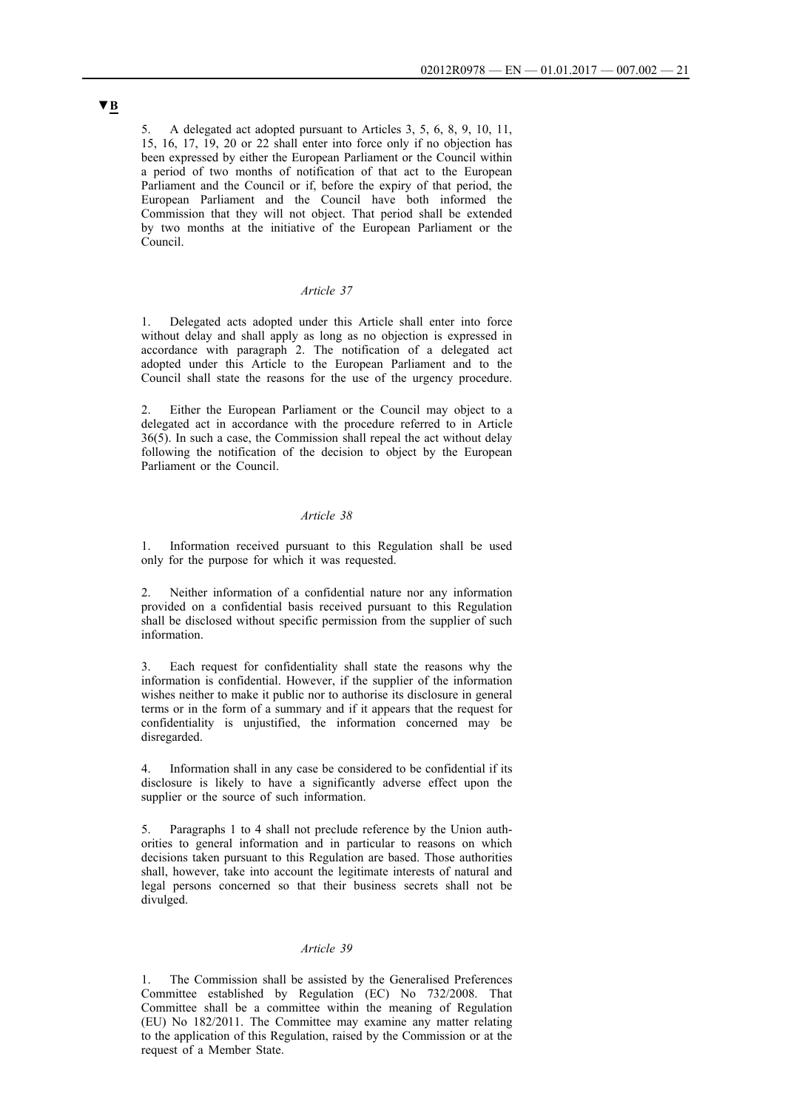5. A delegated act adopted pursuant to Articles 3, 5, 6, 8, 9, 10, 11, 15, 16, 17, 19, 20 or 22 shall enter into force only if no objection has been expressed by either the European Parliament or the Council within a period of two months of notification of that act to the European Parliament and the Council or if, before the expiry of that period, the European Parliament and the Council have both informed the Commission that they will not object. That period shall be extended by two months at the initiative of the European Parliament or the Council.

#### *Article 37*

1. Delegated acts adopted under this Article shall enter into force without delay and shall apply as long as no objection is expressed in accordance with paragraph 2. The notification of a delegated act adopted under this Article to the European Parliament and to the Council shall state the reasons for the use of the urgency procedure.

Either the European Parliament or the Council may object to a delegated act in accordance with the procedure referred to in Article 36(5). In such a case, the Commission shall repeal the act without delay following the notification of the decision to object by the European Parliament or the Council.

### *Article 38*

1. Information received pursuant to this Regulation shall be used only for the purpose for which it was requested.

2. Neither information of a confidential nature nor any information provided on a confidential basis received pursuant to this Regulation shall be disclosed without specific permission from the supplier of such information.

3. Each request for confidentiality shall state the reasons why the information is confidential. However, if the supplier of the information wishes neither to make it public nor to authorise its disclosure in general terms or in the form of a summary and if it appears that the request for confidentiality is unjustified, the information concerned may be disregarded.

Information shall in any case be considered to be confidential if its disclosure is likely to have a significantly adverse effect upon the supplier or the source of such information.

5. Paragraphs 1 to 4 shall not preclude reference by the Union authorities to general information and in particular to reasons on which decisions taken pursuant to this Regulation are based. Those authorities shall, however, take into account the legitimate interests of natural and legal persons concerned so that their business secrets shall not be divulged.

## *Article 39*

1. The Commission shall be assisted by the Generalised Preferences Committee established by Regulation (EC) No 732/2008. That Committee shall be a committee within the meaning of Regulation (EU) No 182/2011. The Committee may examine any matter relating to the application of this Regulation, raised by the Commission or at the request of a Member State.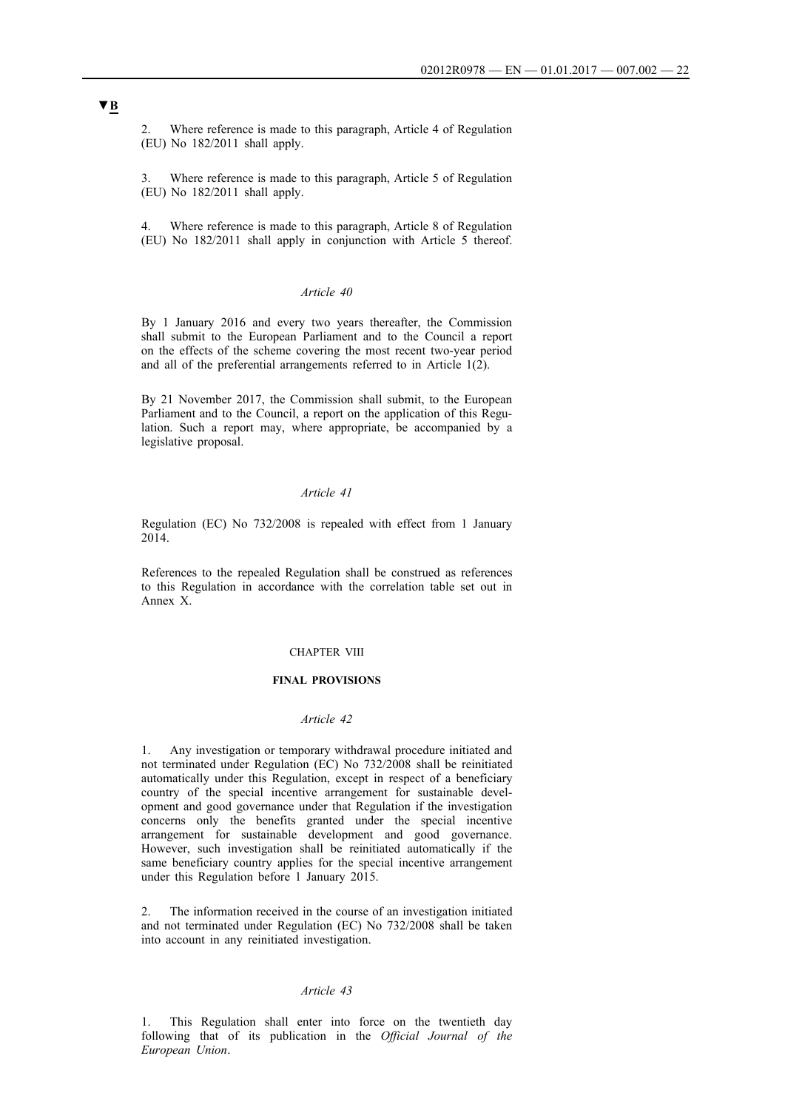2. Where reference is made to this paragraph, Article 4 of Regulation (EU) No 182/2011 shall apply.

3. Where reference is made to this paragraph, Article 5 of Regulation (EU) No 182/2011 shall apply.

Where reference is made to this paragraph, Article 8 of Regulation (EU) No 182/2011 shall apply in conjunction with Article 5 thereof.

#### *Article 40*

By 1 January 2016 and every two years thereafter, the Commission shall submit to the European Parliament and to the Council a report on the effects of the scheme covering the most recent two-year period and all of the preferential arrangements referred to in Article 1(2).

By 21 November 2017, the Commission shall submit, to the European Parliament and to the Council, a report on the application of this Regulation. Such a report may, where appropriate, be accompanied by a legislative proposal.

#### *Article 41*

Regulation (EC) No 732/2008 is repealed with effect from 1 January 2014.

References to the repealed Regulation shall be construed as references to this Regulation in accordance with the correlation table set out in Annex X.

#### CHAPTER VIII

#### **FINAL PROVISIONS**

## *Article 42*

1. Any investigation or temporary withdrawal procedure initiated and not terminated under Regulation (EC) No 732/2008 shall be reinitiated automatically under this Regulation, except in respect of a beneficiary country of the special incentive arrangement for sustainable development and good governance under that Regulation if the investigation concerns only the benefits granted under the special incentive arrangement for sustainable development and good governance. However, such investigation shall be reinitiated automatically if the same beneficiary country applies for the special incentive arrangement under this Regulation before 1 January 2015.

2. The information received in the course of an investigation initiated and not terminated under Regulation (EC) No 732/2008 shall be taken into account in any reinitiated investigation.

### *Article 43*

1. This Regulation shall enter into force on the twentieth day following that of its publication in the *Official Journal of the European Union*.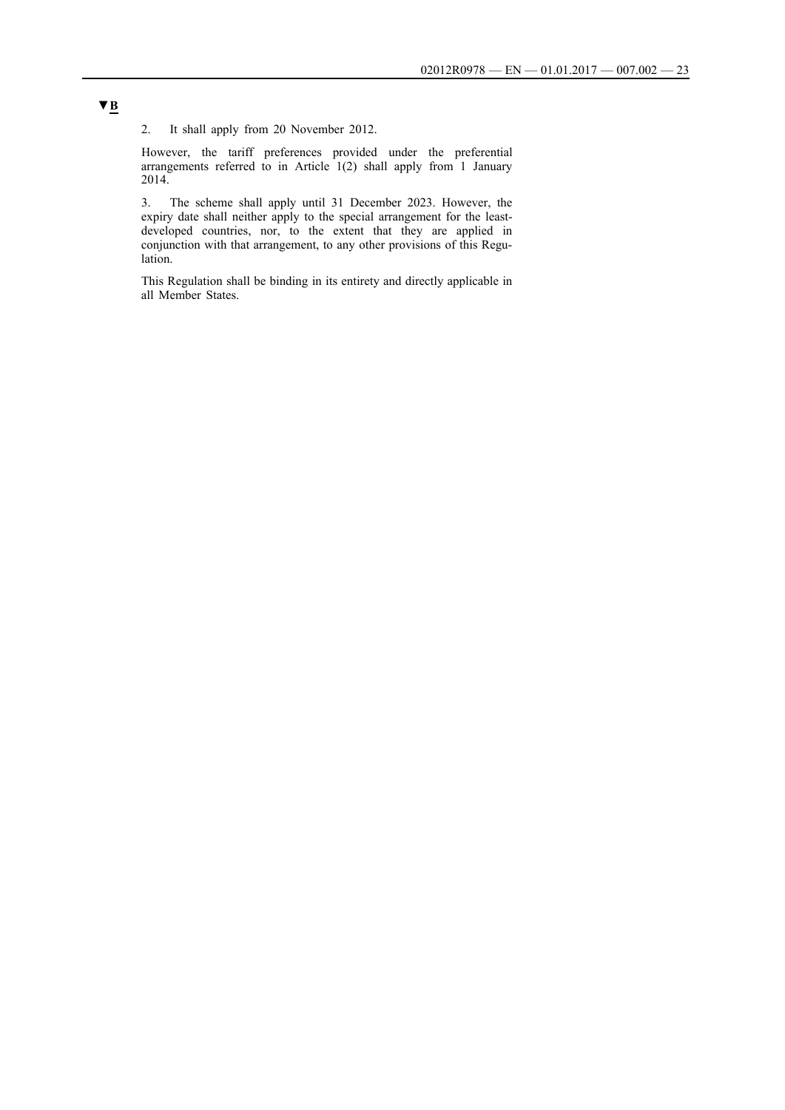2. It shall apply from 20 November 2012.

However, the tariff preferences provided under the preferential arrangements referred to in Article 1(2) shall apply from 1 January 2014.

3. The scheme shall apply until 31 December 2023. However, the expiry date shall neither apply to the special arrangement for the leastdeveloped countries, nor, to the extent that they are applied in conjunction with that arrangement, to any other provisions of this Regulation.

This Regulation shall be binding in its entirety and directly applicable in all Member States.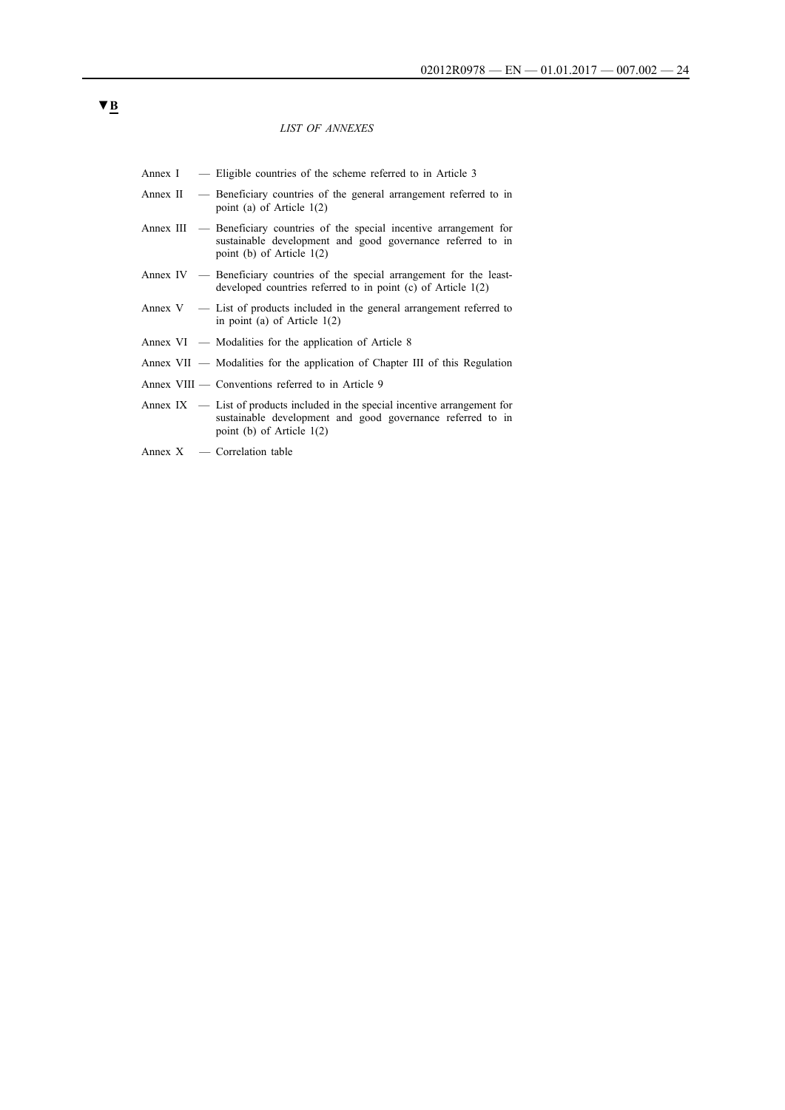#### *LIST OF ANNEXES*

- Annex I Eligible countries of the scheme referred to in Article 3
- Annex II Beneficiary countries of the general arrangement referred to in point (a) of Article 1(2)
- Annex III Beneficiary countries of the special incentive arrangement for sustainable development and good governance referred to in point (b) of Article 1(2)
- Annex IV Beneficiary countries of the special arrangement for the leastdeveloped countries referred to in point (c) of Article 1(2)
- Annex V List of products included in the general arrangement referred to in point (a) of Article 1(2)
- Annex VI Modalities for the application of Article 8
- Annex VII Modalities for the application of Chapter III of this Regulation
- Annex VIII Conventions referred to in Article 9
- Annex IX List of products included in the special incentive arrangement for sustainable development and good governance referred to in point (b) of Article 1(2)
- Annex X Correlation table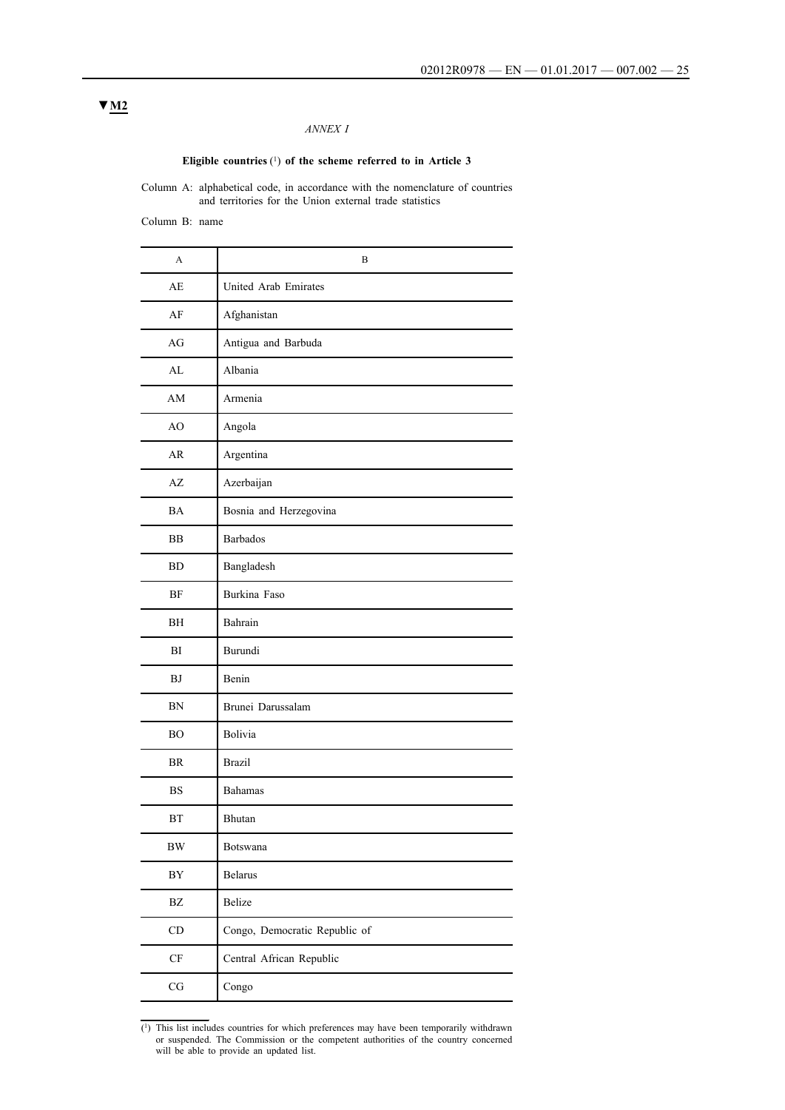## *ANNEX I*

## **Eligible countries** (1) **of the scheme referred to in Article 3**

Column A: alphabetical code, in accordance with the nomenclature of countries and territories for the Union external trade statistics

Column B: name

| A                      | B                             |
|------------------------|-------------------------------|
| AE                     | United Arab Emirates          |
| AF                     | Afghanistan                   |
| AG                     | Antigua and Barbuda           |
| AL                     | Albania                       |
| AM                     | Armenia                       |
| AO                     | Angola                        |
| <b>AR</b>              | Argentina                     |
| AZ                     | Azerbaijan                    |
| <b>BA</b>              | Bosnia and Herzegovina        |
| BB                     | <b>Barbados</b>               |
| <b>BD</b>              | Bangladesh                    |
| <b>BF</b>              | Burkina Faso                  |
| BH                     | Bahrain                       |
| BI                     | Burundi                       |
| BJ                     | Benin                         |
| <b>BN</b>              | Brunei Darussalam             |
| <b>BO</b>              | Bolivia                       |
| <b>BR</b>              | <b>Brazil</b>                 |
| <b>BS</b>              | <b>Bahamas</b>                |
| <b>BT</b>              | Bhutan                        |
| ${\rm BW}$             | Botswana                      |
| BY                     | <b>Belarus</b>                |
| $\mathbf{B}\mathbf{Z}$ | Belize                        |
| $\mathop{\mathrm{CD}}$ | Congo, Democratic Republic of |
| $\rm CF$               | Central African Republic      |
| $\rm{CG}$              | Congo                         |

(1) This list includes countries for which preferences may have been temporarily withdrawn or suspended. The Commission or the competent authorities of the country concerned will be able to provide an updated list.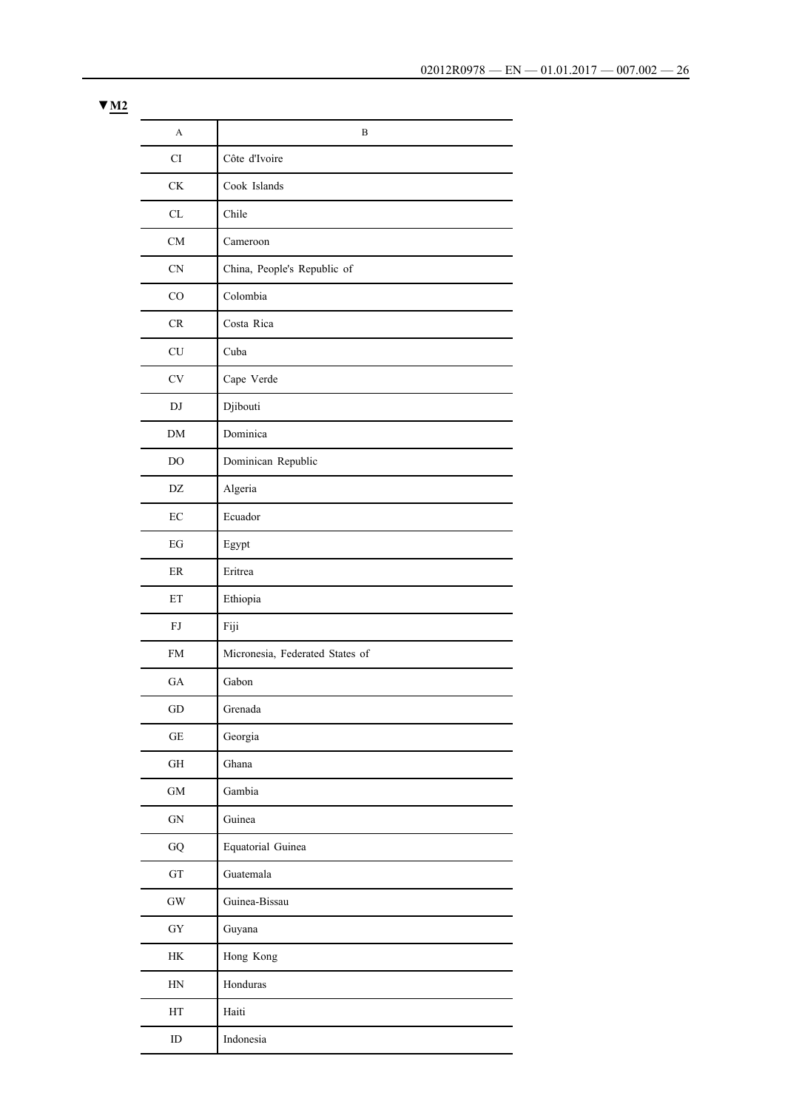| A                      | B                               |
|------------------------|---------------------------------|
| CI                     | Côte d'Ivoire                   |
| $\mathrm{C}\mathrm{K}$ | Cook Islands                    |
| CL                     | Chile                           |
| CM                     | Cameroon                        |
| CN                     | China, People's Republic of     |
| CO                     | Colombia                        |
| CR                     | Costa Rica                      |
| CU                     | Cuba                            |
| $\mathrm{CV}$          | Cape Verde                      |
| DJ                     | Djibouti                        |
| DM                     | Dominica                        |
| DO                     | Dominican Republic              |
| DZ                     | Algeria                         |
| EC                     | Ecuador                         |
| EG                     | Egypt                           |
| ER                     | Eritrea                         |
| ET                     | Ethiopia                        |
| FJ                     | Fiji                            |
| <b>FM</b>              | Micronesia, Federated States of |
| ${\rm GA}$             | Gabon                           |
| $\operatorname{GD}$    | Grenada                         |
| $\operatorname{GE}$    | Georgia                         |
| $\operatorname{GH}$    | Ghana                           |
| $\mbox{GM}$            | Gambia                          |
| ${\rm GN}$             | Guinea                          |
| ${\bf G}{\bf Q}$       | Equatorial Guinea               |
| ${\rm GT}$             | Guatemala                       |
| $\mathrm{GW}$          | Guinea-Bissau                   |
| ${\rm GY}$             | Guyana                          |
| $\rm{HK}$              | Hong Kong                       |
| $\operatorname{HN}$    | Honduras                        |
| HT                     | Haiti                           |
| ID                     | Indonesia                       |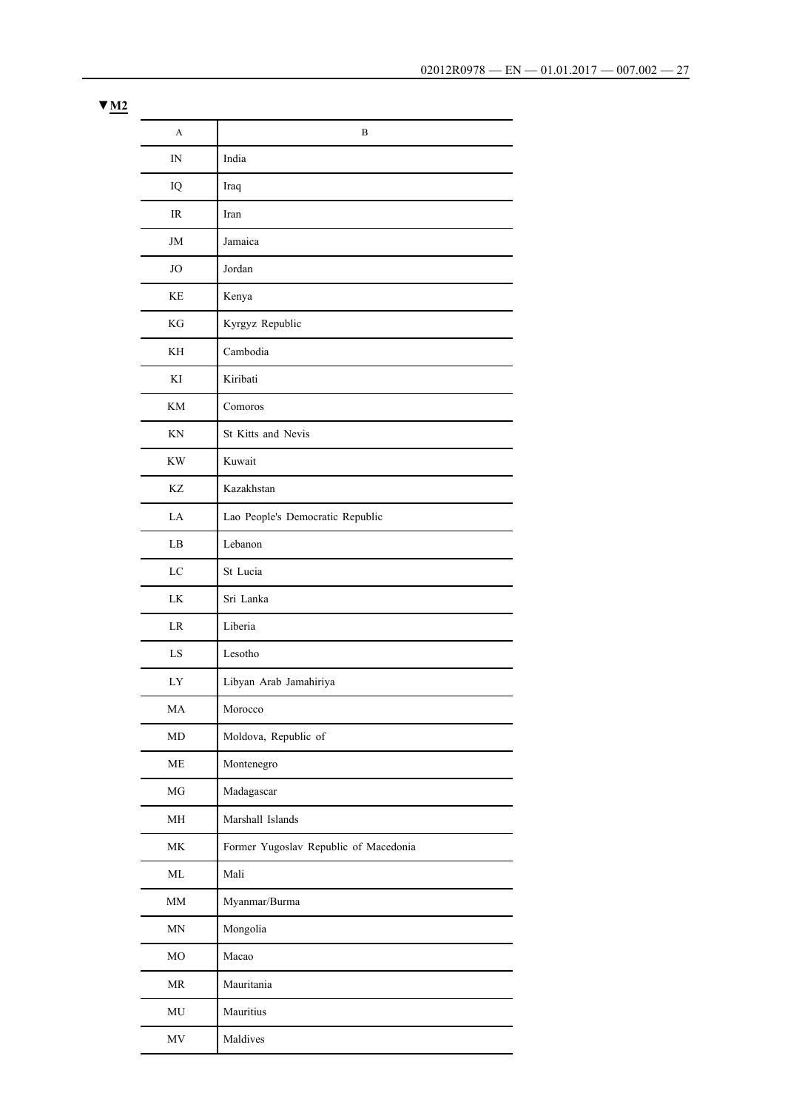| A                                 | B                                     |
|-----------------------------------|---------------------------------------|
| IN                                | India                                 |
| IQ                                | Iraq                                  |
| <b>IR</b>                         | Iran                                  |
| JM                                | Jamaica                               |
| JO                                | Jordan                                |
| KE                                | Kenya                                 |
| KG                                | Kyrgyz Republic                       |
| KH                                | Cambodia                              |
| KI                                | Kiribati                              |
| <b>KM</b>                         | Comoros                               |
| KN                                | St Kitts and Nevis                    |
| <b>KW</b>                         | Kuwait                                |
| KZ                                | Kazakhstan                            |
| LA                                | Lao People's Democratic Republic      |
| LB                                | Lebanon                               |
| LC                                | St Lucia                              |
| LK                                | Sri Lanka                             |
| LR                                | Liberia                               |
| LS                                | Lesotho                               |
| LY                                | Libyan Arab Jamahiriya                |
| MA                                | Morocco                               |
| MD                                | Moldova, Republic of                  |
| ME                                | Montenegro                            |
| MG                                | Madagascar                            |
| MH                                | Marshall Islands                      |
| MK                                | Former Yugoslav Republic of Macedonia |
| ML                                | Mali                                  |
| MM                                | Myanmar/Burma                         |
| MN                                | Mongolia                              |
| MO                                | Macao                                 |
| $\ensuremath{\mathsf{MR}}\xspace$ | Mauritania                            |
| $\rm MU$                          | Mauritius                             |
| $\ensuremath{\text{MV}}\xspace$   | Maldives                              |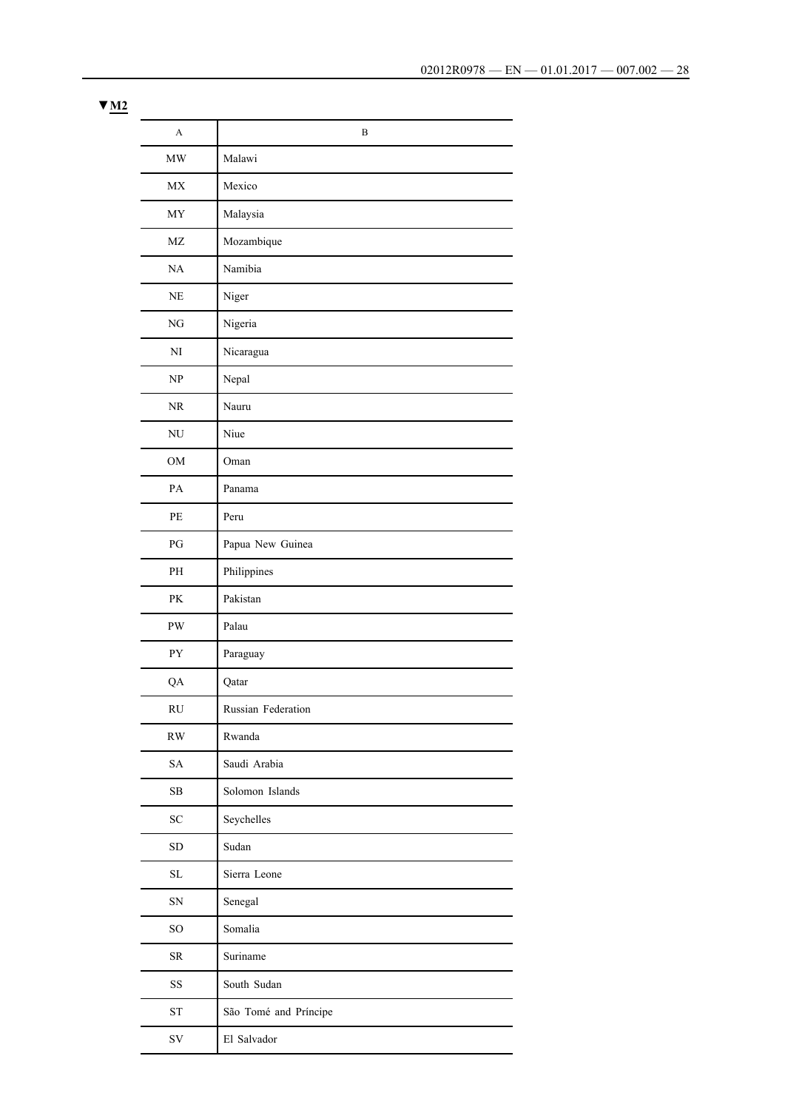| A                               | B                     |
|---------------------------------|-----------------------|
| $\ensuremath{\text{MW}}\xspace$ | Malawi                |
| $\ensuremath{\text{MX}}\xspace$ | Mexico                |
| <b>MY</b>                       | Malaysia              |
| $\ensuremath{\text{MZ}}$        | Mozambique            |
| NA                              | Namibia               |
| $\rm NE$                        | Niger                 |
| NG                              | Nigeria               |
| NI                              | Nicaragua             |
| NP                              | Nepal                 |
| $\rm NR$                        | Nauru                 |
| $\mathrm{NU}$                   | Niue                  |
| OM                              | Oman                  |
| PA                              | Panama                |
| PE                              | Peru                  |
| PG                              | Papua New Guinea      |
| PH                              | Philippines           |
| PK                              | Pakistan              |
| $\mathbf{P}\mathbf{W}$          | Palau                 |
| PY                              | Paraguay              |
| QA                              | Qatar                 |
| $\mathbf{R}\mathbf{U}$          | Russian Federation    |
| $\mathbf{R}\mathbf{W}$          | Rwanda                |
| SA                              | Saudi Arabia          |
| $\rm SB$                        | Solomon Islands       |
| $\ensuremath{\mathbf{SC}}$      | Seychelles            |
| ${\rm SD}$                      | Sudan                 |
| $\rm SL$                        | Sierra Leone          |
| ${\rm SN}$                      | Senegal               |
| SO                              | Somalia               |
| ${\rm SR}$                      | Suriname              |
| SS                              | South Sudan           |
| <b>ST</b>                       | São Tomé and Príncipe |
| ${\rm SV}$                      | El Salvador           |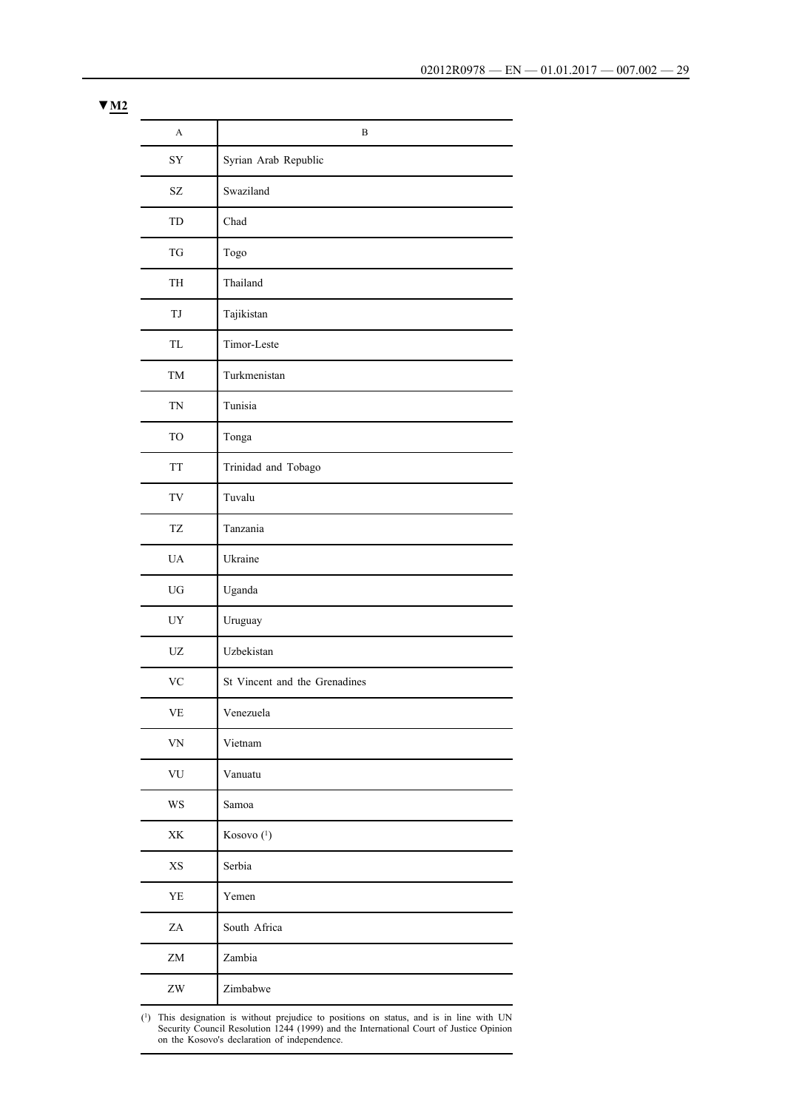| A                                                | B                             |
|--------------------------------------------------|-------------------------------|
| ${\rm SY}$                                       | Syrian Arab Republic          |
| $\ensuremath{\mathrm{SZ}}$                       | Swaziland                     |
| TD                                               | Chad                          |
| TG                                               | Togo                          |
| TH                                               | Thailand                      |
| TJ                                               | Tajikistan                    |
| TL                                               | Timor-Leste                   |
| TM                                               | Turkmenistan                  |
| <b>TN</b>                                        | Tunisia                       |
| <b>TO</b>                                        | Tonga                         |
| <b>TT</b>                                        | Trinidad and Tobago           |
| TV                                               | Tuvalu                        |
| <b>TZ</b>                                        | Tanzania                      |
| <b>UA</b>                                        | Ukraine                       |
| UG                                               | Uganda                        |
| UY                                               | Uruguay                       |
| <b>UZ</b>                                        | Uzbekistan                    |
| <b>VC</b>                                        | St Vincent and the Grenadines |
| $\ensuremath{\mathsf{VE}}$                       | Venezuela                     |
| <b>VN</b>                                        | Vietnam                       |
| ${\rm VU}$                                       | Vanuatu                       |
| WS                                               | Samoa                         |
| $\ensuremath{\mathbf{X}}\ensuremath{\mathbf{K}}$ | Kosovo <sup>(1)</sup>         |
| XS                                               | Serbia                        |
| YE                                               | Yemen                         |
| $\rm ZA$                                         | South Africa                  |
| ${\rm ZM}$                                       | Zambia                        |
| $\mathbf{Z}\mathbf{W}$                           | Zimbabwe                      |

(1) This designation is without prejudice to positions on status, and is in line with UN Security Council Resolution 1244 (1999) and the International Court of Justice Opinion on the Kosovo's declaration of independence.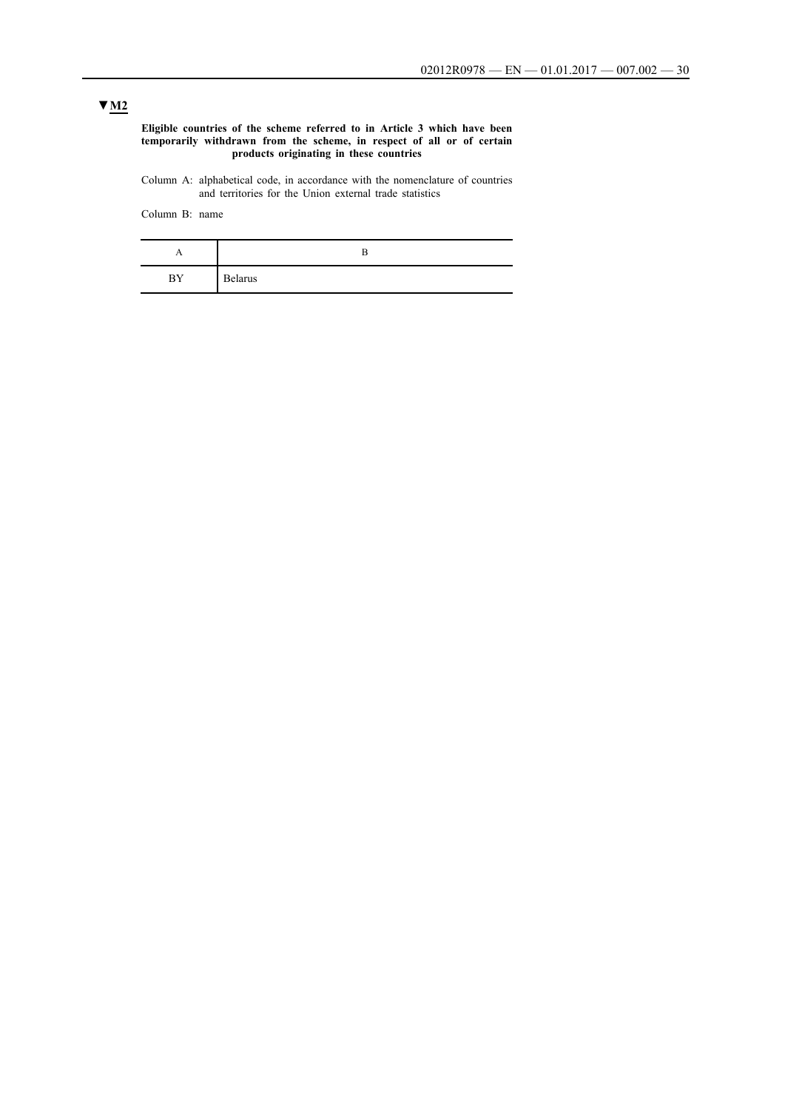#### **Eligible countries of the scheme referred to in Article 3 which have been temporarily withdrawn from the scheme, in respect of all or of certain products originating in these countries**

Column A: alphabetical code, in accordance with the nomenclature of countries and territories for the Union external trade statistics

Column B: name

| . . |                |
|-----|----------------|
| BY  | <b>Belarus</b> |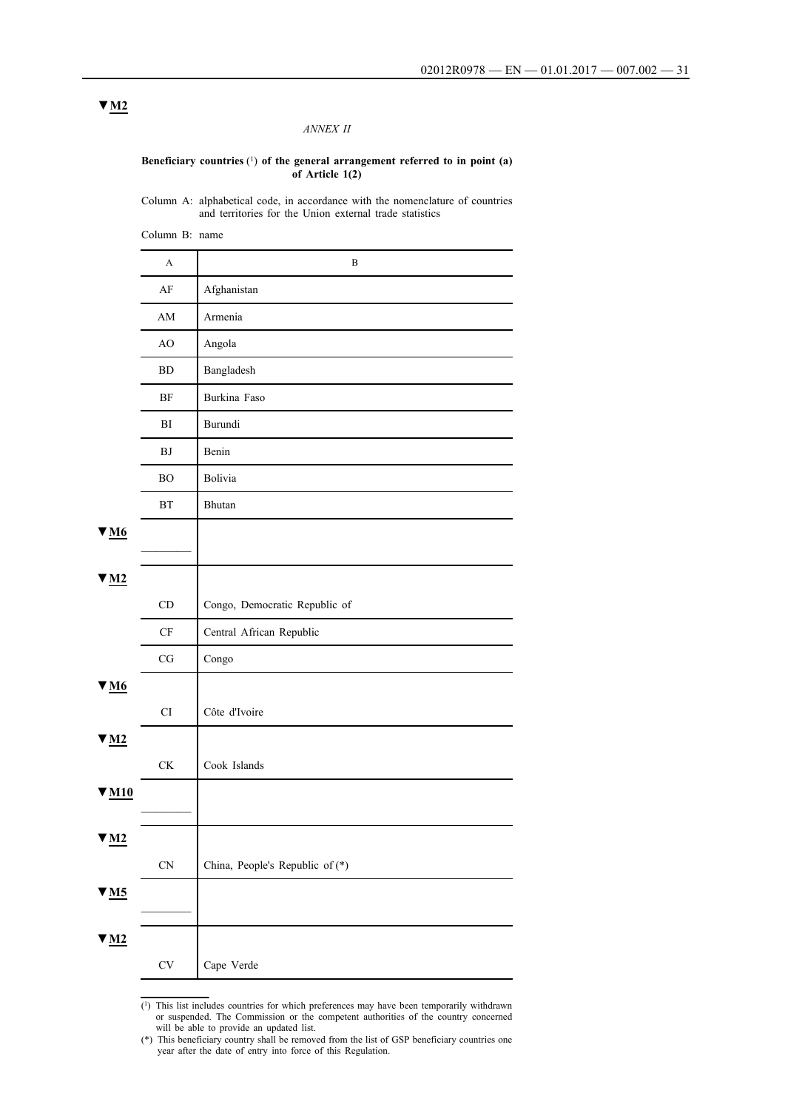### *ANNEX II*

#### **Beneficiary countries** (1) **of the general arrangement referred to in point (a) of Article 1(2)**

Column A: alphabetical code, in accordance with the nomenclature of countries and territories for the Union external trade statistics

Column B: name A B AF Afghanistan AM Armenia AO Angola BD Bangladesh BF Burkina Faso BI Burundi BJ Benin BO Bolivia BT Bhutan **▼M6**  $\overline{\phantom{a}}$ ▼**M2** CD Congo, Democratic Republic of CF Central African Republic  $CG \cup Congo$ **▼M6** CI Côte d'Ivoire ▼**M2** CK | Cook Islands **▼M10** ▼**M2** CN China, People's Republic of (\*) **▼M5** ▼**M2** CV Cape Verde

> $\overline{(^1)}$  This list includes countries for which preferences may have been temporarily withdrawn or suspended. The Commission or the competent authorities of the country concerned will be able to provide an updated list.

<sup>(\*)</sup> This beneficiary country shall be removed from the list of GSP beneficiary countries one year after the date of entry into force of this Regulation.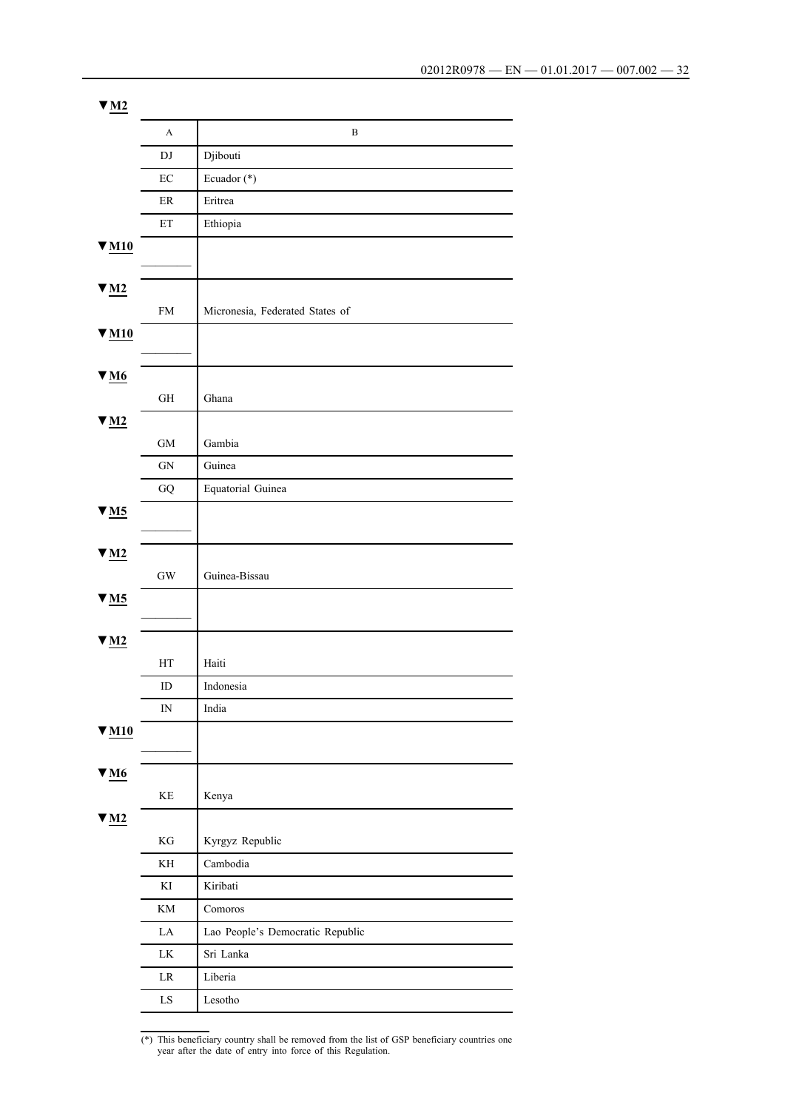| $\Psi$ M2                                            |                            |                                  |
|------------------------------------------------------|----------------------------|----------------------------------|
|                                                      | A                          | $\, {\bf B}$                     |
|                                                      | DJ                         | Djibouti                         |
|                                                      | $\rm EC$                   | Ecuador (*)                      |
|                                                      | ER                         | Eritrea                          |
|                                                      | $\mathop{\rm ET}\nolimits$ | Ethiopia                         |
| $V$ M <sub>10</sub>                                  |                            |                                  |
| $\underline{\mathbf{w}}$ <u>M2</u>                   | FM                         | Micronesia, Federated States of  |
| $\Psi$ M <sub>10</sub>                               |                            |                                  |
| $\underline{\mathbf{v}}$ <u>M6</u>                   | $\,$ GH                    | Ghana                            |
| $\Psi$ M2                                            |                            |                                  |
|                                                      | $\rm GM$                   | Gambia                           |
|                                                      | ${\rm GN}$                 | Guinea                           |
|                                                      | ${\rm G}{\rm Q}$           | Equatorial Guinea                |
| $\underline{\mathbf{v}}$ <u>M5</u>                   |                            |                                  |
| $\underline{\mathbf{W}}$ $\underline{\mathbf{M}}$    |                            |                                  |
|                                                      | $\mathrm{GW}$              | Guinea-Bissau                    |
| $\Psi$ M5                                            |                            |                                  |
| $\Psi$ M2                                            |                            |                                  |
|                                                      | HT                         | Haiti                            |
|                                                      | ID                         | Indonesia                        |
|                                                      | $\hbox{IN}$                | India                            |
| $\underline{\mathbf{v}}$ $\underline{\mathbf{M}}$ 10 |                            |                                  |
| $\Psi$ M6                                            |                            |                                  |
|                                                      | $\mathbf{KE}$              | Kenya                            |
| $\underline{\mathbf{M2}}$                            |                            |                                  |
|                                                      | $\mathbf{KG}$              | Kyrgyz Republic                  |
|                                                      | KH                         | Cambodia                         |
|                                                      | $\mathop{\mathrm{KI}}$     | Kiribati                         |
|                                                      | KM                         | Comoros                          |
|                                                      | ${\rm LA}$                 | Lao People's Democratic Republic |
|                                                      | ${\rm LK}$                 | Sri Lanka                        |
|                                                      | LR                         | Liberia                          |
|                                                      | ${\rm LS}$                 | Lesotho                          |
|                                                      |                            |                                  |

<sup>(\*)</sup> This beneficiary country shall be removed from the list of GSP beneficiary countries one year after the date of entry into force of this Regulation.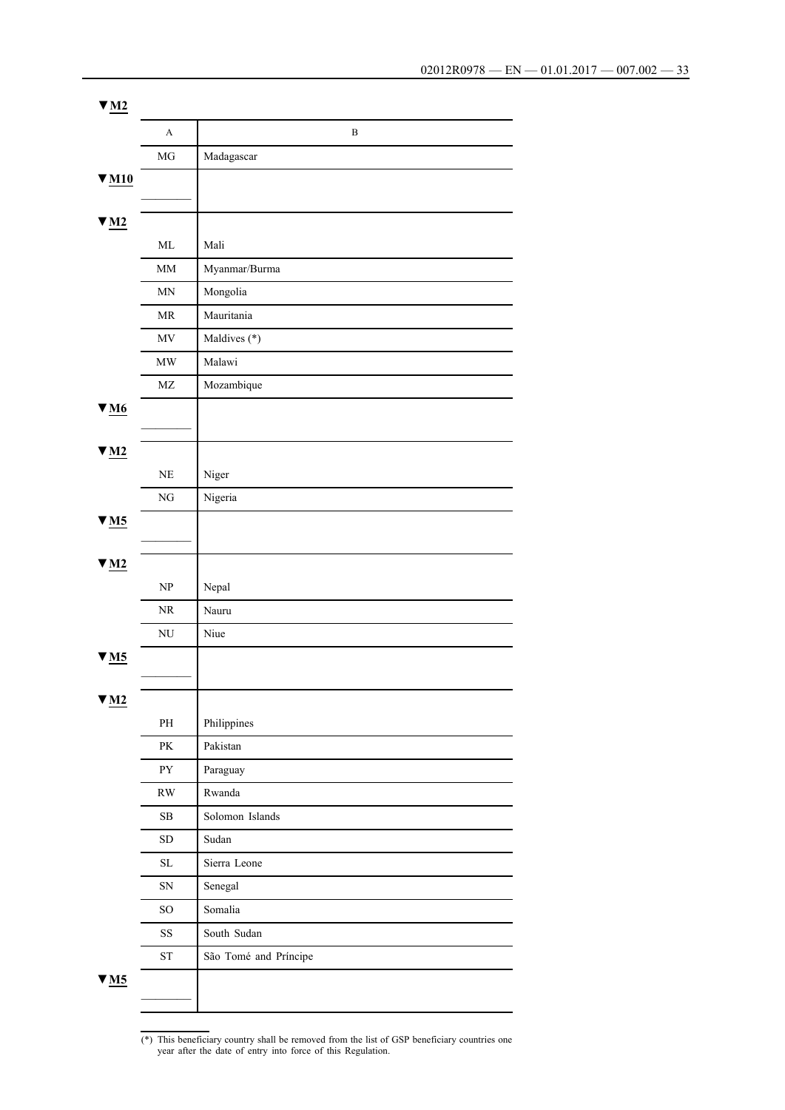| $\Psi$ M2                          |                                   |                       |
|------------------------------------|-----------------------------------|-----------------------|
|                                    | A                                 | $\, {\bf B}$          |
|                                    | MG                                | Madagascar            |
| $V$ M <sub>10</sub>                |                                   |                       |
|                                    |                                   |                       |
| $\Psi$ M <sub>2</sub>              |                                   |                       |
|                                    | $\mbox{ML}$                       | Mali                  |
|                                    | $\text{MM}{}$                     | Myanmar/Burma         |
|                                    | MN                                | Mongolia              |
|                                    | MR                                | Mauritania            |
|                                    | $\ensuremath{\text{MV}}\xspace$   | Maldives (*)          |
|                                    | $\ensuremath{\text{MW}}\xspace$   | Malawi                |
|                                    | $\rm MZ$                          | Mozambique            |
| $V_{M6}$                           |                                   |                       |
|                                    |                                   |                       |
| $\Psi$ M <sub>2</sub>              |                                   |                       |
|                                    | $\rm NE$                          | Niger                 |
|                                    | ${\rm NG}$                        | Nigeria               |
| $\Psi$ M5                          |                                   |                       |
|                                    |                                   |                       |
| $\Psi$ M <sub>2</sub>              |                                   |                       |
|                                    | $\ensuremath{\mathbf{NP}}\xspace$ | Nepal                 |
|                                    | NR                                | Nauru                 |
|                                    | $\rm N U$                         | Niue                  |
| $\blacktriangledown_{\mathbf{M5}}$ |                                   |                       |
|                                    |                                   |                       |
| $\underline{\mathbf{v}}$ M2        |                                   |                       |
|                                    | $\rm PH$                          | Philippines           |
|                                    | $\mathbf{P}\mathbf{K}$            | Pakistan              |
|                                    | ${\rm PY}$                        | Paraguay              |
|                                    | $\mathbf{R}\mathbf{W}$            | Rwanda                |
|                                    | ${\bf SB}$                        | Solomon Islands       |
|                                    | ${\rm SD}$                        | Sudan                 |
|                                    | $\rm SL$                          | Sierra Leone          |
|                                    | ${\rm SN}$                        | Senegal               |
|                                    | $\rm SO$                          | Somalia               |
|                                    | $\rm SS$                          | South Sudan           |
|                                    | ${\rm ST}$                        | São Tomé and Príncipe |
| $\blacktriangledown$ M5            |                                   |                       |
|                                    |                                   |                       |

<sup>(\*)</sup> This beneficiary country shall be removed from the list of GSP beneficiary countries one year after the date of entry into force of this Regulation.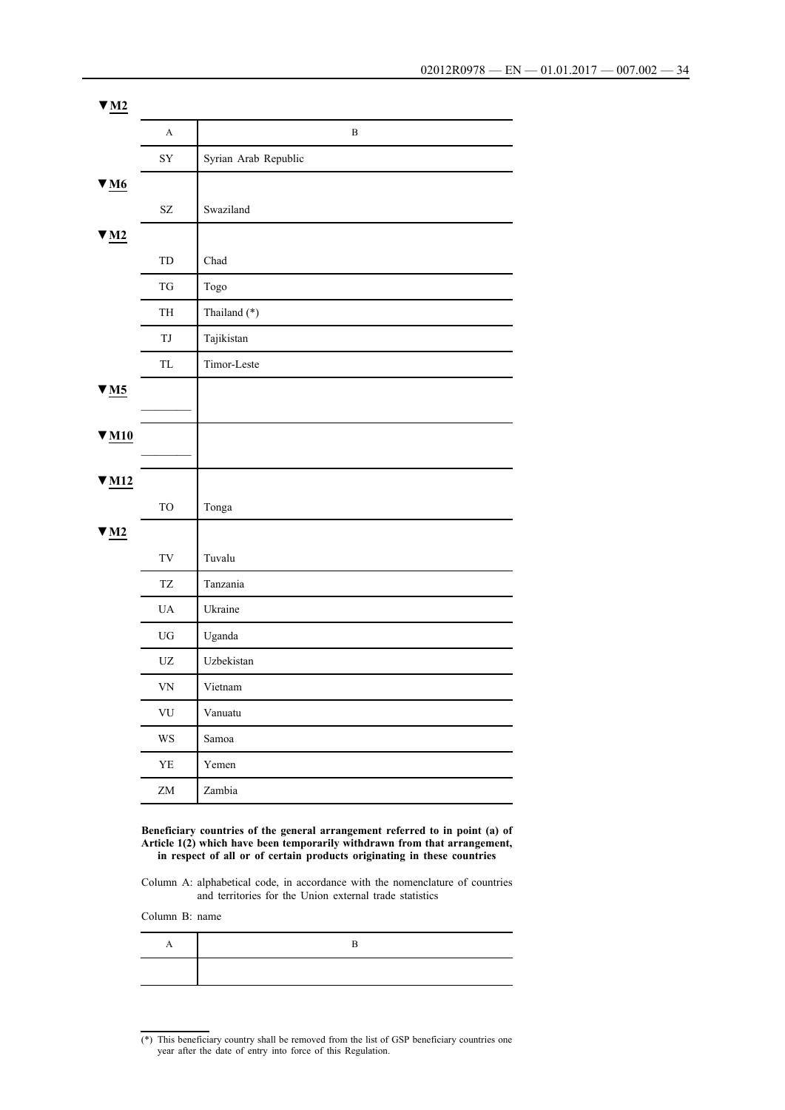| $\Psi$ M <sub>2</sub> |                                                  |                      |
|-----------------------|--------------------------------------------------|----------------------|
|                       | $\mathbf{A}$                                     | $\, {\bf B}$         |
|                       | ${\rm SY}$                                       | Syrian Arab Republic |
| $\Psi_{\text{M6}}$    |                                                  |                      |
|                       | $\ensuremath{\mathrm{SZ}}$                       | Swaziland            |
| $\Psi$ M <sub>2</sub> |                                                  |                      |
|                       | ${\rm TD}$                                       | Chad                 |
|                       | $\mathcal{T}\mathcal{G}$                         | Togo                 |
|                       | TH                                               | Thailand (*)         |
|                       | TJ                                               | Tajikistan           |
|                       | $\ensuremath{\mathsf{T}}\ensuremath{\mathsf{L}}$ | Timor-Leste          |
| $\Psi$ M <sub>5</sub> |                                                  |                      |
|                       |                                                  |                      |
| $V$ M <sub>10</sub>   |                                                  |                      |
|                       |                                                  |                      |
| $\Psi$ M12            | ${\rm TO}$                                       |                      |
|                       |                                                  | Tonga                |
| $\Psi$ M <sub>2</sub> | $\operatorname{TV}$                              | Tuvalu               |
|                       | <b>TZ</b>                                        |                      |
|                       |                                                  | Tanzania             |
|                       | $\mathbf{UA}$                                    | Ukraine              |
|                       | ${\rm U}{\rm G}$                                 | Uganda               |
|                       | $\ensuremath{\text{UZ}}$                         | Uzbekistan           |
|                       | <b>VN</b>                                        | Vietnam              |
|                       | ${\rm VU}$                                       | Vanuatu              |
|                       | $\mathbf{WS}$                                    | Samoa                |
|                       | ${\rm YE}$                                       | Yemen                |
|                       | ${\rm ZM}$                                       | Zambia               |

**Beneficiary countries of the general arrangement referred to in point (a) of Article 1(2) which have been temporarily withdrawn from that arrangement, in respect of all or of certain products originating in these countries**

Column A: alphabetical code, in accordance with the nomenclature of countries and territories for the Union external trade statistics

Column B: name

<sup>(\*)</sup> This beneficiary country shall be removed from the list of GSP beneficiary countries one year after the date of entry into force of this Regulation.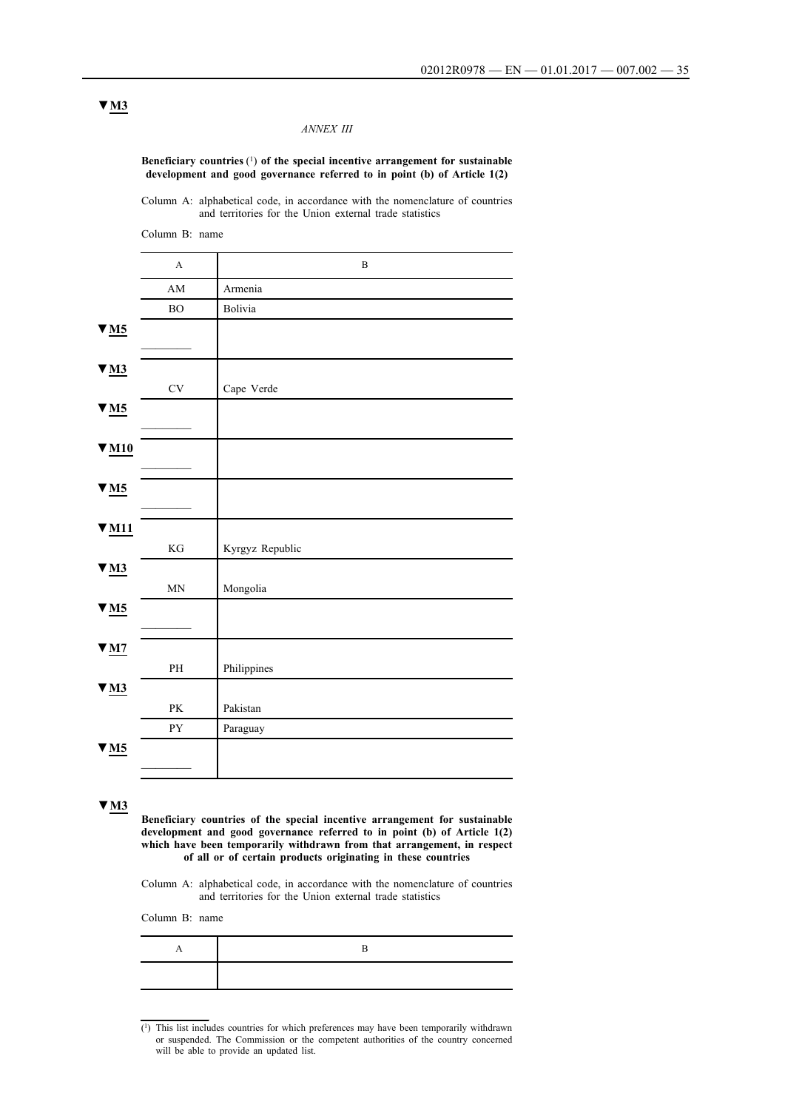#### *ANNEX III*

**Beneficiary countries** (1) **of the special incentive arrangement for sustainable development and good governance referred to in point (b) of Article 1(2)**

Column A: alphabetical code, in accordance with the nomenclature of countries and territories for the Union external trade statistics

Column B: name A B AM Armenia BO Bolivia **▼M5**  $\frac{1}{2}$ ▼**M3** CV Cape Verde **▼M5**  $\overline{\phantom{a}}$ **▼M10**  $\frac{1}{2}$ **▼M5**  $\frac{1}{2}$ **▼M11** KG Kyrgyz Republic ▼**M3** MN Mongolia **▼M5**  $\overline{\phantom{a}}$ **▼M7** PH Philippines ▼**M3** PK Pakistan PY Paraguay **▼M5**  $\frac{1}{2}$ 

**▼M3**

**Beneficiary countries of the special incentive arrangement for sustainable development and good governance referred to in point (b) of Article 1(2)**  which have been temporarily withdrawn from that arrangement, in respect **of all or of certain products originating in these countries**

Column A: alphabetical code, in accordance with the nomenclature of countries and territories for the Union external trade statistics

Column B: name

<sup>(1)</sup> This list includes countries for which preferences may have been temporarily withdrawn or suspended. The Commission or the competent authorities of the country concerned will be able to provide an updated list.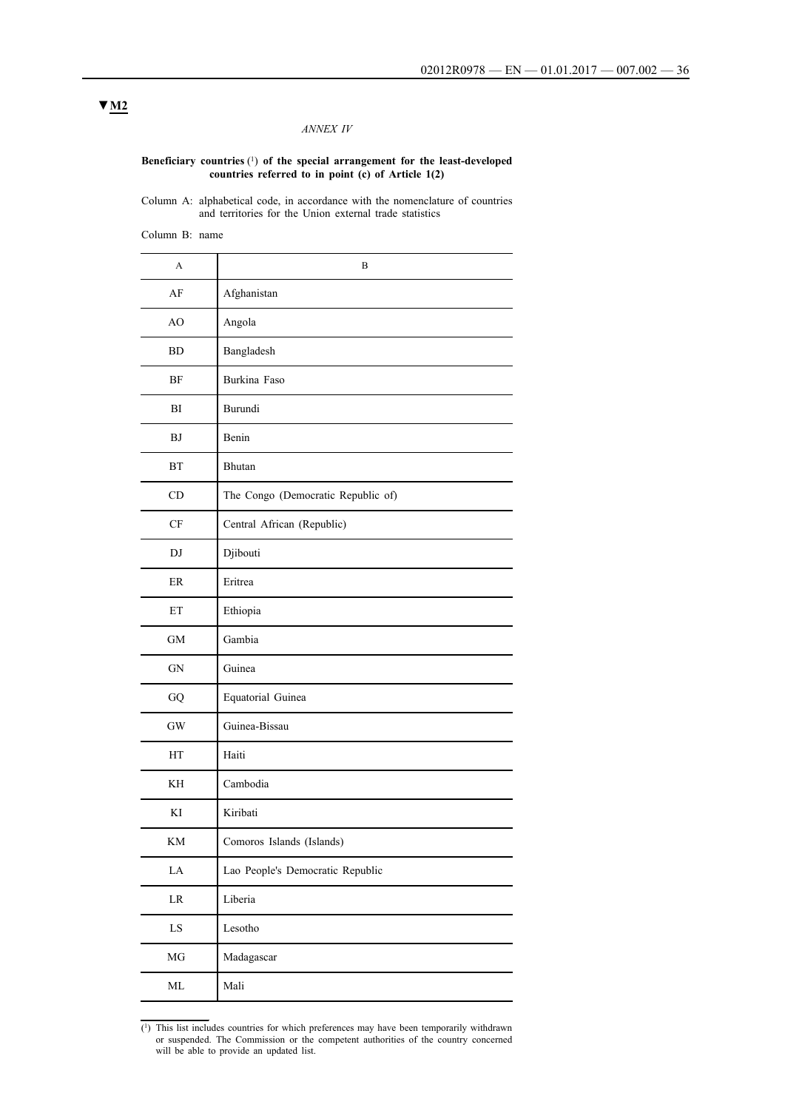## *ANNEX IV*

#### **Beneficiary countries** (1) **of the special arrangement for the least-developed countries referred to in point (c) of Article 1(2)**

Column A: alphabetical code, in accordance with the nomenclature of countries and territories for the Union external trade statistics

Column B: name

| A             | B                                  |
|---------------|------------------------------------|
| AF            | Afghanistan                        |
| AO            | Angola                             |
| BD            | Bangladesh                         |
| BF            | Burkina Faso                       |
| BI            | Burundi                            |
| BJ            | Benin                              |
| <b>BT</b>     | Bhutan                             |
| CD            | The Congo (Democratic Republic of) |
| $\mathrm{CF}$ | Central African (Republic)         |
| DJ            | Djibouti                           |
| $\rm ER$      | Eritrea                            |
| ET            | Ethiopia                           |
| <b>GM</b>     | Gambia                             |
| ${\rm GN}$    | Guinea                             |
| ${\rm GQ}$    | Equatorial Guinea                  |
| $\mathrm{GW}$ | Guinea-Bissau                      |
| HT            | Haiti                              |
| ΚH            | Cambodia                           |
| KI            | Kiribati                           |
| KM            | Comoros Islands (Islands)          |
| ${\rm LA}$    | Lao People's Democratic Republic   |
| $\rm LR$      | Liberia                            |
| ${\rm LS}$    | Lesotho                            |
| $\rm MG$      | Madagascar                         |
| $\rm ML$      | Mali                               |

 $(1)$  This list includes countries for which preferences may have been temporarily withdrawn or suspended. The Commission or the competent authorities of the country concerned will be able to provide an updated list.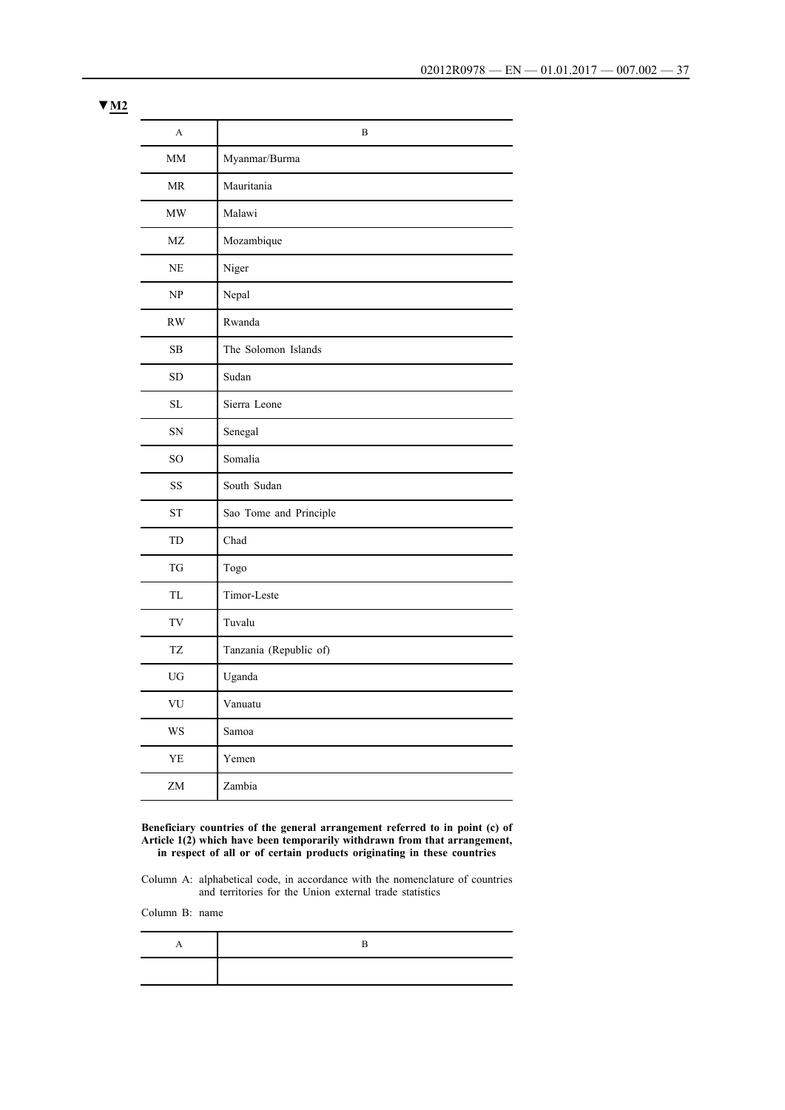| A               | $\boldsymbol{B}$       |  |  |
|-----------------|------------------------|--|--|
| MM              | Myanmar/Burma          |  |  |
| <b>MR</b>       | Mauritania             |  |  |
| <b>MW</b>       | Malawi                 |  |  |
| MZ              | Mozambique             |  |  |
| NE              | Niger                  |  |  |
| NP              | Nepal                  |  |  |
| RW              | Rwanda                 |  |  |
| <b>SB</b>       | The Solomon Islands    |  |  |
| <b>SD</b>       | Sudan                  |  |  |
| <b>SL</b>       | Sierra Leone           |  |  |
| SN              | Senegal                |  |  |
| SO <sub>1</sub> | Somalia                |  |  |
| <b>SS</b>       | South Sudan            |  |  |
| <b>ST</b>       | Sao Tome and Principle |  |  |
| <b>TD</b>       | Chad                   |  |  |
| <b>TG</b>       | Togo                   |  |  |
| <b>TL</b>       | Timor-Leste            |  |  |
| TV              | Tuvalu                 |  |  |
| TZ              | Tanzania (Republic of) |  |  |
| UG              | Uganda                 |  |  |
| VU              | Vanuatu                |  |  |
| WS              | Samoa                  |  |  |
| YE              | Yemen                  |  |  |
| ZM              | Zambia                 |  |  |

**Beneficiary countries of the general arrangement referred to in point (c) of Article 1(2) which have been temporarily withdrawn from that arrangement, in respect of all or of certain products originating in these countries**

Column A: alphabetical code, in accordance with the nomenclature of countries and territories for the Union external trade statistics

Column B: name

**▼M2**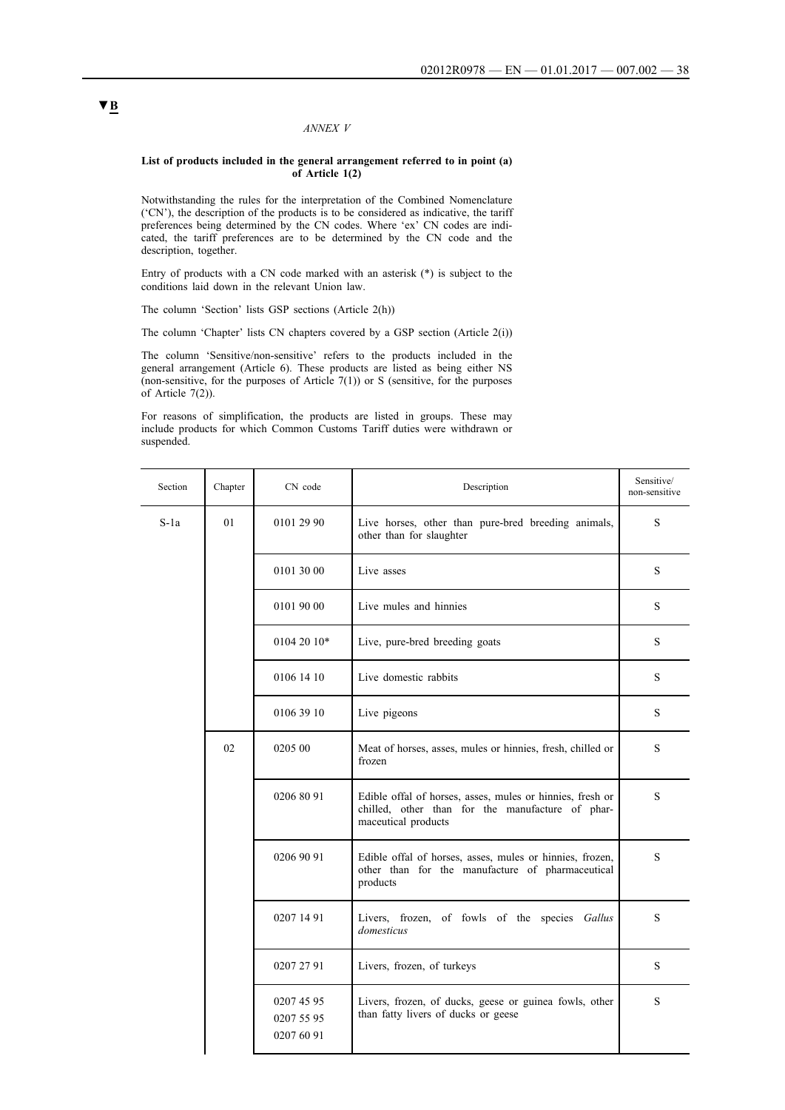### *ANNEX V*

#### **List of products included in the general arrangement referred to in point (a) of Article 1(2)**

Notwithstanding the rules for the interpretation of the Combined Nomenclature ('CN'), the description of the products is to be considered as indicative, the tariff preferences being determined by the CN codes. Where 'ex' CN codes are indicated, the tariff preferences are to be determined by the CN code and the description, together.

Entry of products with a CN code marked with an asterisk (\*) is subject to the conditions laid down in the relevant Union law.

The column 'Section' lists GSP sections (Article 2(h))

The column 'Chapter' lists CN chapters covered by a GSP section (Article 2(i))

The column 'Sensitive/non-sensitive' refers to the products included in the general arrangement (Article 6). These products are listed as being either NS (non-sensitive, for the purposes of Article  $7(1)$ ) or S (sensitive, for the purposes of Article 7(2)).

For reasons of simplification, the products are listed in groups. These may include products for which Common Customs Tariff duties were withdrawn or suspended.

| Section | Chapter | CN code                                | Description                                                                                                                          | Sensitive/<br>non-sensitive |
|---------|---------|----------------------------------------|--------------------------------------------------------------------------------------------------------------------------------------|-----------------------------|
| $S-1a$  | 01      | 0101 29 90                             | Live horses, other than pure-bred breeding animals,<br>other than for slaughter                                                      | S                           |
|         |         | 0101 30 00                             | Live asses                                                                                                                           | S                           |
|         |         | 0101 90 00                             | Live mules and hinnies                                                                                                               | S                           |
|         |         | 0104 20 10*                            | Live, pure-bred breeding goats                                                                                                       | S                           |
|         |         | 0106 14 10                             | Live domestic rabbits                                                                                                                | S                           |
|         |         | 0106 39 10                             | Live pigeons                                                                                                                         |                             |
|         | 02      | 0205 00                                | Meat of horses, asses, mules or hinnies, fresh, chilled or<br>frozen                                                                 | S                           |
|         |         | 0206 80 91                             | Edible offal of horses, asses, mules or hinnies, fresh or<br>chilled, other than for the manufacture of phar-<br>maceutical products | S                           |
|         |         | 0206 90 91                             | Edible offal of horses, asses, mules or hinnies, frozen,<br>other than for the manufacture of pharmaceutical<br>products             | S                           |
|         |         | 0207 14 91                             | Livers, frozen, of fowls of the species Gallus<br>domesticus                                                                         | S                           |
|         |         | 0207 27 91                             | Livers, frozen, of turkeys                                                                                                           | S                           |
|         |         | 0207 45 95<br>0207 55 95<br>0207 60 91 | Livers, frozen, of ducks, geese or guinea fowls, other<br>than fatty livers of ducks or geese                                        | S                           |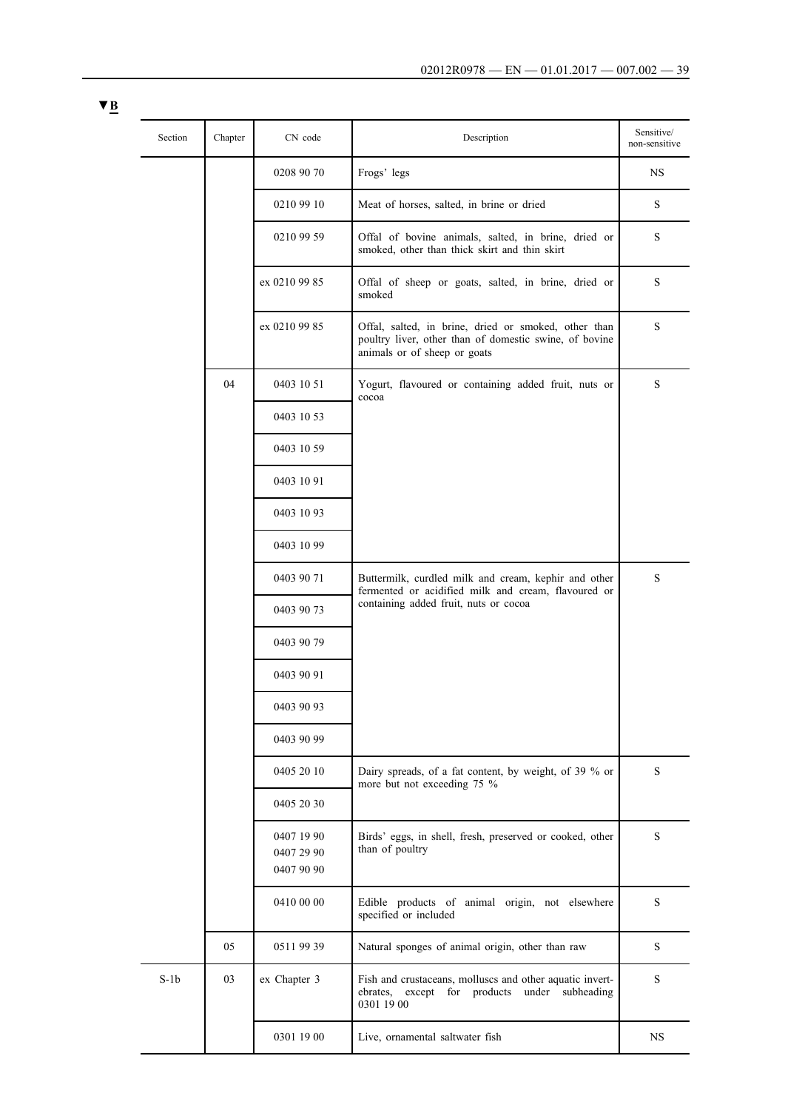| Section | Chapter | CN code                  | Description                                                                                                                                    | Sensitive/<br>non-sensitive |
|---------|---------|--------------------------|------------------------------------------------------------------------------------------------------------------------------------------------|-----------------------------|
|         |         | 0208 90 70               | Frogs' legs                                                                                                                                    | NS                          |
|         |         | 0210 99 10               | Meat of horses, salted, in brine or dried                                                                                                      | S                           |
|         |         | 0210 99 59               | Offal of bovine animals, salted, in brine, dried or<br>smoked, other than thick skirt and thin skirt                                           | S                           |
|         |         | ex 0210 99 85            | Offal of sheep or goats, salted, in brine, dried or<br>smoked                                                                                  | $\mathbf S$                 |
|         |         | ex 0210 99 85            | Offal, salted, in brine, dried or smoked, other than<br>poultry liver, other than of domestic swine, of bovine<br>animals or of sheep or goats | S                           |
|         | 04      | 0403 10 51               | Yogurt, flavoured or containing added fruit, nuts or<br>cocoa                                                                                  | S                           |
|         |         | 0403 10 53               |                                                                                                                                                |                             |
|         |         | 0403 10 59               |                                                                                                                                                |                             |
|         |         | 0403 10 91               |                                                                                                                                                |                             |
|         |         | 0403 10 93               |                                                                                                                                                |                             |
|         |         | 0403 10 99               |                                                                                                                                                |                             |
|         |         | 0403 90 71               | Buttermilk, curdled milk and cream, kephir and other<br>fermented or acidified milk and cream, flavoured or                                    | S                           |
|         |         | 0403 90 73               | containing added fruit, nuts or cocoa                                                                                                          |                             |
|         |         | 0403 90 79               |                                                                                                                                                |                             |
|         |         | 0403 90 91               |                                                                                                                                                |                             |
|         |         | 0403 90 93               |                                                                                                                                                |                             |
|         |         | 0403 90 99               |                                                                                                                                                |                             |
|         |         | 0405 20 10               | Dairy spreads, of a fat content, by weight, of 39 % or<br>more but not exceeding 75 %                                                          | S                           |
|         |         | 0405 20 30               |                                                                                                                                                |                             |
|         |         | 0407 19 90<br>0407 29 90 | Birds' eggs, in shell, fresh, preserved or cooked, other<br>than of poultry                                                                    | S                           |
|         |         | 0407 90 90               |                                                                                                                                                |                             |
|         |         | 0410 00 00               | Edible products of animal origin, not elsewhere<br>specified or included                                                                       | S                           |
|         | 05      | 0511 99 39               | Natural sponges of animal origin, other than raw                                                                                               | $\mathbf S$                 |
| $S-1b$  | 03      | ex Chapter 3             | Fish and crustaceans, molluscs and other aquatic invert-<br>ebrates,<br>except for products under subheading<br>0301 19 00                     | S                           |
|         |         | 0301 19 00               | Live, ornamental saltwater fish                                                                                                                | $_{\rm NS}$                 |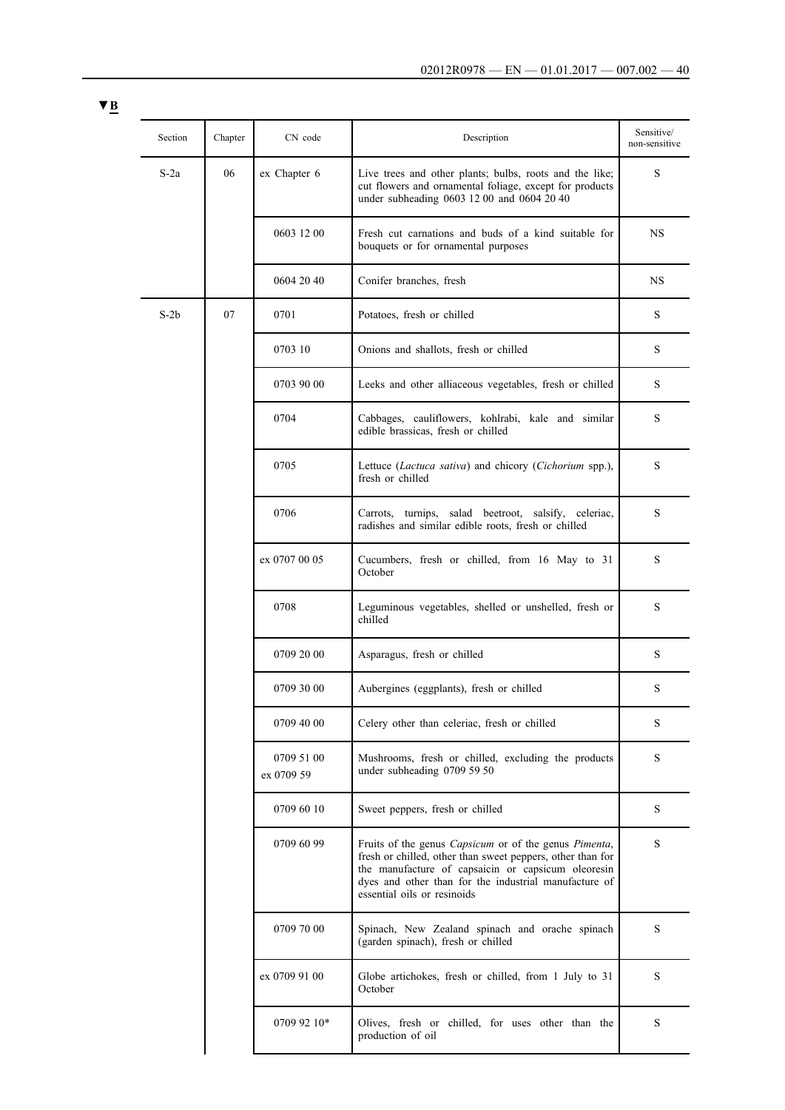| × |  |
|---|--|
|   |  |

| Section | Chapter | CN code                  | Description                                                                                                                                                                                                                                                                      | Sensitive/<br>non-sensitive |
|---------|---------|--------------------------|----------------------------------------------------------------------------------------------------------------------------------------------------------------------------------------------------------------------------------------------------------------------------------|-----------------------------|
| $S-2a$  | 06      | ex Chapter 6             | Live trees and other plants; bulbs, roots and the like;<br>cut flowers and ornamental foliage, except for products<br>under subheading 0603 12 00 and 0604 20 40                                                                                                                 | S                           |
|         |         | 0603 12 00               | Fresh cut carnations and buds of a kind suitable for<br>bouquets or for ornamental purposes                                                                                                                                                                                      | NS.                         |
|         |         | 0604 20 40               | Conifer branches, fresh                                                                                                                                                                                                                                                          | NS                          |
| $S-2b$  | 07      | 0701                     | Potatoes, fresh or chilled                                                                                                                                                                                                                                                       | S                           |
|         |         | 0703 10                  | Onions and shallots, fresh or chilled                                                                                                                                                                                                                                            | S                           |
|         |         | 0703 90 00               | Leeks and other alliaceous vegetables, fresh or chilled                                                                                                                                                                                                                          | S                           |
|         |         | 0704                     | Cabbages, cauliflowers, kohlrabi, kale and similar<br>edible brassicas, fresh or chilled                                                                                                                                                                                         | S                           |
|         |         | 0705                     | Lettuce (Lactuca sativa) and chicory (Cichorium spp.),<br>fresh or chilled                                                                                                                                                                                                       | $\mathbf S$                 |
|         |         | 0706                     | Carrots, turnips, salad beetroot, salsify, celeriac,<br>radishes and similar edible roots, fresh or chilled                                                                                                                                                                      | S                           |
|         |         | ex 0707 00 05            | Cucumbers, fresh or chilled, from 16 May to 31<br>October                                                                                                                                                                                                                        | S                           |
|         |         | 0708                     | Leguminous vegetables, shelled or unshelled, fresh or<br>chilled                                                                                                                                                                                                                 | S                           |
|         |         | 0709 20 00               | Asparagus, fresh or chilled                                                                                                                                                                                                                                                      | S                           |
|         |         | 0709 30 00               | Aubergines (eggplants), fresh or chilled                                                                                                                                                                                                                                         | S                           |
|         |         | 0709 40 00               | Celery other than celeriac, fresh or chilled                                                                                                                                                                                                                                     | S                           |
|         |         | 0709 51 00<br>ex 0709 59 | Mushrooms, fresh or chilled, excluding the products<br>under subheading 0709 59 50                                                                                                                                                                                               | S                           |
|         |         | 0709 60 10               | Sweet peppers, fresh or chilled                                                                                                                                                                                                                                                  | S                           |
|         |         | 0709 60 99               | Fruits of the genus <i>Capsicum</i> or of the genus <i>Pimenta</i> ,<br>fresh or chilled, other than sweet peppers, other than for<br>the manufacture of capsaicin or capsicum oleoresin<br>dyes and other than for the industrial manufacture of<br>essential oils or resinoids | S                           |
|         |         | 0709 70 00               | Spinach, New Zealand spinach and orache spinach<br>(garden spinach), fresh or chilled                                                                                                                                                                                            | S                           |
|         |         | ex 0709 91 00            | Globe artichokes, fresh or chilled, from 1 July to 31<br>October                                                                                                                                                                                                                 | $\mathbf S$                 |
|         |         | 0709 92 10*              | Olives, fresh or chilled, for uses other than the<br>production of oil                                                                                                                                                                                                           | S                           |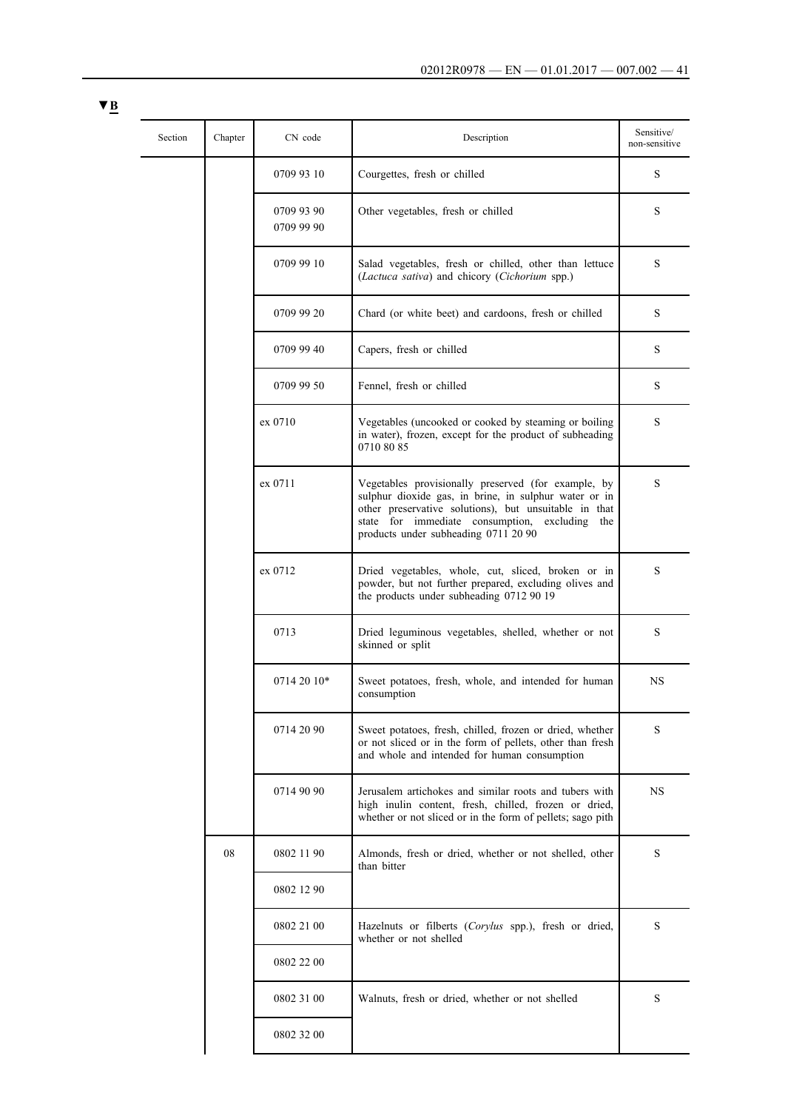| Section | Chapter | CN code                  | Description                                                                                                                                                                                                                                                        | Sensitive/<br>non-sensitive |
|---------|---------|--------------------------|--------------------------------------------------------------------------------------------------------------------------------------------------------------------------------------------------------------------------------------------------------------------|-----------------------------|
|         |         | 0709 93 10               | Courgettes, fresh or chilled                                                                                                                                                                                                                                       | S                           |
|         |         | 0709 93 90<br>0709 99 90 | Other vegetables, fresh or chilled                                                                                                                                                                                                                                 | S                           |
|         |         | 0709 99 10               | Salad vegetables, fresh or chilled, other than lettuce<br>(Lactuca sativa) and chicory (Cichorium spp.)                                                                                                                                                            | S                           |
|         |         | 0709 99 20               | Chard (or white beet) and cardoons, fresh or chilled                                                                                                                                                                                                               | S                           |
|         |         | 0709 99 40               | Capers, fresh or chilled                                                                                                                                                                                                                                           | S                           |
|         |         | 0709 99 50               | Fennel, fresh or chilled                                                                                                                                                                                                                                           | S                           |
|         |         | ex 0710                  | Vegetables (uncooked or cooked by steaming or boiling<br>in water), frozen, except for the product of subheading<br>0710 80 85                                                                                                                                     | S                           |
|         |         | ex 0711                  | Vegetables provisionally preserved (for example, by<br>sulphur dioxide gas, in brine, in sulphur water or in<br>other preservative solutions), but unsuitable in that<br>state for immediate consumption, excluding<br>the<br>products under subheading 0711 20 90 | S                           |
|         |         | ex 0712                  | Dried vegetables, whole, cut, sliced, broken or in<br>powder, but not further prepared, excluding olives and<br>the products under subheading 0712 90 19                                                                                                           | S                           |
|         |         | 0713                     | Dried leguminous vegetables, shelled, whether or not<br>skinned or split                                                                                                                                                                                           | S                           |
|         |         | 0714 20 10*              | Sweet potatoes, fresh, whole, and intended for human<br>consumption                                                                                                                                                                                                | <b>NS</b>                   |
|         |         | 0714 20 90               | Sweet potatoes, fresh, chilled, frozen or dried, whether<br>or not sliced or in the form of pellets, other than fresh<br>and whole and intended for human consumption                                                                                              | S                           |
|         |         | 0714 90 90               | Jerusalem artichokes and similar roots and tubers with<br>high inulin content, fresh, chilled, frozen or dried,<br>whether or not sliced or in the form of pellets; sago pith                                                                                      | NS                          |
|         | 08      | 0802 11 90               | Almonds, fresh or dried, whether or not shelled, other<br>than bitter                                                                                                                                                                                              | S                           |
|         |         | 0802 12 90               |                                                                                                                                                                                                                                                                    |                             |
|         |         | 0802 21 00               | Hazelnuts or filberts (Corylus spp.), fresh or dried,<br>whether or not shelled                                                                                                                                                                                    | S                           |
|         |         | 0802 22 00               |                                                                                                                                                                                                                                                                    |                             |
|         |         | 0802 31 00               | Walnuts, fresh or dried, whether or not shelled                                                                                                                                                                                                                    | S                           |
|         |         | 0802 32 00               |                                                                                                                                                                                                                                                                    |                             |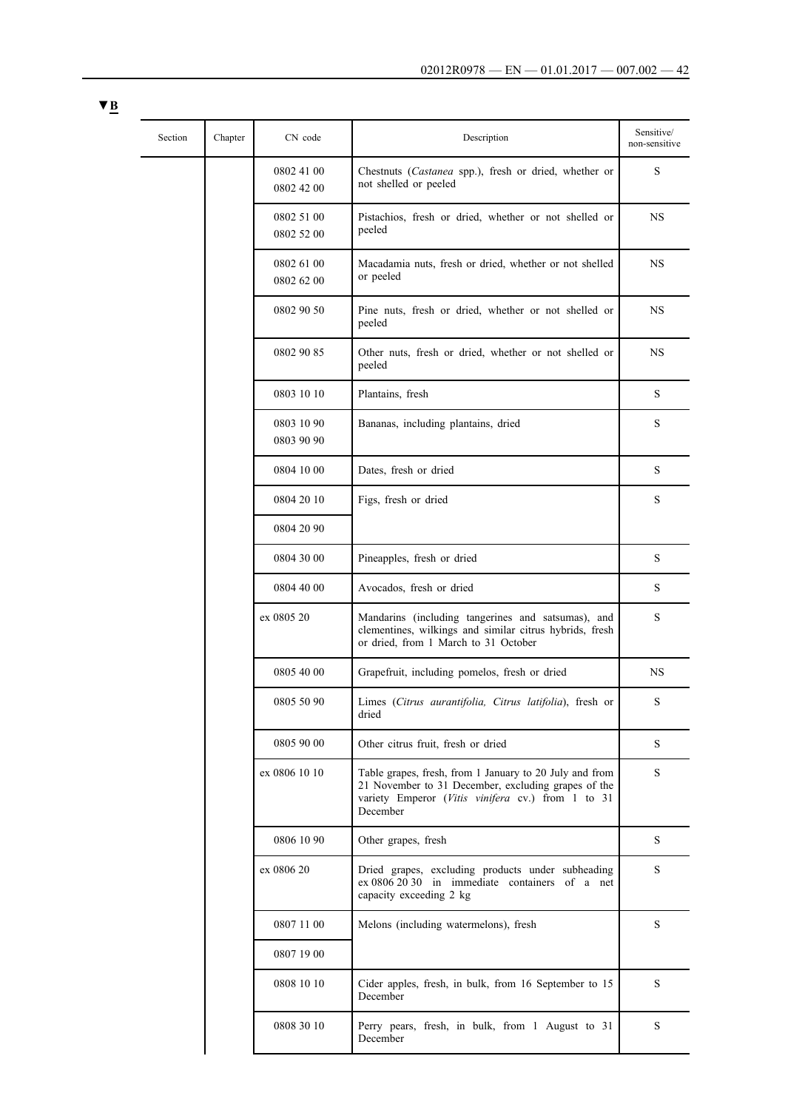| Section | Chapter | CN code                  | Description                                                                                                                                                                     | Sensitive/<br>non-sensitive |
|---------|---------|--------------------------|---------------------------------------------------------------------------------------------------------------------------------------------------------------------------------|-----------------------------|
|         |         | 0802 41 00<br>0802 42 00 | Chestnuts (Castanea spp.), fresh or dried, whether or<br>not shelled or peeled                                                                                                  | S                           |
|         |         | 0802 51 00<br>0802 52 00 | Pistachios, fresh or dried, whether or not shelled or<br>peeled                                                                                                                 | <b>NS</b>                   |
|         |         | 0802 61 00<br>0802 62 00 | Macadamia nuts, fresh or dried, whether or not shelled<br>or peeled                                                                                                             | <b>NS</b>                   |
|         |         | 0802 90 50               | Pine nuts, fresh or dried, whether or not shelled or<br>peeled                                                                                                                  | NS                          |
|         |         | 0802 90 85               | Other nuts, fresh or dried, whether or not shelled or<br>peeled                                                                                                                 | <b>NS</b>                   |
|         |         | 0803 10 10               | Plantains, fresh                                                                                                                                                                | ${\bf S}$                   |
|         |         | 0803 10 90<br>0803 90 90 | Bananas, including plantains, dried                                                                                                                                             | S                           |
|         |         | 0804 10 00               | Dates, fresh or dried                                                                                                                                                           | S                           |
|         |         | 0804 20 10               | Figs, fresh or dried                                                                                                                                                            | S                           |
|         |         | 0804 20 90               |                                                                                                                                                                                 |                             |
|         |         | 0804 30 00               | Pineapples, fresh or dried                                                                                                                                                      | S                           |
|         |         | 0804 40 00               | Avocados, fresh or dried                                                                                                                                                        | S                           |
|         |         | ex 0805 20               | Mandarins (including tangerines and satsumas), and<br>clementines, wilkings and similar citrus hybrids, fresh<br>or dried, from 1 March to 31 October                           | S                           |
|         |         | 0805 40 00               | Grapefruit, including pomelos, fresh or dried                                                                                                                                   | <b>NS</b>                   |
|         |         | 0805 50 90               | Limes (Citrus aurantifolia, Citrus latifolia), fresh or<br>dried                                                                                                                | S                           |
|         |         | 0805 90 00               | Other citrus fruit, fresh or dried                                                                                                                                              | S                           |
|         |         | ex 0806 10 10            | Table grapes, fresh, from 1 January to 20 July and from<br>21 November to 31 December, excluding grapes of the<br>variety Emperor (Vitis vinifera cv.) from 1 to 31<br>December | S                           |
|         |         | 0806 10 90               | Other grapes, fresh                                                                                                                                                             | S                           |
|         |         | ex 0806 20               | Dried grapes, excluding products under subheading<br>ex 0806 20 30 in immediate containers of a net<br>capacity exceeding 2 kg                                                  | S                           |
|         |         | 0807 11 00               | Melons (including watermelons), fresh                                                                                                                                           | S                           |
|         |         | 0807 19 00               |                                                                                                                                                                                 |                             |
|         |         | 0808 10 10               | Cider apples, fresh, in bulk, from 16 September to 15<br>December                                                                                                               | S                           |
|         |         | 0808 30 10               | Perry pears, fresh, in bulk, from 1 August to 31<br>December                                                                                                                    | S                           |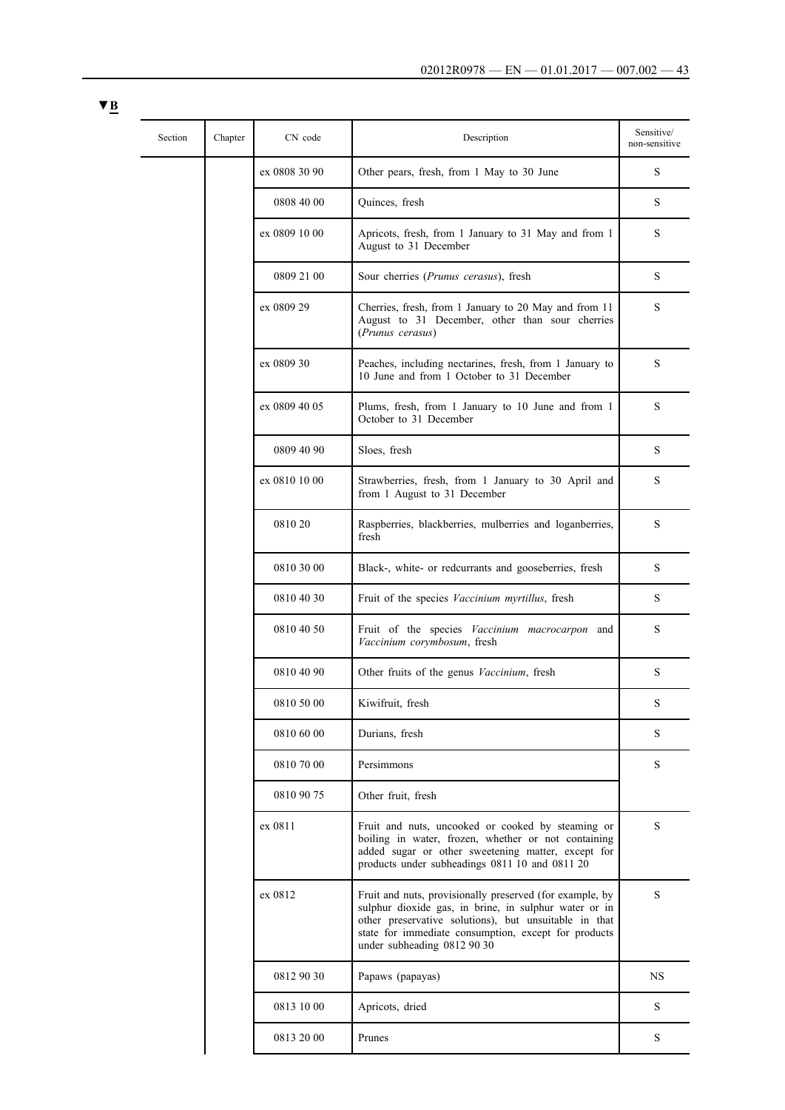| Section | Chapter | CN code       | Description                                                                                                                                                                                                                                                       | Sensitive/<br>non-sensitive |
|---------|---------|---------------|-------------------------------------------------------------------------------------------------------------------------------------------------------------------------------------------------------------------------------------------------------------------|-----------------------------|
|         |         | ex 0808 30 90 | Other pears, fresh, from 1 May to 30 June                                                                                                                                                                                                                         | S                           |
|         |         | 0808 40 00    | Quinces, fresh                                                                                                                                                                                                                                                    | S                           |
|         |         | ex 0809 10 00 | Apricots, fresh, from 1 January to 31 May and from 1<br>August to 31 December                                                                                                                                                                                     | S                           |
|         |         | 0809 21 00    | Sour cherries (Prunus cerasus), fresh                                                                                                                                                                                                                             | S                           |
|         |         | ex 0809 29    | Cherries, fresh, from 1 January to 20 May and from 11<br>August to 31 December, other than sour cherries<br>(Prunus cerasus)                                                                                                                                      | S                           |
|         |         | ex 0809 30    | Peaches, including nectarines, fresh, from 1 January to<br>10 June and from 1 October to 31 December                                                                                                                                                              | S                           |
|         |         | ex 0809 40 05 | Plums, fresh, from 1 January to 10 June and from 1<br>October to 31 December                                                                                                                                                                                      | S                           |
|         |         | 0809 40 90    | Sloes, fresh                                                                                                                                                                                                                                                      | S                           |
|         |         | ex 0810 10 00 | Strawberries, fresh, from 1 January to 30 April and<br>from 1 August to 31 December                                                                                                                                                                               | S                           |
|         |         | 0810 20       | Raspberries, blackberries, mulberries and loganberries,<br>fresh                                                                                                                                                                                                  | S                           |
|         |         | 0810 30 00    | Black-, white- or redcurrants and gooseberries, fresh                                                                                                                                                                                                             | S                           |
|         |         | 0810 40 30    | Fruit of the species Vaccinium myrtillus, fresh                                                                                                                                                                                                                   | S                           |
|         |         | 0810 40 50    | Fruit of the species Vaccinium macrocarpon and<br>Vaccinium corymbosum, fresh                                                                                                                                                                                     | S                           |
|         |         | 0810 40 90    | Other fruits of the genus <i>Vaccinium</i> , fresh                                                                                                                                                                                                                | S                           |
|         |         | 0810 50 00    | Kiwifruit, fresh                                                                                                                                                                                                                                                  | S                           |
|         |         | 0810 60 00    | Durians, fresh                                                                                                                                                                                                                                                    | S                           |
|         |         | 0810 70 00    | Persimmons                                                                                                                                                                                                                                                        | S                           |
|         |         | 0810 90 75    | Other fruit, fresh                                                                                                                                                                                                                                                |                             |
|         |         | ex 0811       | Fruit and nuts, uncooked or cooked by steaming or<br>boiling in water, frozen, whether or not containing<br>added sugar or other sweetening matter, except for<br>products under subheadings 0811 10 and 0811 20                                                  | S                           |
|         |         | ex 0812       | Fruit and nuts, provisionally preserved (for example, by<br>sulphur dioxide gas, in brine, in sulphur water or in<br>other preservative solutions), but unsuitable in that<br>state for immediate consumption, except for products<br>under subheading 0812 90 30 | S                           |
|         |         | 0812 90 30    | Papaws (papayas)                                                                                                                                                                                                                                                  | <b>NS</b>                   |
|         |         | 0813 10 00    | Apricots, dried                                                                                                                                                                                                                                                   | S                           |
|         |         | 0813 20 00    | Prunes                                                                                                                                                                                                                                                            | S                           |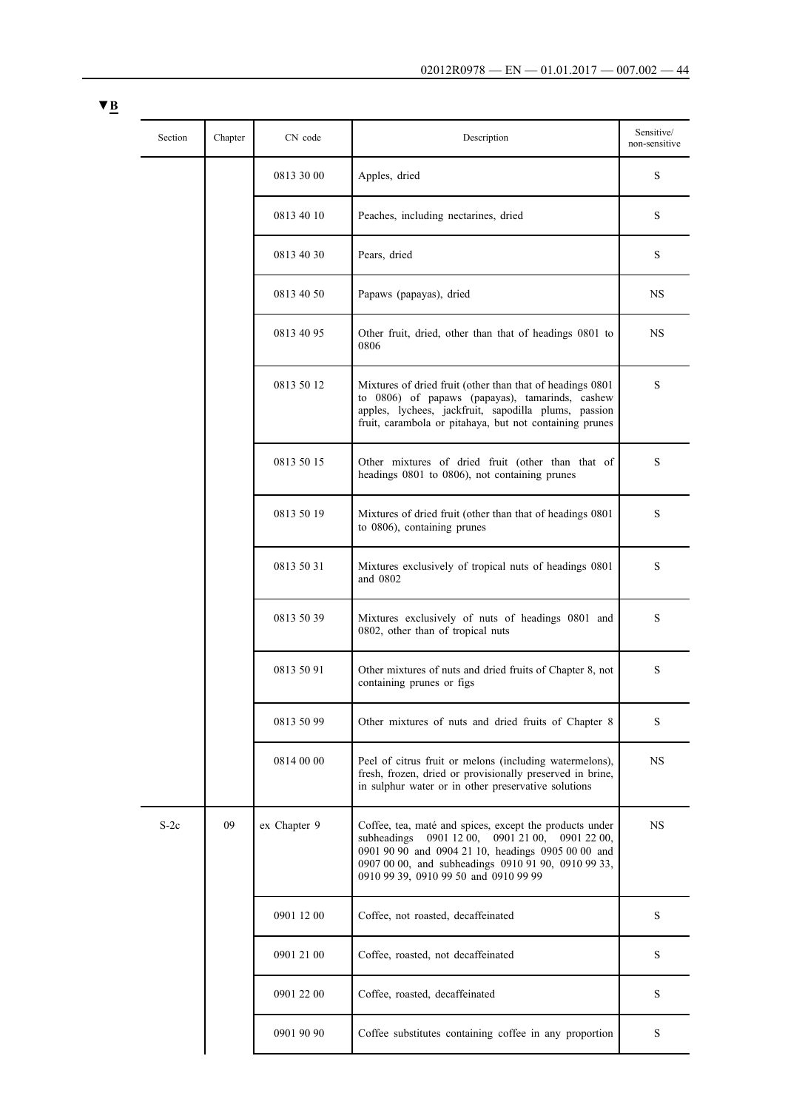| Section | Chapter | CN code      | Description                                                                                                                                                                                                                                                             | Sensitive/<br>non-sensitive |
|---------|---------|--------------|-------------------------------------------------------------------------------------------------------------------------------------------------------------------------------------------------------------------------------------------------------------------------|-----------------------------|
|         |         | 0813 30 00   | Apples, dried                                                                                                                                                                                                                                                           | S                           |
|         |         | 0813 40 10   | Peaches, including nectarines, dried                                                                                                                                                                                                                                    | S                           |
|         |         | 0813 40 30   | Pears, dried                                                                                                                                                                                                                                                            | S                           |
|         |         | 0813 40 50   | Papaws (papayas), dried                                                                                                                                                                                                                                                 | NS                          |
|         |         | 0813 40 95   | Other fruit, dried, other than that of headings 0801 to<br>0806                                                                                                                                                                                                         | <b>NS</b>                   |
|         |         | 0813 50 12   | Mixtures of dried fruit (other than that of headings 0801<br>to 0806) of papaws (papayas), tamarinds, cashew<br>apples, lychees, jackfruit, sapodilla plums, passion<br>fruit, carambola or pitahaya, but not containing prunes                                         | S                           |
|         |         | 0813 50 15   | Other mixtures of dried fruit (other than that of<br>headings 0801 to 0806), not containing prunes                                                                                                                                                                      | S                           |
|         |         | 0813 50 19   | Mixtures of dried fruit (other than that of headings 0801<br>to 0806), containing prunes                                                                                                                                                                                | S                           |
|         |         | 0813 50 31   | Mixtures exclusively of tropical nuts of headings 0801<br>and 0802                                                                                                                                                                                                      | S                           |
|         |         | 0813 50 39   | Mixtures exclusively of nuts of headings 0801 and<br>0802, other than of tropical nuts                                                                                                                                                                                  | S                           |
|         |         | 0813 50 91   | Other mixtures of nuts and dried fruits of Chapter 8, not<br>containing prunes or figs                                                                                                                                                                                  | S                           |
|         |         | 0813 50 99   | Other mixtures of nuts and dried fruits of Chapter 8                                                                                                                                                                                                                    | S                           |
|         |         | 0814 00 00   | Peel of citrus fruit or melons (including watermelons),<br>fresh, frozen, dried or provisionally preserved in brine,<br>in sulphur water or in other preservative solutions                                                                                             | NS                          |
| $S-2c$  | 09      | ex Chapter 9 | Coffee, tea, maté and spices, except the products under<br>subheadings $09011200$ ,<br>0901 21 00,<br>0901 22 00,<br>0901 90 90 and 0904 21 10, headings 0905 00 00 and<br>0907 00 00, and subheadings 0910 91 90, 0910 99 33,<br>0910 99 39, 0910 99 50 and 0910 99 99 | NS                          |
|         |         | 0901 12 00   | Coffee, not roasted, decaffeinated                                                                                                                                                                                                                                      | $\mathbf S$                 |
|         |         | 0901 21 00   | Coffee, roasted, not decaffeinated                                                                                                                                                                                                                                      | S                           |
|         |         | 0901 22 00   | Coffee, roasted, decaffeinated                                                                                                                                                                                                                                          | S                           |
|         |         | 0901 90 90   | Coffee substitutes containing coffee in any proportion                                                                                                                                                                                                                  | S                           |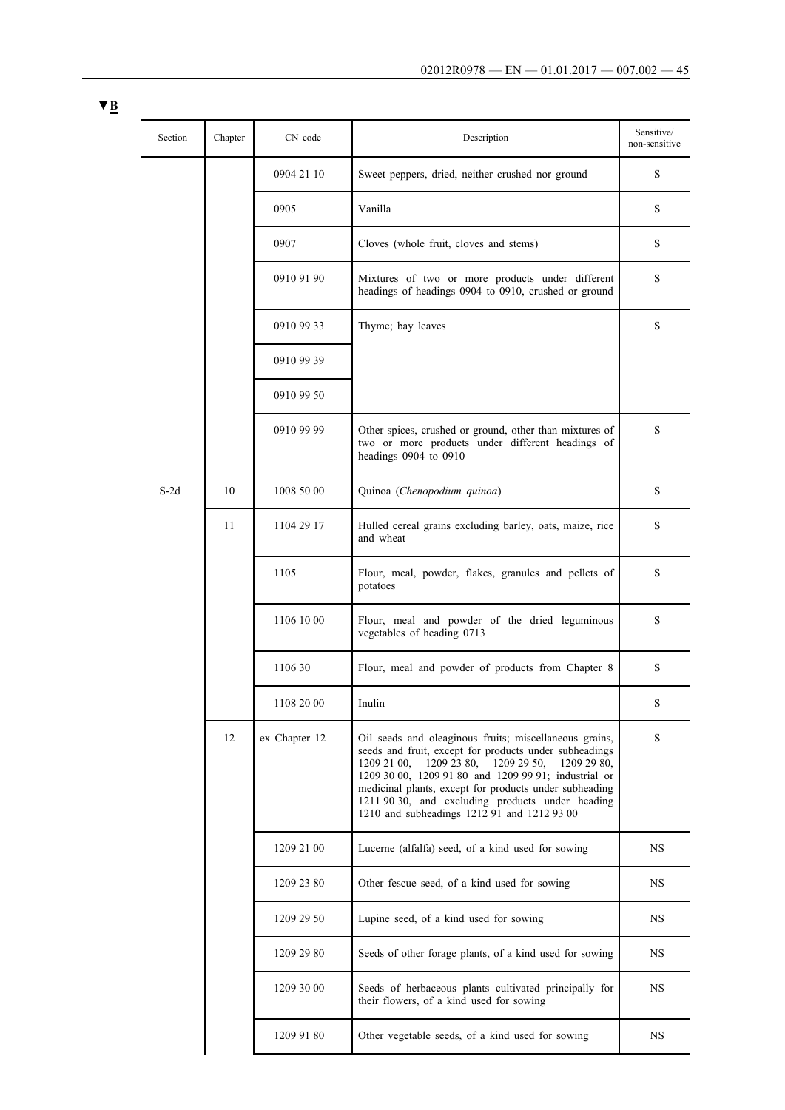| Section | Chapter | CN code       | Description                                                                                                                                                                                                                                                                                                                                                                                     | Sensitive/<br>non-sensitive |
|---------|---------|---------------|-------------------------------------------------------------------------------------------------------------------------------------------------------------------------------------------------------------------------------------------------------------------------------------------------------------------------------------------------------------------------------------------------|-----------------------------|
|         |         | 0904 21 10    | Sweet peppers, dried, neither crushed nor ground                                                                                                                                                                                                                                                                                                                                                | S                           |
|         |         | 0905          | Vanilla                                                                                                                                                                                                                                                                                                                                                                                         | S                           |
|         |         | 0907          | Cloves (whole fruit, cloves and stems)                                                                                                                                                                                                                                                                                                                                                          | S                           |
|         |         | 0910 91 90    | Mixtures of two or more products under different<br>headings of headings 0904 to 0910, crushed or ground                                                                                                                                                                                                                                                                                        | S                           |
|         |         | 0910 99 33    | Thyme; bay leaves                                                                                                                                                                                                                                                                                                                                                                               | S                           |
|         |         | 0910 99 39    |                                                                                                                                                                                                                                                                                                                                                                                                 |                             |
|         |         | 0910 99 50    |                                                                                                                                                                                                                                                                                                                                                                                                 |                             |
|         |         | 0910 99 99    | Other spices, crushed or ground, other than mixtures of<br>two or more products under different headings of<br>headings 0904 to 0910                                                                                                                                                                                                                                                            | S                           |
| $S-2d$  | 10      | 1008 50 00    | Quinoa (Chenopodium quinoa)                                                                                                                                                                                                                                                                                                                                                                     | S                           |
|         | 11      | 1104 29 17    | Hulled cereal grains excluding barley, oats, maize, rice<br>and wheat                                                                                                                                                                                                                                                                                                                           | S                           |
|         |         | 1105          | Flour, meal, powder, flakes, granules and pellets of<br>potatoes                                                                                                                                                                                                                                                                                                                                | S                           |
|         |         | 1106 10 00    | Flour, meal and powder of the dried leguminous<br>vegetables of heading 0713                                                                                                                                                                                                                                                                                                                    | S                           |
|         |         | 1106 30       | Flour, meal and powder of products from Chapter 8                                                                                                                                                                                                                                                                                                                                               | S                           |
|         |         | 1108 20 00    | Inulin                                                                                                                                                                                                                                                                                                                                                                                          | S                           |
|         | 12      | ex Chapter 12 | Oil seeds and oleaginous fruits; miscellaneous grains,<br>seeds and fruit, except for products under subheadings<br>1209 21 00,<br>1209 23 80,<br>12092950,<br>1209 29 80,<br>1209 30 00, 1209 91 80 and 1209 99 91; industrial or<br>medicinal plants, except for products under subheading<br>1211 90 30, and excluding products under heading<br>1210 and subheadings 1212 91 and 1212 93 00 | S                           |
|         |         | 1209 21 00    | Lucerne (alfalfa) seed, of a kind used for sowing                                                                                                                                                                                                                                                                                                                                               | NS                          |
|         |         | 1209 23 80    | Other fescue seed, of a kind used for sowing                                                                                                                                                                                                                                                                                                                                                    | <b>NS</b>                   |
|         |         | 1209 29 50    | Lupine seed, of a kind used for sowing                                                                                                                                                                                                                                                                                                                                                          | NS                          |
|         |         | 1209 29 80    | Seeds of other forage plants, of a kind used for sowing                                                                                                                                                                                                                                                                                                                                         | NS                          |
|         |         | 1209 30 00    | Seeds of herbaceous plants cultivated principally for<br>their flowers, of a kind used for sowing                                                                                                                                                                                                                                                                                               | NS                          |
|         |         | 1209 91 80    | Other vegetable seeds, of a kind used for sowing                                                                                                                                                                                                                                                                                                                                                | NS                          |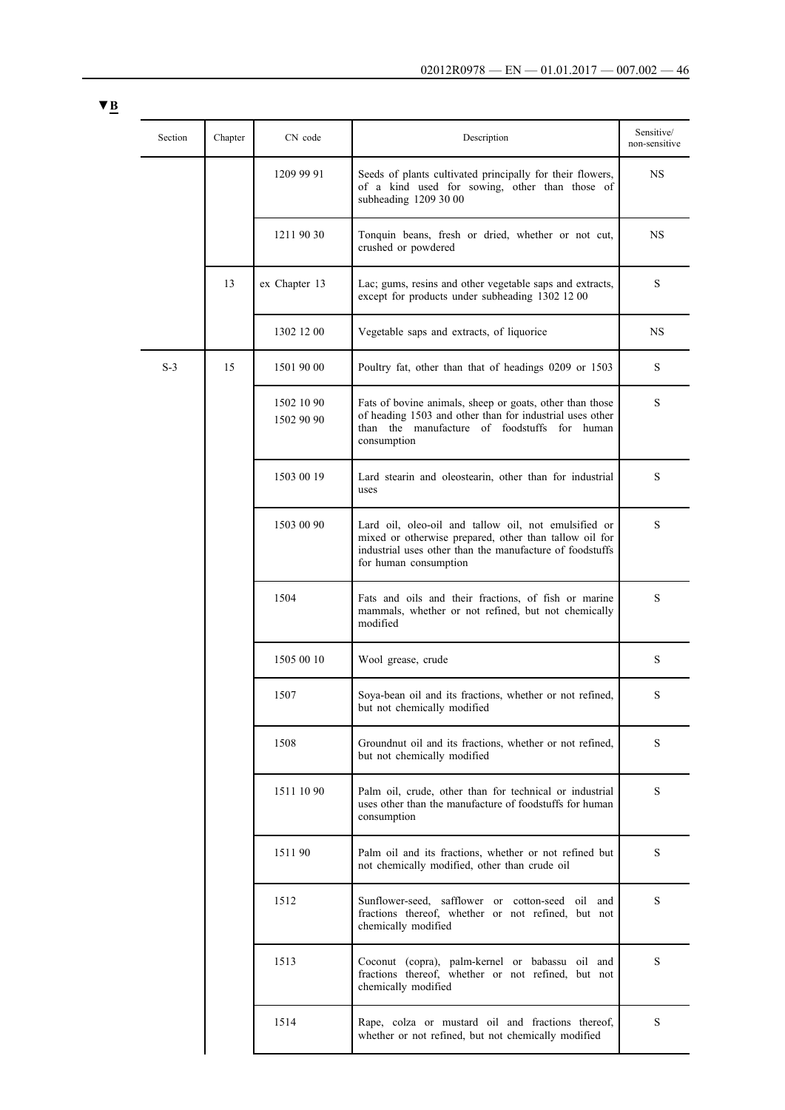| × |  |
|---|--|
|   |  |

| Section | Chapter | CN code                  | Description                                                                                                                                                                                         | Sensitive/<br>non-sensitive |
|---------|---------|--------------------------|-----------------------------------------------------------------------------------------------------------------------------------------------------------------------------------------------------|-----------------------------|
|         |         | 1209 99 91               | Seeds of plants cultivated principally for their flowers,<br>of a kind used for sowing, other than those of<br>subheading 1209 30 00                                                                | NS                          |
|         |         | 1211 90 30               | Tonquin beans, fresh or dried, whether or not cut,<br>crushed or powdered                                                                                                                           | <b>NS</b>                   |
|         | 13      | ex Chapter 13            | Lac; gums, resins and other vegetable saps and extracts,<br>except for products under subheading 1302 12 00                                                                                         | S                           |
|         |         | 1302 12 00               | Vegetable saps and extracts, of liquorice                                                                                                                                                           | NS                          |
| $S-3$   | 15      | 1501 90 00               | Poultry fat, other than that of headings 0209 or 1503                                                                                                                                               | S                           |
|         |         | 1502 10 90<br>1502 90 90 | Fats of bovine animals, sheep or goats, other than those<br>of heading 1503 and other than for industrial uses other<br>than the manufacture of foodstuffs for human<br>consumption                 | S                           |
|         |         | 1503 00 19               | Lard stearin and oleostearin, other than for industrial<br>uses                                                                                                                                     | S                           |
|         |         | 1503 00 90               | Lard oil, oleo-oil and tallow oil, not emulsified or<br>mixed or otherwise prepared, other than tallow oil for<br>industrial uses other than the manufacture of foodstuffs<br>for human consumption | S                           |
|         |         | 1504                     | Fats and oils and their fractions, of fish or marine<br>mammals, whether or not refined, but not chemically<br>modified                                                                             | S                           |
|         |         | 1505 00 10               | Wool grease, crude                                                                                                                                                                                  | S                           |
|         |         | 1507                     | Soya-bean oil and its fractions, whether or not refined,<br>but not chemically modified                                                                                                             | S                           |
|         |         | 1508                     | Groundnut oil and its fractions, whether or not refined,<br>but not chemically modified                                                                                                             | S                           |
|         |         | 1511 10 90               | Palm oil, crude, other than for technical or industrial<br>uses other than the manufacture of foodstuffs for human<br>consumption                                                                   | S                           |
|         |         | 151190                   | Palm oil and its fractions, whether or not refined but<br>not chemically modified, other than crude oil                                                                                             | S                           |
|         |         | 1512                     | Sunflower-seed, safflower or cotton-seed oil and<br>fractions thereof, whether or not refined, but not<br>chemically modified                                                                       | S                           |
|         |         | 1513                     | Coconut (copra), palm-kernel or babassu oil and<br>fractions thereof, whether or not refined, but not<br>chemically modified                                                                        | S                           |
|         |         | 1514                     | Rape, colza or mustard oil and fractions thereof,<br>whether or not refined, but not chemically modified                                                                                            | S                           |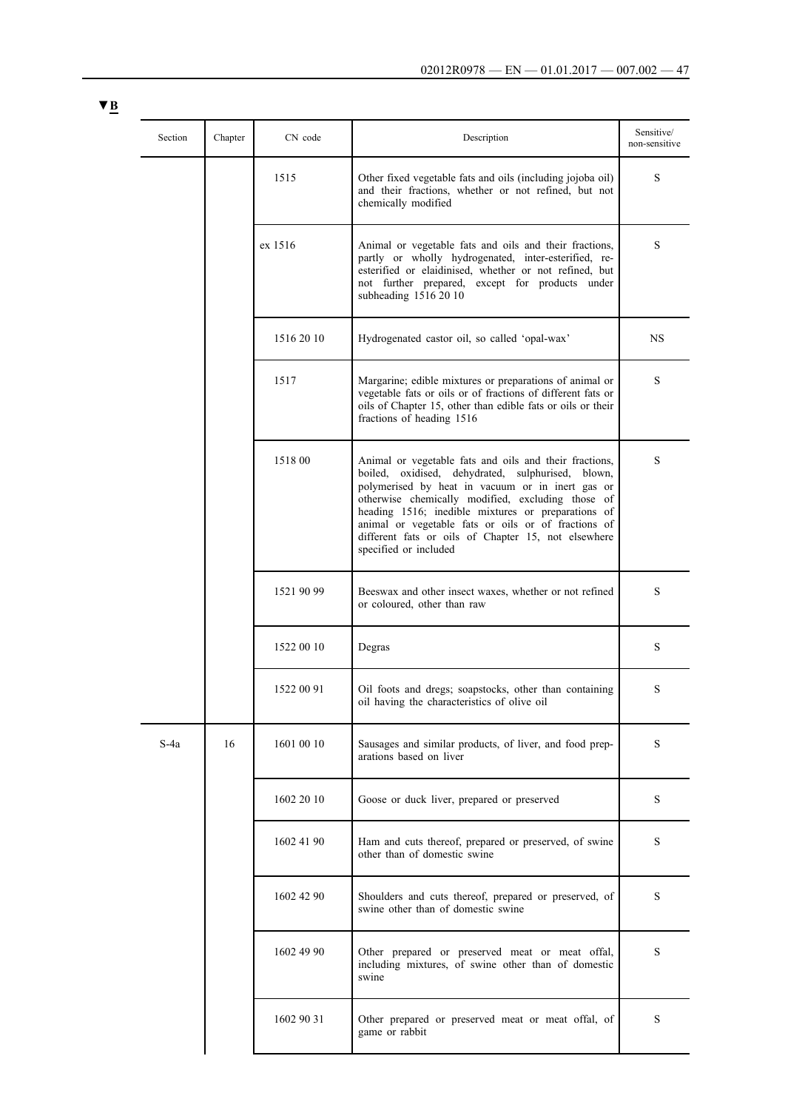|  | Section | Chapter | CN code    | Description                                                                                                                                                                                                                                                                                                                                                                                                       | Sensitive/<br>non-sensitive |
|--|---------|---------|------------|-------------------------------------------------------------------------------------------------------------------------------------------------------------------------------------------------------------------------------------------------------------------------------------------------------------------------------------------------------------------------------------------------------------------|-----------------------------|
|  |         |         | 1515       | Other fixed vegetable fats and oils (including jojoba oil)<br>and their fractions, whether or not refined, but not<br>chemically modified                                                                                                                                                                                                                                                                         | S                           |
|  |         |         | ex 1516    | Animal or vegetable fats and oils and their fractions,<br>partly or wholly hydrogenated, inter-esterified, re-<br>esterified or elaidinised, whether or not refined, but<br>not further prepared, except for products under<br>subheading 1516 20 10                                                                                                                                                              | S                           |
|  |         |         | 1516 20 10 | Hydrogenated castor oil, so called 'opal-wax'                                                                                                                                                                                                                                                                                                                                                                     | NS                          |
|  |         |         | 1517       | Margarine; edible mixtures or preparations of animal or<br>vegetable fats or oils or of fractions of different fats or<br>oils of Chapter 15, other than edible fats or oils or their<br>fractions of heading 1516                                                                                                                                                                                                | S                           |
|  |         |         | 1518 00    | Animal or vegetable fats and oils and their fractions,<br>boiled, oxidised, dehydrated, sulphurised, blown,<br>polymerised by heat in vacuum or in inert gas or<br>otherwise chemically modified, excluding those of<br>heading 1516; inedible mixtures or preparations of<br>animal or vegetable fats or oils or of fractions of<br>different fats or oils of Chapter 15, not elsewhere<br>specified or included | S                           |
|  |         |         | 1521 90 99 | Beeswax and other insect waxes, whether or not refined<br>or coloured, other than raw                                                                                                                                                                                                                                                                                                                             | S                           |
|  |         |         | 1522 00 10 | Degras                                                                                                                                                                                                                                                                                                                                                                                                            | S                           |
|  |         |         | 1522 00 91 | Oil foots and dregs; soapstocks, other than containing<br>oil having the characteristics of olive oil                                                                                                                                                                                                                                                                                                             | S                           |
|  | S-4a    | 16      | 1601 00 10 | Sausages and similar products, of liver, and food prep-<br>arations based on liver                                                                                                                                                                                                                                                                                                                                | S                           |
|  |         |         | 1602 20 10 | Goose or duck liver, prepared or preserved                                                                                                                                                                                                                                                                                                                                                                        | S                           |
|  |         |         | 1602 41 90 | Ham and cuts thereof, prepared or preserved, of swine<br>other than of domestic swine                                                                                                                                                                                                                                                                                                                             | S                           |
|  |         |         | 1602 42 90 | Shoulders and cuts thereof, prepared or preserved, of<br>swine other than of domestic swine                                                                                                                                                                                                                                                                                                                       | S                           |
|  |         |         | 1602 49 90 | Other prepared or preserved meat or meat offal,<br>including mixtures, of swine other than of domestic<br>swine                                                                                                                                                                                                                                                                                                   | S                           |
|  |         |         | 1602 90 31 | Other prepared or preserved meat or meat offal, of<br>game or rabbit                                                                                                                                                                                                                                                                                                                                              | S                           |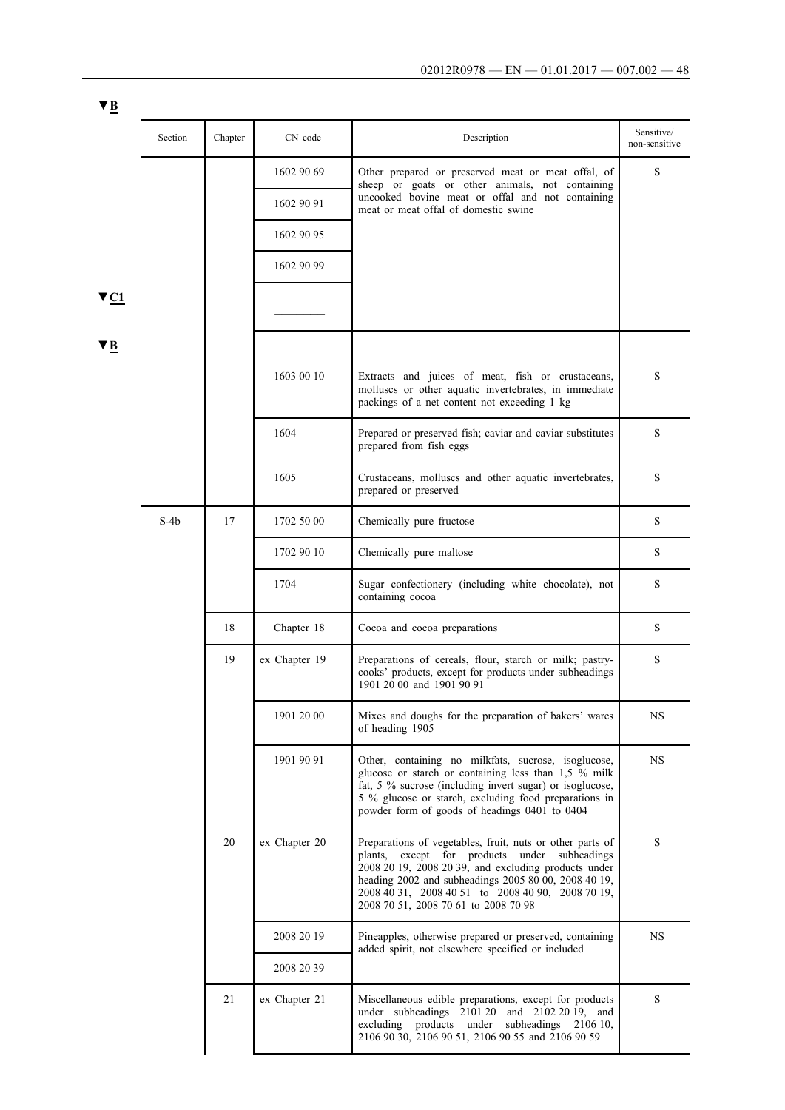|                         | Section | Chapter | CN code       | Description                                                                                                                                                                                                                                                                                                             | Sensitive/<br>non-sensitive |
|-------------------------|---------|---------|---------------|-------------------------------------------------------------------------------------------------------------------------------------------------------------------------------------------------------------------------------------------------------------------------------------------------------------------------|-----------------------------|
|                         |         |         | 1602 90 69    | Other prepared or preserved meat or meat offal, of<br>sheep or goats or other animals, not containing                                                                                                                                                                                                                   | S                           |
|                         |         |         | 1602 90 91    | uncooked bovine meat or offal and not containing<br>meat or meat offal of domestic swine                                                                                                                                                                                                                                |                             |
|                         |         |         | 1602 90 95    |                                                                                                                                                                                                                                                                                                                         |                             |
|                         |         |         | 1602 90 99    |                                                                                                                                                                                                                                                                                                                         |                             |
| $\blacktriangledown$ C1 |         |         |               |                                                                                                                                                                                                                                                                                                                         |                             |
| V B                     |         |         |               |                                                                                                                                                                                                                                                                                                                         |                             |
|                         |         |         | 1603 00 10    | Extracts and juices of meat, fish or crustaceans,<br>molluscs or other aquatic invertebrates, in immediate<br>packings of a net content not exceeding 1 kg                                                                                                                                                              | S                           |
|                         |         |         | 1604          | Prepared or preserved fish; caviar and caviar substitutes<br>prepared from fish eggs                                                                                                                                                                                                                                    | S                           |
|                         |         |         | 1605          | Crustaceans, molluscs and other aquatic invertebrates,<br>prepared or preserved                                                                                                                                                                                                                                         | S                           |
|                         | S-4b    | 17      | 1702 50 00    | Chemically pure fructose                                                                                                                                                                                                                                                                                                | S                           |
|                         |         |         | 1702 90 10    | Chemically pure maltose                                                                                                                                                                                                                                                                                                 | S                           |
|                         |         |         | 1704          | Sugar confectionery (including white chocolate), not<br>containing cocoa                                                                                                                                                                                                                                                | S                           |
|                         |         | 18      | Chapter 18    | Cocoa and cocoa preparations                                                                                                                                                                                                                                                                                            | S                           |
|                         |         | 19      | ex Chapter 19 | Preparations of cereals, flour, starch or milk; pastry-<br>cooks' products, except for products under subheadings<br>1901 20 00 and 1901 90 91                                                                                                                                                                          | S                           |
|                         |         |         | 1901 20 00    | Mixes and doughs for the preparation of bakers' wares<br>of heading 1905                                                                                                                                                                                                                                                | <b>NS</b>                   |
|                         |         |         | 1901 90 91    | Other, containing no milkfats, sucrose, isoglucose,<br>glucose or starch or containing less than 1,5 % milk<br>fat, 5 % sucrose (including invert sugar) or isoglucose,<br>5 % glucose or starch, excluding food preparations in<br>powder form of goods of headings 0401 to 0404                                       | <b>NS</b>                   |
|                         |         | 20      | ex Chapter 20 | Preparations of vegetables, fruit, nuts or other parts of<br>plants, except for products under subheadings<br>2008 20 19, 2008 20 39, and excluding products under<br>heading 2002 and subheadings 2005 80 00, 2008 40 19,<br>2008 40 31, 2008 40 51 to 2008 40 90, 2008 70 19,<br>2008 70 51, 2008 70 61 to 2008 70 98 | S                           |
|                         |         |         | 2008 20 19    | Pineapples, otherwise prepared or preserved, containing<br>added spirit, not elsewhere specified or included                                                                                                                                                                                                            | $_{\rm NS}$                 |
|                         |         |         | 2008 20 39    |                                                                                                                                                                                                                                                                                                                         |                             |
|                         |         | 21      | ex Chapter 21 | Miscellaneous edible preparations, except for products<br>under subheadings 2101 20 and 2102 20 19, and<br>excluding products under<br>subheadings 2106 10,<br>2106 90 30, 2106 90 51, 2106 90 55 and 2106 90 59                                                                                                        | S                           |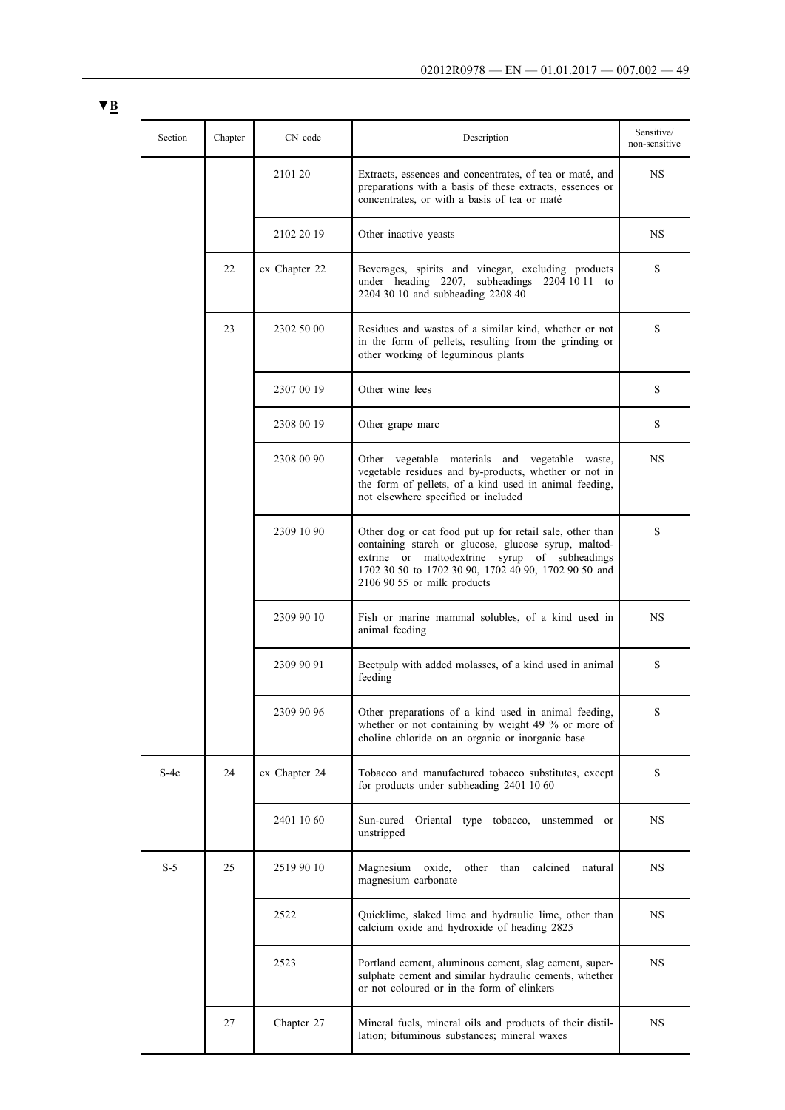| Section | Chapter | CN code       | Description                                                                                                                                                                                                                                              | Sensitive/<br>non-sensitive |
|---------|---------|---------------|----------------------------------------------------------------------------------------------------------------------------------------------------------------------------------------------------------------------------------------------------------|-----------------------------|
|         |         | 2101 20       | Extracts, essences and concentrates, of tea or maté, and<br>preparations with a basis of these extracts, essences or<br>concentrates, or with a basis of tea or maté                                                                                     | <b>NS</b>                   |
|         |         | 2102 20 19    | Other inactive yeasts                                                                                                                                                                                                                                    | <b>NS</b>                   |
|         | 22      | ex Chapter 22 | Beverages, spirits and vinegar, excluding products<br>under heading 2207, subheadings 2204 10 11 to<br>2204 30 10 and subheading 2208 40                                                                                                                 | S                           |
|         | 23      | 2302 50 00    | Residues and wastes of a similar kind, whether or not<br>in the form of pellets, resulting from the grinding or<br>other working of leguminous plants                                                                                                    | S                           |
|         |         | 2307 00 19    | Other wine lees                                                                                                                                                                                                                                          | S                           |
|         |         | 2308 00 19    | Other grape marc                                                                                                                                                                                                                                         | S                           |
|         |         | 2308 00 90    | Other vegetable materials and vegetable waste,<br>vegetable residues and by-products, whether or not in<br>the form of pellets, of a kind used in animal feeding,<br>not elsewhere specified or included                                                 | NS.                         |
|         |         | 2309 10 90    | Other dog or cat food put up for retail sale, other than<br>containing starch or glucose, glucose syrup, maltod-<br>extrine or maltodextrine syrup of subheadings<br>1702 30 50 to 1702 30 90, 1702 40 90, 1702 90 50 and<br>$21069055$ or milk products | S                           |
|         |         | 2309 90 10    | Fish or marine mammal solubles, of a kind used in<br>animal feeding                                                                                                                                                                                      | NS.                         |
|         |         | 2309 90 91    | Beetpulp with added molasses, of a kind used in animal<br>feeding                                                                                                                                                                                        | S                           |
|         |         | 2309 90 96    | Other preparations of a kind used in animal feeding,<br>whether or not containing by weight 49 % or more of<br>choline chloride on an organic or inorganic base                                                                                          | S                           |
| $S-4c$  | 24      | ex Chapter 24 | Tobacco and manufactured tobacco substitutes, except<br>for products under subheading 2401 10 60                                                                                                                                                         | S                           |
|         |         | 2401 10 60    | Sun-cured<br>Oriental type tobacco,<br>unstemmed or<br>unstripped                                                                                                                                                                                        | NS.                         |
| $S-5$   | 25      | 2519 90 10    | Magnesium<br>oxide,<br>other<br>than<br>calcined<br>natural<br>magnesium carbonate                                                                                                                                                                       | NS.                         |
|         |         | 2522          | Quicklime, slaked lime and hydraulic lime, other than<br>calcium oxide and hydroxide of heading 2825                                                                                                                                                     | NS.                         |
|         |         | 2523          | Portland cement, aluminous cement, slag cement, super-<br>sulphate cement and similar hydraulic cements, whether<br>or not coloured or in the form of clinkers                                                                                           | NS.                         |
|         | 27      | Chapter 27    | Mineral fuels, mineral oils and products of their distil-<br>lation; bituminous substances; mineral waxes                                                                                                                                                | <b>NS</b>                   |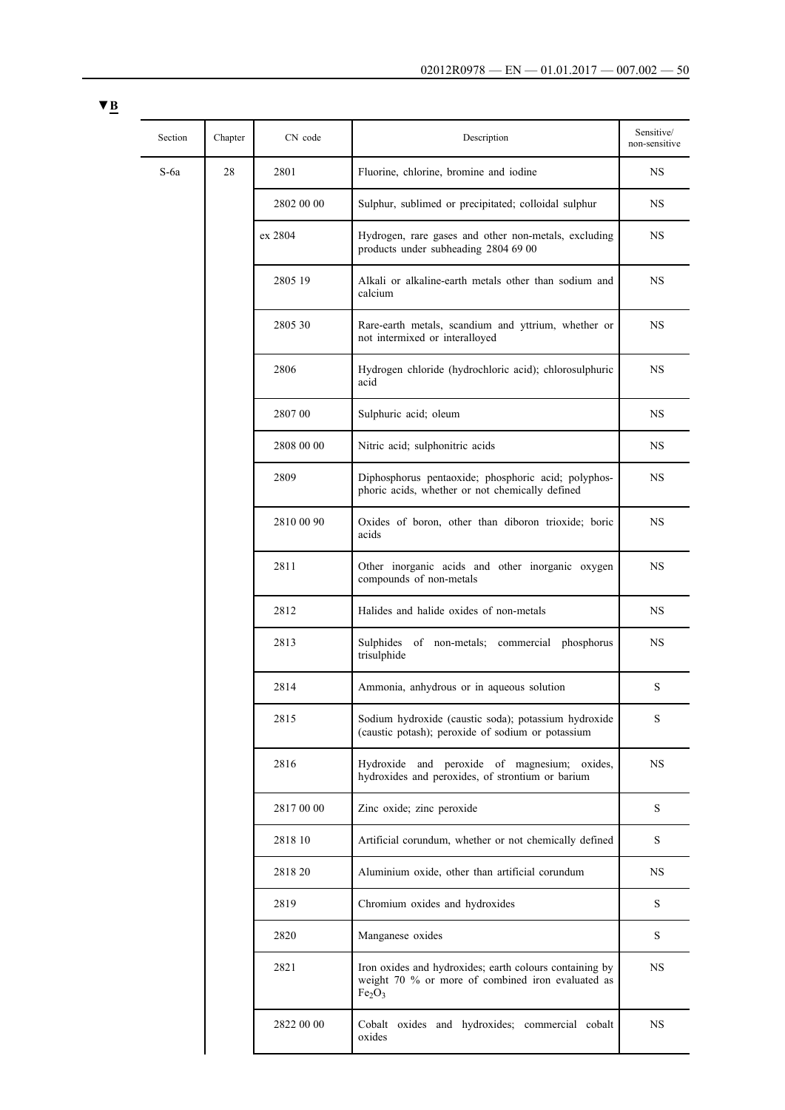| Section | Chapter | CN code    | Description                                                                                                                                    | Sensitive/<br>non-sensitive |
|---------|---------|------------|------------------------------------------------------------------------------------------------------------------------------------------------|-----------------------------|
| $S$ -6a | 28      | 2801       | Fluorine, chlorine, bromine and iodine                                                                                                         | <b>NS</b>                   |
|         |         | 2802 00 00 | Sulphur, sublimed or precipitated; colloidal sulphur                                                                                           | NS.                         |
|         |         | ex 2804    | Hydrogen, rare gases and other non-metals, excluding<br>products under subheading 2804 69 00                                                   | NS.                         |
|         |         | 2805 19    | Alkali or alkaline-earth metals other than sodium and<br>calcium                                                                               | <b>NS</b>                   |
|         |         | 2805 30    | Rare-earth metals, scandium and yttrium, whether or<br>not intermixed or interalloyed                                                          | NS.                         |
|         |         | 2806       | Hydrogen chloride (hydrochloric acid); chlorosulphuric<br>acid                                                                                 | <b>NS</b>                   |
|         |         | 2807 00    | Sulphuric acid; oleum                                                                                                                          | NS.                         |
|         |         | 2808 00 00 | Nitric acid; sulphonitric acids                                                                                                                | NS.                         |
|         |         | 2809       | Diphosphorus pentaoxide; phosphoric acid; polyphos-<br>phoric acids, whether or not chemically defined                                         | NS.                         |
|         |         | 2810 00 90 | Oxides of boron, other than diboron trioxide; boric<br>acids                                                                                   | <b>NS</b>                   |
|         |         | 2811       | Other inorganic acids and other inorganic oxygen<br>compounds of non-metals                                                                    | <b>NS</b>                   |
|         |         | 2812       | Halides and halide oxides of non-metals                                                                                                        | <b>NS</b>                   |
|         |         | 2813       | Sulphides of non-metals; commercial phosphorus<br>trisulphide                                                                                  | NS                          |
|         |         | 2814       | Ammonia, anhydrous or in aqueous solution                                                                                                      | S                           |
|         |         | 2815       | Sodium hydroxide (caustic soda); potassium hydroxide<br>(caustic potash); peroxide of sodium or potassium                                      | S                           |
|         |         | 2816       | Hydroxide and peroxide of magnesium; oxides,<br>hydroxides and peroxides, of strontium or barium                                               | <b>NS</b>                   |
|         |         | 2817 00 00 | Zinc oxide; zinc peroxide                                                                                                                      | S                           |
|         |         | 2818 10    | Artificial corundum, whether or not chemically defined                                                                                         | S                           |
|         |         | 2818 20    | Aluminium oxide, other than artificial corundum                                                                                                | NS.                         |
|         |         | 2819       | Chromium oxides and hydroxides                                                                                                                 | S                           |
|         |         | 2820       | Manganese oxides                                                                                                                               | S                           |
|         |         | 2821       | Iron oxides and hydroxides; earth colours containing by<br>weight 70 % or more of combined iron evaluated as<br>Fe <sub>2</sub> O <sub>3</sub> | NS                          |
|         |         | 2822 00 00 | Cobalt oxides and hydroxides; commercial cobalt<br>oxides                                                                                      | NS.                         |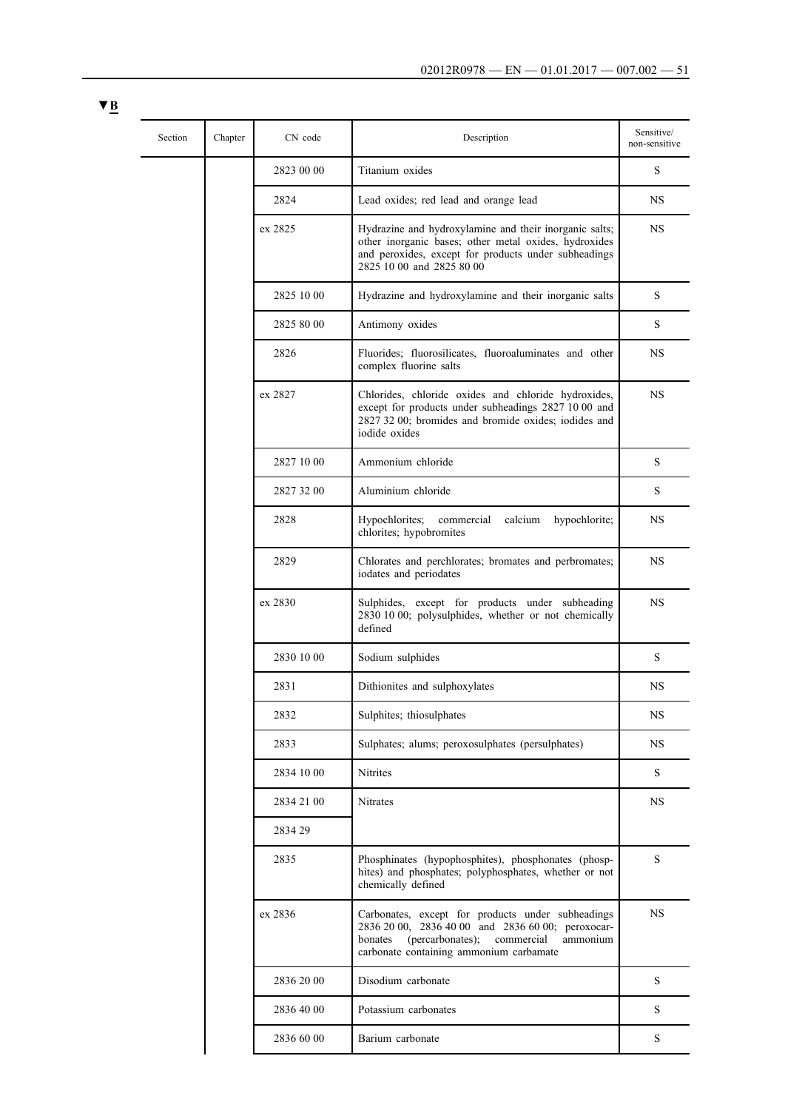| Section | Chapter | CN code    | Description                                                                                                                                                                                                | Sensitive/<br>non-sensitive |
|---------|---------|------------|------------------------------------------------------------------------------------------------------------------------------------------------------------------------------------------------------------|-----------------------------|
|         |         | 2823 00 00 | Titanium oxides                                                                                                                                                                                            | S                           |
|         |         | 2824       | Lead oxides; red lead and orange lead                                                                                                                                                                      | NS                          |
|         |         | ex 2825    | Hydrazine and hydroxylamine and their inorganic salts;<br>other inorganic bases; other metal oxides, hydroxides<br>and peroxides, except for products under subheadings<br>2825 10 00 and 2825 80 00       | <b>NS</b>                   |
|         |         | 2825 10 00 | Hydrazine and hydroxylamine and their inorganic salts                                                                                                                                                      | S                           |
|         |         | 2825 80 00 | Antimony oxides                                                                                                                                                                                            | S                           |
|         |         | 2826       | Fluorides; fluorosilicates, fluoroaluminates and other<br>complex fluorine salts                                                                                                                           | <b>NS</b>                   |
|         |         | ex 2827    | Chlorides, chloride oxides and chloride hydroxides,<br>except for products under subheadings 2827 10 00 and<br>2827 32 00; bromides and bromide oxides; iodides and<br>iodide oxides                       | <b>NS</b>                   |
|         |         | 2827 10 00 | Ammonium chloride                                                                                                                                                                                          | S                           |
|         |         | 2827 32 00 | Aluminium chloride                                                                                                                                                                                         | S                           |
|         |         | 2828       | Hypochlorites;<br>calcium<br>hypochlorite;<br>commercial<br>chlorites; hypobromites                                                                                                                        | <b>NS</b>                   |
|         |         | 2829       | Chlorates and perchlorates; bromates and perbromates;<br>iodates and periodates                                                                                                                            | <b>NS</b>                   |
|         |         | ex 2830    | Sulphides, except for products under subheading<br>2830 10 00; polysulphides, whether or not chemically<br>defined                                                                                         | <b>NS</b>                   |
|         |         | 2830 10 00 | Sodium sulphides                                                                                                                                                                                           | S                           |
|         |         | 2831       | Dithionites and sulphoxylates                                                                                                                                                                              | NS                          |
|         |         | 2832       | Sulphites; thiosulphates                                                                                                                                                                                   | <b>NS</b>                   |
|         |         | 2833       | Sulphates; alums; peroxosulphates (persulphates)                                                                                                                                                           | <b>NS</b>                   |
|         |         | 2834 10 00 | Nitrites                                                                                                                                                                                                   | S                           |
|         |         | 2834 21 00 | Nitrates                                                                                                                                                                                                   | <b>NS</b>                   |
|         |         | 2834 29    |                                                                                                                                                                                                            |                             |
|         |         | 2835       | Phosphinates (hypophosphites), phosphonates (phosp-<br>hites) and phosphates; polyphosphates, whether or not<br>chemically defined                                                                         | $\mathbf S$                 |
|         |         | ex 2836    | Carbonates, except for products under subheadings<br>2836 20 00, 2836 40 00 and 2836 60 00; peroxocar-<br>(percarbonates);<br>commercial<br>bonates<br>ammonium<br>carbonate containing ammonium carbamate | <b>NS</b>                   |
|         |         | 2836 20 00 | Disodium carbonate                                                                                                                                                                                         | S                           |
|         |         | 2836 40 00 | Potassium carbonates                                                                                                                                                                                       | S                           |
|         |         | 2836 60 00 | Barium carbonate                                                                                                                                                                                           | ${\bf S}$                   |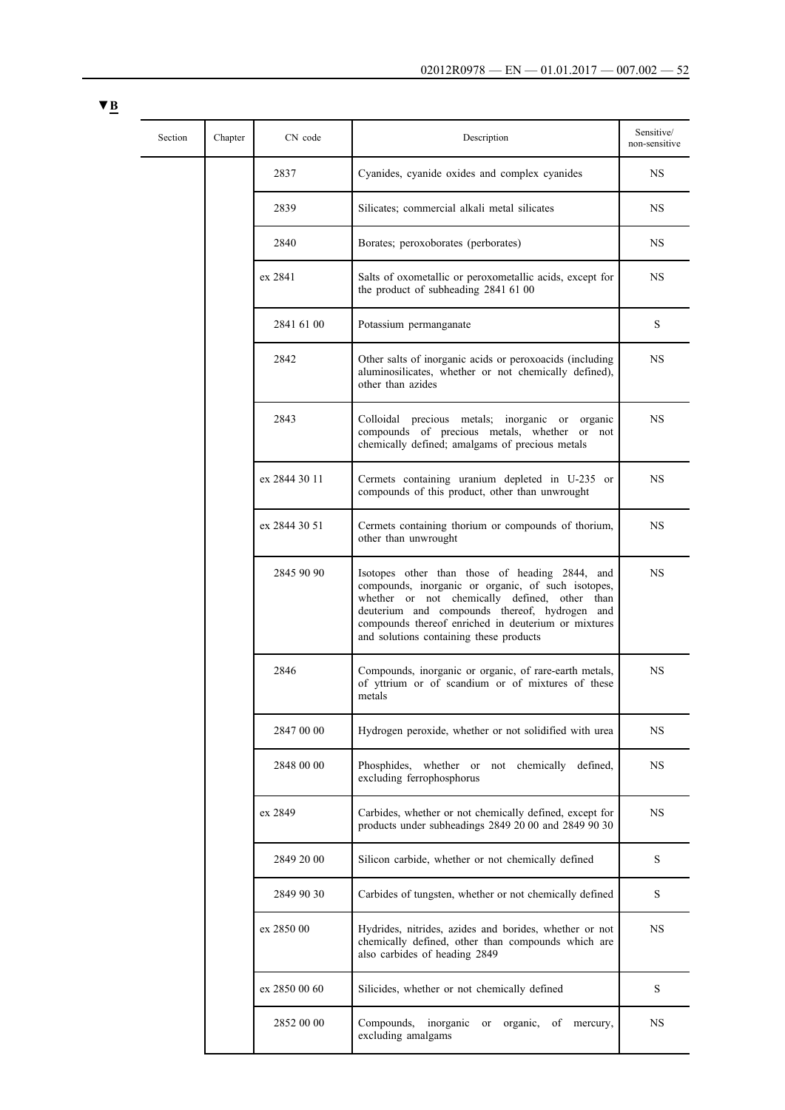| Section | Chapter | CN code       | Description                                                                                                                                                                                                                                                                                              | Sensitive/<br>non-sensitive |
|---------|---------|---------------|----------------------------------------------------------------------------------------------------------------------------------------------------------------------------------------------------------------------------------------------------------------------------------------------------------|-----------------------------|
|         |         | 2837          | Cyanides, cyanide oxides and complex cyanides                                                                                                                                                                                                                                                            | NS                          |
|         |         | 2839          | Silicates; commercial alkali metal silicates                                                                                                                                                                                                                                                             | NS                          |
|         |         | 2840          | Borates; peroxoborates (perborates)                                                                                                                                                                                                                                                                      | NS.                         |
|         |         | ex 2841       | Salts of oxometallic or peroxometallic acids, except for<br>the product of subheading 2841 61 00                                                                                                                                                                                                         | NS                          |
|         |         | 2841 61 00    | Potassium permanganate                                                                                                                                                                                                                                                                                   | S                           |
|         |         | 2842          | Other salts of inorganic acids or peroxoacids (including<br>aluminosilicates, whether or not chemically defined),<br>other than azides                                                                                                                                                                   | <b>NS</b>                   |
|         |         | 2843          | Colloidal precious metals; inorganic or organic<br>compounds of precious metals, whether or not<br>chemically defined; amalgams of precious metals                                                                                                                                                       | NS                          |
|         |         | ex 2844 30 11 | Cermets containing uranium depleted in U-235 or<br>compounds of this product, other than unwrought                                                                                                                                                                                                       | NS.                         |
|         |         | ex 2844 30 51 | Cermets containing thorium or compounds of thorium,<br>other than unwrought                                                                                                                                                                                                                              | NS.                         |
|         |         | 2845 90 90    | Isotopes other than those of heading 2844, and<br>compounds, inorganic or organic, of such isotopes,<br>whether or not chemically defined, other than<br>deuterium and compounds thereof, hydrogen and<br>compounds thereof enriched in deuterium or mixtures<br>and solutions containing these products | NS.                         |
|         |         | 2846          | Compounds, inorganic or organic, of rare-earth metals,<br>of yttrium or of scandium or of mixtures of these<br>metals                                                                                                                                                                                    | <b>NS</b>                   |
|         |         | 2847 00 00    | Hydrogen peroxide, whether or not solidified with urea                                                                                                                                                                                                                                                   | NS                          |
|         |         | 2848 00 00    | Phosphides, whether or not chemically defined,<br>excluding ferrophosphorus                                                                                                                                                                                                                              | <b>NS</b>                   |
|         |         | ex 2849       | Carbides, whether or not chemically defined, except for<br>products under subheadings 2849 20 00 and 2849 90 30                                                                                                                                                                                          | <b>NS</b>                   |
|         |         | 2849 20 00    | Silicon carbide, whether or not chemically defined                                                                                                                                                                                                                                                       | S                           |
|         |         | 2849 90 30    | Carbides of tungsten, whether or not chemically defined                                                                                                                                                                                                                                                  | S                           |
|         |         | ex 2850 00    | Hydrides, nitrides, azides and borides, whether or not<br>chemically defined, other than compounds which are<br>also carbides of heading 2849                                                                                                                                                            | NS                          |
|         |         | ex 2850 00 60 | Silicides, whether or not chemically defined                                                                                                                                                                                                                                                             | S                           |
|         |         | 2852 00 00    | Compounds,<br>inorganic<br>organic,<br>mercury,<br><b>or</b><br>οf<br>excluding amalgams                                                                                                                                                                                                                 | NS                          |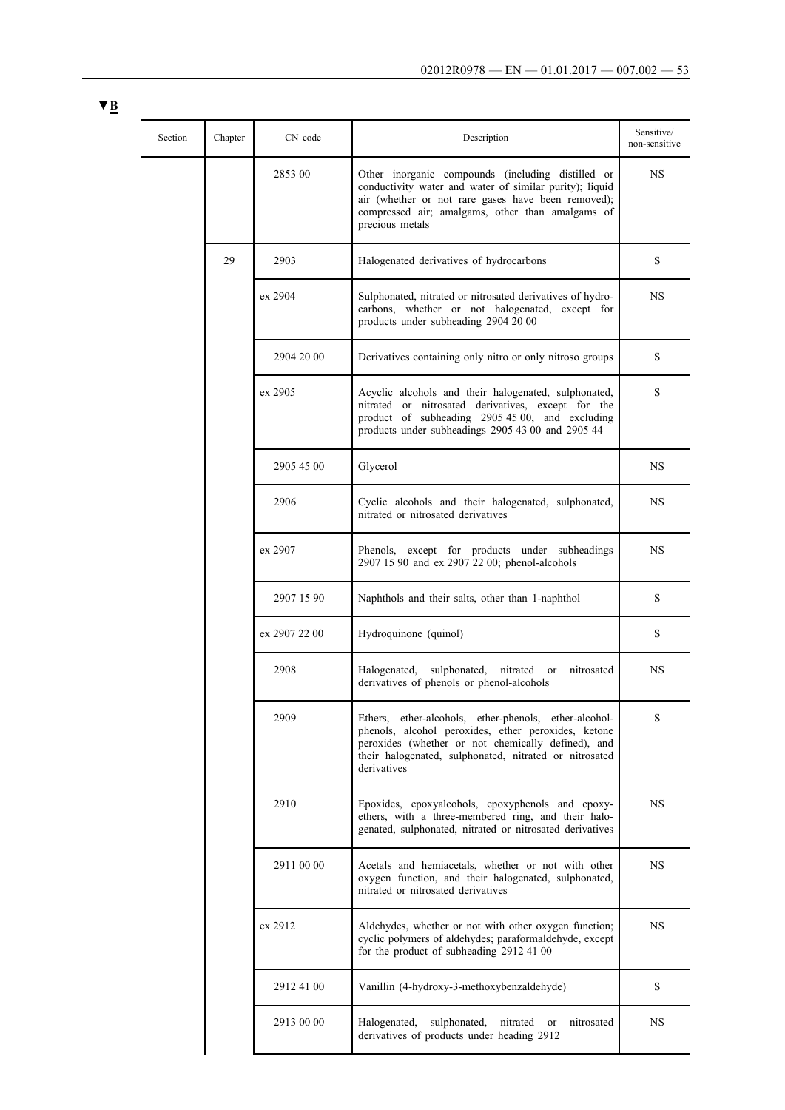| × |  |
|---|--|
|   |  |

| Section | Chapter | CN code       | Description                                                                                                                                                                                                                                 | Sensitive/<br>non-sensitive |
|---------|---------|---------------|---------------------------------------------------------------------------------------------------------------------------------------------------------------------------------------------------------------------------------------------|-----------------------------|
|         |         | 2853 00       | Other inorganic compounds (including distilled or<br>conductivity water and water of similar purity); liquid<br>air (whether or not rare gases have been removed);<br>compressed air; amalgams, other than amalgams of<br>precious metals   | NS                          |
|         | 29      | 2903          | Halogenated derivatives of hydrocarbons                                                                                                                                                                                                     | S                           |
|         |         | ex 2904       | Sulphonated, nitrated or nitrosated derivatives of hydro-<br>carbons, whether or not halogenated, except for<br>products under subheading 2904 20 00                                                                                        | NS.                         |
|         |         | 2904 20 00    | Derivatives containing only nitro or only nitroso groups                                                                                                                                                                                    | S                           |
|         |         | ex 2905       | Acyclic alcohols and their halogenated, sulphonated,<br>nitrated or nitrosated derivatives, except for the<br>product of subheading 2905 45 00, and excluding<br>products under subheadings 2905 43 00 and 2905 44                          | S                           |
|         |         | 2905 45 00    | Glycerol                                                                                                                                                                                                                                    | NS.                         |
|         |         | 2906          | Cyclic alcohols and their halogenated, sulphonated,<br>nitrated or nitrosated derivatives                                                                                                                                                   | NS.                         |
|         |         | ex 2907       | Phenols, except for products under subheadings<br>2907 15 90 and ex 2907 22 00; phenol-alcohols                                                                                                                                             | NS.                         |
|         |         | 2907 15 90    | Naphthols and their salts, other than 1-naphthol                                                                                                                                                                                            | S                           |
|         |         | ex 2907 22 00 | Hydroquinone (quinol)                                                                                                                                                                                                                       | S                           |
|         |         | 2908          | Halogenated,<br>sulphonated,<br>nitrated<br>nitrosated<br><b>or</b><br>derivatives of phenols or phenol-alcohols                                                                                                                            | NS                          |
|         |         | 2909          | Ethers, ether-alcohols, ether-phenols, ether-alcohol-<br>phenols, alcohol peroxides, ether peroxides, ketone<br>peroxides (whether or not chemically defined), and<br>their halogenated, sulphonated, nitrated or nitrosated<br>derivatives | S                           |
|         |         | 2910          | Epoxides, epoxyalcohols, epoxyphenols and epoxy-<br>ethers, with a three-membered ring, and their halo-<br>genated, sulphonated, nitrated or nitrosated derivatives                                                                         | <b>NS</b>                   |
|         |         | 2911 00 00    | Acetals and hemiacetals, whether or not with other<br>oxygen function, and their halogenated, sulphonated,<br>nitrated or nitrosated derivatives                                                                                            | NS                          |
|         |         | ex 2912       | Aldehydes, whether or not with other oxygen function;<br>cyclic polymers of aldehydes; paraformaldehyde, except<br>for the product of subheading 2912 41 00                                                                                 | NS.                         |
|         |         | 2912 41 00    | Vanillin (4-hydroxy-3-methoxybenzaldehyde)                                                                                                                                                                                                  | S                           |
|         |         | 2913 00 00    | sulphonated,<br>nitrosated<br>Halogenated,<br>nitrated<br>or<br>derivatives of products under heading 2912                                                                                                                                  | NS                          |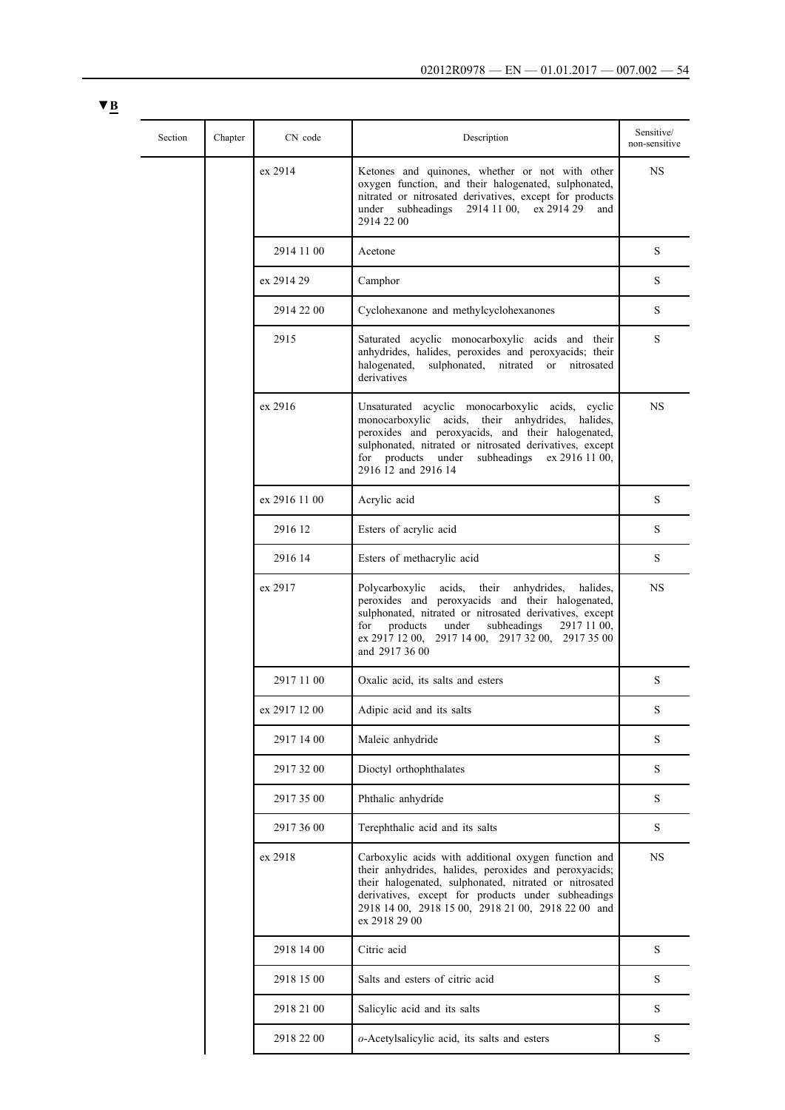| Section | Chapter | CN code       | Description                                                                                                                                                                                                                                                                                                  | Sensitive/<br>non-sensitive |
|---------|---------|---------------|--------------------------------------------------------------------------------------------------------------------------------------------------------------------------------------------------------------------------------------------------------------------------------------------------------------|-----------------------------|
|         |         | ex 2914       | Ketones and quinones, whether or not with other<br>oxygen function, and their halogenated, sulphonated,<br>nitrated or nitrosated derivatives, except for products<br>subheadings<br>2914 11 00,<br>ex 2914 29<br>under<br>and<br>2914 22 00                                                                 | <b>NS</b>                   |
|         |         | 2914 11 00    | Acetone                                                                                                                                                                                                                                                                                                      | S                           |
|         |         | ex 2914 29    | Camphor                                                                                                                                                                                                                                                                                                      | S                           |
|         |         | 2914 22 00    | Cyclohexanone and methylcyclohexanones                                                                                                                                                                                                                                                                       | S                           |
|         |         | 2915          | Saturated acyclic monocarboxylic acids and their<br>anhydrides, halides, peroxides and peroxyacids; their<br>sulphonated, nitrated or<br>halogenated,<br>nitrosated<br>derivatives                                                                                                                           | S                           |
|         |         | ex 2916       | Unsaturated acyclic monocarboxylic acids, cyclic<br>monocarboxylic acids,<br>their anhydrides,<br>halides.<br>peroxides and peroxyacids, and their halogenated,<br>sulphonated, nitrated or nitrosated derivatives, except<br>for products under<br>subheadings ex 2916 11 00,<br>2916 12 and 2916 14        | <b>NS</b>                   |
|         |         | ex 2916 11 00 | Acrylic acid                                                                                                                                                                                                                                                                                                 | S                           |
|         |         | 2916 12       | Esters of acrylic acid                                                                                                                                                                                                                                                                                       | S                           |
|         |         | 2916 14       | Esters of methacrylic acid                                                                                                                                                                                                                                                                                   | S                           |
|         |         | ex 2917       | Polycarboxylic<br>acids,<br>their<br>anhydrides,<br>halides,<br>peroxides and peroxyacids and their halogenated,<br>sulphonated, nitrated or nitrosated derivatives, except<br>for<br>products<br>under<br>subheadings<br>2917 11 00,<br>ex 2917 12 00, 2917 14 00, 2917 32 00, 2917 35 00<br>and 2917 36 00 | <b>NS</b>                   |
|         |         | 2917 11 00    | Oxalic acid, its salts and esters                                                                                                                                                                                                                                                                            | S                           |
|         |         | ex 2917 12 00 | Adipic acid and its salts                                                                                                                                                                                                                                                                                    | S                           |
|         |         | 2917 14 00    | Maleic anhydride                                                                                                                                                                                                                                                                                             | S                           |
|         |         | 2917 32 00    | Dioctyl orthophthalates                                                                                                                                                                                                                                                                                      | S                           |
|         |         | 2917 35 00    | Phthalic anhydride                                                                                                                                                                                                                                                                                           | S                           |
|         |         | 2917 36 00    | Terephthalic acid and its salts                                                                                                                                                                                                                                                                              | S                           |
|         |         | ex 2918       | Carboxylic acids with additional oxygen function and<br>their anhydrides, halides, peroxides and peroxyacids;<br>their halogenated, sulphonated, nitrated or nitrosated<br>derivatives, except for products under subheadings<br>2918 14 00, 2918 15 00, 2918 21 00, 2918 22 00 and<br>ex 2918 29 00         | $_{\rm NS}$                 |
|         |         | 2918 14 00    | Citric acid                                                                                                                                                                                                                                                                                                  | S                           |
|         |         | 2918 15 00    | Salts and esters of citric acid                                                                                                                                                                                                                                                                              | S                           |
|         |         | 2918 21 00    | Salicylic acid and its salts                                                                                                                                                                                                                                                                                 | S                           |
|         |         | 2918 22 00    | o-Acetylsalicylic acid, its salts and esters                                                                                                                                                                                                                                                                 | S                           |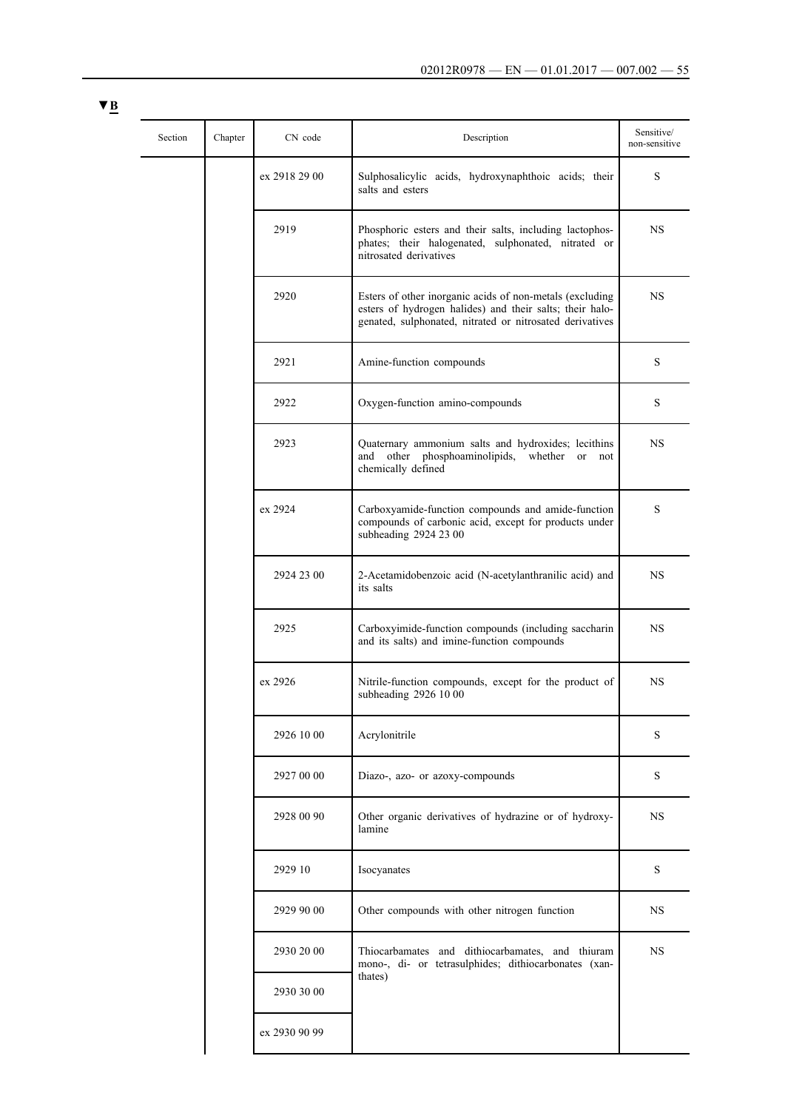| Section | Chapter | CN code       | Description                                                                                                                                                                      | Sensitive/<br>non-sensitive |
|---------|---------|---------------|----------------------------------------------------------------------------------------------------------------------------------------------------------------------------------|-----------------------------|
|         |         | ex 2918 29 00 | Sulphosalicylic acids, hydroxynaphthoic acids; their<br>salts and esters                                                                                                         | S                           |
|         |         | 2919          | Phosphoric esters and their salts, including lactophos-<br>phates; their halogenated, sulphonated, nitrated or<br>nitrosated derivatives                                         | NS.                         |
|         |         | 2920          | Esters of other inorganic acids of non-metals (excluding<br>esters of hydrogen halides) and their salts; their halo-<br>genated, sulphonated, nitrated or nitrosated derivatives | NS.                         |
|         |         | 2921          | Amine-function compounds                                                                                                                                                         | S                           |
|         |         | 2922          | Oxygen-function amino-compounds                                                                                                                                                  | S                           |
|         |         | 2923          | Quaternary ammonium salts and hydroxides; lecithins<br>and other phosphoaminolipids, whether or<br>not<br>chemically defined                                                     | NS                          |
|         |         | ex 2924       | Carboxyamide-function compounds and amide-function<br>compounds of carbonic acid, except for products under<br>subheading 2924 23 00                                             | S                           |
|         |         | 2924 23 00    | 2-Acetamidobenzoic acid (N-acetylanthranilic acid) and<br>its salts                                                                                                              | NS.                         |
|         |         | 2925          | Carboxyimide-function compounds (including saccharin<br>and its salts) and imine-function compounds                                                                              | NS.                         |
|         |         | ex 2926       | Nitrile-function compounds, except for the product of<br>subheading 2926 10 00                                                                                                   | <b>NS</b>                   |
|         |         | 2926 10 00    | Acrylonitrile                                                                                                                                                                    | S                           |
|         |         | 2927 00 00    | Diazo-, azo- or azoxy-compounds                                                                                                                                                  | S                           |
|         |         | 2928 00 90    | Other organic derivatives of hydrazine or of hydroxy-<br>lamine                                                                                                                  | <b>NS</b>                   |
|         |         | 2929 10       | Isocyanates                                                                                                                                                                      | ${\bf S}$                   |
|         |         | 2929 90 00    | Other compounds with other nitrogen function                                                                                                                                     | NS                          |
|         |         | 2930 20 00    | Thiocarbamates and dithiocarbamates, and thiuram<br>mono-, di- or tetrasulphides; dithiocarbonates (xan-                                                                         | <b>NS</b>                   |
|         |         | 2930 30 00    | thates)                                                                                                                                                                          |                             |
|         |         | ex 2930 90 99 |                                                                                                                                                                                  |                             |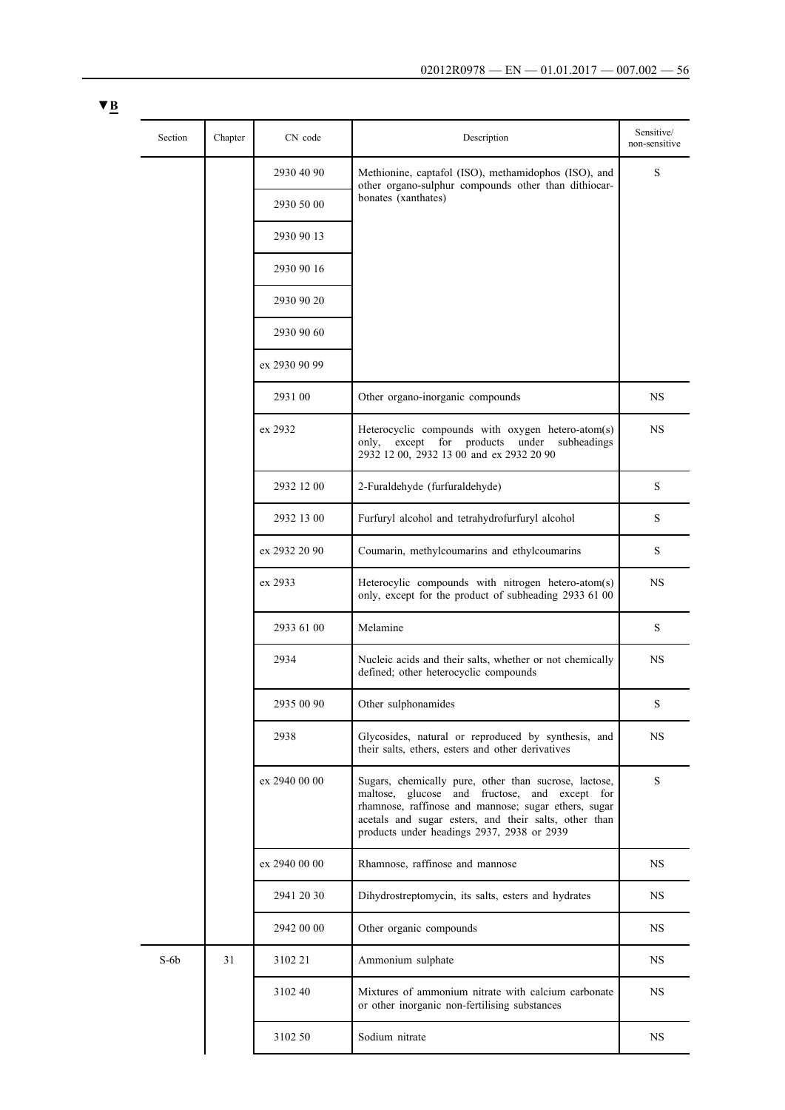| Section | Chapter | CN code       | Description                                                                                                                                                                                                                                                           | Sensitive/<br>non-sensitive |
|---------|---------|---------------|-----------------------------------------------------------------------------------------------------------------------------------------------------------------------------------------------------------------------------------------------------------------------|-----------------------------|
|         |         | 2930 40 90    | Methionine, captafol (ISO), methamidophos (ISO), and<br>other organo-sulphur compounds other than dithiocar-                                                                                                                                                          | S                           |
|         |         | 2930 50 00    | bonates (xanthates)                                                                                                                                                                                                                                                   |                             |
|         |         | 2930 90 13    |                                                                                                                                                                                                                                                                       |                             |
|         |         | 2930 90 16    |                                                                                                                                                                                                                                                                       |                             |
|         |         | 2930 90 20    |                                                                                                                                                                                                                                                                       |                             |
|         |         | 2930 90 60    |                                                                                                                                                                                                                                                                       |                             |
|         |         | ex 2930 90 99 |                                                                                                                                                                                                                                                                       |                             |
|         |         | 2931 00       | Other organo-inorganic compounds                                                                                                                                                                                                                                      | <b>NS</b>                   |
|         |         | ex 2932       | Heterocyclic compounds with oxygen hetero-atom(s)<br>except for products<br>under<br>subheadings<br>only,<br>2932 12 00, 2932 13 00 and ex 2932 20 90                                                                                                                 | NS                          |
|         |         | 2932 12 00    | 2-Furaldehyde (furfuraldehyde)                                                                                                                                                                                                                                        | S                           |
|         |         | 2932 13 00    | Furfuryl alcohol and tetrahydrofurfuryl alcohol                                                                                                                                                                                                                       | S                           |
|         |         | ex 2932 20 90 | Coumarin, methylcoumarins and ethylcoumarins                                                                                                                                                                                                                          | S                           |
|         |         | ex 2933       | Heterocylic compounds with nitrogen hetero-atom(s)<br>only, except for the product of subheading 2933 61 00                                                                                                                                                           | <b>NS</b>                   |
|         |         | 2933 61 00    | Melamine                                                                                                                                                                                                                                                              | S                           |
|         |         | 2934          | Nucleic acids and their salts, whether or not chemically<br>defined; other heterocyclic compounds                                                                                                                                                                     | NS                          |
|         |         | 2935 00 90    | Other sulphonamides                                                                                                                                                                                                                                                   | S                           |
|         |         | 2938          | Glycosides, natural or reproduced by synthesis, and<br>their salts, ethers, esters and other derivatives                                                                                                                                                              | <b>NS</b>                   |
|         |         | ex 2940 00 00 | Sugars, chemically pure, other than sucrose, lactose,<br>maltose, glucose and fructose, and except for<br>rhamnose, raffinose and mannose; sugar ethers, sugar<br>acetals and sugar esters, and their salts, other than<br>products under headings 2937, 2938 or 2939 | S                           |
|         |         | ex 2940 00 00 | Rhamnose, raffinose and mannose                                                                                                                                                                                                                                       | NS.                         |
|         |         | 2941 20 30    | Dihydrostreptomycin, its salts, esters and hydrates                                                                                                                                                                                                                   | NS.                         |
|         |         | 2942 00 00    | Other organic compounds                                                                                                                                                                                                                                               | <b>NS</b>                   |
| $S-6b$  | 31      | 3102 21       | Ammonium sulphate                                                                                                                                                                                                                                                     | <b>NS</b>                   |
|         |         | 3102 40       | Mixtures of ammonium nitrate with calcium carbonate<br>or other inorganic non-fertilising substances                                                                                                                                                                  | <b>NS</b>                   |
|         |         | 3102 50       | Sodium nitrate                                                                                                                                                                                                                                                        | <b>NS</b>                   |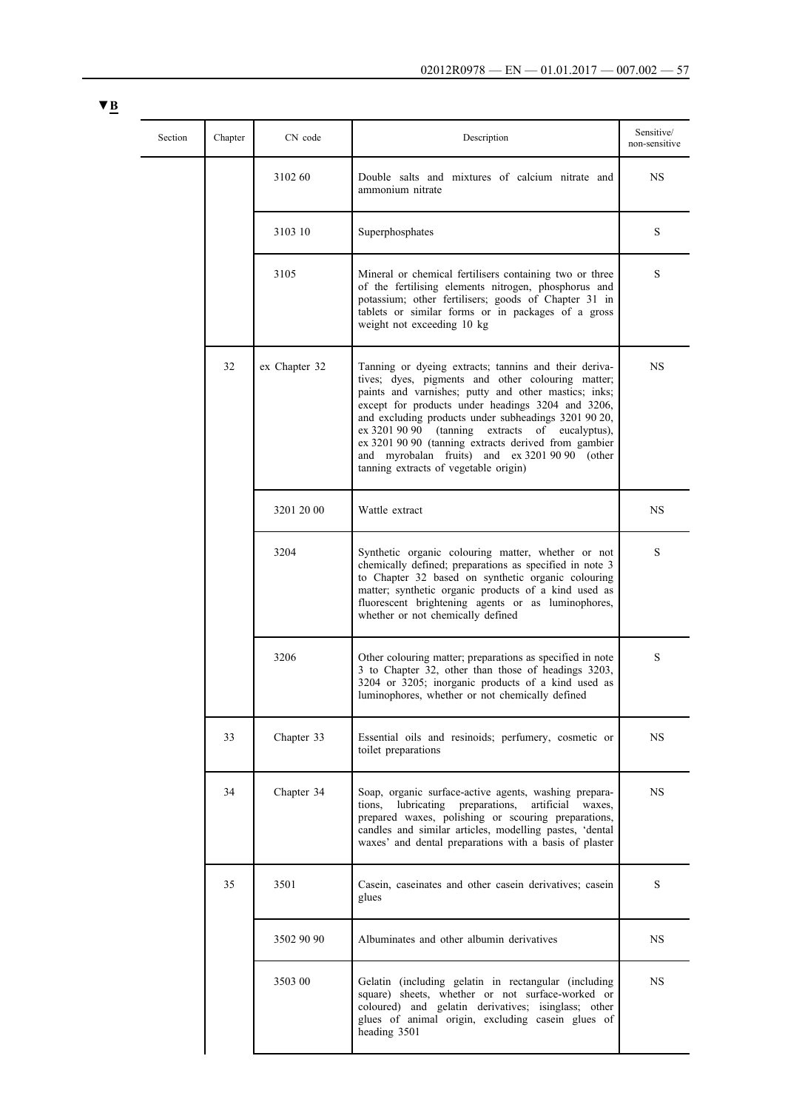| $\blacktriangledown$ B |         |               |                                                                                                                                                                                                                                                                                                                                                                                                                                                                                       |                             |
|------------------------|---------|---------------|---------------------------------------------------------------------------------------------------------------------------------------------------------------------------------------------------------------------------------------------------------------------------------------------------------------------------------------------------------------------------------------------------------------------------------------------------------------------------------------|-----------------------------|
| Section                | Chapter | CN code       | Description                                                                                                                                                                                                                                                                                                                                                                                                                                                                           | Sensitive/<br>non-sensitive |
|                        |         | 3102 60       | Double salts and mixtures of calcium nitrate and<br>ammonium nitrate                                                                                                                                                                                                                                                                                                                                                                                                                  | NS                          |
|                        |         | 3103 10       | Superphosphates                                                                                                                                                                                                                                                                                                                                                                                                                                                                       | S                           |
|                        |         | 3105          | Mineral or chemical fertilisers containing two or three<br>of the fertilising elements nitrogen, phosphorus and<br>potassium; other fertilisers; goods of Chapter 31 in<br>tablets or similar forms or in packages of a gross<br>weight not exceeding 10 kg                                                                                                                                                                                                                           | S                           |
|                        | 32      | ex Chapter 32 | Tanning or dyeing extracts; tannins and their deriva-<br>tives; dyes, pigments and other colouring matter;<br>paints and varnishes; putty and other mastics; inks;<br>except for products under headings 3204 and 3206,<br>and excluding products under subheadings 3201 90 20,<br>ex 3201 90 90 (tanning extracts of eucalyptus),<br>ex 3201 90 90 (tanning extracts derived from gambier<br>and myrobalan fruits) and ex 3201 90 90 (other<br>tanning extracts of vegetable origin) | <b>NS</b>                   |
|                        |         | 3201 20 00    | Wattle extract                                                                                                                                                                                                                                                                                                                                                                                                                                                                        | <b>NS</b>                   |
|                        |         | 3204          | Synthetic organic colouring matter, whether or not<br>chemically defined; preparations as specified in note 3<br>to Chapter 32 based on synthetic organic colouring<br>matter; synthetic organic products of a kind used as<br>fluorescent brightening agents or as luminophores,<br>whether or not chemically defined                                                                                                                                                                | S                           |
|                        |         | 3206          | Other colouring matter; preparations as specified in note<br>3 to Chapter 32, other than those of headings 3203,<br>3204 or 3205; inorganic products of a kind used as<br>luminophores, whether or not chemically defined                                                                                                                                                                                                                                                             | S                           |
|                        | 33      | Chapter 33    | Essential oils and resinoids; perfumery, cosmetic or<br>toilet preparations                                                                                                                                                                                                                                                                                                                                                                                                           | <b>NS</b>                   |
|                        | 34      | Chapter 34    | Soap, organic surface-active agents, washing prepara-<br>lubricating<br>preparations,<br>artificial waxes,<br>tions.<br>prepared waxes, polishing or scouring preparations,<br>candles and similar articles, modelling pastes, 'dental<br>waxes' and dental preparations with a basis of plaster                                                                                                                                                                                      | <b>NS</b>                   |
|                        | 35      | 3501          | Casein, caseinates and other casein derivatives; casein<br>glues                                                                                                                                                                                                                                                                                                                                                                                                                      | S                           |
|                        |         | 3502 90 90    | Albuminates and other albumin derivatives                                                                                                                                                                                                                                                                                                                                                                                                                                             | NS.                         |
|                        |         | 3503 00       | Gelatin (including gelatin in rectangular (including<br>square) sheets, whether or not surface-worked or<br>coloured) and gelatin derivatives; isinglass; other<br>glues of animal origin, excluding casein glues of<br>heading 3501                                                                                                                                                                                                                                                  | NS.                         |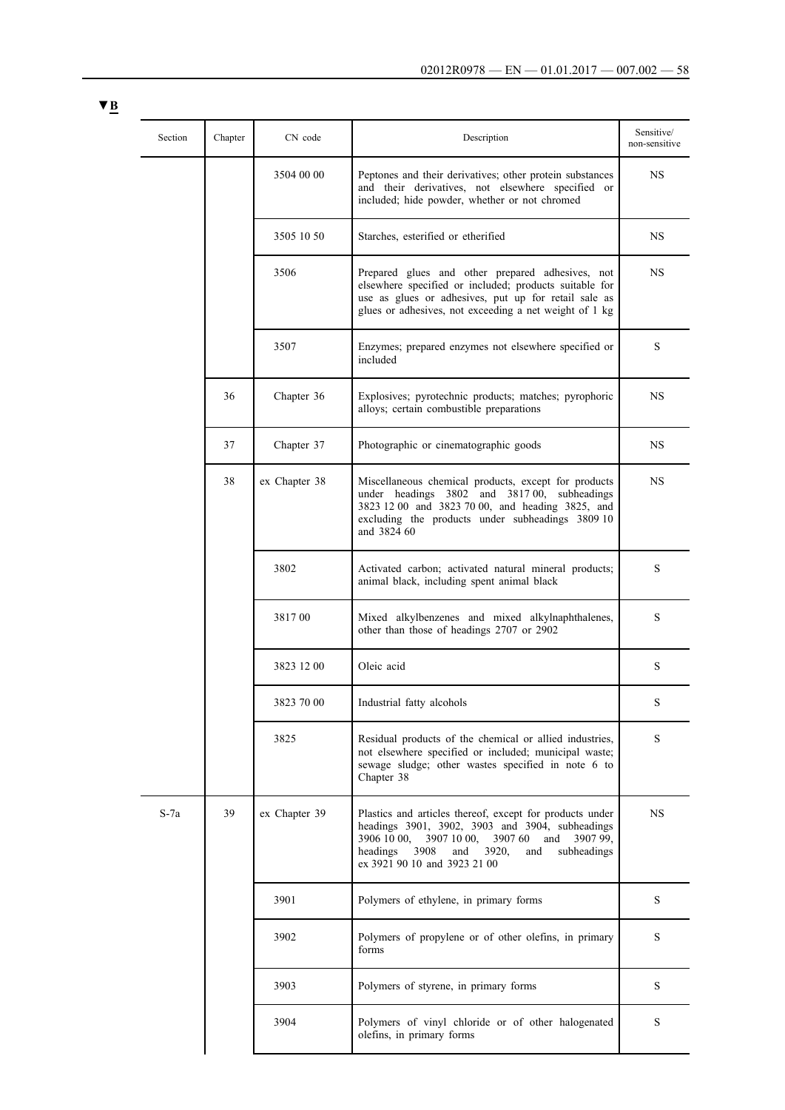|  | Section | Chapter | CN code       | Description                                                                                                                                                                                                                                                       | Sensitive/<br>non-sensitive |  |        |                                                                                               |   |
|--|---------|---------|---------------|-------------------------------------------------------------------------------------------------------------------------------------------------------------------------------------------------------------------------------------------------------------------|-----------------------------|--|--------|-----------------------------------------------------------------------------------------------|---|
|  |         |         | 3504 00 00    | Peptones and their derivatives; other protein substances<br>and their derivatives, not elsewhere specified or<br>included; hide powder, whether or not chromed                                                                                                    | NS                          |  |        |                                                                                               |   |
|  |         |         | 3505 10 50    | Starches, esterified or etherified                                                                                                                                                                                                                                | NS                          |  |        |                                                                                               |   |
|  |         |         | 3506          | Prepared glues and other prepared adhesives, not<br>elsewhere specified or included; products suitable for<br>use as glues or adhesives, put up for retail sale as<br>glues or adhesives, not exceeding a net weight of 1 kg                                      | NS                          |  |        |                                                                                               |   |
|  |         |         | 3507          | Enzymes; prepared enzymes not elsewhere specified or<br>included                                                                                                                                                                                                  | S                           |  |        |                                                                                               |   |
|  |         | 36      | Chapter 36    | Explosives; pyrotechnic products; matches; pyrophoric<br>alloys; certain combustible preparations                                                                                                                                                                 | NS                          |  |        |                                                                                               |   |
|  |         | 37      | Chapter 37    | Photographic or cinematographic goods                                                                                                                                                                                                                             | NS                          |  |        |                                                                                               |   |
|  |         | 38      | ex Chapter 38 | Miscellaneous chemical products, except for products<br>under headings 3802 and 381700, subheadings<br>3823 12 00 and 3823 70 00, and heading 3825, and<br>excluding the products under subheadings 3809 10<br>and 3824 60                                        | NS                          |  |        |                                                                                               |   |
|  |         |         | 3802          | Activated carbon; activated natural mineral products;<br>animal black, including spent animal black                                                                                                                                                               | S                           |  |        |                                                                                               |   |
|  |         |         |               |                                                                                                                                                                                                                                                                   |                             |  | 381700 | Mixed alkylbenzenes and mixed alkylnaphthalenes,<br>other than those of headings 2707 or 2902 | S |
|  |         |         | 3823 12 00    | Oleic acid                                                                                                                                                                                                                                                        | S                           |  |        |                                                                                               |   |
|  |         |         | 3823 70 00    | Industrial fatty alcohols                                                                                                                                                                                                                                         | S                           |  |        |                                                                                               |   |
|  |         |         | 3825          | Residual products of the chemical or allied industries,<br>not elsewhere specified or included; municipal waste;<br>sewage sludge; other wastes specified in note 6 to<br>Chapter 38                                                                              | S                           |  |        |                                                                                               |   |
|  | $S-7a$  | 39      | ex Chapter 39 | Plastics and articles thereof, except for products under<br>headings 3901, 3902, 3903 and 3904, subheadings<br>3907 10 00,<br>3907 60<br>3906 10 00.<br>and<br>3907 99.<br>headings<br>3908<br>subheadings<br>and<br>3920,<br>and<br>ex 3921 90 10 and 3923 21 00 | <b>NS</b>                   |  |        |                                                                                               |   |
|  |         |         | 3901          | Polymers of ethylene, in primary forms                                                                                                                                                                                                                            | S                           |  |        |                                                                                               |   |
|  |         |         | 3902          | Polymers of propylene or of other olefins, in primary<br>forms                                                                                                                                                                                                    | S                           |  |        |                                                                                               |   |
|  |         |         | 3903          | Polymers of styrene, in primary forms                                                                                                                                                                                                                             | S                           |  |        |                                                                                               |   |
|  |         |         | 3904          | Polymers of vinyl chloride or of other halogenated<br>olefins, in primary forms                                                                                                                                                                                   | S                           |  |        |                                                                                               |   |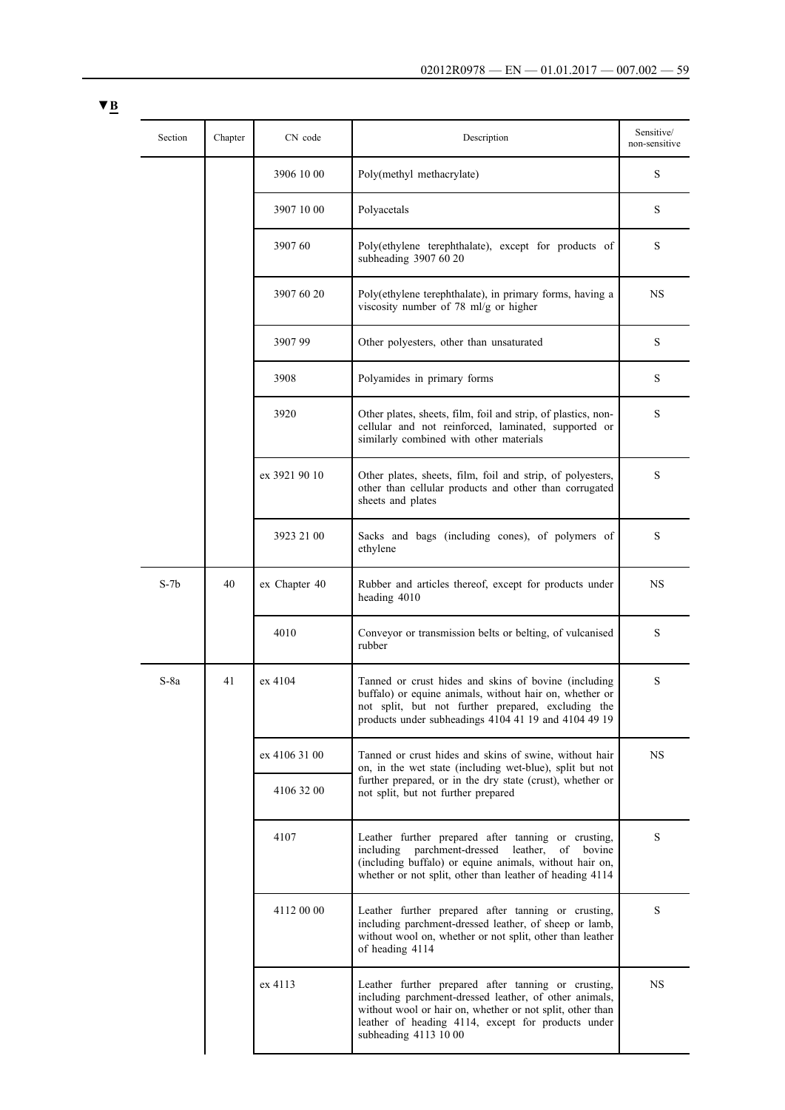| Section | Chapter | CN code       | Description                                                                                                                                                                                                                                               | Sensitive/<br>non-sensitive |                                                                                                                                                                                               |   |  |  |  |  |  |  |      |                                                                                                                                                                                                                                    |   |
|---------|---------|---------------|-----------------------------------------------------------------------------------------------------------------------------------------------------------------------------------------------------------------------------------------------------------|-----------------------------|-----------------------------------------------------------------------------------------------------------------------------------------------------------------------------------------------|---|--|--|--|--|--|--|------|------------------------------------------------------------------------------------------------------------------------------------------------------------------------------------------------------------------------------------|---|
|         |         | 3906 10 00    | Poly(methyl methacrylate)                                                                                                                                                                                                                                 | S                           |                                                                                                                                                                                               |   |  |  |  |  |  |  |      |                                                                                                                                                                                                                                    |   |
|         |         | 3907 10 00    | Polyacetals                                                                                                                                                                                                                                               | S                           |                                                                                                                                                                                               |   |  |  |  |  |  |  |      |                                                                                                                                                                                                                                    |   |
|         |         | 3907 60       | Poly(ethylene terephthalate), except for products of<br>subheading 3907 60 20                                                                                                                                                                             | S                           |                                                                                                                                                                                               |   |  |  |  |  |  |  |      |                                                                                                                                                                                                                                    |   |
|         |         | 3907 60 20    | Poly(ethylene terephthalate), in primary forms, having a<br>viscosity number of 78 ml/g or higher                                                                                                                                                         | NS                          |                                                                                                                                                                                               |   |  |  |  |  |  |  |      |                                                                                                                                                                                                                                    |   |
|         |         | 390799        | Other polyesters, other than unsaturated                                                                                                                                                                                                                  | S                           |                                                                                                                                                                                               |   |  |  |  |  |  |  |      |                                                                                                                                                                                                                                    |   |
|         |         | 3908          | Polyamides in primary forms                                                                                                                                                                                                                               | S                           |                                                                                                                                                                                               |   |  |  |  |  |  |  |      |                                                                                                                                                                                                                                    |   |
|         |         | 3920          | Other plates, sheets, film, foil and strip, of plastics, non-<br>cellular and not reinforced, laminated, supported or<br>similarly combined with other materials                                                                                          | S                           |                                                                                                                                                                                               |   |  |  |  |  |  |  |      |                                                                                                                                                                                                                                    |   |
|         |         | ex 3921 90 10 | Other plates, sheets, film, foil and strip, of polyesters,<br>other than cellular products and other than corrugated<br>sheets and plates                                                                                                                 | S                           |                                                                                                                                                                                               |   |  |  |  |  |  |  |      |                                                                                                                                                                                                                                    |   |
|         |         | 3923 21 00    | Sacks and bags (including cones), of polymers of<br>ethylene                                                                                                                                                                                              | S                           |                                                                                                                                                                                               |   |  |  |  |  |  |  |      |                                                                                                                                                                                                                                    |   |
| $S-7b$  | 40      | ex Chapter 40 | Rubber and articles thereof, except for products under<br>heading 4010                                                                                                                                                                                    | <b>NS</b>                   |                                                                                                                                                                                               |   |  |  |  |  |  |  |      |                                                                                                                                                                                                                                    |   |
|         |         | 4010          | Conveyor or transmission belts or belting, of vulcanised<br>rubber                                                                                                                                                                                        | S                           |                                                                                                                                                                                               |   |  |  |  |  |  |  |      |                                                                                                                                                                                                                                    |   |
| $S-8a$  | 41      | ex 4104       | Tanned or crust hides and skins of bovine (including<br>buffalo) or equine animals, without hair on, whether or<br>not split, but not further prepared, excluding the<br>products under subheadings 4104 41 19 and 4104 49 19                             | S                           |                                                                                                                                                                                               |   |  |  |  |  |  |  |      |                                                                                                                                                                                                                                    |   |
|         |         | ex 4106 31 00 | Tanned or crust hides and skins of swine, without hair<br>on, in the wet state (including wet-blue), split but not                                                                                                                                        | <b>NS</b>                   |                                                                                                                                                                                               |   |  |  |  |  |  |  |      |                                                                                                                                                                                                                                    |   |
|         |         | 4106 32 00    | further prepared, or in the dry state (crust), whether or<br>not split, but not further prepared                                                                                                                                                          |                             |                                                                                                                                                                                               |   |  |  |  |  |  |  |      |                                                                                                                                                                                                                                    |   |
|         |         |               |                                                                                                                                                                                                                                                           |                             |                                                                                                                                                                                               |   |  |  |  |  |  |  | 4107 | Leather further prepared after tanning or crusting,<br>parchment-dressed leather,<br>including<br>of bovine<br>(including buffalo) or equine animals, without hair on,<br>whether or not split, other than leather of heading 4114 | S |
|         |         |               |                                                                                                                                                                                                                                                           | 4112 00 00                  | Leather further prepared after tanning or crusting,<br>including parchment-dressed leather, of sheep or lamb,<br>without wool on, whether or not split, other than leather<br>of heading 4114 | S |  |  |  |  |  |  |      |                                                                                                                                                                                                                                    |   |
|         |         | ex 4113       | Leather further prepared after tanning or crusting,<br>including parchment-dressed leather, of other animals,<br>without wool or hair on, whether or not split, other than<br>leather of heading 4114, except for products under<br>subheading 4113 10 00 | NS                          |                                                                                                                                                                                               |   |  |  |  |  |  |  |      |                                                                                                                                                                                                                                    |   |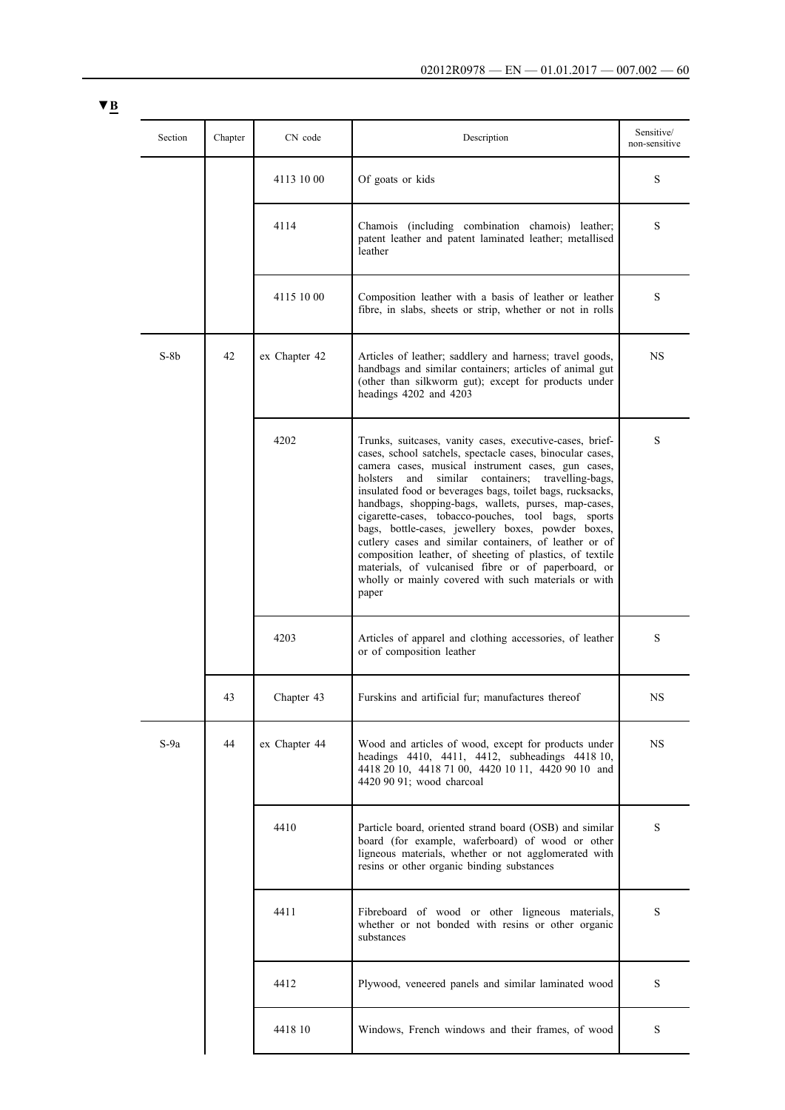| Section | Chapter | CN code       | Description                                                                                                                                                                                                                                                                                                                                                                                                                                                                                                                                                                                                                                                                                                               | Sensitive/<br>non-sensitive |
|---------|---------|---------------|---------------------------------------------------------------------------------------------------------------------------------------------------------------------------------------------------------------------------------------------------------------------------------------------------------------------------------------------------------------------------------------------------------------------------------------------------------------------------------------------------------------------------------------------------------------------------------------------------------------------------------------------------------------------------------------------------------------------------|-----------------------------|
|         |         | 4113 10 00    | Of goats or kids                                                                                                                                                                                                                                                                                                                                                                                                                                                                                                                                                                                                                                                                                                          | S                           |
|         |         | 4114          | Chamois (including combination chamois) leather;<br>patent leather and patent laminated leather; metallised<br>leather                                                                                                                                                                                                                                                                                                                                                                                                                                                                                                                                                                                                    | S                           |
|         |         | 4115 10 00    | Composition leather with a basis of leather or leather<br>fibre, in slabs, sheets or strip, whether or not in rolls                                                                                                                                                                                                                                                                                                                                                                                                                                                                                                                                                                                                       | S                           |
| $S-8b$  | 42      | ex Chapter 42 | Articles of leather; saddlery and harness; travel goods,<br>handbags and similar containers; articles of animal gut<br>(other than silkworm gut); except for products under<br>headings 4202 and 4203                                                                                                                                                                                                                                                                                                                                                                                                                                                                                                                     | NS                          |
|         |         | 4202          | Trunks, suitcases, vanity cases, executive-cases, brief-<br>cases, school satchels, spectacle cases, binocular cases,<br>camera cases, musical instrument cases, gun cases,<br>holsters<br>and<br>similar<br>containers; travelling-bags,<br>insulated food or beverages bags, toilet bags, rucksacks,<br>handbags, shopping-bags, wallets, purses, map-cases,<br>cigarette-cases, tobacco-pouches, tool bags, sports<br>bags, bottle-cases, jewellery boxes, powder boxes,<br>cutlery cases and similar containers, of leather or of<br>composition leather, of sheeting of plastics, of textile<br>materials, of vulcanised fibre or of paperboard, or<br>wholly or mainly covered with such materials or with<br>paper | S                           |
|         |         | 4203          | Articles of apparel and clothing accessories, of leather<br>or of composition leather                                                                                                                                                                                                                                                                                                                                                                                                                                                                                                                                                                                                                                     | S                           |
|         | 43      | Chapter 43    | Furskins and artificial fur; manufactures thereof                                                                                                                                                                                                                                                                                                                                                                                                                                                                                                                                                                                                                                                                         | NS                          |
| $S-9a$  | 44      | ex Chapter 44 | Wood and articles of wood, except for products under<br>headings 4410, 4411, 4412, subheadings 4418 10,<br>4418 20 10, 4418 71 00, 4420 10 11, 4420 90 10 and<br>4420 90 91; wood charcoal                                                                                                                                                                                                                                                                                                                                                                                                                                                                                                                                | <b>NS</b>                   |
|         |         | 4410          | Particle board, oriented strand board (OSB) and similar<br>board (for example, waferboard) of wood or other<br>ligneous materials, whether or not agglomerated with<br>resins or other organic binding substances                                                                                                                                                                                                                                                                                                                                                                                                                                                                                                         | S                           |
|         |         | 4411          | Fibreboard of wood or other ligneous materials,<br>whether or not bonded with resins or other organic<br>substances                                                                                                                                                                                                                                                                                                                                                                                                                                                                                                                                                                                                       | S                           |
|         |         | 4412          | Plywood, veneered panels and similar laminated wood                                                                                                                                                                                                                                                                                                                                                                                                                                                                                                                                                                                                                                                                       | S                           |
|         |         | 4418 10       | Windows, French windows and their frames, of wood                                                                                                                                                                                                                                                                                                                                                                                                                                                                                                                                                                                                                                                                         | S                           |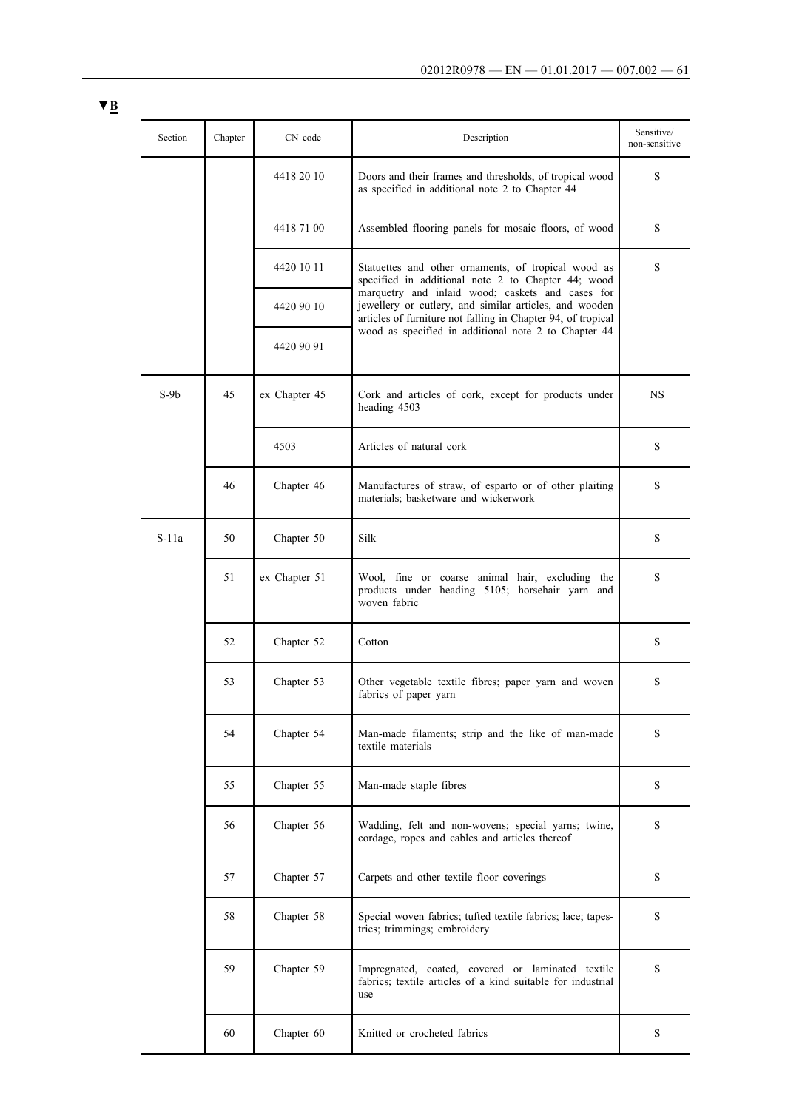| Section | Chapter | CN code       | Description                                                                                                                                                                | Sensitive/<br>non-sensitive |
|---------|---------|---------------|----------------------------------------------------------------------------------------------------------------------------------------------------------------------------|-----------------------------|
|         |         | 4418 20 10    | Doors and their frames and thresholds, of tropical wood<br>as specified in additional note 2 to Chapter 44                                                                 | S                           |
|         |         | 4418 71 00    | Assembled flooring panels for mosaic floors, of wood                                                                                                                       | S                           |
|         |         | 4420 10 11    | Statuettes and other ornaments, of tropical wood as<br>specified in additional note 2 to Chapter 44; wood                                                                  | S                           |
|         |         | 4420 90 10    | marquetry and inlaid wood; caskets and cases for<br>jewellery or cutlery, and similar articles, and wooden<br>articles of furniture not falling in Chapter 94, of tropical |                             |
|         |         | 4420 90 91    | wood as specified in additional note 2 to Chapter 44                                                                                                                       |                             |
| $S-9b$  | 45      | ex Chapter 45 | Cork and articles of cork, except for products under<br>heading 4503                                                                                                       | <b>NS</b>                   |
|         |         | 4503          | Articles of natural cork                                                                                                                                                   | S                           |
|         | 46      | Chapter 46    | Manufactures of straw, of esparto or of other plaiting<br>materials; basketware and wickerwork                                                                             | S                           |
| $S-11a$ | 50      | Chapter 50    | Silk                                                                                                                                                                       | S                           |
|         | 51      | ex Chapter 51 | Wool, fine or coarse animal hair, excluding the<br>products under heading 5105; horsehair yarn and<br>woven fabric                                                         | S                           |
|         | 52      | Chapter 52    | Cotton                                                                                                                                                                     | S                           |
|         | 53      | Chapter 53    | Other vegetable textile fibres; paper yarn and woven<br>fabrics of paper yarn                                                                                              | S                           |
|         | 54      | Chapter 54    | Man-made filaments; strip and the like of man-made<br>textile materials                                                                                                    | S                           |
|         | 55      | Chapter 55    | Man-made staple fibres                                                                                                                                                     | S                           |
|         | 56      | Chapter 56    | Wadding, felt and non-wovens; special yarns; twine,<br>cordage, ropes and cables and articles thereof                                                                      | S                           |
|         | 57      | Chapter 57    | Carpets and other textile floor coverings                                                                                                                                  | S                           |
|         | 58      | Chapter 58    | Special woven fabrics; tufted textile fabrics; lace; tapes-<br>tries; trimmings; embroidery                                                                                | S                           |
|         | 59      | Chapter 59    | Impregnated, coated, covered or laminated textile<br>fabrics; textile articles of a kind suitable for industrial<br>use                                                    | S                           |
|         | 60      | Chapter 60    | Knitted or crocheted fabrics                                                                                                                                               | S                           |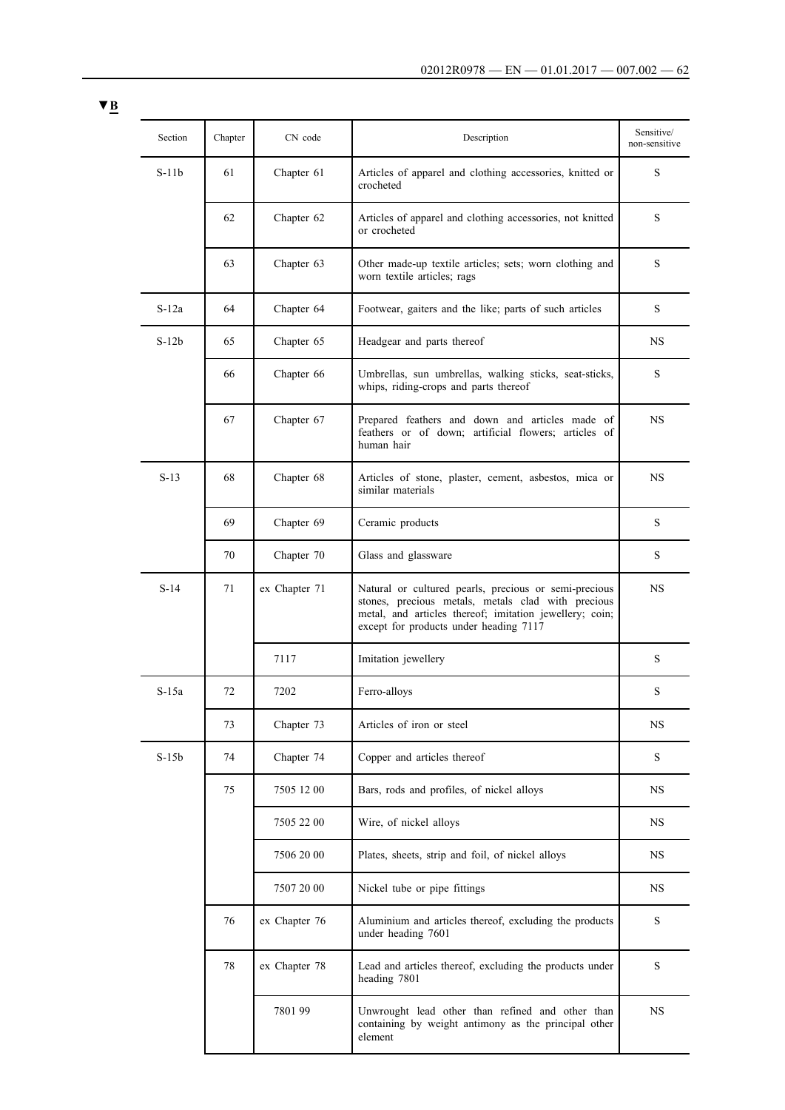| Section | Chapter | CN code       | Description                                                                                                                                                                                                      | Sensitive/<br>non-sensitive |
|---------|---------|---------------|------------------------------------------------------------------------------------------------------------------------------------------------------------------------------------------------------------------|-----------------------------|
| $S-11b$ | 61      | Chapter 61    | Articles of apparel and clothing accessories, knitted or<br>crocheted                                                                                                                                            | S                           |
|         | 62      | Chapter 62    | Articles of apparel and clothing accessories, not knitted<br>or crocheted                                                                                                                                        | S                           |
|         | 63      | Chapter 63    | Other made-up textile articles; sets; worn clothing and<br>worn textile articles; rags                                                                                                                           | S                           |
| $S-12a$ | 64      | Chapter 64    | Footwear, gaiters and the like; parts of such articles                                                                                                                                                           | S                           |
| $S-12b$ | 65      | Chapter 65    | Headgear and parts thereof                                                                                                                                                                                       | NS                          |
|         | 66      | Chapter 66    | Umbrellas, sun umbrellas, walking sticks, seat-sticks,<br>whips, riding-crops and parts thereof                                                                                                                  | S                           |
|         | 67      | Chapter 67    | Prepared feathers and down and articles made of<br>feathers or of down; artificial flowers; articles of<br>human hair                                                                                            | <b>NS</b>                   |
| $S-13$  | 68      | Chapter 68    | Articles of stone, plaster, cement, asbestos, mica or<br>similar materials                                                                                                                                       | NS                          |
|         | 69      | Chapter 69    | Ceramic products                                                                                                                                                                                                 | S                           |
|         | 70      | Chapter 70    | Glass and glassware                                                                                                                                                                                              | S                           |
| $S-14$  | 71      | ex Chapter 71 | Natural or cultured pearls, precious or semi-precious<br>stones, precious metals, metals clad with precious<br>metal, and articles thereof; imitation jewellery; coin;<br>except for products under heading 7117 | NS                          |
|         |         | 7117          | Imitation jewellery                                                                                                                                                                                              | S                           |
| $S-15a$ | 72      | 7202          | Ferro-alloys                                                                                                                                                                                                     | S                           |
|         | 73      | Chapter 73    | Articles of iron or steel                                                                                                                                                                                        | NS                          |
| $S-15b$ | 74      | Chapter 74    | Copper and articles thereof                                                                                                                                                                                      | S                           |
|         | 75      | 7505 12 00    | Bars, rods and profiles, of nickel alloys                                                                                                                                                                        | <b>NS</b>                   |
|         |         | 7505 22 00    | Wire, of nickel alloys                                                                                                                                                                                           | NS                          |
|         |         | 7506 20 00    | Plates, sheets, strip and foil, of nickel alloys                                                                                                                                                                 | NS                          |
|         |         | 7507 20 00    | Nickel tube or pipe fittings                                                                                                                                                                                     | NS                          |
|         | 76      | ex Chapter 76 | Aluminium and articles thereof, excluding the products<br>under heading 7601                                                                                                                                     | S                           |
|         | 78      | ex Chapter 78 | Lead and articles thereof, excluding the products under<br>heading 7801                                                                                                                                          | S                           |
|         |         | 7801 99       | Unwrought lead other than refined and other than<br>containing by weight antimony as the principal other<br>element                                                                                              | <b>NS</b>                   |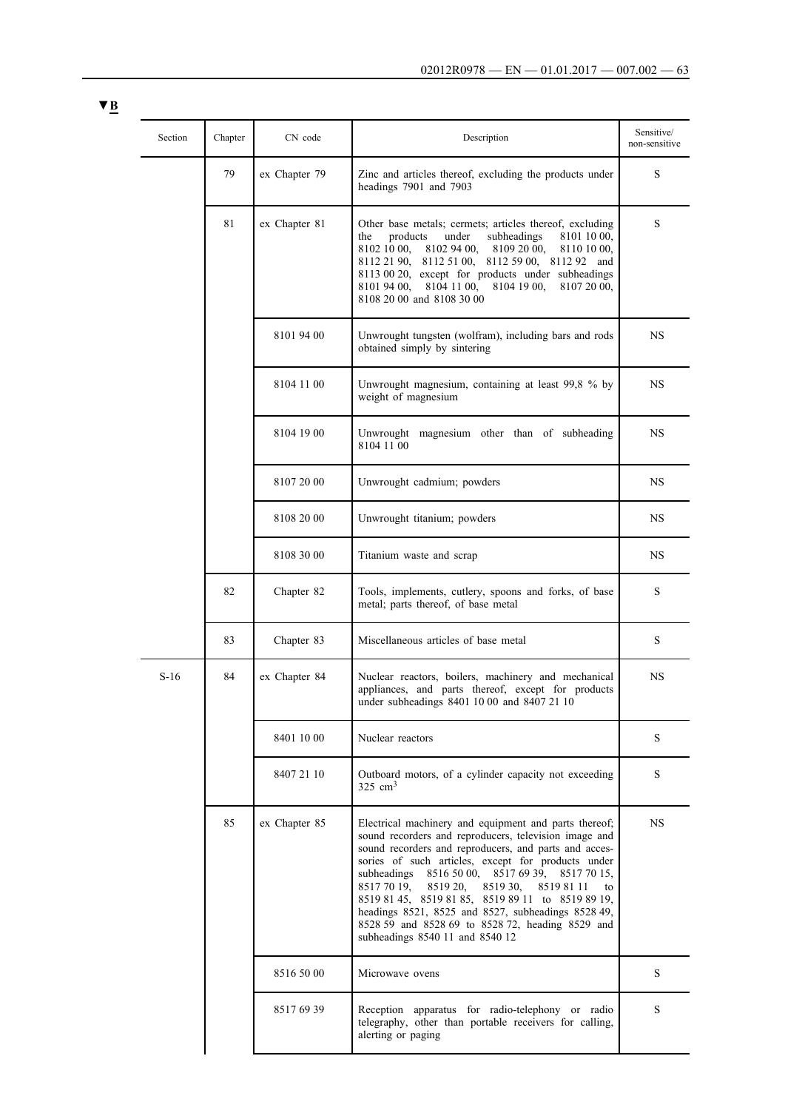| Section | Chapter | CN code       | Description                                                                                                                                                                                                                                                                                                                                                                                                                                                                                                                                    | Sensitive/<br>non-sensitive |
|---------|---------|---------------|------------------------------------------------------------------------------------------------------------------------------------------------------------------------------------------------------------------------------------------------------------------------------------------------------------------------------------------------------------------------------------------------------------------------------------------------------------------------------------------------------------------------------------------------|-----------------------------|
|         | 79      | ex Chapter 79 | Zinc and articles thereof, excluding the products under<br>headings 7901 and 7903                                                                                                                                                                                                                                                                                                                                                                                                                                                              | S                           |
|         | 81      | ex Chapter 81 | Other base metals; cermets; articles thereof, excluding<br>products<br>under<br>subheadings<br>8101 10 00,<br>the<br>8102 10 00,<br>8102 94 00.<br>8109 20 00,<br>8110 10 00,<br>8112 21 90, 8112 51 00, 8112 59 00, 8112 92 and<br>8113 00 20, except for products under subheadings<br>8104 11 00, 8104 19 00,<br>8107 20 00,<br>8101 94 00.<br>8108 20 00 and 8108 30 00                                                                                                                                                                    | S                           |
|         |         | 8101 94 00    | Unwrought tungsten (wolfram), including bars and rods<br>obtained simply by sintering                                                                                                                                                                                                                                                                                                                                                                                                                                                          | <b>NS</b>                   |
|         |         | 8104 11 00    | Unwrought magnesium, containing at least 99,8 % by<br>weight of magnesium                                                                                                                                                                                                                                                                                                                                                                                                                                                                      | <b>NS</b>                   |
|         |         | 8104 19 00    | magnesium other than of subheading<br>Unwrought<br>8104 11 00                                                                                                                                                                                                                                                                                                                                                                                                                                                                                  | <b>NS</b>                   |
|         |         | 8107 20 00    | Unwrought cadmium; powders                                                                                                                                                                                                                                                                                                                                                                                                                                                                                                                     | <b>NS</b>                   |
|         |         | 8108 20 00    | Unwrought titanium; powders                                                                                                                                                                                                                                                                                                                                                                                                                                                                                                                    | NS                          |
|         |         | 8108 30 00    | Titanium waste and scrap                                                                                                                                                                                                                                                                                                                                                                                                                                                                                                                       | NS                          |
|         | 82      | Chapter 82    | Tools, implements, cutlery, spoons and forks, of base<br>metal; parts thereof, of base metal                                                                                                                                                                                                                                                                                                                                                                                                                                                   | S                           |
|         | 83      | Chapter 83    | Miscellaneous articles of base metal                                                                                                                                                                                                                                                                                                                                                                                                                                                                                                           | S                           |
| $S-16$  | 84      | ex Chapter 84 | Nuclear reactors, boilers, machinery and mechanical<br>appliances, and parts thereof, except for products<br>under subheadings 8401 10 00 and 8407 21 10                                                                                                                                                                                                                                                                                                                                                                                       | <b>NS</b>                   |
|         |         | 8401 10 00    | Nuclear reactors                                                                                                                                                                                                                                                                                                                                                                                                                                                                                                                               | S                           |
|         |         | 8407 21 10    | Outboard motors, of a cylinder capacity not exceeding<br>$325 \text{ cm}^3$                                                                                                                                                                                                                                                                                                                                                                                                                                                                    | S                           |
|         | 85      | ex Chapter 85 | Electrical machinery and equipment and parts thereof;<br>sound recorders and reproducers, television image and<br>sound recorders and reproducers, and parts and acces-<br>sories of such articles, except for products under<br>8516 50 00, 8517 69 39, 8517 70 15,<br>subheadings<br>8517 70 19,<br>8519 20,<br>8519 30,<br>85198111<br>to<br>8519 81 45, 8519 81 85, 8519 89 11 to 8519 89 19,<br>headings 8521, 8525 and 8527, subheadings 8528 49,<br>8528 59 and 8528 69 to 8528 72, heading 8529 and<br>subheadings 8540 11 and 8540 12 | <b>NS</b>                   |
|         |         | 8516 50 00    | Microwave ovens                                                                                                                                                                                                                                                                                                                                                                                                                                                                                                                                | S                           |
|         |         | 85176939      | Reception apparatus for radio-telephony or radio<br>telegraphy, other than portable receivers for calling,<br>alerting or paging                                                                                                                                                                                                                                                                                                                                                                                                               | S                           |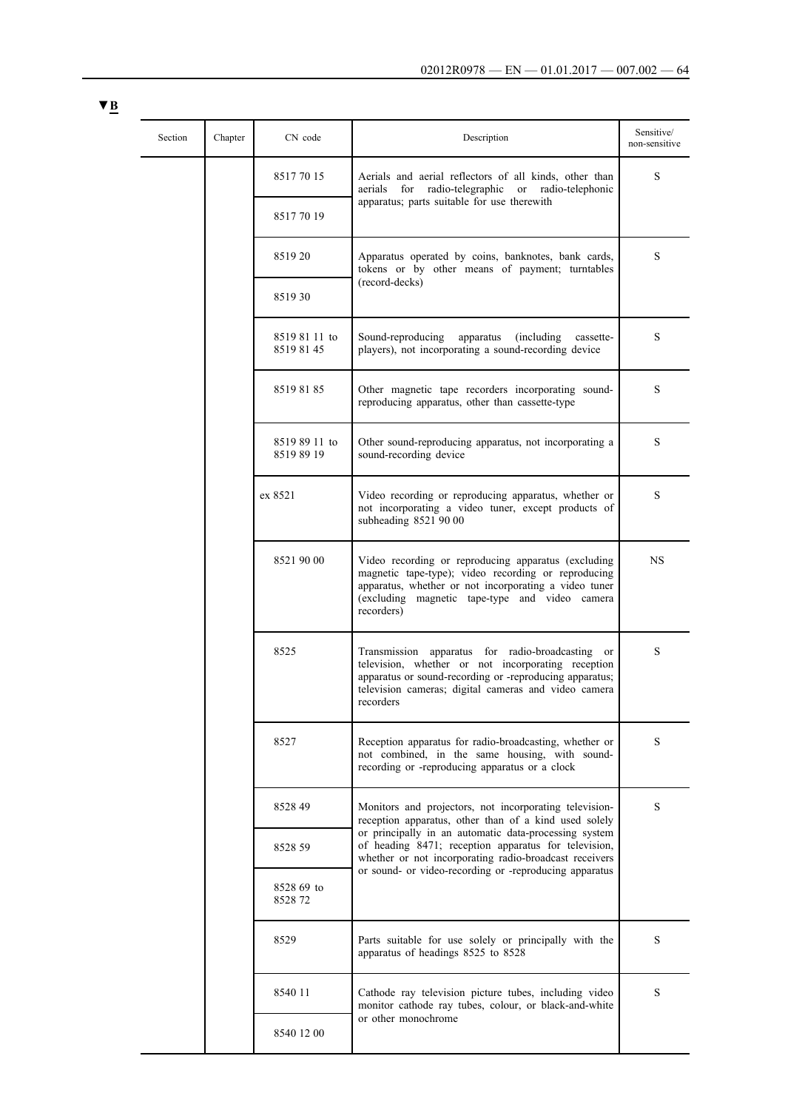|  | Section | Chapter | CN code                     | Description                                                                                                                                                                                                                            | Sensitive/<br>non-sensitive |
|--|---------|---------|-----------------------------|----------------------------------------------------------------------------------------------------------------------------------------------------------------------------------------------------------------------------------------|-----------------------------|
|  |         |         | 85177015                    | Aerials and aerial reflectors of all kinds, other than<br>radio-telegraphic<br>or radio-telephonic<br>aerials<br>for<br>apparatus; parts suitable for use therewith                                                                    | S                           |
|  |         |         | 85177019                    |                                                                                                                                                                                                                                        |                             |
|  |         |         | 851920                      | Apparatus operated by coins, banknotes, bank cards,<br>tokens or by other means of payment; turntables                                                                                                                                 | S                           |
|  |         |         | 851930                      | (record-decks)                                                                                                                                                                                                                         |                             |
|  |         |         | 8519 81 11 to<br>8519 81 45 | Sound-reproducing<br>apparatus<br>(including)<br>cassette-<br>players), not incorporating a sound-recording device                                                                                                                     | S                           |
|  |         |         | 85198185                    | Other magnetic tape recorders incorporating sound-<br>reproducing apparatus, other than cassette-type                                                                                                                                  | S                           |
|  |         |         | 8519 89 11 to<br>85198919   | Other sound-reproducing apparatus, not incorporating a<br>sound-recording device                                                                                                                                                       | S                           |
|  |         |         | ex 8521                     | Video recording or reproducing apparatus, whether or<br>not incorporating a video tuner, except products of<br>subheading 8521 90 00                                                                                                   | S                           |
|  |         |         | 8521 90 00                  | Video recording or reproducing apparatus (excluding<br>magnetic tape-type); video recording or reproducing<br>apparatus, whether or not incorporating a video tuner<br>(excluding magnetic tape-type and video camera<br>recorders)    | NS                          |
|  |         |         | 8525                        | Transmission apparatus for radio-broadcasting or<br>television, whether or not incorporating reception<br>apparatus or sound-recording or -reproducing apparatus;<br>television cameras; digital cameras and video camera<br>recorders | S                           |
|  |         |         | 8527                        | Reception apparatus for radio-broadcasting, whether or<br>not combined, in the same housing, with sound-<br>recording or -reproducing apparatus or a clock                                                                             | S                           |
|  |         |         | 852849                      | Monitors and projectors, not incorporating television-<br>reception apparatus, other than of a kind used solely                                                                                                                        | S                           |
|  |         |         | 8528 59                     | or principally in an automatic data-processing system<br>of heading 8471; reception apparatus for television,<br>whether or not incorporating radio-broadcast receivers                                                                |                             |
|  |         |         | 8528 69 to<br>852872        | or sound- or video-recording or -reproducing apparatus                                                                                                                                                                                 |                             |
|  |         |         | 8529                        | Parts suitable for use solely or principally with the<br>apparatus of headings 8525 to 8528                                                                                                                                            | S                           |
|  |         |         | 8540 11                     | Cathode ray television picture tubes, including video<br>monitor cathode ray tubes, colour, or black-and-white                                                                                                                         | S                           |
|  |         |         | 8540 12 00                  | or other monochrome                                                                                                                                                                                                                    |                             |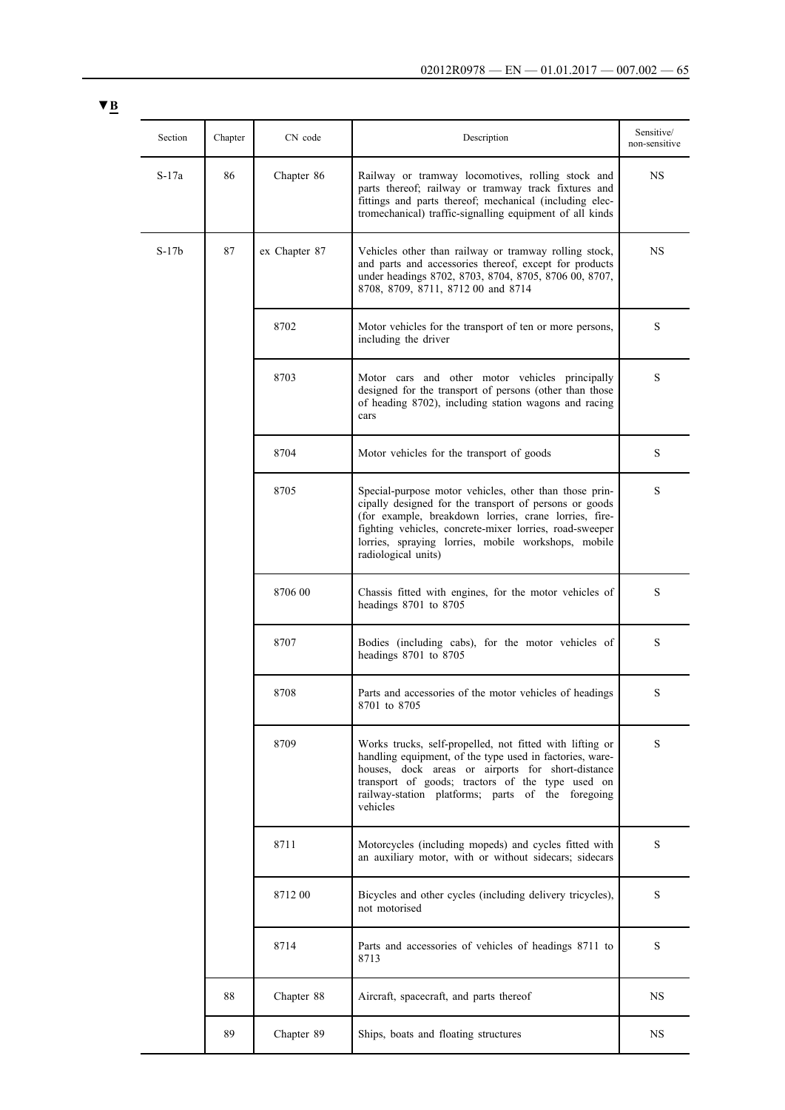| Section | Chapter | CN code       | Description                                                                                                                                                                                                                                                                                                        | Sensitive/<br>non-sensitive |  |  |  |  |  |  |  |  |  |  |      |                                                                                                                 |   |
|---------|---------|---------------|--------------------------------------------------------------------------------------------------------------------------------------------------------------------------------------------------------------------------------------------------------------------------------------------------------------------|-----------------------------|--|--|--|--|--|--|--|--|--|--|------|-----------------------------------------------------------------------------------------------------------------|---|
| S-17a   | 86      | Chapter 86    | Railway or tramway locomotives, rolling stock and<br>parts thereof; railway or tramway track fixtures and<br>fittings and parts thereof; mechanical (including elec-<br>tromechanical) traffic-signalling equipment of all kinds                                                                                   | NS                          |  |  |  |  |  |  |  |  |  |  |      |                                                                                                                 |   |
| $S-17b$ | 87      | ex Chapter 87 | Vehicles other than railway or tramway rolling stock,<br>and parts and accessories thereof, except for products<br>under headings 8702, 8703, 8704, 8705, 8706 00, 8707,<br>8708, 8709, 8711, 8712 00 and 8714                                                                                                     | NS                          |  |  |  |  |  |  |  |  |  |  |      |                                                                                                                 |   |
|         |         | 8702          | Motor vehicles for the transport of ten or more persons,<br>including the driver                                                                                                                                                                                                                                   | S                           |  |  |  |  |  |  |  |  |  |  |      |                                                                                                                 |   |
|         |         | 8703          | Motor cars and other motor vehicles principally<br>designed for the transport of persons (other than those<br>of heading 8702), including station wagons and racing<br>cars                                                                                                                                        | S                           |  |  |  |  |  |  |  |  |  |  |      |                                                                                                                 |   |
|         |         | 8704          | Motor vehicles for the transport of goods                                                                                                                                                                                                                                                                          | S                           |  |  |  |  |  |  |  |  |  |  |      |                                                                                                                 |   |
|         |         | 8705          | Special-purpose motor vehicles, other than those prin-<br>cipally designed for the transport of persons or goods<br>(for example, breakdown lorries, crane lorries, fire-<br>fighting vehicles, concrete-mixer lorries, road-sweeper<br>lorries, spraying lorries, mobile workshops, mobile<br>radiological units) | S                           |  |  |  |  |  |  |  |  |  |  |      |                                                                                                                 |   |
|         |         | 8706 00       | Chassis fitted with engines, for the motor vehicles of<br>headings 8701 to 8705                                                                                                                                                                                                                                    | S                           |  |  |  |  |  |  |  |  |  |  |      |                                                                                                                 |   |
|         |         | 8707          | Bodies (including cabs), for the motor vehicles of<br>headings 8701 to 8705                                                                                                                                                                                                                                        | S                           |  |  |  |  |  |  |  |  |  |  |      |                                                                                                                 |   |
|         |         | 8708          | Parts and accessories of the motor vehicles of headings<br>8701 to 8705                                                                                                                                                                                                                                            | S                           |  |  |  |  |  |  |  |  |  |  |      |                                                                                                                 |   |
|         |         | 8709          | Works trucks, self-propelled, not fitted with lifting or<br>handling equipment, of the type used in factories, ware-<br>houses, dock areas or airports for short-distance<br>transport of goods; tractors of the type used on<br>railway-station platforms; parts of the foregoing<br>vehicles                     | S                           |  |  |  |  |  |  |  |  |  |  |      |                                                                                                                 |   |
|         |         |               |                                                                                                                                                                                                                                                                                                                    |                             |  |  |  |  |  |  |  |  |  |  | 8711 | Motorcycles (including mopeds) and cycles fitted with<br>an auxiliary motor, with or without sidecars; sidecars | S |
|         |         | 8712 00       | Bicycles and other cycles (including delivery tricycles),<br>not motorised                                                                                                                                                                                                                                         | S                           |  |  |  |  |  |  |  |  |  |  |      |                                                                                                                 |   |
|         |         | 8714          | Parts and accessories of vehicles of headings 8711 to<br>8713                                                                                                                                                                                                                                                      | S                           |  |  |  |  |  |  |  |  |  |  |      |                                                                                                                 |   |
|         | 88      | Chapter 88    | Aircraft, spacecraft, and parts thereof                                                                                                                                                                                                                                                                            | NS                          |  |  |  |  |  |  |  |  |  |  |      |                                                                                                                 |   |
|         | 89      | Chapter 89    | Ships, boats and floating structures                                                                                                                                                                                                                                                                               | NS                          |  |  |  |  |  |  |  |  |  |  |      |                                                                                                                 |   |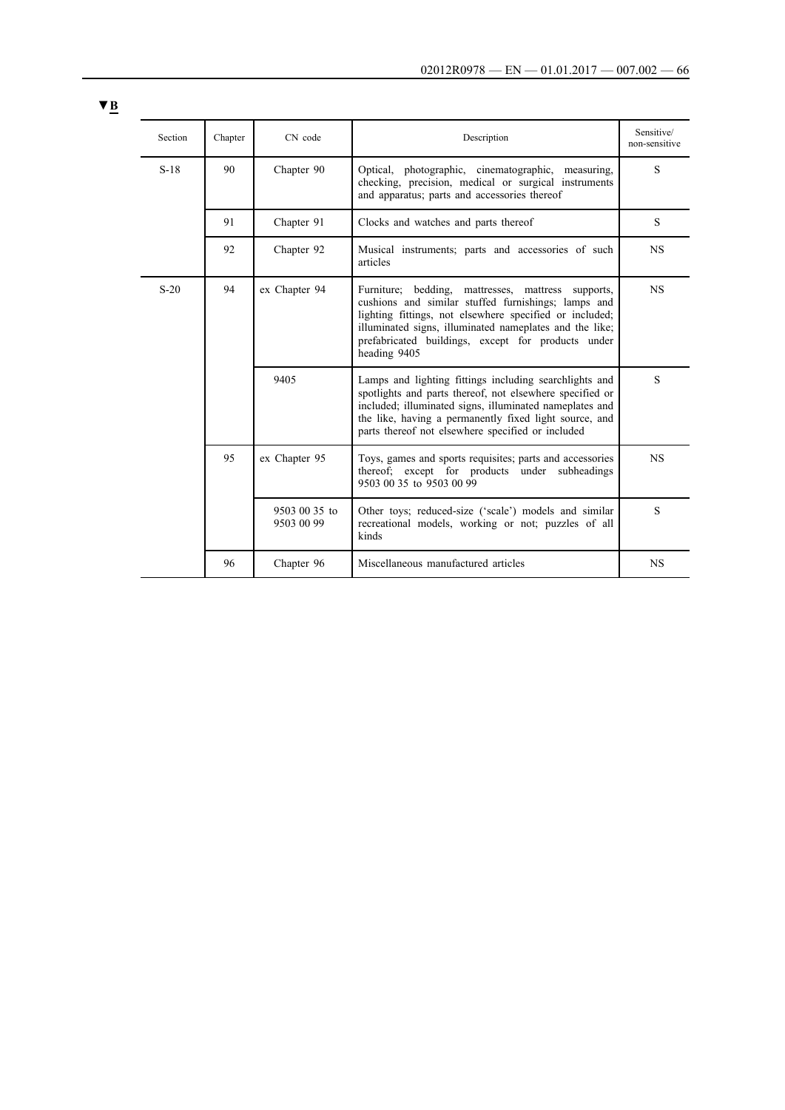| Section | Chapter | CN code                     | Description                                                                                                                                                                                                                                                                                  | Sensitive/<br>non-sensitive |                                                                                                                                        |                                                                                                                                                                                                                                                                                                       |           |
|---------|---------|-----------------------------|----------------------------------------------------------------------------------------------------------------------------------------------------------------------------------------------------------------------------------------------------------------------------------------------|-----------------------------|----------------------------------------------------------------------------------------------------------------------------------------|-------------------------------------------------------------------------------------------------------------------------------------------------------------------------------------------------------------------------------------------------------------------------------------------------------|-----------|
| $S-18$  | 90      | Chapter 90                  | Optical, photographic, cinematographic, measuring,<br>checking, precision, medical or surgical instruments<br>and apparatus; parts and accessories thereof                                                                                                                                   | S                           |                                                                                                                                        |                                                                                                                                                                                                                                                                                                       |           |
|         | 91      | Chapter 91                  | Clocks and watches and parts thereof                                                                                                                                                                                                                                                         | S                           |                                                                                                                                        |                                                                                                                                                                                                                                                                                                       |           |
|         | 92      | Chapter 92                  | Musical instruments; parts and accessories of such<br>articles                                                                                                                                                                                                                               | <b>NS</b>                   |                                                                                                                                        |                                                                                                                                                                                                                                                                                                       |           |
| $S-20$  | 94      |                             |                                                                                                                                                                                                                                                                                              |                             | ex Chapter 94                                                                                                                          | Furniture; bedding, mattresses, mattress supports,<br>cushions and similar stuffed furnishings; lamps and<br>lighting fittings, not elsewhere specified or included;<br>illuminated signs, illuminated nameplates and the like;<br>prefabricated buildings, except for products under<br>heading 9405 | <b>NS</b> |
|         |         | 9405                        | Lamps and lighting fittings including searchlights and<br>spotlights and parts thereof, not elsewhere specified or<br>included; illuminated signs, illuminated nameplates and<br>the like, having a permanently fixed light source, and<br>parts thereof not elsewhere specified or included | S                           |                                                                                                                                        |                                                                                                                                                                                                                                                                                                       |           |
|         | 95      |                             |                                                                                                                                                                                                                                                                                              | ex Chapter 95               | Toys, games and sports requisites; parts and accessories<br>thereof; except for products under subheadings<br>9503 00 35 to 9503 00 99 | <b>NS</b>                                                                                                                                                                                                                                                                                             |           |
|         |         | 9503 00 35 to<br>9503 00 99 | Other toys; reduced-size ('scale') models and similar<br>recreational models, working or not; puzzles of all<br>kinds                                                                                                                                                                        | S                           |                                                                                                                                        |                                                                                                                                                                                                                                                                                                       |           |
|         | 96      | Chapter 96                  | Miscellaneous manufactured articles                                                                                                                                                                                                                                                          | <b>NS</b>                   |                                                                                                                                        |                                                                                                                                                                                                                                                                                                       |           |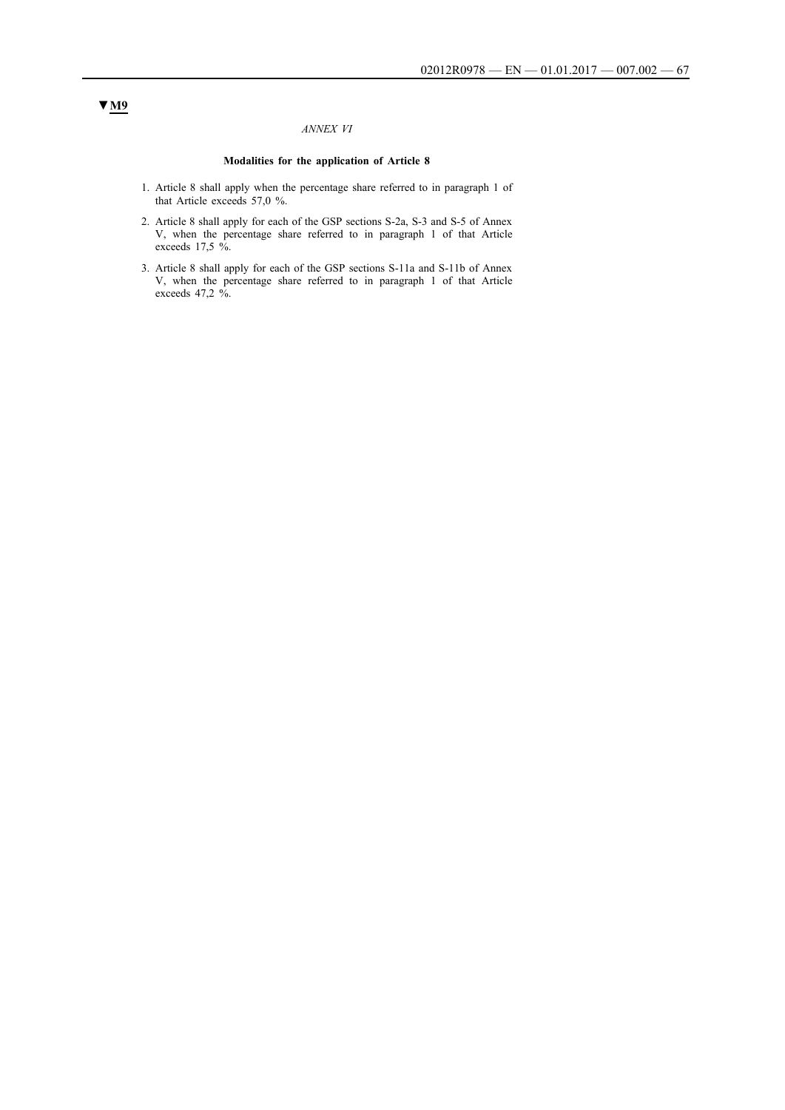### *ANNEX VI*

### **Modalities for the application of Article 8**

- 1. Article 8 shall apply when the percentage share referred to in paragraph 1 of that Article exceeds 57,0 %.
- 2. Article 8 shall apply for each of the GSP sections S-2a, S-3 and S-5 of Annex V, when the percentage share referred to in paragraph 1 of that Article exceeds 17,5 %.
- 3. Article 8 shall apply for each of the GSP sections S-11a and S-11b of Annex V, when the percentage share referred to in paragraph 1 of that Article exceeds 47,2 %.

## **▼M9**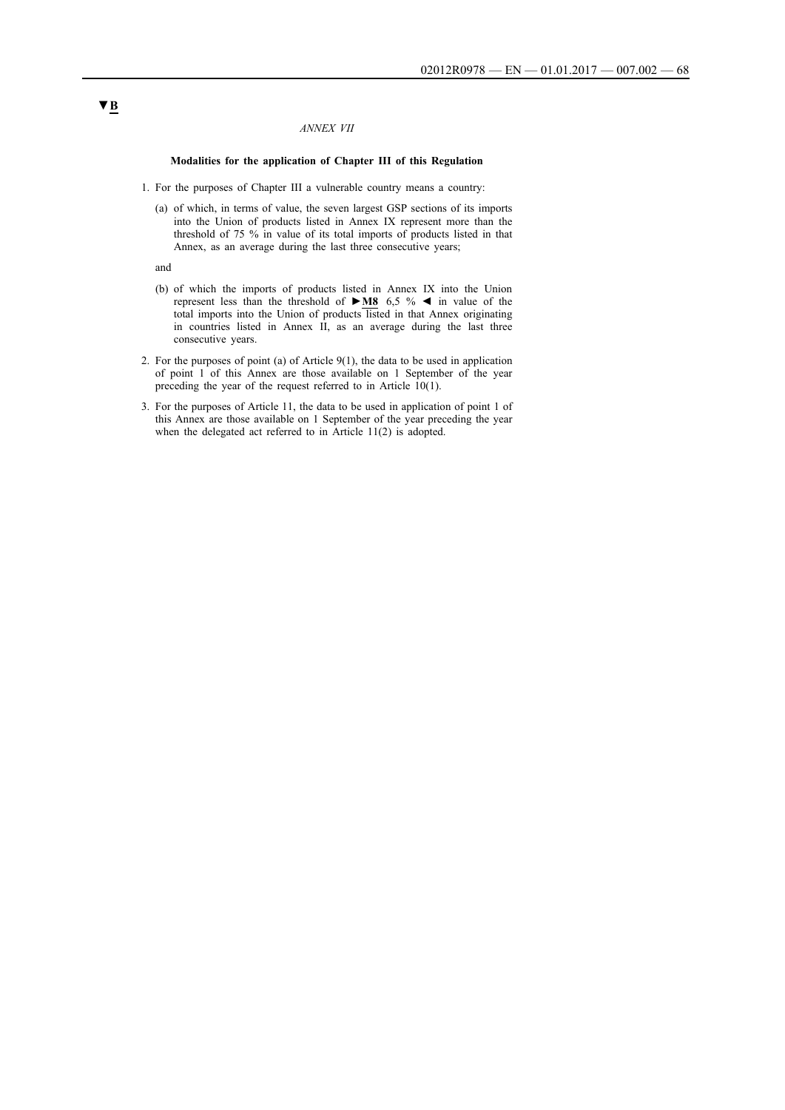### *ANNEX VII*

#### **Modalities for the application of Chapter III of this Regulation**

- 1. For the purposes of Chapter III a vulnerable country means a country:
	- (a) of which, in terms of value, the seven largest GSP sections of its imports into the Union of products listed in Annex IX represent more than the threshold of 75 % in value of its total imports of products listed in that Annex, as an average during the last three consecutive years;

and

- (b) of which the imports of products listed in Annex IX into the Union represent less than the threshold of **►M8** 6,5 % ◄ in value of the total imports into the Union of products listed in that Annex originating in countries listed in Annex II, as an average during the last three consecutive years.
- 2. For the purposes of point (a) of Article 9(1), the data to be used in application of point 1 of this Annex are those available on 1 September of the year preceding the year of the request referred to in Article 10(1).
- 3. For the purposes of Article 11, the data to be used in application of point 1 of this Annex are those available on 1 September of the year preceding the year when the delegated act referred to in Article 11(2) is adopted.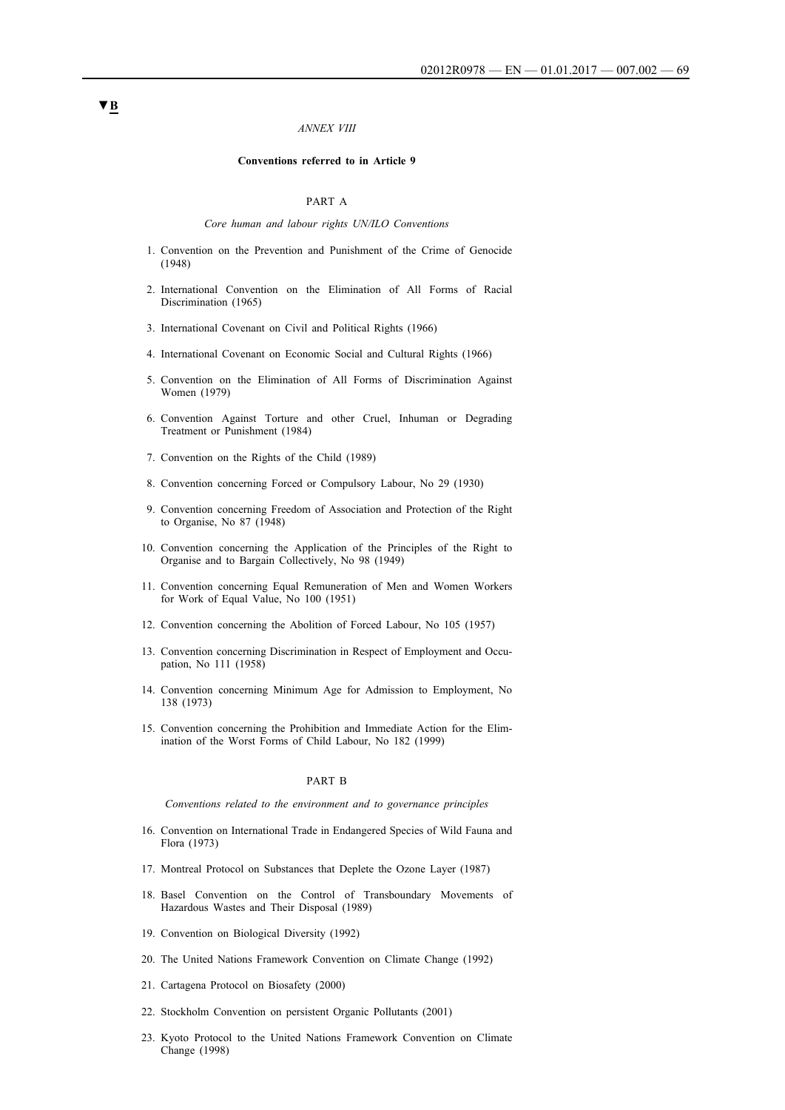#### *ANNEX VIII*

#### **Conventions referred to in Article 9**

### PART A

#### *Core human and labour rights UN/ILO Conventions*

- 1. Convention on the Prevention and Punishment of the Crime of Genocide (1948)
- 2. International Convention on the Elimination of All Forms of Racial Discrimination (1965)
- 3. International Covenant on Civil and Political Rights (1966)
- 4. International Covenant on Economic Social and Cultural Rights (1966)
- 5. Convention on the Elimination of All Forms of Discrimination Against Women (1979)
- 6. Convention Against Torture and other Cruel, Inhuman or Degrading Treatment or Punishment (1984)
- 7. Convention on the Rights of the Child (1989)
- 8. Convention concerning Forced or Compulsory Labour, No 29 (1930)
- 9. Convention concerning Freedom of Association and Protection of the Right to Organise, No 87 (1948)
- 10. Convention concerning the Application of the Principles of the Right to Organise and to Bargain Collectively, No 98 (1949)
- 11. Convention concerning Equal Remuneration of Men and Women Workers for Work of Equal Value, No 100 (1951)
- 12. Convention concerning the Abolition of Forced Labour, No 105 (1957)
- 13. Convention concerning Discrimination in Respect of Employment and Occupation, No 111 (1958)
- 14. Convention concerning Minimum Age for Admission to Employment, No 138 (1973)
- 15. Convention concerning the Prohibition and Immediate Action for the Elimination of the Worst Forms of Child Labour, No 182 (1999)

#### PART B

*Conventions related to the environment and to governance principles*

- 16. Convention on International Trade in Endangered Species of Wild Fauna and Flora (1973)
- 17. Montreal Protocol on Substances that Deplete the Ozone Layer (1987)
- 18. Basel Convention on the Control of Transboundary Movements of Hazardous Wastes and Their Disposal (1989)
- 19. Convention on Biological Diversity (1992)
- 20. The United Nations Framework Convention on Climate Change (1992)
- 21. Cartagena Protocol on Biosafety (2000)
- 22. Stockholm Convention on persistent Organic Pollutants (2001)
- 23. Kyoto Protocol to the United Nations Framework Convention on Climate Change (1998)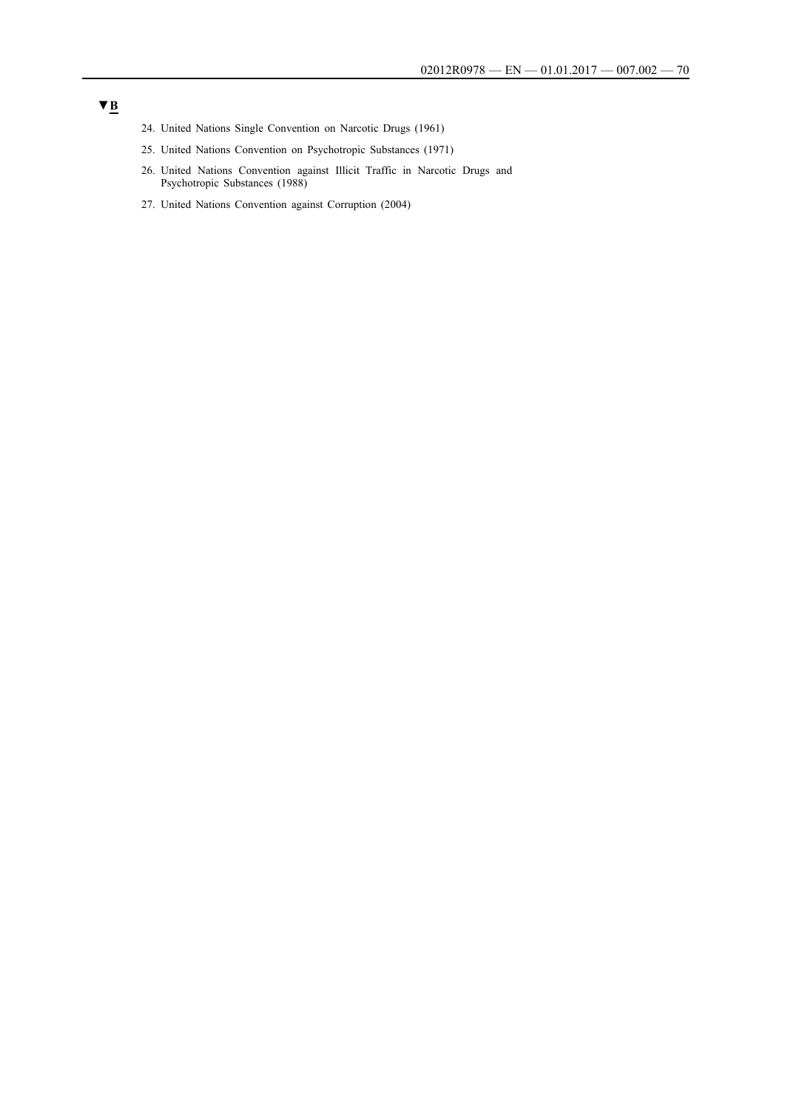- 24. United Nations Single Convention on Narcotic Drugs (1961)
- 25. United Nations Convention on Psychotropic Substances (1971)
- 26. United Nations Convention against Illicit Traffic in Narcotic Drugs and Psychotropic Substances (1988)
- 27. United Nations Convention against Corruption (2004)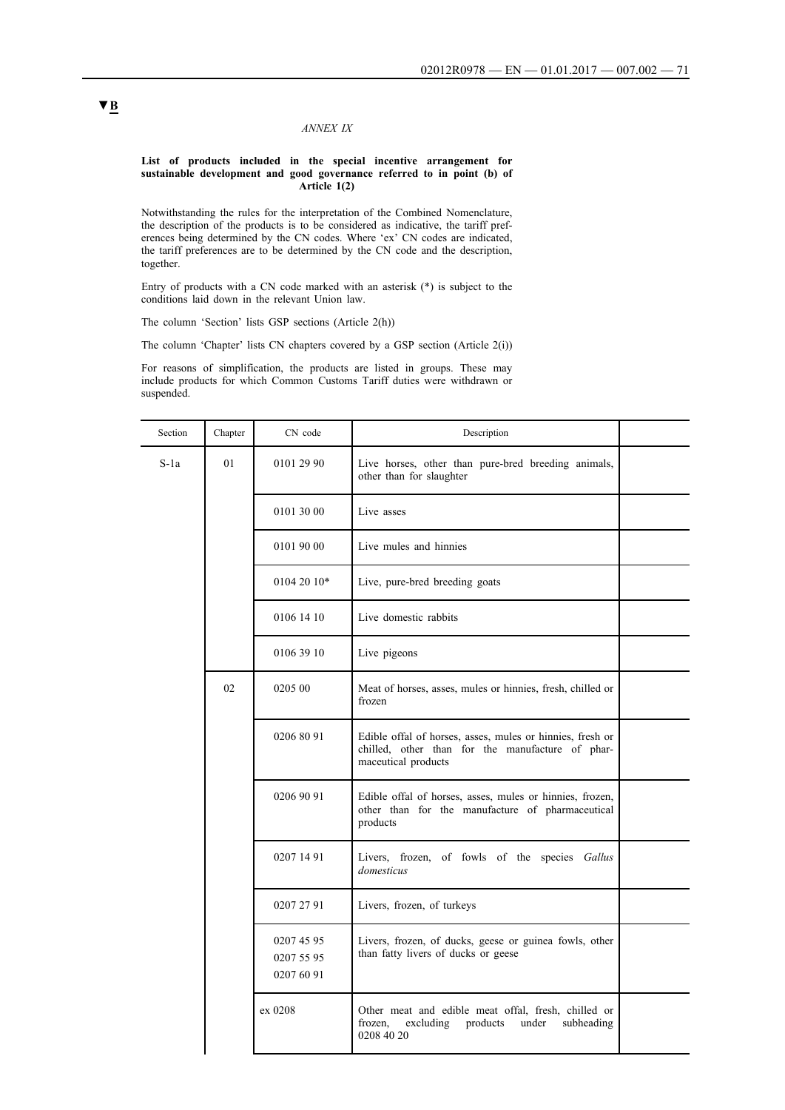### *ANNEX IX*

#### **List of products included in the special incentive arrangement for sustainable development and good governance referred to in point (b) of Article 1(2)**

Notwithstanding the rules for the interpretation of the Combined Nomenclature, the description of the products is to be considered as indicative, the tariff preferences being determined by the CN codes. Where 'ex' CN codes are indicated, the tariff preferences are to be determined by the CN code and the description, together.

Entry of products with a CN code marked with an asterisk (\*) is subject to the conditions laid down in the relevant Union law.

The column 'Section' lists GSP sections (Article 2(h))

The column 'Chapter' lists CN chapters covered by a GSP section (Article 2(i))

For reasons of simplification, the products are listed in groups. These may include products for which Common Customs Tariff duties were withdrawn or suspended.

| Section | Chapter | CN code                                | Description                                                                                                                          |  |
|---------|---------|----------------------------------------|--------------------------------------------------------------------------------------------------------------------------------------|--|
| $S-1a$  | 01      | 0101 29 90                             | Live horses, other than pure-bred breeding animals,<br>other than for slaughter                                                      |  |
|         |         | 0101 30 00                             | Live asses                                                                                                                           |  |
|         |         | 0101 90 00                             | Live mules and hinnies                                                                                                               |  |
|         |         | $01042010*$                            | Live, pure-bred breeding goats                                                                                                       |  |
|         |         | 0106 14 10                             | Live domestic rabbits                                                                                                                |  |
|         |         | 0106 39 10                             | Live pigeons                                                                                                                         |  |
|         | 02      | 0205 00                                | Meat of horses, asses, mules or hinnies, fresh, chilled or<br>frozen                                                                 |  |
|         |         | 0206 80 91                             | Edible offal of horses, asses, mules or hinnies, fresh or<br>chilled, other than for the manufacture of phar-<br>maceutical products |  |
|         |         | 0206 90 91                             | Edible offal of horses, asses, mules or hinnies, frozen,<br>other than for the manufacture of pharmaceutical<br>products             |  |
|         |         | 0207 14 91                             | Livers, frozen, of fowls of the species Gallus<br>domesticus                                                                         |  |
|         |         | 0207 27 91                             | Livers, frozen, of turkeys                                                                                                           |  |
|         |         | 0207 45 95<br>0207 55 95<br>0207 60 91 | Livers, frozen, of ducks, geese or guinea fowls, other<br>than fatty livers of ducks or geese                                        |  |
|         |         | ex 0208                                | Other meat and edible meat offal, fresh, chilled or<br>excluding<br>products<br>subheading<br>frozen,<br>under<br>0208 40 20         |  |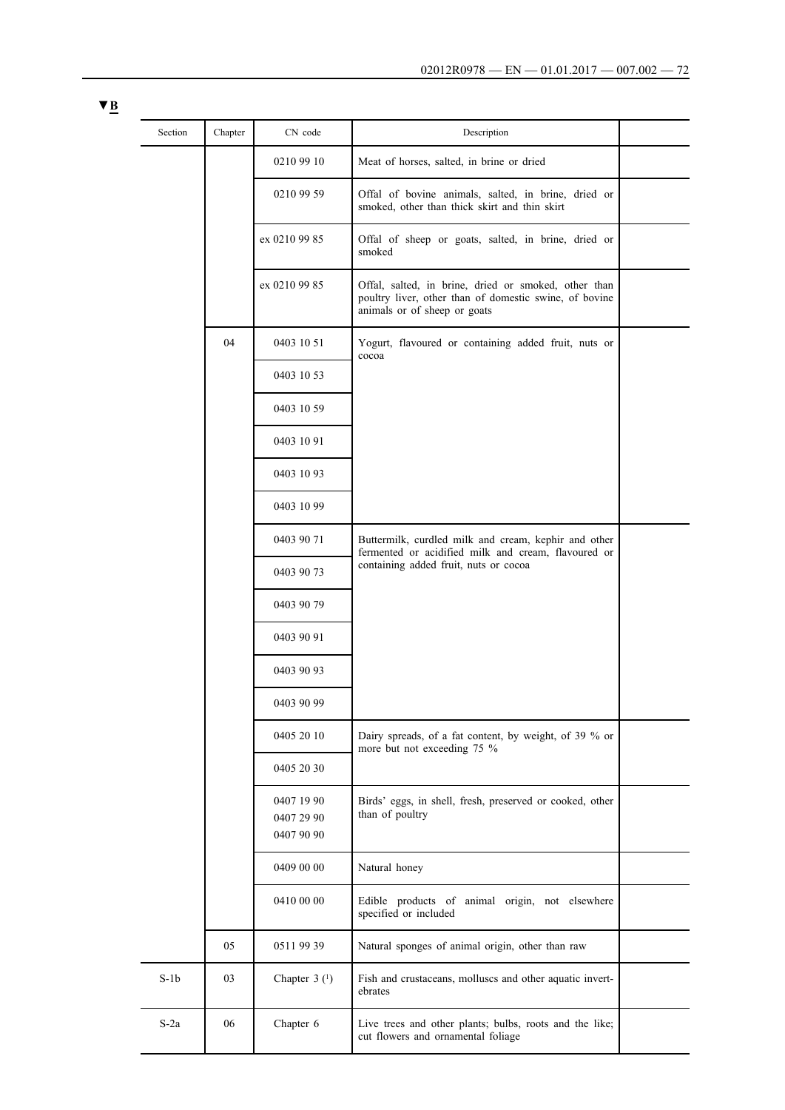| Section | Chapter | CN code                                | Description                                                                                                                                    |  |
|---------|---------|----------------------------------------|------------------------------------------------------------------------------------------------------------------------------------------------|--|
|         |         | 0210 99 10                             | Meat of horses, salted, in brine or dried                                                                                                      |  |
|         |         | 0210 99 59                             | Offal of bovine animals, salted, in brine, dried or<br>smoked, other than thick skirt and thin skirt                                           |  |
|         |         | ex 0210 99 85                          | Offal of sheep or goats, salted, in brine, dried or<br>smoked                                                                                  |  |
|         |         | ex 0210 99 85                          | Offal, salted, in brine, dried or smoked, other than<br>poultry liver, other than of domestic swine, of bovine<br>animals or of sheep or goats |  |
|         | 04      | 0403 10 51                             | Yogurt, flavoured or containing added fruit, nuts or<br>cocoa                                                                                  |  |
|         |         | 0403 10 53                             |                                                                                                                                                |  |
|         |         | 0403 10 59                             |                                                                                                                                                |  |
|         |         | 0403 10 91                             |                                                                                                                                                |  |
|         |         | 0403 10 93                             |                                                                                                                                                |  |
|         |         | 0403 10 99                             |                                                                                                                                                |  |
|         |         | 0403 90 71                             | Buttermilk, curdled milk and cream, kephir and other<br>fermented or acidified milk and cream, flavoured or                                    |  |
|         |         | 0403 90 73                             | containing added fruit, nuts or cocoa                                                                                                          |  |
|         |         | 0403 90 79                             |                                                                                                                                                |  |
|         |         | 0403 90 91                             |                                                                                                                                                |  |
|         |         | 0403 90 93                             |                                                                                                                                                |  |
|         |         | 0403 90 99                             |                                                                                                                                                |  |
|         |         | 0405 20 10                             | Dairy spreads, of a fat content, by weight, of 39 % or<br>more but not exceeding 75 %                                                          |  |
|         |         | 0405 20 30                             |                                                                                                                                                |  |
|         |         | 0407 19 90<br>0407 29 90<br>0407 90 90 | Birds' eggs, in shell, fresh, preserved or cooked, other<br>than of poultry                                                                    |  |
|         |         | 0409 00 00                             | Natural honey                                                                                                                                  |  |
|         |         | 0410 00 00                             | Edible products of animal origin, not elsewhere<br>specified or included                                                                       |  |
|         | 05      | 0511 99 39                             | Natural sponges of animal origin, other than raw                                                                                               |  |
| $S-1b$  | 03      | Chapter $3(1)$                         | Fish and crustaceans, molluscs and other aquatic invert-<br>ebrates                                                                            |  |
| $S-2a$  | 06      | Chapter 6                              | Live trees and other plants; bulbs, roots and the like;<br>cut flowers and ornamental foliage                                                  |  |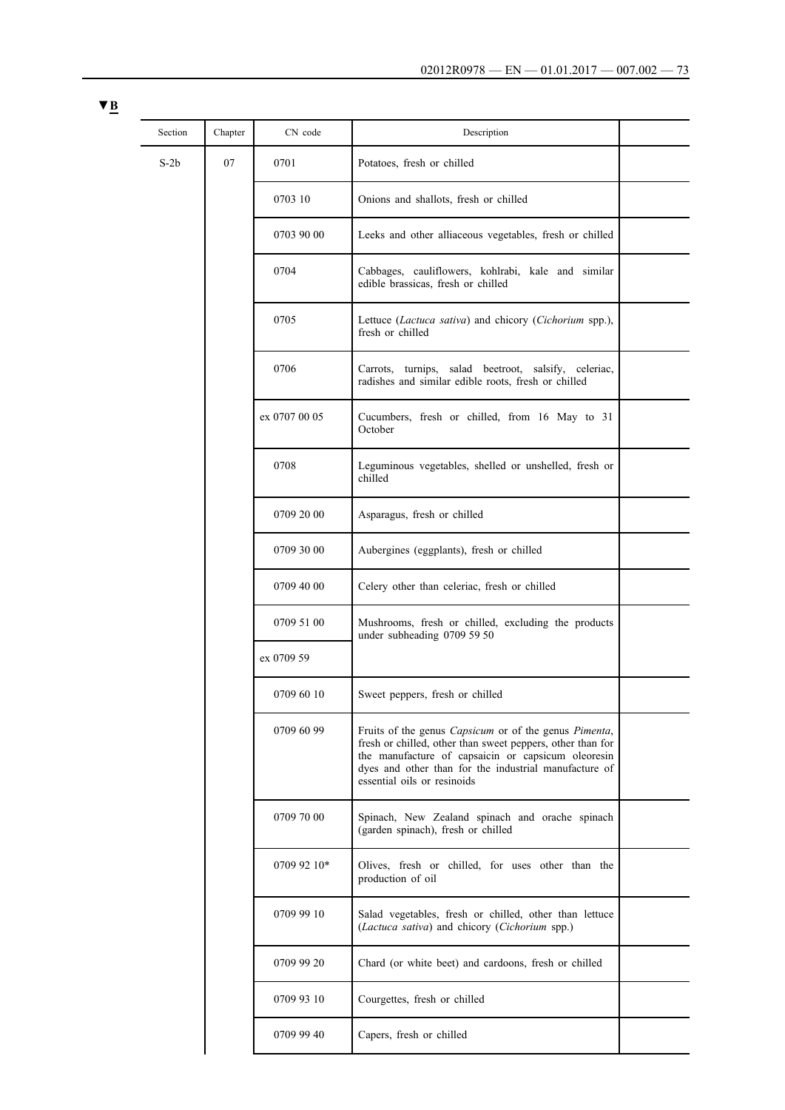| Section | Chapter | CN code       | Description                                                                                                 |                                                                                    |  |  |  |  |  |  |            |                                                                                                                                                                                                                                                                   |  |
|---------|---------|---------------|-------------------------------------------------------------------------------------------------------------|------------------------------------------------------------------------------------|--|--|--|--|--|--|------------|-------------------------------------------------------------------------------------------------------------------------------------------------------------------------------------------------------------------------------------------------------------------|--|
| $S-2b$  | 07      | 0701          | Potatoes, fresh or chilled                                                                                  |                                                                                    |  |  |  |  |  |  |            |                                                                                                                                                                                                                                                                   |  |
|         |         | 0703 10       | Onions and shallots, fresh or chilled                                                                       |                                                                                    |  |  |  |  |  |  |            |                                                                                                                                                                                                                                                                   |  |
|         |         | 0703 90 00    | Leeks and other alliaceous vegetables, fresh or chilled                                                     |                                                                                    |  |  |  |  |  |  |            |                                                                                                                                                                                                                                                                   |  |
|         |         | 0704          | Cabbages, cauliflowers, kohlrabi, kale and similar<br>edible brassicas, fresh or chilled                    |                                                                                    |  |  |  |  |  |  |            |                                                                                                                                                                                                                                                                   |  |
|         |         | 0705          | Lettuce (Lactuca sativa) and chicory (Cichorium spp.),<br>fresh or chilled                                  |                                                                                    |  |  |  |  |  |  |            |                                                                                                                                                                                                                                                                   |  |
|         |         | 0706          | Carrots, turnips, salad beetroot, salsify, celeriac,<br>radishes and similar edible roots, fresh or chilled |                                                                                    |  |  |  |  |  |  |            |                                                                                                                                                                                                                                                                   |  |
|         |         | ex 0707 00 05 | Cucumbers, fresh or chilled, from 16 May to 31<br>October                                                   |                                                                                    |  |  |  |  |  |  |            |                                                                                                                                                                                                                                                                   |  |
|         |         | 0708          | Leguminous vegetables, shelled or unshelled, fresh or<br>chilled                                            |                                                                                    |  |  |  |  |  |  |            |                                                                                                                                                                                                                                                                   |  |
|         |         | 0709 20 00    | Asparagus, fresh or chilled                                                                                 |                                                                                    |  |  |  |  |  |  |            |                                                                                                                                                                                                                                                                   |  |
|         |         | 0709 30 00    | Aubergines (eggplants), fresh or chilled                                                                    |                                                                                    |  |  |  |  |  |  |            |                                                                                                                                                                                                                                                                   |  |
|         |         |               | 0709 40 00                                                                                                  | Celery other than celeriac, fresh or chilled                                       |  |  |  |  |  |  |            |                                                                                                                                                                                                                                                                   |  |
|         |         |               | 0709 51 00                                                                                                  | Mushrooms, fresh or chilled, excluding the products<br>under subheading 0709 59 50 |  |  |  |  |  |  |            |                                                                                                                                                                                                                                                                   |  |
|         |         | ex 0709 59    |                                                                                                             |                                                                                    |  |  |  |  |  |  |            |                                                                                                                                                                                                                                                                   |  |
|         |         | 0709 60 10    | Sweet peppers, fresh or chilled                                                                             |                                                                                    |  |  |  |  |  |  |            |                                                                                                                                                                                                                                                                   |  |
|         |         |               |                                                                                                             |                                                                                    |  |  |  |  |  |  | 0709 60 99 | Fruits of the genus Capsicum or of the genus Pimenta,<br>fresh or chilled, other than sweet peppers, other than for<br>the manufacture of capsaicin or capsicum oleoresin<br>dyes and other than for the industrial manufacture of<br>essential oils or resinoids |  |
|         |         | 0709 70 00    | Spinach, New Zealand spinach and orache spinach<br>(garden spinach), fresh or chilled                       |                                                                                    |  |  |  |  |  |  |            |                                                                                                                                                                                                                                                                   |  |
|         |         | 0709 92 10*   | Olives, fresh or chilled, for uses other than the<br>production of oil                                      |                                                                                    |  |  |  |  |  |  |            |                                                                                                                                                                                                                                                                   |  |
|         |         | 0709 99 10    | Salad vegetables, fresh or chilled, other than lettuce<br>(Lactuca sativa) and chicory (Cichorium spp.)     |                                                                                    |  |  |  |  |  |  |            |                                                                                                                                                                                                                                                                   |  |
|         |         | 0709 99 20    | Chard (or white beet) and cardoons, fresh or chilled                                                        |                                                                                    |  |  |  |  |  |  |            |                                                                                                                                                                                                                                                                   |  |
|         |         | 0709 93 10    | Courgettes, fresh or chilled                                                                                |                                                                                    |  |  |  |  |  |  |            |                                                                                                                                                                                                                                                                   |  |
|         |         | 0709 99 40    | Capers, fresh or chilled                                                                                    |                                                                                    |  |  |  |  |  |  |            |                                                                                                                                                                                                                                                                   |  |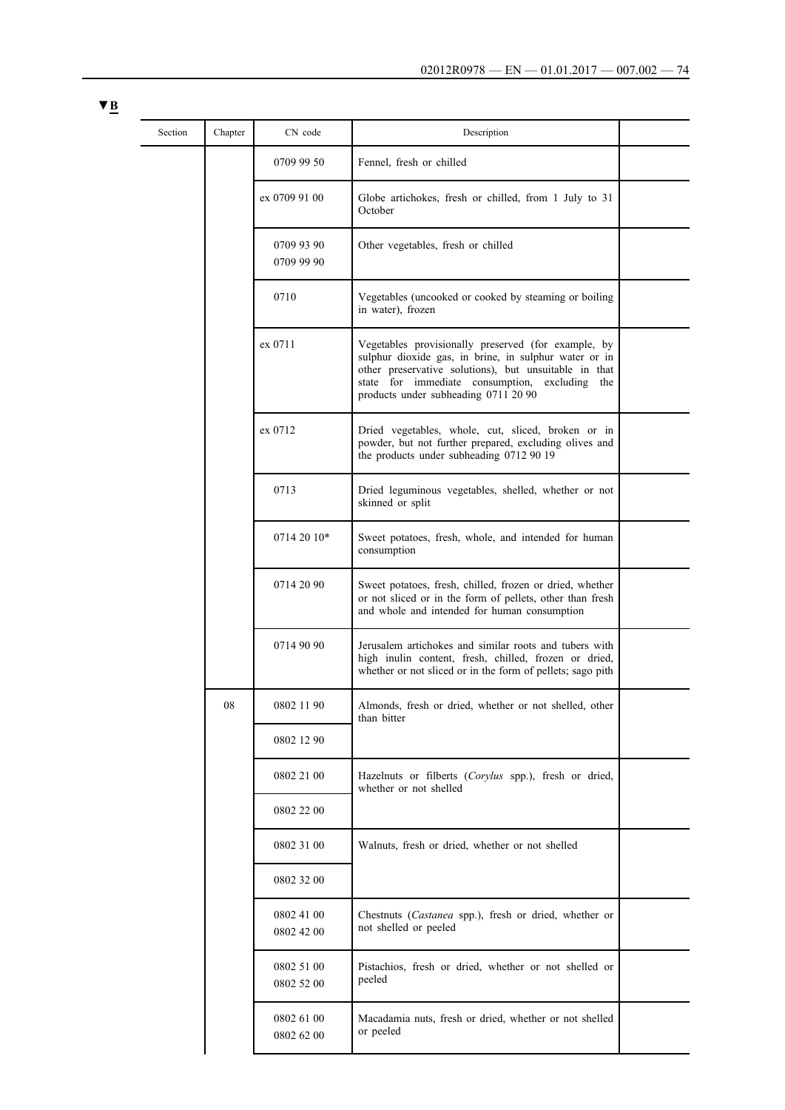| $\blacktriangledown$ B<br>--- |     |
|-------------------------------|-----|
|                               | Sec |
|                               |     |

| Section | Chapter | CN code                  | Description                                                                                                                                                                                                                                                           |  |
|---------|---------|--------------------------|-----------------------------------------------------------------------------------------------------------------------------------------------------------------------------------------------------------------------------------------------------------------------|--|
|         |         | 0709 99 50               | Fennel, fresh or chilled                                                                                                                                                                                                                                              |  |
|         |         | ex 0709 91 00            | Globe artichokes, fresh or chilled, from 1 July to 31<br>October                                                                                                                                                                                                      |  |
|         |         | 0709 93 90<br>0709 99 90 | Other vegetables, fresh or chilled                                                                                                                                                                                                                                    |  |
|         |         | 0710                     | Vegetables (uncooked or cooked by steaming or boiling)<br>in water), frozen                                                                                                                                                                                           |  |
|         |         | ex 0711                  | Vegetables provisionally preserved (for example, by<br>sulphur dioxide gas, in brine, in sulphur water or in<br>other preservative solutions), but unsuitable in that<br>state for immediate consumption,<br>excluding<br>the<br>products under subheading 0711 20 90 |  |
|         |         | ex 0712                  | Dried vegetables, whole, cut, sliced, broken or in<br>powder, but not further prepared, excluding olives and<br>the products under subheading 0712 90 19                                                                                                              |  |
|         |         | 0713                     | Dried leguminous vegetables, shelled, whether or not<br>skinned or split                                                                                                                                                                                              |  |
|         |         | 0714 20 10*              | Sweet potatoes, fresh, whole, and intended for human<br>consumption                                                                                                                                                                                                   |  |
|         |         | 0714 20 90               | Sweet potatoes, fresh, chilled, frozen or dried, whether<br>or not sliced or in the form of pellets, other than fresh<br>and whole and intended for human consumption                                                                                                 |  |
|         |         | 0714 90 90               | Jerusalem artichokes and similar roots and tubers with<br>high inulin content, fresh, chilled, frozen or dried,<br>whether or not sliced or in the form of pellets; sago pith                                                                                         |  |
|         | 08      | 0802 11 90               | Almonds, fresh or dried, whether or not shelled, other<br>than bitter                                                                                                                                                                                                 |  |
|         |         | 0802 12 90               |                                                                                                                                                                                                                                                                       |  |
|         |         | 0802 21 00               | Hazelnuts or filberts (Corylus spp.), fresh or dried,<br>whether or not shelled                                                                                                                                                                                       |  |
|         |         | 0802 22 00               |                                                                                                                                                                                                                                                                       |  |
|         |         | 0802 31 00               | Walnuts, fresh or dried, whether or not shelled                                                                                                                                                                                                                       |  |
|         |         | 0802 32 00               |                                                                                                                                                                                                                                                                       |  |
|         |         | 0802 41 00<br>0802 42 00 | Chestnuts (Castanea spp.), fresh or dried, whether or<br>not shelled or peeled                                                                                                                                                                                        |  |
|         |         | 0802 51 00<br>0802 52 00 | Pistachios, fresh or dried, whether or not shelled or<br>peeled                                                                                                                                                                                                       |  |
|         |         | 0802 61 00<br>0802 62 00 | Macadamia nuts, fresh or dried, whether or not shelled<br>or peeled                                                                                                                                                                                                   |  |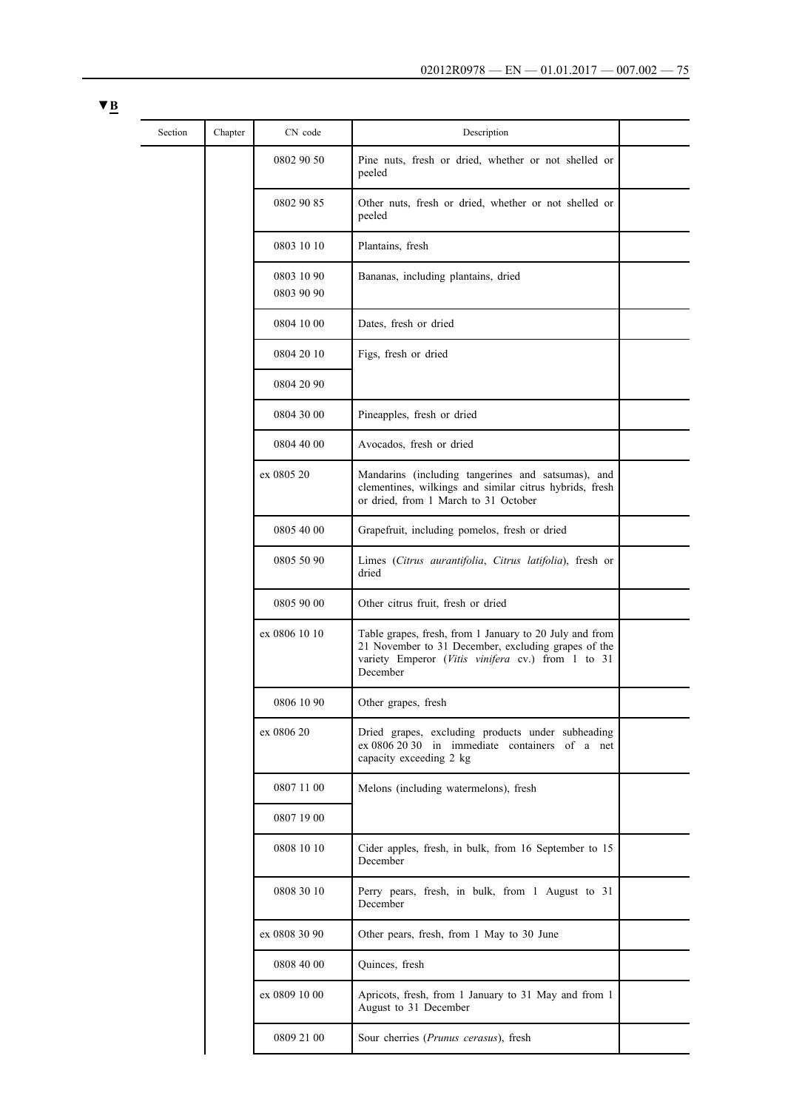$\overline{\phantom{0}}$ 

 $\overline{\phantom{a}}$ 

 $\overline{\phantom{a}}$ 

 $\overline{\phantom{a}}$ 

÷.

| Section | Chapter | CN code                  | Description                                                                                                                                                                     |  |
|---------|---------|--------------------------|---------------------------------------------------------------------------------------------------------------------------------------------------------------------------------|--|
|         |         | 0802 90 50               | Pine nuts, fresh or dried, whether or not shelled or<br>peeled                                                                                                                  |  |
|         |         | 0802 90 85               | Other nuts, fresh or dried, whether or not shelled or<br>peeled                                                                                                                 |  |
|         |         | 0803 10 10               | Plantains, fresh                                                                                                                                                                |  |
|         |         | 0803 10 90<br>0803 90 90 | Bananas, including plantains, dried                                                                                                                                             |  |
|         |         | 0804 10 00               | Dates, fresh or dried                                                                                                                                                           |  |
|         |         | 0804 20 10               | Figs, fresh or dried                                                                                                                                                            |  |
|         |         | 0804 20 90               |                                                                                                                                                                                 |  |
|         |         | 0804 30 00               | Pineapples, fresh or dried                                                                                                                                                      |  |
|         |         | 0804 40 00               | Avocados, fresh or dried                                                                                                                                                        |  |
|         |         | ex 0805 20               | Mandarins (including tangerines and satsumas), and<br>clementines, wilkings and similar citrus hybrids, fresh<br>or dried, from 1 March to 31 October                           |  |
|         |         | 0805 40 00               | Grapefruit, including pomelos, fresh or dried                                                                                                                                   |  |
|         |         | 0805 50 90               | Limes (Citrus aurantifolia, Citrus latifolia), fresh or<br>dried                                                                                                                |  |
|         |         | 0805 90 00               | Other citrus fruit, fresh or dried                                                                                                                                              |  |
|         |         | ex 0806 10 10            | Table grapes, fresh, from 1 January to 20 July and from<br>21 November to 31 December, excluding grapes of the<br>variety Emperor (Vitis vinifera cv.) from 1 to 31<br>December |  |
|         |         | 0806 10 90               | Other grapes, fresh                                                                                                                                                             |  |
|         |         | ex 0806 20               | Dried grapes, excluding products under subheading<br>ex 0806 20 30 in immediate containers of a net<br>capacity exceeding 2 kg                                                  |  |
|         |         | 0807 11 00               | Melons (including watermelons), fresh                                                                                                                                           |  |
|         |         | 0807 19 00               |                                                                                                                                                                                 |  |
|         |         | 0808 10 10               | Cider apples, fresh, in bulk, from 16 September to 15<br>December                                                                                                               |  |
|         |         | 0808 30 10               | Perry pears, fresh, in bulk, from 1 August to 31<br>December                                                                                                                    |  |
|         |         | ex 0808 30 90            | Other pears, fresh, from 1 May to 30 June                                                                                                                                       |  |
|         |         | 0808 40 00               | Quinces, fresh                                                                                                                                                                  |  |
|         |         | ex 0809 10 00            | Apricots, fresh, from 1 January to 31 May and from 1                                                                                                                            |  |

August to 31 December

0809 21 00 Sour cherries (*Prunus cerasus*), fresh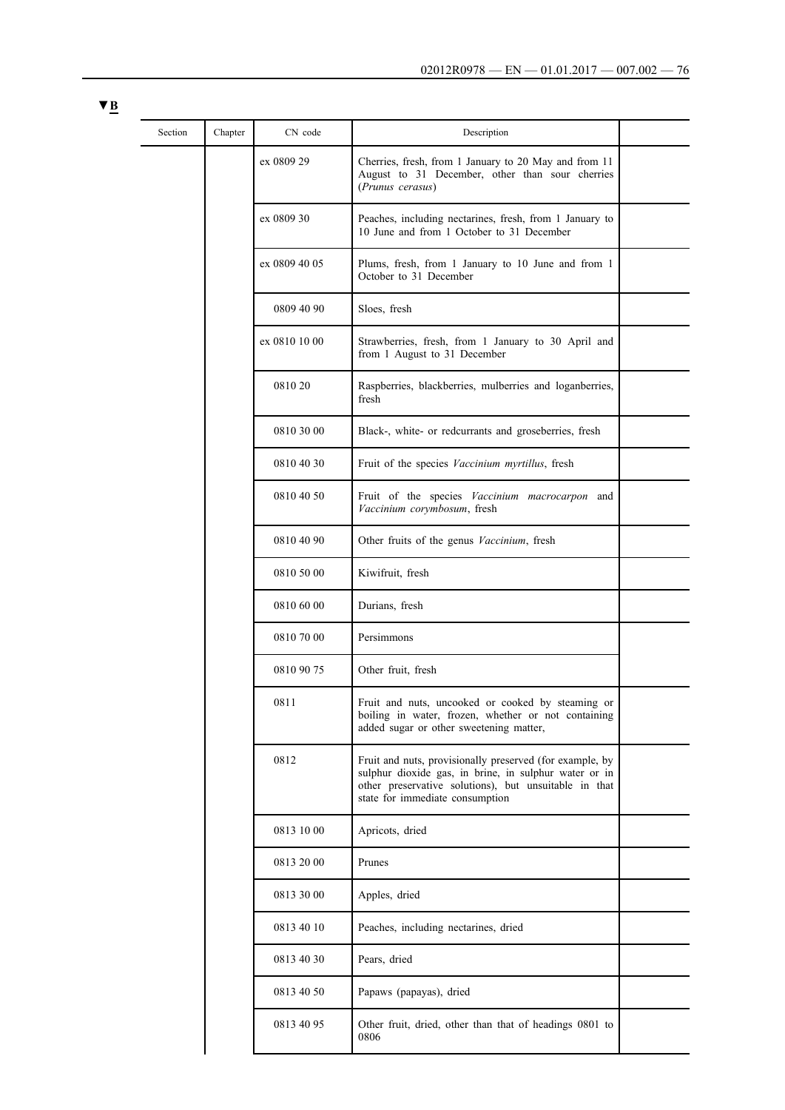| × |  |
|---|--|
|   |  |

| Section | Chapter | CN code       | Description                                                                                                                                                                                                   |  |
|---------|---------|---------------|---------------------------------------------------------------------------------------------------------------------------------------------------------------------------------------------------------------|--|
|         |         | ex 0809 29    | Cherries, fresh, from 1 January to 20 May and from 11<br>August to 31 December, other than sour cherries<br>(Prunus cerasus)                                                                                  |  |
|         |         | ex 0809 30    | Peaches, including nectarines, fresh, from 1 January to<br>10 June and from 1 October to 31 December                                                                                                          |  |
|         |         | ex 0809 40 05 | Plums, fresh, from 1 January to 10 June and from 1<br>October to 31 December                                                                                                                                  |  |
|         |         | 0809 40 90    | Sloes, fresh                                                                                                                                                                                                  |  |
|         |         | ex 0810 10 00 | Strawberries, fresh, from 1 January to 30 April and<br>from 1 August to 31 December                                                                                                                           |  |
|         |         | 0810 20       | Raspberries, blackberries, mulberries and loganberries,<br>fresh                                                                                                                                              |  |
|         |         | 0810 30 00    | Black-, white- or redcurrants and groseberries, fresh                                                                                                                                                         |  |
|         |         | 0810 40 30    | Fruit of the species Vaccinium myrtillus, fresh                                                                                                                                                               |  |
|         |         | 0810 40 50    | Fruit of the species Vaccinium macrocarpon and<br>Vaccinium corymbosum, fresh                                                                                                                                 |  |
|         |         | 0810 40 90    | Other fruits of the genus Vaccinium, fresh                                                                                                                                                                    |  |
|         |         | 0810 50 00    | Kiwifruit, fresh                                                                                                                                                                                              |  |
|         |         | 0810 60 00    | Durians, fresh                                                                                                                                                                                                |  |
|         |         | 0810 70 00    | Persimmons                                                                                                                                                                                                    |  |
|         |         | 0810 90 75    | Other fruit, fresh                                                                                                                                                                                            |  |
|         |         | 0811          | Fruit and nuts, uncooked or cooked by steaming or<br>boiling in water, frozen, whether or not containing<br>added sugar or other sweetening matter,                                                           |  |
|         |         | 0812          | Fruit and nuts, provisionally preserved (for example, by<br>sulphur dioxide gas, in brine, in sulphur water or in<br>other preservative solutions), but unsuitable in that<br>state for immediate consumption |  |
|         |         | 0813 10 00    | Apricots, dried                                                                                                                                                                                               |  |
|         |         | 0813 20 00    | Prunes                                                                                                                                                                                                        |  |
|         |         | 0813 30 00    | Apples, dried                                                                                                                                                                                                 |  |
|         |         | 0813 40 10    | Peaches, including nectarines, dried                                                                                                                                                                          |  |
|         |         | 0813 40 30    | Pears, dried                                                                                                                                                                                                  |  |
|         |         | 0813 40 50    | Papaws (papayas), dried                                                                                                                                                                                       |  |
|         |         | 0813 40 95    | Other fruit, dried, other than that of headings 0801 to<br>0806                                                                                                                                               |  |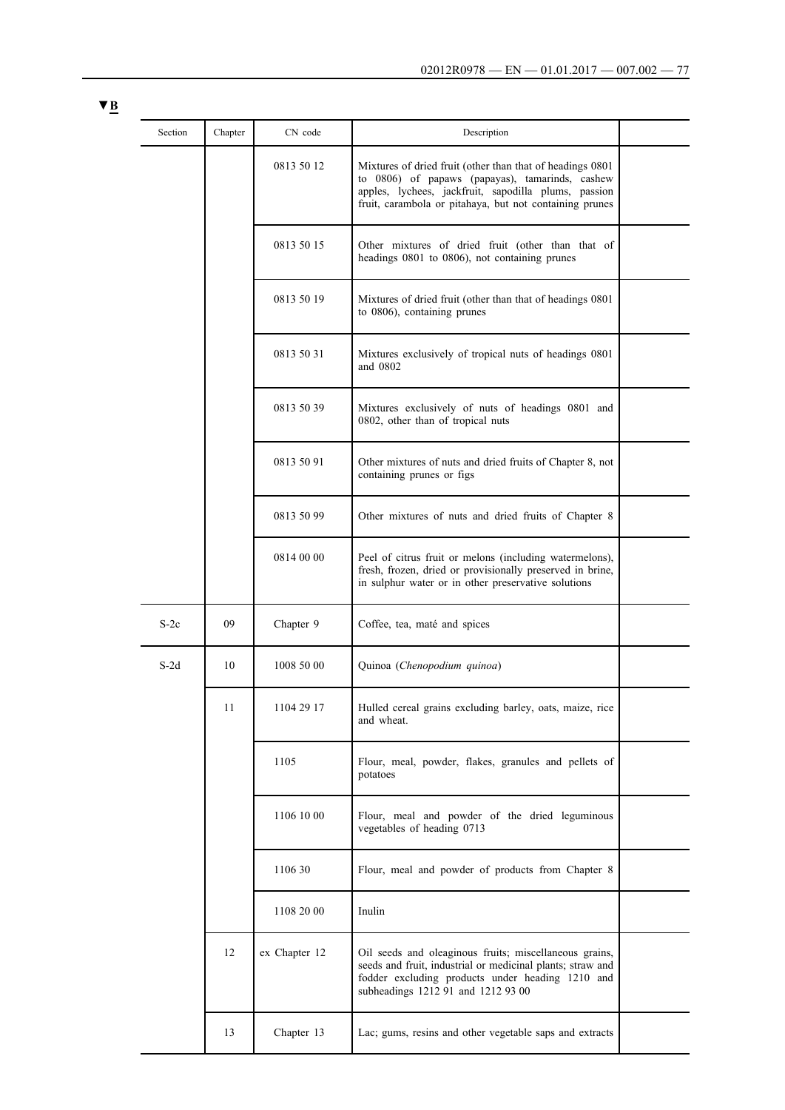| Section | Chapter | CN code       | Description                                                                                                                                                                                                                     |  |
|---------|---------|---------------|---------------------------------------------------------------------------------------------------------------------------------------------------------------------------------------------------------------------------------|--|
|         |         | 0813 50 12    | Mixtures of dried fruit (other than that of headings 0801<br>to 0806) of papaws (papayas), tamarinds, cashew<br>apples, lychees, jackfruit, sapodilla plums, passion<br>fruit, carambola or pitahaya, but not containing prunes |  |
|         |         | 0813 50 15    | Other mixtures of dried fruit (other than that of<br>headings 0801 to 0806), not containing prunes                                                                                                                              |  |
|         |         | 0813 50 19    | Mixtures of dried fruit (other than that of headings 0801<br>to 0806), containing prunes                                                                                                                                        |  |
|         |         | 0813 50 31    | Mixtures exclusively of tropical nuts of headings 0801<br>and 0802                                                                                                                                                              |  |
|         |         | 0813 50 39    | Mixtures exclusively of nuts of headings 0801 and<br>0802, other than of tropical nuts                                                                                                                                          |  |
|         |         | 0813 50 91    | Other mixtures of nuts and dried fruits of Chapter 8, not<br>containing prunes or figs                                                                                                                                          |  |
|         |         | 0813 50 99    | Other mixtures of nuts and dried fruits of Chapter 8                                                                                                                                                                            |  |
|         |         | 0814 00 00    | Peel of citrus fruit or melons (including watermelons),<br>fresh, frozen, dried or provisionally preserved in brine,<br>in sulphur water or in other preservative solutions                                                     |  |
| $S-2c$  | 09      | Chapter 9     | Coffee, tea, maté and spices                                                                                                                                                                                                    |  |
| $S-2d$  | 10      | 1008 50 00    | Quinoa (Chenopodium quinoa)                                                                                                                                                                                                     |  |
|         | 11      | 1104 29 17    | Hulled cereal grains excluding barley, oats, maize, rice<br>and wheat.                                                                                                                                                          |  |
|         |         | 1105          | Flour, meal, powder, flakes, granules and pellets of<br>potatoes                                                                                                                                                                |  |
|         |         | 1106 10 00    | Flour, meal and powder of the dried leguminous<br>vegetables of heading 0713                                                                                                                                                    |  |
|         |         | 1106 30       | Flour, meal and powder of products from Chapter 8                                                                                                                                                                               |  |
|         |         | 1108 20 00    | Inulin                                                                                                                                                                                                                          |  |
|         | 12      | ex Chapter 12 | Oil seeds and oleaginous fruits; miscellaneous grains,<br>seeds and fruit, industrial or medicinal plants; straw and<br>fodder excluding products under heading 1210 and<br>subheadings 1212 91 and 1212 93 00                  |  |
|         | 13      | Chapter 13    | Lac; gums, resins and other vegetable saps and extracts                                                                                                                                                                         |  |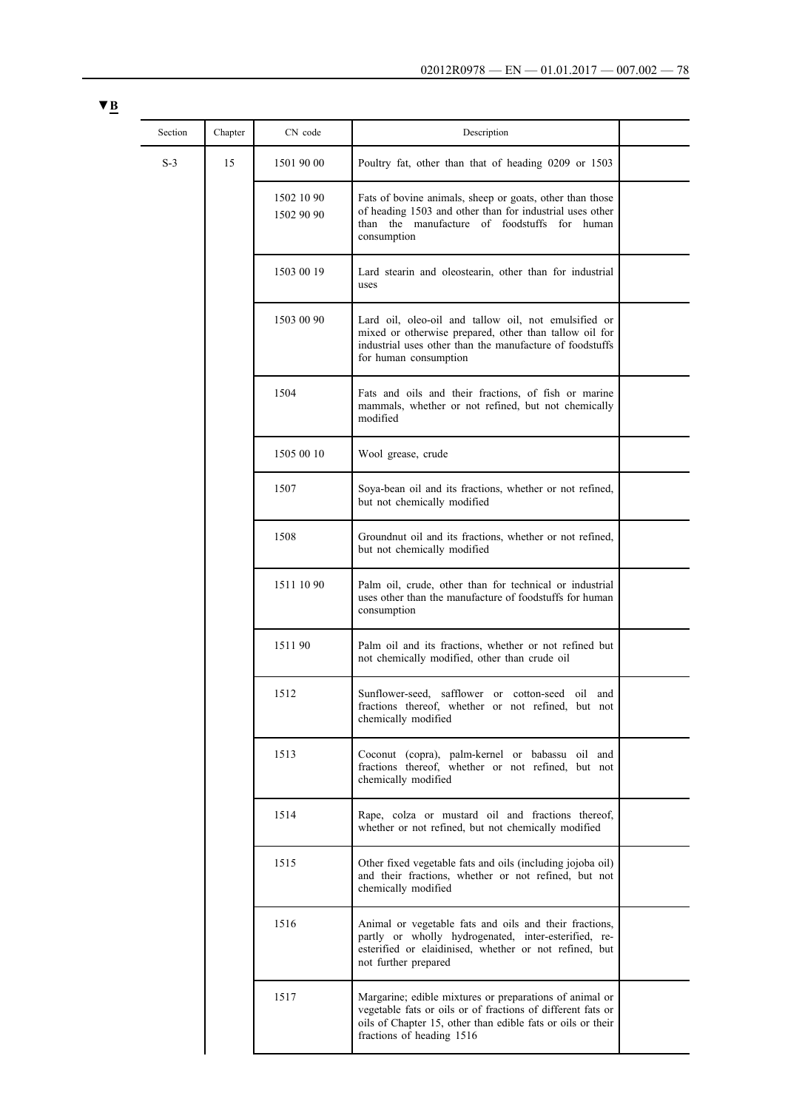| × |  |
|---|--|
|   |  |

| Section | Chapter | CN code                  | Description                                                                                                                                                                                                        |  |
|---------|---------|--------------------------|--------------------------------------------------------------------------------------------------------------------------------------------------------------------------------------------------------------------|--|
| $S-3$   | 15      | 1501 90 00               | Poultry fat, other than that of heading 0209 or 1503                                                                                                                                                               |  |
|         |         | 1502 10 90<br>1502 90 90 | Fats of bovine animals, sheep or goats, other than those<br>of heading 1503 and other than for industrial uses other<br>than the manufacture of foodstuffs for human<br>consumption                                |  |
|         |         | 1503 00 19               | Lard stearin and oleostearin, other than for industrial<br>uses                                                                                                                                                    |  |
|         |         | 1503 00 90               | Lard oil, oleo-oil and tallow oil, not emulsified or<br>mixed or otherwise prepared, other than tallow oil for<br>industrial uses other than the manufacture of foodstuffs<br>for human consumption                |  |
|         |         | 1504                     | Fats and oils and their fractions, of fish or marine<br>mammals, whether or not refined, but not chemically<br>modified                                                                                            |  |
|         |         | 1505 00 10               | Wool grease, crude                                                                                                                                                                                                 |  |
|         |         | 1507                     | Soya-bean oil and its fractions, whether or not refined,<br>but not chemically modified                                                                                                                            |  |
|         |         | 1508                     | Groundnut oil and its fractions, whether or not refined,<br>but not chemically modified                                                                                                                            |  |
|         |         | 1511 10 90               | Palm oil, crude, other than for technical or industrial<br>uses other than the manufacture of foodstuffs for human<br>consumption                                                                                  |  |
|         |         | 151190                   | Palm oil and its fractions, whether or not refined but<br>not chemically modified, other than crude oil                                                                                                            |  |
|         |         | 1512                     | Sunflower-seed, safflower or cotton-seed oil and<br>fractions thereof, whether or not refined, but not<br>chemically modified                                                                                      |  |
|         |         | 1513                     | Coconut (copra), palm-kernel or babassu oil and<br>fractions thereof, whether or not refined, but not<br>chemically modified                                                                                       |  |
|         |         | 1514                     | Rape, colza or mustard oil and fractions thereof,<br>whether or not refined, but not chemically modified                                                                                                           |  |
|         |         | 1515                     | Other fixed vegetable fats and oils (including jojoba oil)<br>and their fractions, whether or not refined, but not<br>chemically modified                                                                          |  |
|         |         | 1516                     | Animal or vegetable fats and oils and their fractions,<br>partly or wholly hydrogenated, inter-esterified, re-<br>esterified or elaidinised, whether or not refined, but<br>not further prepared                   |  |
|         |         | 1517                     | Margarine; edible mixtures or preparations of animal or<br>vegetable fats or oils or of fractions of different fats or<br>oils of Chapter 15, other than edible fats or oils or their<br>fractions of heading 1516 |  |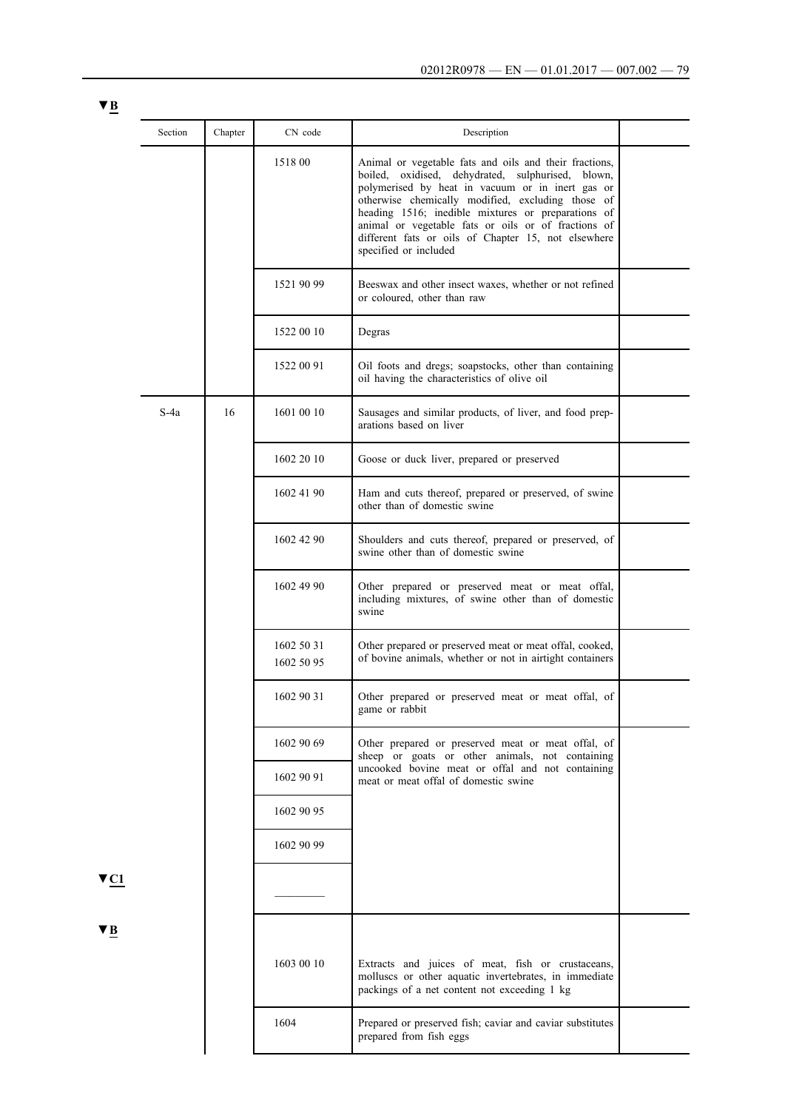| × |  |
|---|--|
|   |  |

|                         | Section | Chapter | CN code                  | Description                                                                                                                                                                                                                                                                                                                                                                                                       |  |
|-------------------------|---------|---------|--------------------------|-------------------------------------------------------------------------------------------------------------------------------------------------------------------------------------------------------------------------------------------------------------------------------------------------------------------------------------------------------------------------------------------------------------------|--|
|                         |         |         | 1518 00                  | Animal or vegetable fats and oils and their fractions,<br>boiled, oxidised, dehydrated, sulphurised, blown,<br>polymerised by heat in vacuum or in inert gas or<br>otherwise chemically modified, excluding those of<br>heading 1516; inedible mixtures or preparations of<br>animal or vegetable fats or oils or of fractions of<br>different fats or oils of Chapter 15, not elsewhere<br>specified or included |  |
|                         |         |         | 1521 90 99               | Beeswax and other insect waxes, whether or not refined<br>or coloured, other than raw                                                                                                                                                                                                                                                                                                                             |  |
|                         |         |         | 1522 00 10               | Degras                                                                                                                                                                                                                                                                                                                                                                                                            |  |
|                         |         |         | 1522 00 91               | Oil foots and dregs; soapstocks, other than containing<br>oil having the characteristics of olive oil                                                                                                                                                                                                                                                                                                             |  |
|                         | S-4a    | 16      | 1601 00 10               | Sausages and similar products, of liver, and food prep-<br>arations based on liver                                                                                                                                                                                                                                                                                                                                |  |
|                         |         |         | 1602 20 10               | Goose or duck liver, prepared or preserved                                                                                                                                                                                                                                                                                                                                                                        |  |
|                         |         |         | 1602 41 90               | Ham and cuts thereof, prepared or preserved, of swine<br>other than of domestic swine                                                                                                                                                                                                                                                                                                                             |  |
|                         |         |         | 1602 42 90               | Shoulders and cuts thereof, prepared or preserved, of<br>swine other than of domestic swine                                                                                                                                                                                                                                                                                                                       |  |
|                         |         |         | 1602 49 90               | Other prepared or preserved meat or meat offal,<br>including mixtures, of swine other than of domestic<br>swine                                                                                                                                                                                                                                                                                                   |  |
|                         |         |         | 1602 50 31<br>1602 50 95 | Other prepared or preserved meat or meat offal, cooked,<br>of bovine animals, whether or not in airtight containers                                                                                                                                                                                                                                                                                               |  |
|                         |         |         | 1602 90 31               | Other prepared or preserved meat or meat offal, of<br>game or rabbit                                                                                                                                                                                                                                                                                                                                              |  |
|                         |         |         | 1602 90 69               | Other prepared or preserved meat or meat offal, of<br>sheep or goats or other animals, not containing                                                                                                                                                                                                                                                                                                             |  |
|                         |         |         | 1602 90 91               | uncooked bovine meat or offal and not containing<br>meat or meat offal of domestic swine                                                                                                                                                                                                                                                                                                                          |  |
|                         |         |         | 1602 90 95               |                                                                                                                                                                                                                                                                                                                                                                                                                   |  |
|                         |         |         | 1602 90 99               |                                                                                                                                                                                                                                                                                                                                                                                                                   |  |
| $\blacktriangledown$ C1 |         |         |                          |                                                                                                                                                                                                                                                                                                                                                                                                                   |  |
| VB.                     |         |         | 1603 00 10               | Extracts and juices of meat, fish or crustaceans,<br>molluscs or other aquatic invertebrates, in immediate<br>packings of a net content not exceeding 1 kg                                                                                                                                                                                                                                                        |  |
|                         |         |         | 1604                     | Prepared or preserved fish; caviar and caviar substitutes<br>prepared from fish eggs                                                                                                                                                                                                                                                                                                                              |  |
|                         |         |         |                          |                                                                                                                                                                                                                                                                                                                                                                                                                   |  |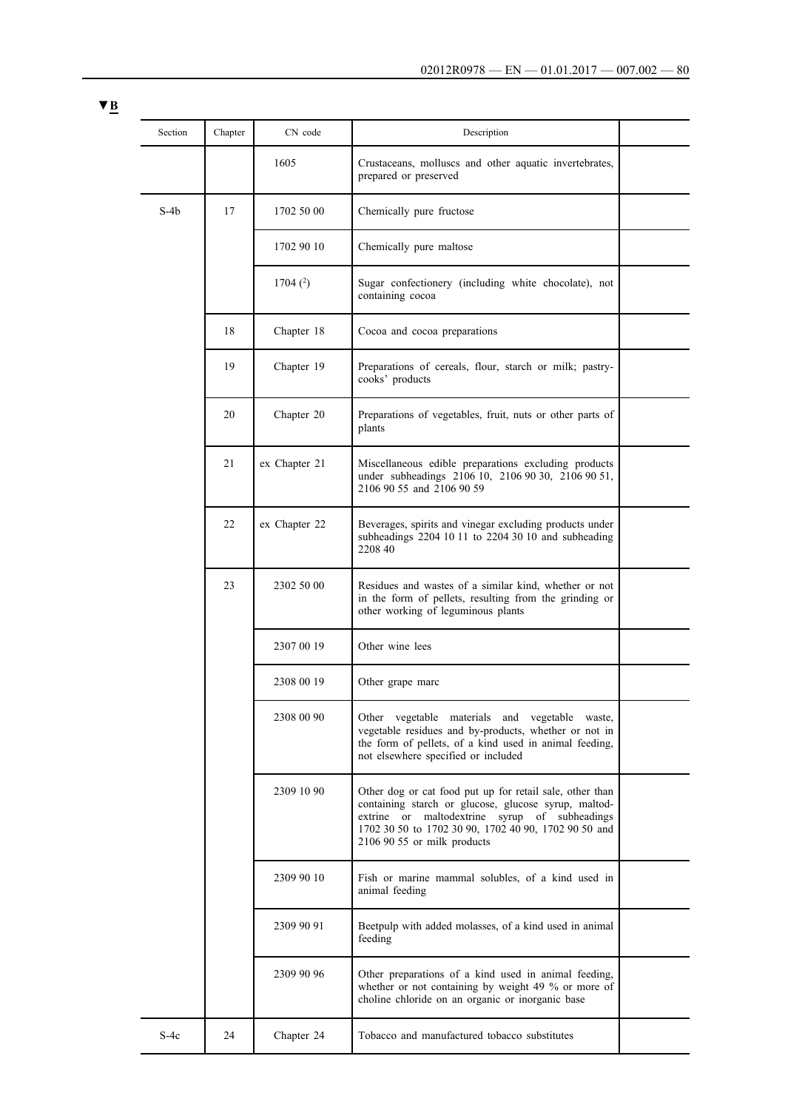| Section | Chapter | CN code       | Description                                                                                                                                                                                                                                              |  |
|---------|---------|---------------|----------------------------------------------------------------------------------------------------------------------------------------------------------------------------------------------------------------------------------------------------------|--|
|         |         | 1605          | Crustaceans, molluscs and other aquatic invertebrates,<br>prepared or preserved                                                                                                                                                                          |  |
| $S-4b$  | 17      | 1702 50 00    | Chemically pure fructose                                                                                                                                                                                                                                 |  |
|         |         | 1702 90 10    | Chemically pure maltose                                                                                                                                                                                                                                  |  |
|         |         | 1704 $(2)$    | Sugar confectionery (including white chocolate), not<br>containing cocoa                                                                                                                                                                                 |  |
|         | 18      | Chapter 18    | Cocoa and cocoa preparations                                                                                                                                                                                                                             |  |
|         | 19      | Chapter 19    | Preparations of cereals, flour, starch or milk; pastry-<br>cooks' products                                                                                                                                                                               |  |
|         | 20      | Chapter 20    | Preparations of vegetables, fruit, nuts or other parts of<br>plants                                                                                                                                                                                      |  |
|         | 21      | ex Chapter 21 | Miscellaneous edible preparations excluding products<br>under subheadings 2106 10, 2106 90 30, 2106 90 51,<br>2106 90 55 and 2106 90 59                                                                                                                  |  |
|         | 22      | ex Chapter 22 | Beverages, spirits and vinegar excluding products under<br>subheadings 2204 10 11 to 2204 30 10 and subheading<br>2208 40                                                                                                                                |  |
|         | 23      | 2302 50 00    | Residues and wastes of a similar kind, whether or not<br>in the form of pellets, resulting from the grinding or<br>other working of leguminous plants                                                                                                    |  |
|         |         | 2307 00 19    | Other wine lees                                                                                                                                                                                                                                          |  |
|         |         | 2308 00 19    | Other grape marc                                                                                                                                                                                                                                         |  |
|         |         | 2308 00 90    | Other vegetable materials and vegetable waste,<br>vegetable residues and by-products, whether or not in<br>the form of pellets, of a kind used in animal feeding,<br>not elsewhere specified or included                                                 |  |
|         |         | 2309 10 90    | Other dog or cat food put up for retail sale, other than<br>containing starch or glucose, glucose syrup, maltod-<br>extrine or maltodextrine syrup of subheadings<br>1702 30 50 to 1702 30 90, 1702 40 90, 1702 90 50 and<br>2106 90 55 or milk products |  |
|         |         | 2309 90 10    | Fish or marine mammal solubles, of a kind used in<br>animal feeding                                                                                                                                                                                      |  |
|         |         | 2309 90 91    | Beetpulp with added molasses, of a kind used in animal<br>feeding                                                                                                                                                                                        |  |
|         |         | 2309 90 96    | Other preparations of a kind used in animal feeding,<br>whether or not containing by weight 49 % or more of<br>choline chloride on an organic or inorganic base                                                                                          |  |
| $S-4c$  | 24      | Chapter 24    | Tobacco and manufactured tobacco substitutes                                                                                                                                                                                                             |  |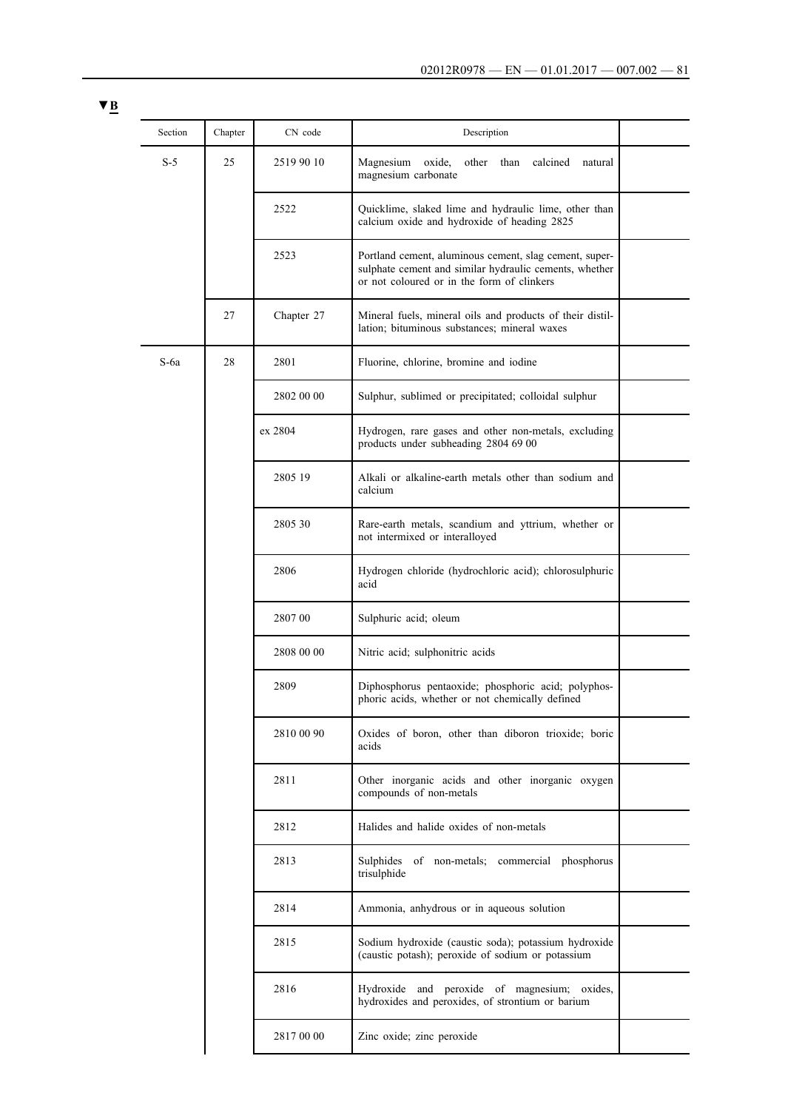| Section | Chapter | CN code    | Description                                                                                                                                                    |  |
|---------|---------|------------|----------------------------------------------------------------------------------------------------------------------------------------------------------------|--|
| $S-5$   | 25      | 2519 90 10 | Magnesium<br>oxide,<br>other than<br>calcined<br>natural<br>magnesium carbonate                                                                                |  |
|         |         | 2522       | Quicklime, slaked lime and hydraulic lime, other than<br>calcium oxide and hydroxide of heading 2825                                                           |  |
|         |         | 2523       | Portland cement, aluminous cement, slag cement, super-<br>sulphate cement and similar hydraulic cements, whether<br>or not coloured or in the form of clinkers |  |
|         | 27      | Chapter 27 | Mineral fuels, mineral oils and products of their distil-<br>lation; bituminous substances; mineral waxes                                                      |  |
| $S$ -6a | 28      | 2801       | Fluorine, chlorine, bromine and iodine                                                                                                                         |  |
|         |         | 2802 00 00 | Sulphur, sublimed or precipitated; colloidal sulphur                                                                                                           |  |
|         |         | ex 2804    | Hydrogen, rare gases and other non-metals, excluding<br>products under subheading 2804 69 00                                                                   |  |
|         |         | 2805 19    | Alkali or alkaline-earth metals other than sodium and<br>calcium                                                                                               |  |
|         |         | 2805 30    | Rare-earth metals, scandium and yttrium, whether or<br>not intermixed or interalloyed                                                                          |  |
|         |         | 2806       | Hydrogen chloride (hydrochloric acid); chlorosulphuric<br>acid                                                                                                 |  |
|         |         | 2807 00    | Sulphuric acid; oleum                                                                                                                                          |  |
|         |         | 2808 00 00 | Nitric acid; sulphonitric acids                                                                                                                                |  |
|         |         | 2809       | Diphosphorus pentaoxide; phosphoric acid; polyphos-<br>phoric acids, whether or not chemically defined                                                         |  |
|         |         | 2810 00 90 | Oxides of boron, other than diboron trioxide; boric<br>acids                                                                                                   |  |
|         |         | 2811       | Other inorganic acids and other inorganic oxygen<br>compounds of non-metals                                                                                    |  |
|         |         | 2812       | Halides and halide oxides of non-metals                                                                                                                        |  |
|         |         | 2813       | Sulphides of non-metals; commercial phosphorus<br>trisulphide                                                                                                  |  |
|         |         | 2814       | Ammonia, anhydrous or in aqueous solution                                                                                                                      |  |
|         |         | 2815       | Sodium hydroxide (caustic soda); potassium hydroxide<br>(caustic potash); peroxide of sodium or potassium                                                      |  |
|         |         | 2816       | Hydroxide and peroxide of magnesium; oxides,<br>hydroxides and peroxides, of strontium or barium                                                               |  |
|         |         | 2817 00 00 | Zinc oxide; zinc peroxide                                                                                                                                      |  |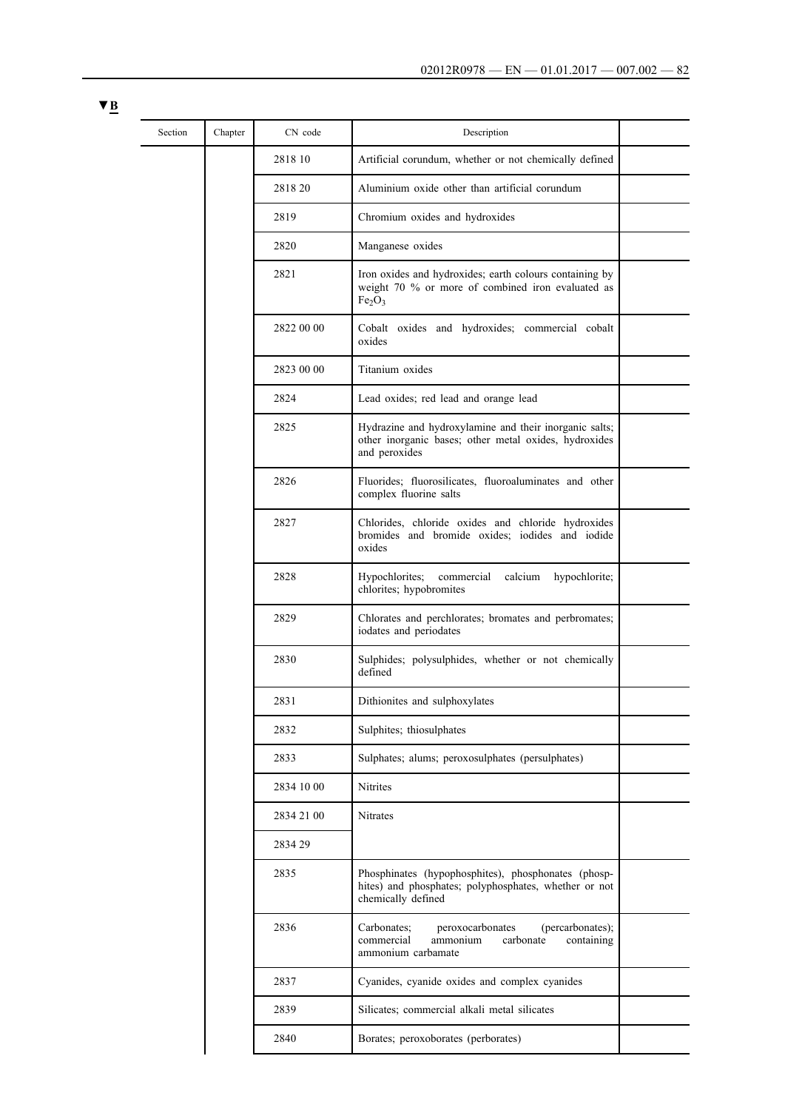| Section | Chapter | CN code    | Description                                                                                                                                    |  |
|---------|---------|------------|------------------------------------------------------------------------------------------------------------------------------------------------|--|
|         |         | 2818 10    | Artificial corundum, whether or not chemically defined                                                                                         |  |
|         |         | 2818 20    | Aluminium oxide other than artificial corundum                                                                                                 |  |
|         |         | 2819       | Chromium oxides and hydroxides                                                                                                                 |  |
|         |         | 2820       | Manganese oxides                                                                                                                               |  |
|         |         | 2821       | Iron oxides and hydroxides; earth colours containing by<br>weight 70 % or more of combined iron evaluated as<br>Fe <sub>2</sub> O <sub>3</sub> |  |
|         |         | 2822 00 00 | Cobalt oxides and hydroxides; commercial cobalt<br>oxides                                                                                      |  |
|         |         | 2823 00 00 | Titanium oxides                                                                                                                                |  |
|         |         | 2824       | Lead oxides; red lead and orange lead                                                                                                          |  |
|         |         | 2825       | Hydrazine and hydroxylamine and their inorganic salts;<br>other inorganic bases; other metal oxides, hydroxides<br>and peroxides               |  |
|         |         | 2826       | Fluorides; fluorosilicates, fluoroaluminates and other<br>complex fluorine salts                                                               |  |
|         |         | 2827       | Chlorides, chloride oxides and chloride hydroxides<br>bromides and bromide oxides; iodides and iodide<br>oxides                                |  |
|         |         | 2828       | Hypochlorites;<br>commercial<br>calcium<br>hypochlorite;<br>chlorites; hypobromites                                                            |  |
|         |         | 2829       | Chlorates and perchlorates; bromates and perbromates;<br>iodates and periodates                                                                |  |
|         |         | 2830       | Sulphides; polysulphides, whether or not chemically<br>defined                                                                                 |  |
|         |         | 2831       | Dithionites and sulphoxylates                                                                                                                  |  |
|         |         | 2832       | Sulphites; thiosulphates                                                                                                                       |  |
|         |         | 2833       | Sulphates; alums; peroxosulphates (persulphates)                                                                                               |  |
|         |         | 2834 10 00 | Nitrites                                                                                                                                       |  |
|         |         | 2834 21 00 | Nitrates                                                                                                                                       |  |
|         |         | 2834 29    |                                                                                                                                                |  |
|         |         | 2835       | Phosphinates (hypophosphites), phosphonates (phosp-<br>hites) and phosphates; polyphosphates, whether or not<br>chemically defined             |  |
|         |         | 2836       | Carbonates;<br>(percarbonates);<br>peroxocarbonates<br>commercial<br>ammonium<br>carbonate<br>containing<br>ammonium carbamate                 |  |
|         |         | 2837       | Cyanides, cyanide oxides and complex cyanides                                                                                                  |  |
|         |         | 2839       | Silicates; commercial alkali metal silicates                                                                                                   |  |
|         |         | 2840       | Borates; peroxoborates (perborates)                                                                                                            |  |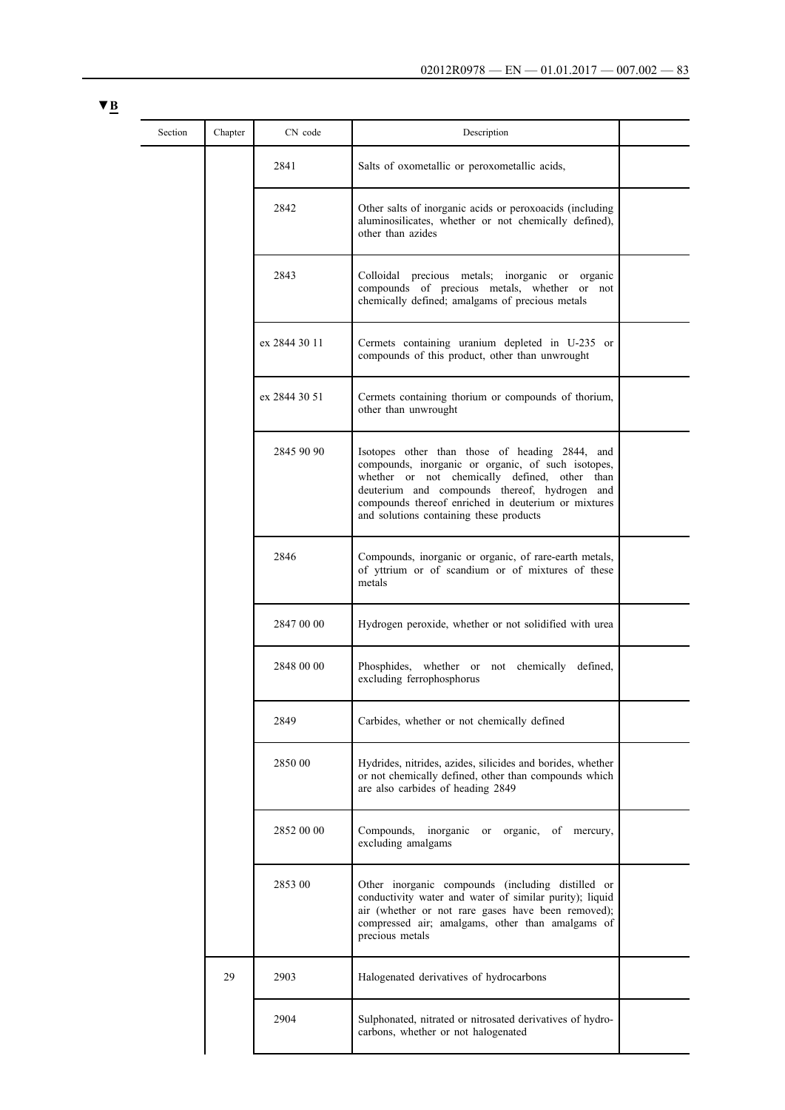| Section | Chapter | CN code       | Description                                                                                                                                                                                                                                                                                              |  |
|---------|---------|---------------|----------------------------------------------------------------------------------------------------------------------------------------------------------------------------------------------------------------------------------------------------------------------------------------------------------|--|
|         |         | 2841          | Salts of oxometallic or peroxometallic acids,                                                                                                                                                                                                                                                            |  |
|         |         | 2842          | Other salts of inorganic acids or peroxoacids (including<br>aluminosilicates, whether or not chemically defined),<br>other than azides                                                                                                                                                                   |  |
|         |         | 2843          | Colloidal precious metals; inorganic or<br>organic<br>compounds of precious metals, whether or not<br>chemically defined; amalgams of precious metals                                                                                                                                                    |  |
|         |         | ex 2844 30 11 | Cermets containing uranium depleted in U-235 or<br>compounds of this product, other than unwrought                                                                                                                                                                                                       |  |
|         |         | ex 2844 30 51 | Cermets containing thorium or compounds of thorium,<br>other than unwrought                                                                                                                                                                                                                              |  |
|         |         | 2845 90 90    | Isotopes other than those of heading 2844, and<br>compounds, inorganic or organic, of such isotopes,<br>whether or not chemically defined, other than<br>deuterium and compounds thereof, hydrogen and<br>compounds thereof enriched in deuterium or mixtures<br>and solutions containing these products |  |
|         |         | 2846          | Compounds, inorganic or organic, of rare-earth metals,<br>of yttrium or of scandium or of mixtures of these<br>metals                                                                                                                                                                                    |  |
|         |         | 2847 00 00    | Hydrogen peroxide, whether or not solidified with urea                                                                                                                                                                                                                                                   |  |
|         |         | 2848 00 00    | Phosphides, whether or not chemically defined,<br>excluding ferrophosphorus                                                                                                                                                                                                                              |  |
|         |         | 2849          | Carbides, whether or not chemically defined                                                                                                                                                                                                                                                              |  |
|         |         | 2850 00       | Hydrides, nitrides, azides, silicides and borides, whether<br>or not chemically defined, other than compounds which<br>are also carbides of heading 2849                                                                                                                                                 |  |
|         |         | 2852 00 00    | Compounds,<br>inorganic<br>or organic, of mercury,<br>excluding amalgams                                                                                                                                                                                                                                 |  |
|         |         | 2853 00       | Other inorganic compounds (including distilled or<br>conductivity water and water of similar purity); liquid<br>air (whether or not rare gases have been removed);<br>compressed air; amalgams, other than amalgams of<br>precious metals                                                                |  |
|         | 29      | 2903          | Halogenated derivatives of hydrocarbons                                                                                                                                                                                                                                                                  |  |
|         |         | 2904          | Sulphonated, nitrated or nitrosated derivatives of hydro-<br>carbons, whether or not halogenated                                                                                                                                                                                                         |  |
|         |         |               |                                                                                                                                                                                                                                                                                                          |  |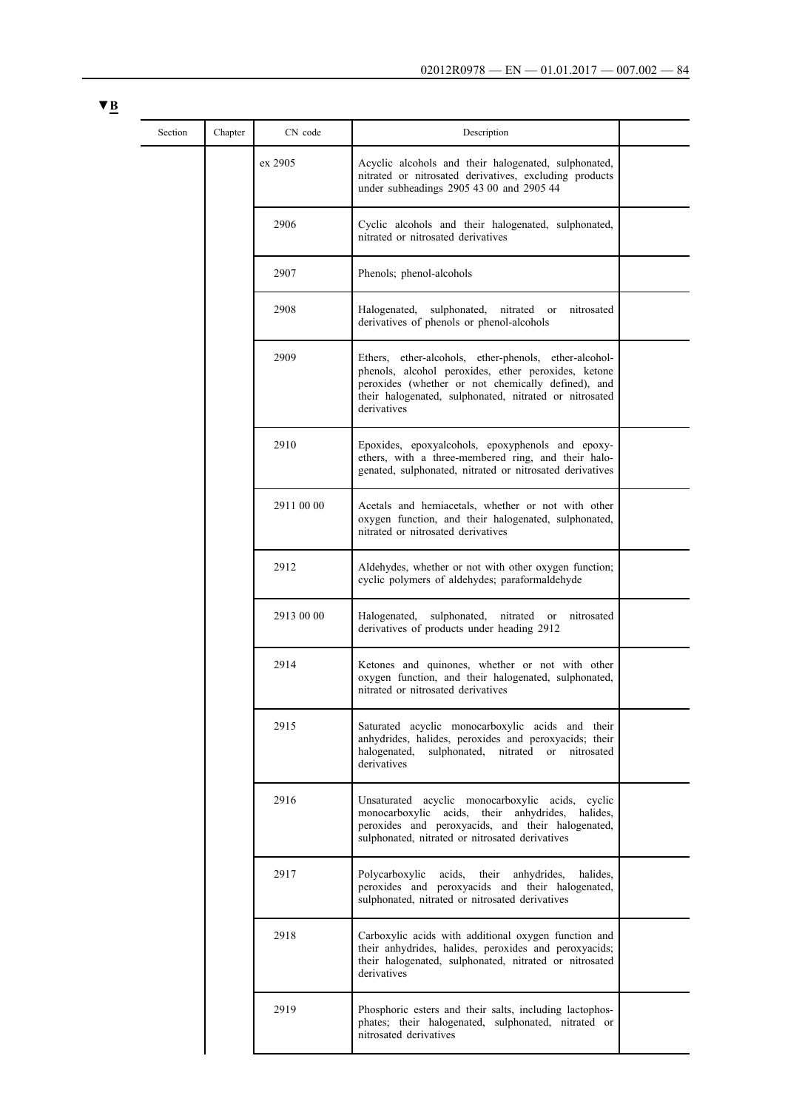| Section | Chapter | CN code    | Description                                                                                                                                                                                                                                 |  |
|---------|---------|------------|---------------------------------------------------------------------------------------------------------------------------------------------------------------------------------------------------------------------------------------------|--|
|         |         | ex 2905    | Acyclic alcohols and their halogenated, sulphonated,<br>nitrated or nitrosated derivatives, excluding products<br>under subheadings 2905 43 00 and 2905 44                                                                                  |  |
|         |         | 2906       | Cyclic alcohols and their halogenated, sulphonated,<br>nitrated or nitrosated derivatives                                                                                                                                                   |  |
|         |         | 2907       | Phenols; phenol-alcohols                                                                                                                                                                                                                    |  |
|         |         | 2908       | Halogenated,<br>sulphonated, nitrated or<br>nitrosated<br>derivatives of phenols or phenol-alcohols                                                                                                                                         |  |
|         |         | 2909       | Ethers, ether-alcohols, ether-phenols, ether-alcohol-<br>phenols, alcohol peroxides, ether peroxides, ketone<br>peroxides (whether or not chemically defined), and<br>their halogenated, sulphonated, nitrated or nitrosated<br>derivatives |  |
|         |         | 2910       | Epoxides, epoxyalcohols, epoxyphenols and epoxy-<br>ethers, with a three-membered ring, and their halo-<br>genated, sulphonated, nitrated or nitrosated derivatives                                                                         |  |
|         |         | 2911 00 00 | Acetals and hemiacetals, whether or not with other<br>oxygen function, and their halogenated, sulphonated,<br>nitrated or nitrosated derivatives                                                                                            |  |
|         |         | 2912       | Aldehydes, whether or not with other oxygen function;<br>cyclic polymers of aldehydes; paraformaldehyde                                                                                                                                     |  |
|         |         | 2913 00 00 | Halogenated,<br>sulphonated, nitrated or<br>nitrosated<br>derivatives of products under heading 2912                                                                                                                                        |  |
|         |         | 2914       | Ketones and quinones, whether or not with other<br>oxygen function, and their halogenated, sulphonated,<br>nitrated or nitrosated derivatives                                                                                               |  |
|         |         | 2915       | Saturated acyclic monocarboxylic acids and their<br>anhydrides, halides, peroxides and peroxyacids; their<br>sulphonated, nitrated or<br>halogenated,<br>nitrosated<br>derivatives                                                          |  |
|         |         | 2916       | Unsaturated acyclic monocarboxylic acids, cyclic<br>monocarboxylic acids, their anhydrides,<br>halides.<br>peroxides and peroxyacids, and their halogenated,<br>sulphonated, nitrated or nitrosated derivatives                             |  |
|         |         | 2917       | Polycarboxylic acids, their anhydrides,<br>halides.<br>peroxides and peroxyacids and their halogenated,<br>sulphonated, nitrated or nitrosated derivatives                                                                                  |  |
|         |         | 2918       | Carboxylic acids with additional oxygen function and<br>their anhydrides, halides, peroxides and peroxyacids;<br>their halogenated, sulphonated, nitrated or nitrosated<br>derivatives                                                      |  |
|         |         | 2919       | Phosphoric esters and their salts, including lactophos-<br>phates; their halogenated, sulphonated, nitrated or<br>nitrosated derivatives                                                                                                    |  |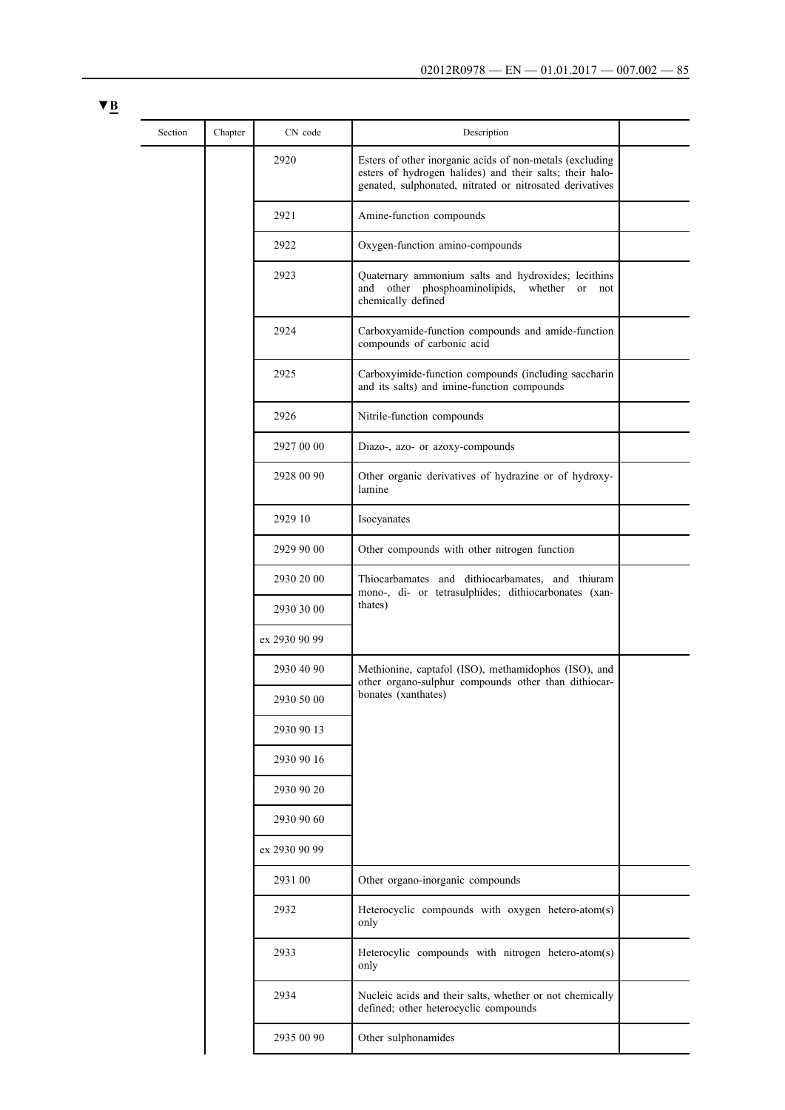| × |  |
|---|--|
|   |  |

| Section | Chapter | CN code       | Description                                                                                                                                                                      |  |
|---------|---------|---------------|----------------------------------------------------------------------------------------------------------------------------------------------------------------------------------|--|
|         |         | 2920          | Esters of other inorganic acids of non-metals (excluding<br>esters of hydrogen halides) and their salts; their halo-<br>genated, sulphonated, nitrated or nitrosated derivatives |  |
|         |         | 2921          | Amine-function compounds                                                                                                                                                         |  |
|         |         | 2922          | Oxygen-function amino-compounds                                                                                                                                                  |  |
|         |         | 2923          | Quaternary ammonium salts and hydroxides; lecithins<br>other phosphoaminolipids,<br>and<br>whether<br>or<br>not<br>chemically defined                                            |  |
|         |         | 2924          | Carboxyamide-function compounds and amide-function<br>compounds of carbonic acid                                                                                                 |  |
|         |         | 2925          | Carboxyimide-function compounds (including saccharin<br>and its salts) and imine-function compounds                                                                              |  |
|         |         | 2926          | Nitrile-function compounds                                                                                                                                                       |  |
|         |         | 2927 00 00    | Diazo-, azo- or azoxy-compounds                                                                                                                                                  |  |
|         |         | 2928 00 90    | Other organic derivatives of hydrazine or of hydroxy-<br>lamine                                                                                                                  |  |
|         |         | 2929 10       | Isocyanates                                                                                                                                                                      |  |
|         |         | 2929 90 00    | Other compounds with other nitrogen function                                                                                                                                     |  |
|         |         | 2930 20 00    | Thiocarbamates and dithiocarbamates, and thiuram<br>mono-, di- or tetrasulphides; dithiocarbonates (xan-                                                                         |  |
|         |         | 2930 30 00    | thates)<br>Methionine, captafol (ISO), methamidophos (ISO), and<br>other organo-sulphur compounds other than dithiocar-<br>bonates (xanthates)                                   |  |
|         |         | ex 2930 90 99 |                                                                                                                                                                                  |  |
|         |         | 2930 40 90    |                                                                                                                                                                                  |  |
|         |         | 2930 50 00    |                                                                                                                                                                                  |  |
|         |         | 2930 90 13    |                                                                                                                                                                                  |  |
|         |         | 2930 90 16    |                                                                                                                                                                                  |  |
|         |         | 2930 90 20    |                                                                                                                                                                                  |  |
|         |         | 2930 90 60    |                                                                                                                                                                                  |  |
|         |         | ex 2930 90 99 |                                                                                                                                                                                  |  |
|         |         | 2931 00       | Other organo-inorganic compounds                                                                                                                                                 |  |
|         |         | 2932          | Heterocyclic compounds with oxygen hetero-atom(s)<br>only                                                                                                                        |  |
|         |         | 2933          | Heterocylic compounds with nitrogen hetero-atom(s)<br>only                                                                                                                       |  |
|         |         | 2934          | Nucleic acids and their salts, whether or not chemically<br>defined; other heterocyclic compounds                                                                                |  |
|         |         | 2935 00 90    | Other sulphonamides                                                                                                                                                              |  |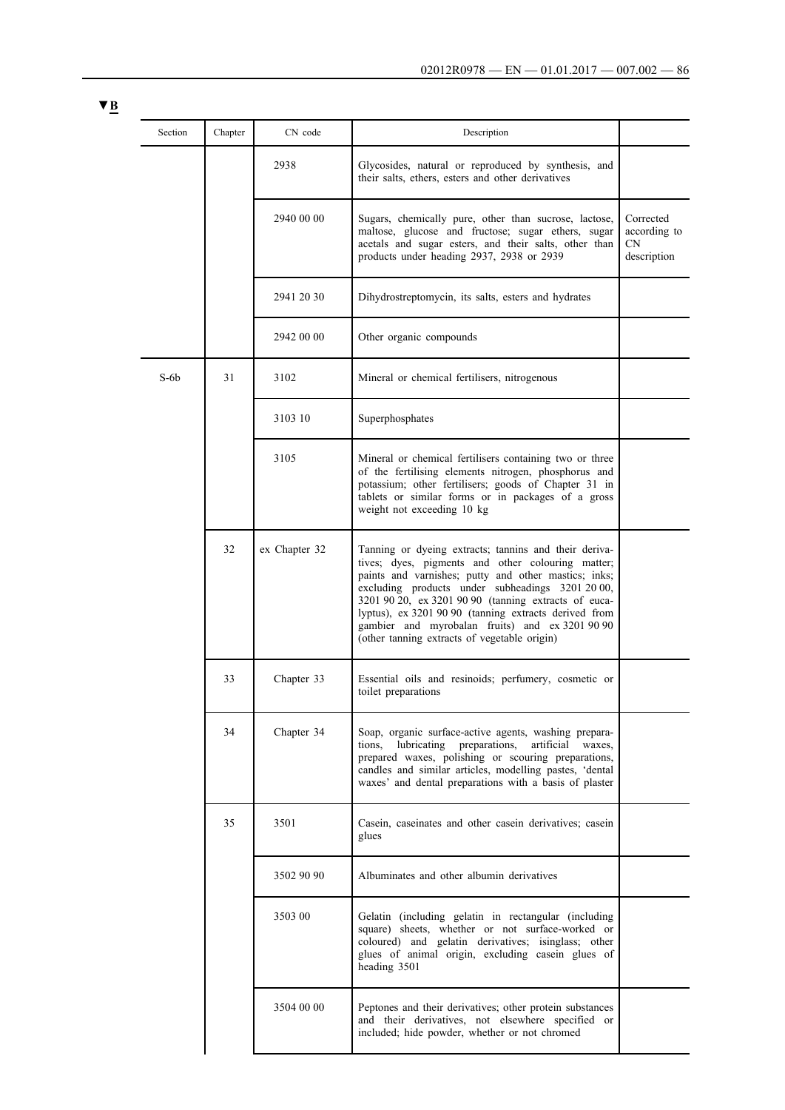| Section    | Chapter | CN code       | Description                                                                                                                                                                                                                                                                                                                                                                                                                                |                                                |
|------------|---------|---------------|--------------------------------------------------------------------------------------------------------------------------------------------------------------------------------------------------------------------------------------------------------------------------------------------------------------------------------------------------------------------------------------------------------------------------------------------|------------------------------------------------|
|            |         | 2938          | Glycosides, natural or reproduced by synthesis, and<br>their salts, ethers, esters and other derivatives                                                                                                                                                                                                                                                                                                                                   |                                                |
|            |         | 2940 00 00    | Sugars, chemically pure, other than sucrose, lactose,<br>maltose, glucose and fructose; sugar ethers, sugar<br>acetals and sugar esters, and their salts, other than<br>products under heading 2937, 2938 or 2939                                                                                                                                                                                                                          | Corrected<br>according to<br>CN<br>description |
|            |         | 2941 20 30    | Dihydrostreptomycin, its salts, esters and hydrates                                                                                                                                                                                                                                                                                                                                                                                        |                                                |
|            |         | 2942 00 00    | Other organic compounds                                                                                                                                                                                                                                                                                                                                                                                                                    |                                                |
| $S$ -6 $b$ | 31      | 3102          | Mineral or chemical fertilisers, nitrogenous                                                                                                                                                                                                                                                                                                                                                                                               |                                                |
|            |         | 3103 10       | Superphosphates                                                                                                                                                                                                                                                                                                                                                                                                                            |                                                |
|            |         | 3105          | Mineral or chemical fertilisers containing two or three<br>of the fertilising elements nitrogen, phosphorus and<br>potassium; other fertilisers; goods of Chapter 31 in<br>tablets or similar forms or in packages of a gross<br>weight not exceeding 10 kg                                                                                                                                                                                |                                                |
|            | 32      | ex Chapter 32 | Tanning or dyeing extracts; tannins and their deriva-<br>tives; dyes, pigments and other colouring matter;<br>paints and varnishes; putty and other mastics; inks;<br>excluding products under subheadings 3201 20 00,<br>3201 90 20, ex 3201 90 90 (tanning extracts of euca-<br>lyptus), ex 3201 90 90 (tanning extracts derived from<br>gambier and myrobalan fruits) and ex 3201 90 90<br>(other tanning extracts of vegetable origin) |                                                |
|            | 33      | Chapter 33    | Essential oils and resinoids; perfumery, cosmetic or<br>toilet preparations                                                                                                                                                                                                                                                                                                                                                                |                                                |
|            | 34      | Chapter 34    | Soap, organic surface-active agents, washing prepara-<br>lubricating preparations,<br>artificial<br>tions,<br>waxes.<br>prepared waxes, polishing or scouring preparations,<br>candles and similar articles, modelling pastes, 'dental<br>waxes' and dental preparations with a basis of plaster                                                                                                                                           |                                                |
|            | 35      | 3501          | Casein, caseinates and other casein derivatives; casein<br>glues                                                                                                                                                                                                                                                                                                                                                                           |                                                |
|            |         | 3502 90 90    | Albuminates and other albumin derivatives                                                                                                                                                                                                                                                                                                                                                                                                  |                                                |
|            |         | 3503 00       | Gelatin (including gelatin in rectangular (including<br>square) sheets, whether or not surface-worked or<br>coloured) and gelatin derivatives; isinglass; other<br>glues of animal origin, excluding casein glues of<br>heading 3501                                                                                                                                                                                                       |                                                |
|            |         | 3504 00 00    | Peptones and their derivatives; other protein substances<br>and their derivatives, not elsewhere specified or<br>included; hide powder, whether or not chromed                                                                                                                                                                                                                                                                             |                                                |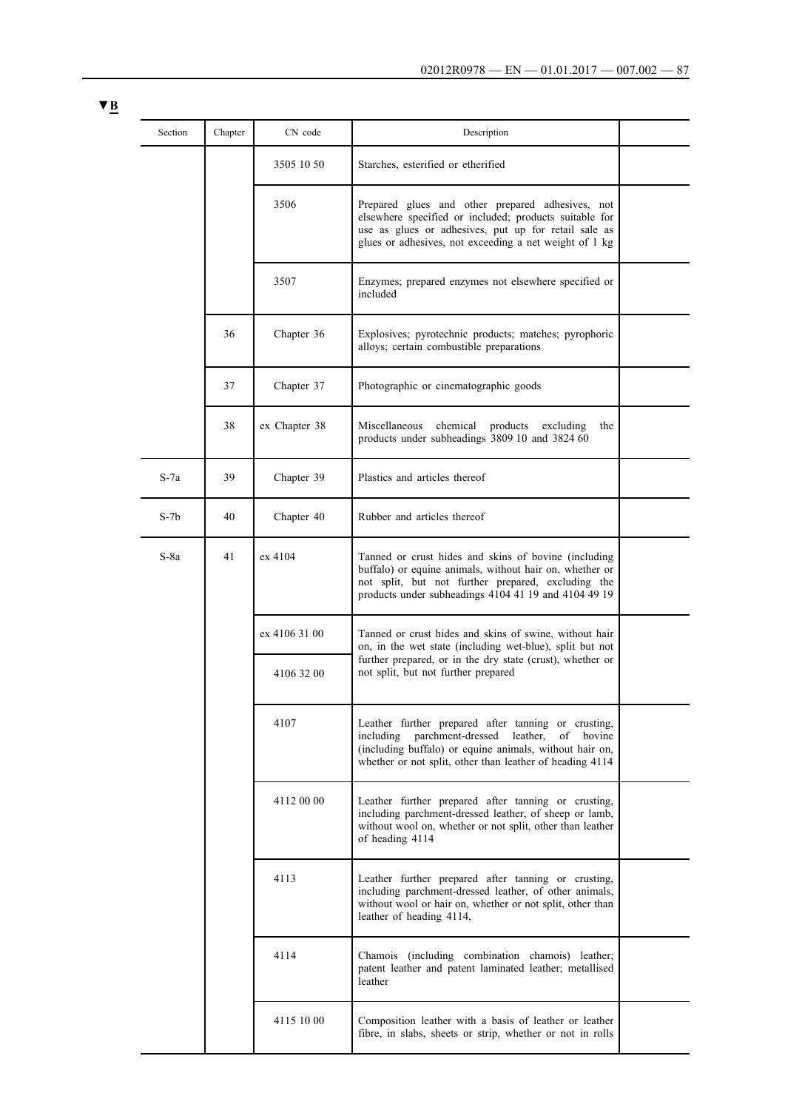| × | ۰, |
|---|----|
|   |    |

| Section | Chapter | CN code       | Description                                                                                                                                                                                                                     |  |
|---------|---------|---------------|---------------------------------------------------------------------------------------------------------------------------------------------------------------------------------------------------------------------------------|--|
|         |         | 3505 10 50    | Starches, esterified or etherified                                                                                                                                                                                              |  |
|         |         | 3506          | Prepared glues and other prepared adhesives, not<br>elsewhere specified or included; products suitable for<br>use as glues or adhesives, put up for retail sale as<br>glues or adhesives, not exceeding a net weight of 1 kg    |  |
|         |         | 3507          | Enzymes; prepared enzymes not elsewhere specified or<br>included                                                                                                                                                                |  |
|         | 36      | Chapter 36    | Explosives; pyrotechnic products; matches; pyrophoric<br>alloys; certain combustible preparations                                                                                                                               |  |
|         | 37      | Chapter 37    | Photographic or cinematographic goods                                                                                                                                                                                           |  |
|         | 38      | ex Chapter 38 | Miscellaneous<br>chemical<br>products<br>excluding<br>the<br>products under subheadings 3809 10 and 3824 60                                                                                                                     |  |
| $S-7a$  | 39      | Chapter 39    | Plastics and articles thereof                                                                                                                                                                                                   |  |
| $S-7b$  | 40      | Chapter 40    | Rubber and articles thereof                                                                                                                                                                                                     |  |
| $S-8a$  | 41      | ex 4104       | Tanned or crust hides and skins of bovine (including<br>buffalo) or equine animals, without hair on, whether or<br>not split, but not further prepared, excluding the<br>products under subheadings 4104 41 19 and 4104 49 19   |  |
|         |         | ex 4106 31 00 | Tanned or crust hides and skins of swine, without hair<br>on, in the wet state (including wet-blue), split but not                                                                                                              |  |
|         |         | 4106 32 00    | further prepared, or in the dry state (crust), whether or<br>not split, but not further prepared                                                                                                                                |  |
|         |         | 4107          | Leather further prepared after tanning or crusting,<br>including parchment-dressed leather,<br>of bovine<br>(including buffalo) or equine animals, without hair on,<br>whether or not split, other than leather of heading 4114 |  |
|         |         | 4112 00 00    | Leather further prepared after tanning or crusting,<br>including parchment-dressed leather, of sheep or lamb,<br>without wool on, whether or not split, other than leather<br>of heading 4114                                   |  |
|         |         | 4113          | Leather further prepared after tanning or crusting,<br>including parchment-dressed leather, of other animals,<br>without wool or hair on, whether or not split, other than<br>leather of heading 4114,                          |  |
|         |         | 4114          | Chamois (including combination chamois) leather;<br>patent leather and patent laminated leather; metallised<br>leather                                                                                                          |  |
|         |         | 4115 10 00    | Composition leather with a basis of leather or leather<br>fibre, in slabs, sheets or strip, whether or not in rolls                                                                                                             |  |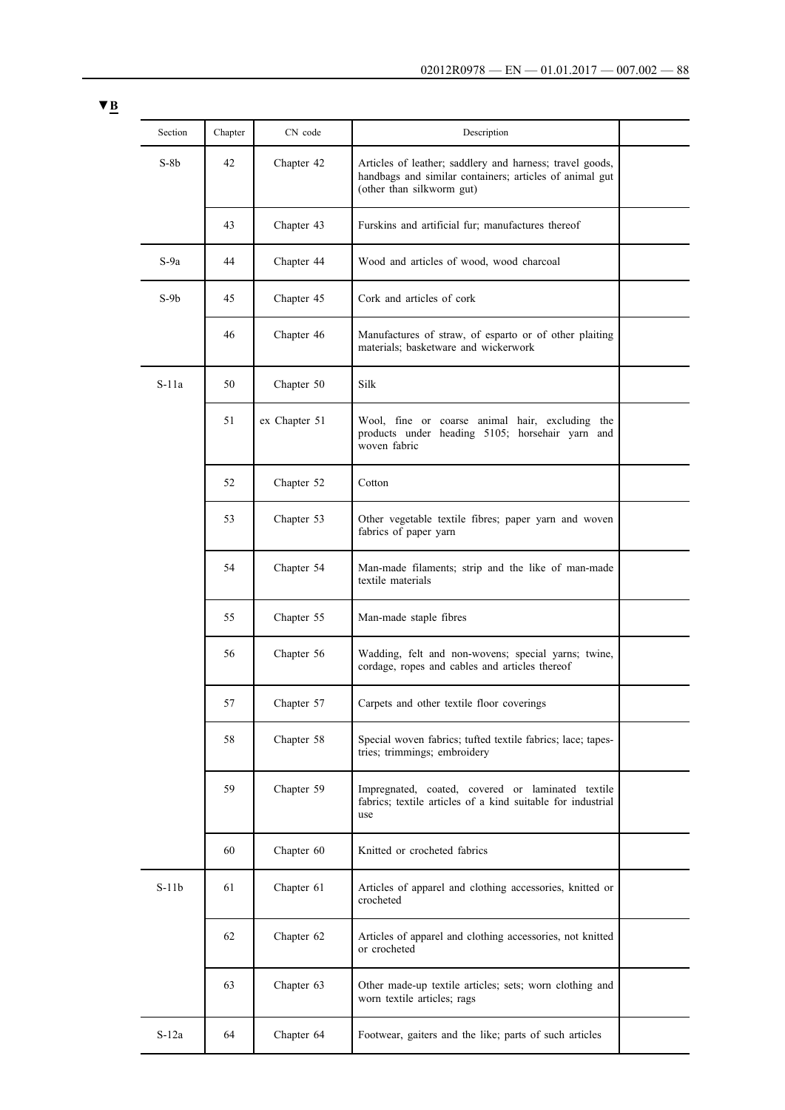| Section | Chapter | CN code       | Description                                                                                                                                      |  |
|---------|---------|---------------|--------------------------------------------------------------------------------------------------------------------------------------------------|--|
| $S-8b$  | 42      | Chapter 42    | Articles of leather; saddlery and harness; travel goods,<br>handbags and similar containers; articles of animal gut<br>(other than silkworm gut) |  |
|         | 43      | Chapter 43    | Furskins and artificial fur; manufactures thereof                                                                                                |  |
| $S-9a$  | 44      | Chapter 44    | Wood and articles of wood, wood charcoal                                                                                                         |  |
| $S-9b$  | 45      | Chapter 45    | Cork and articles of cork                                                                                                                        |  |
|         | 46      | Chapter 46    | Manufactures of straw, of esparto or of other plaiting<br>materials; basketware and wickerwork                                                   |  |
| $S-11a$ | 50      | Chapter 50    | Silk                                                                                                                                             |  |
|         | 51      | ex Chapter 51 | Wool, fine or coarse animal hair, excluding the<br>products under heading 5105; horsehair yarn and<br>woven fabric                               |  |
|         | 52      | Chapter 52    | Cotton                                                                                                                                           |  |
|         | 53      | Chapter 53    | Other vegetable textile fibres; paper yarn and woven<br>fabrics of paper yarn                                                                    |  |
|         | 54      | Chapter 54    | Man-made filaments; strip and the like of man-made<br>textile materials                                                                          |  |
|         | 55      | Chapter 55    | Man-made staple fibres                                                                                                                           |  |
|         | 56      | Chapter 56    | Wadding, felt and non-wovens; special yarns; twine,<br>cordage, ropes and cables and articles thereof                                            |  |
|         | 57      | Chapter 57    | Carpets and other textile floor coverings                                                                                                        |  |
|         | 58      | Chapter 58    | Special woven fabrics; tufted textile fabrics; lace; tapes-<br>tries; trimmings; embroidery                                                      |  |
|         | 59      | Chapter 59    | Impregnated, coated, covered or laminated textile<br>fabrics; textile articles of a kind suitable for industrial<br>use                          |  |
|         | 60      | Chapter 60    | Knitted or crocheted fabrics                                                                                                                     |  |
| $S-11b$ | 61      | Chapter 61    | Articles of apparel and clothing accessories, knitted or<br>crocheted                                                                            |  |
|         | 62      | Chapter 62    | Articles of apparel and clothing accessories, not knitted<br>or crocheted                                                                        |  |
|         | 63      | Chapter 63    | Other made-up textile articles; sets; worn clothing and<br>worn textile articles; rags                                                           |  |
| $S-12a$ | 64      | Chapter 64    | Footwear, gaiters and the like; parts of such articles                                                                                           |  |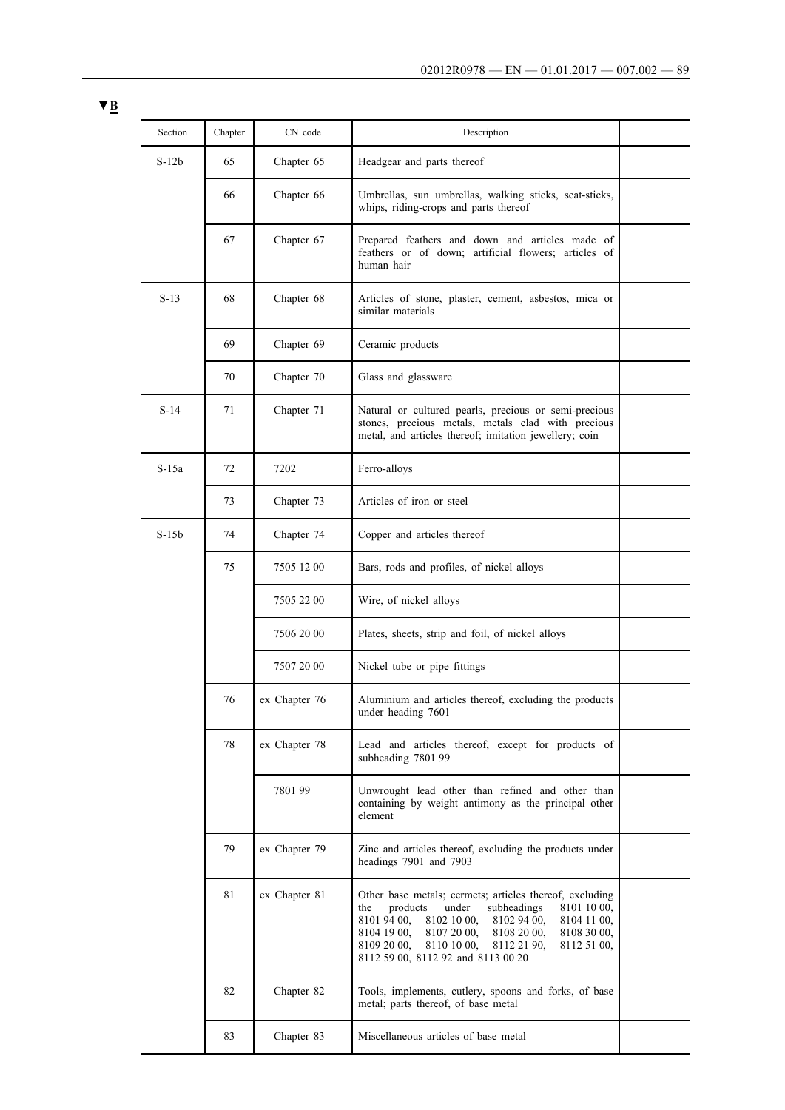| Section | Chapter | CN code       | Description                                                                                                                                                                                                                                                                                                                                 |  |
|---------|---------|---------------|---------------------------------------------------------------------------------------------------------------------------------------------------------------------------------------------------------------------------------------------------------------------------------------------------------------------------------------------|--|
| $S-12b$ | 65      | Chapter 65    | Headgear and parts thereof                                                                                                                                                                                                                                                                                                                  |  |
|         | 66      | Chapter 66    | Umbrellas, sun umbrellas, walking sticks, seat-sticks,<br>whips, riding-crops and parts thereof                                                                                                                                                                                                                                             |  |
|         | 67      | Chapter 67    | Prepared feathers and down and articles made of<br>feathers or of down; artificial flowers; articles of<br>human hair                                                                                                                                                                                                                       |  |
| $S-13$  | 68      | Chapter 68    | Articles of stone, plaster, cement, asbestos, mica or<br>similar materials                                                                                                                                                                                                                                                                  |  |
|         | 69      | Chapter 69    | Ceramic products                                                                                                                                                                                                                                                                                                                            |  |
|         | 70      | Chapter 70    | Glass and glassware                                                                                                                                                                                                                                                                                                                         |  |
| $S-14$  | 71      | Chapter 71    | Natural or cultured pearls, precious or semi-precious<br>stones, precious metals, metals clad with precious<br>metal, and articles thereof; imitation jewellery; coin                                                                                                                                                                       |  |
| $S-15a$ | 72      | 7202          | Ferro-alloys                                                                                                                                                                                                                                                                                                                                |  |
|         | 73      | Chapter 73    | Articles of iron or steel                                                                                                                                                                                                                                                                                                                   |  |
| $S-15b$ | 74      | Chapter 74    | Copper and articles thereof                                                                                                                                                                                                                                                                                                                 |  |
|         | 75      | 7505 12 00    | Bars, rods and profiles, of nickel alloys                                                                                                                                                                                                                                                                                                   |  |
|         |         | 7505 22 00    | Wire, of nickel alloys                                                                                                                                                                                                                                                                                                                      |  |
|         |         | 7506 20 00    | Plates, sheets, strip and foil, of nickel alloys                                                                                                                                                                                                                                                                                            |  |
|         |         | 7507 20 00    | Nickel tube or pipe fittings                                                                                                                                                                                                                                                                                                                |  |
|         | 76      | ex Chapter 76 | Aluminium and articles thereof, excluding the products<br>under heading 7601                                                                                                                                                                                                                                                                |  |
|         | 78      | ex Chapter 78 | Lead and articles thereof, except for products of<br>subheading 7801 99                                                                                                                                                                                                                                                                     |  |
|         |         | 7801 99       | Unwrought lead other than refined and other than<br>containing by weight antimony as the principal other<br>element                                                                                                                                                                                                                         |  |
|         | 79      | ex Chapter 79 | Zinc and articles thereof, excluding the products under<br>headings 7901 and 7903                                                                                                                                                                                                                                                           |  |
|         | 81      | ex Chapter 81 | Other base metals; cermets; articles thereof, excluding<br>under<br>products<br>subheadings<br>8101 10 00,<br>the<br>8101 94 00,<br>8102 10 00,<br>8102 94 00,<br>8104 11 00,<br>8107 20 00,<br>8104 19 00,<br>8108 20 00,<br>8108 30 00,<br>8109 20 00,<br>8110 10 00,<br>8112 21 90,<br>8112 51 00,<br>8112 59 00, 8112 92 and 8113 00 20 |  |
|         | 82      | Chapter 82    | Tools, implements, cutlery, spoons and forks, of base<br>metal; parts thereof, of base metal                                                                                                                                                                                                                                                |  |
|         | 83      | Chapter 83    | Miscellaneous articles of base metal                                                                                                                                                                                                                                                                                                        |  |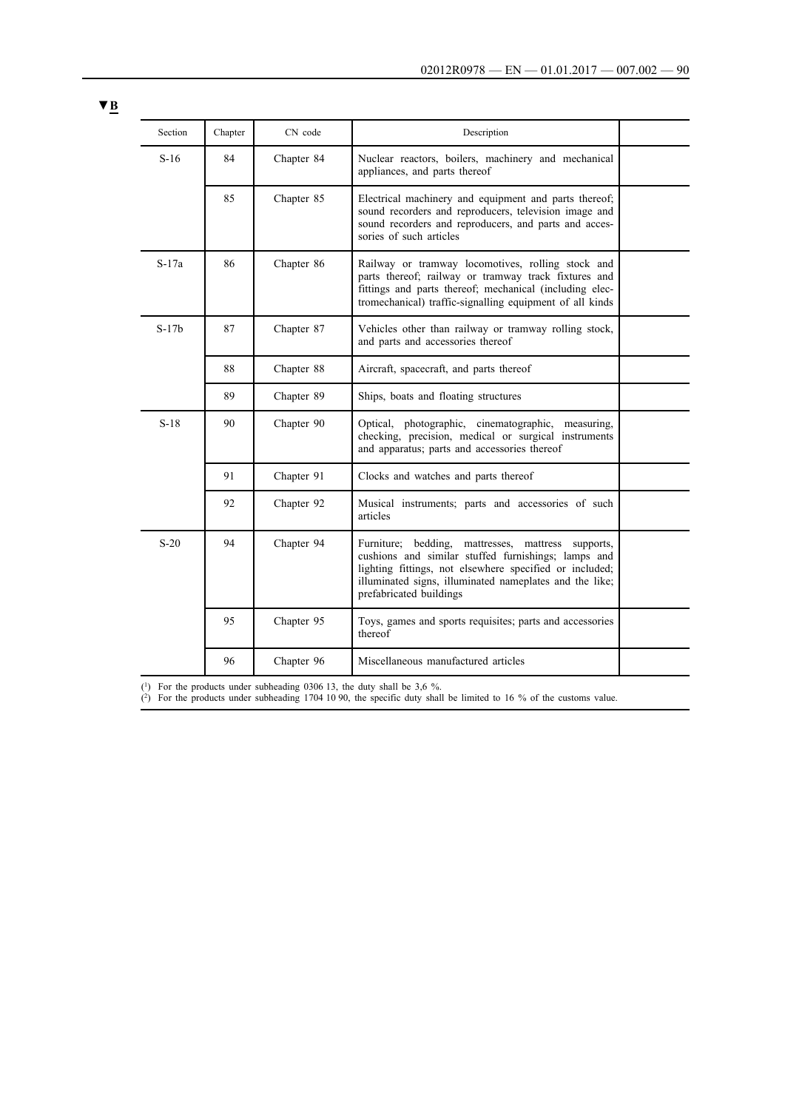| × |  |
|---|--|
|   |  |

| Section | Chapter | CN code    | Description                                                                                                                                                                                                                                                      |  |
|---------|---------|------------|------------------------------------------------------------------------------------------------------------------------------------------------------------------------------------------------------------------------------------------------------------------|--|
| $S-16$  | 84      | Chapter 84 | Nuclear reactors, boilers, machinery and mechanical<br>appliances, and parts thereof                                                                                                                                                                             |  |
|         | 85      | Chapter 85 | Electrical machinery and equipment and parts thereof;<br>sound recorders and reproducers, television image and<br>sound recorders and reproducers, and parts and acces-<br>sories of such articles                                                               |  |
| $S-17a$ | 86      | Chapter 86 | Railway or tramway locomotives, rolling stock and<br>parts thereof; railway or tramway track fixtures and<br>fittings and parts thereof; mechanical (including elec-<br>tromechanical) traffic-signalling equipment of all kinds                                 |  |
| $S-17b$ | 87      | Chapter 87 | Vehicles other than railway or tramway rolling stock,<br>and parts and accessories thereof                                                                                                                                                                       |  |
|         | 88      | Chapter 88 | Aircraft, spacecraft, and parts thereof                                                                                                                                                                                                                          |  |
|         | 89      | Chapter 89 | Ships, boats and floating structures                                                                                                                                                                                                                             |  |
| $S-18$  | 90      | Chapter 90 | Optical, photographic, cinematographic,<br>measuring,<br>checking, precision, medical or surgical instruments<br>and apparatus; parts and accessories thereof                                                                                                    |  |
|         | 91      | Chapter 91 | Clocks and watches and parts thereof                                                                                                                                                                                                                             |  |
|         | 92      | Chapter 92 | Musical instruments; parts and accessories of such<br>articles                                                                                                                                                                                                   |  |
| $S-20$  | 94      | Chapter 94 | Furniture; bedding,<br>mattresses, mattress<br>supports,<br>cushions and similar stuffed furnishings; lamps and<br>lighting fittings, not elsewhere specified or included;<br>illuminated signs, illuminated nameplates and the like;<br>prefabricated buildings |  |
|         | 95      | Chapter 95 | Toys, games and sports requisites; parts and accessories<br>thereof                                                                                                                                                                                              |  |
|         | 96      | Chapter 96 | Miscellaneous manufactured articles                                                                                                                                                                                                                              |  |

 $(1)$  For the products under subheading 0306 13, the duty shall be 3,6 %.

(2) For the products under subheading 1704 10 90, the specific duty shall be limited to 16 % of the customs value.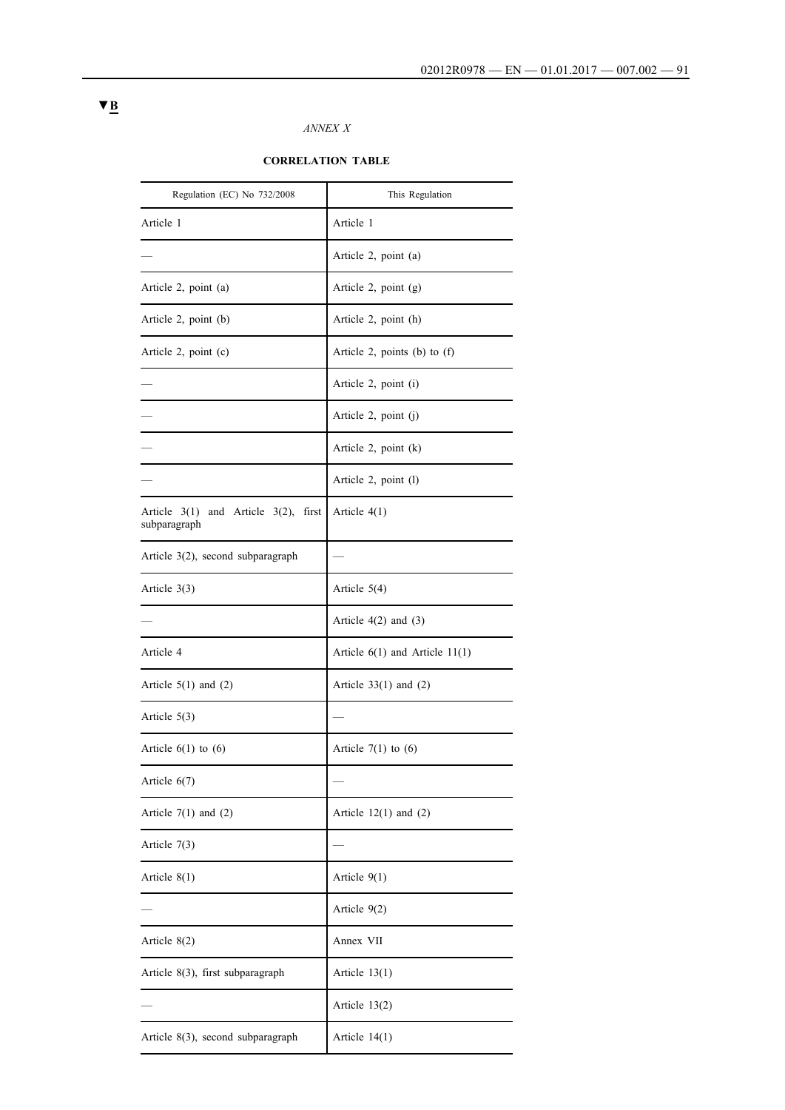#### *ANNEX X*

#### **CORRELATION TABLE**

| Regulation (EC) No 732/2008                                  | This Regulation                    |
|--------------------------------------------------------------|------------------------------------|
| Article 1                                                    | Article 1                          |
|                                                              | Article 2, point (a)               |
| Article 2, point (a)                                         | Article 2, point $(g)$             |
| Article 2, point (b)                                         | Article 2, point (h)               |
| Article 2, point (c)                                         | Article 2, points (b) to $(f)$     |
|                                                              | Article 2, point (i)               |
|                                                              | Article $2$ , point $(i)$          |
|                                                              | Article 2, point $(k)$             |
|                                                              | Article 2, point (1)               |
| Article $3(1)$<br>and Article $3(2)$ , first<br>subparagraph | Article $4(1)$                     |
| Article 3(2), second subparagraph                            |                                    |
| Article $3(3)$                                               | Article $5(4)$                     |
|                                                              | Article $4(2)$ and $(3)$           |
| Article 4                                                    | Article $6(1)$ and Article $11(1)$ |
| Article $5(1)$ and $(2)$                                     | Article $33(1)$ and $(2)$          |
| Article $5(3)$                                               |                                    |
| Article $6(1)$ to $(6)$                                      | Article $7(1)$ to $(6)$            |
| Article $6(7)$                                               |                                    |
| Article $7(1)$ and $(2)$                                     | Article $12(1)$ and $(2)$          |
| Article $7(3)$                                               |                                    |
| Article $8(1)$                                               | Article $9(1)$                     |
|                                                              | Article 9(2)                       |
| Article $8(2)$                                               | Annex VII                          |
| Article 8(3), first subparagraph                             | Article $13(1)$                    |
|                                                              | Article $13(2)$                    |
| Article 8(3), second subparagraph                            | Article $14(1)$                    |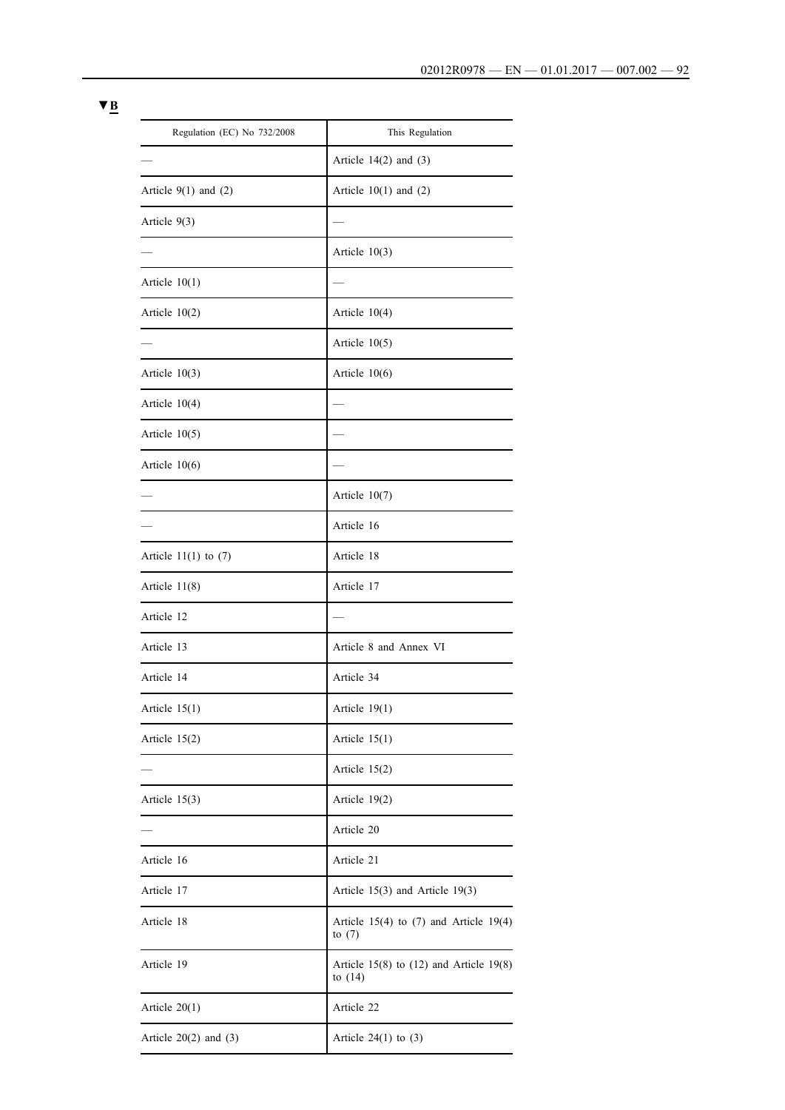| Regulation (EC) No 732/2008 | This Regulation                                            |
|-----------------------------|------------------------------------------------------------|
|                             | Article $14(2)$ and $(3)$                                  |
| Article $9(1)$ and $(2)$    | Article $10(1)$ and $(2)$                                  |
| Article $9(3)$              |                                                            |
|                             | Article $10(3)$                                            |
| Article $10(1)$             |                                                            |
| Article $10(2)$             | Article $10(4)$                                            |
|                             | Article $10(5)$                                            |
| Article $10(3)$             | Article $10(6)$                                            |
| Article $10(4)$             |                                                            |
| Article $10(5)$             |                                                            |
| Article $10(6)$             |                                                            |
|                             | Article $10(7)$                                            |
|                             | Article 16                                                 |
| Article $11(1)$ to $(7)$    | Article 18                                                 |
| Article $11(8)$             | Article 17                                                 |
| Article 12                  |                                                            |
| Article 13                  | Article 8 and Annex VI                                     |
| Article 14                  | Article 34                                                 |
| Article $15(1)$             | Article 19(1)                                              |
| Article $15(2)$             | Article $15(1)$                                            |
|                             | Article $15(2)$                                            |
| Article $15(3)$             | Article $19(2)$                                            |
|                             | Article 20                                                 |
| Article 16                  | Article 21                                                 |
| Article 17                  | Article $15(3)$ and Article $19(3)$                        |
| Article 18                  | Article $15(4)$ to (7) and Article 19(4)<br>to $(7)$       |
| Article 19                  | Article $15(8)$ to $(12)$ and Article $19(8)$<br>to $(14)$ |
| Article $20(1)$             | Article 22                                                 |
| Article $20(2)$ and $(3)$   | Article $24(1)$ to $(3)$                                   |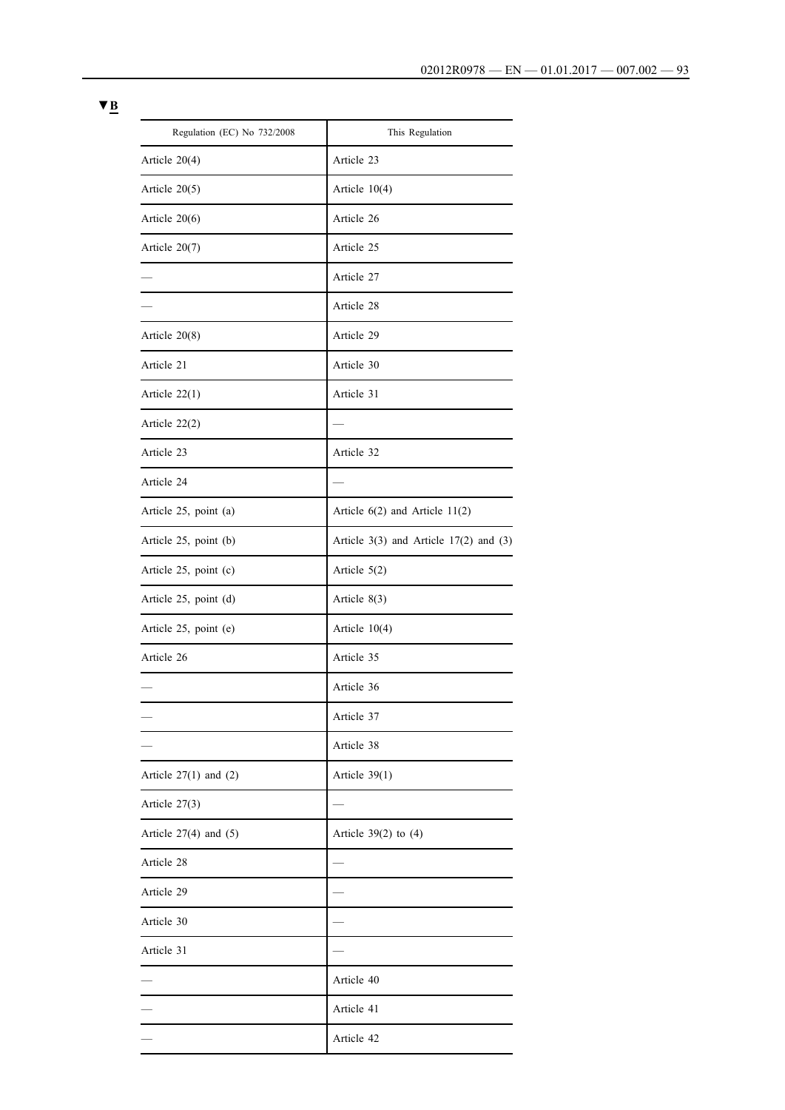| Regulation (EC) No 732/2008 | This Regulation                              |
|-----------------------------|----------------------------------------------|
| Article 20(4)               | Article 23                                   |
| Article $20(5)$             | Article $10(4)$                              |
| Article $20(6)$             | Article 26                                   |
| Article 20(7)               | Article 25                                   |
|                             | Article 27                                   |
|                             | Article 28                                   |
| Article $20(8)$             | Article 29                                   |
| Article 21                  | Article 30                                   |
| Article $22(1)$             | Article 31                                   |
| Article $22(2)$             |                                              |
| Article 23                  | Article 32                                   |
| Article 24                  |                                              |
| Article 25, point (a)       | Article $6(2)$ and Article $11(2)$           |
| Article 25, point (b)       | Article $3(3)$ and Article $17(2)$ and $(3)$ |
| Article 25, point (c)       | Article $5(2)$                               |
| Article 25, point (d)       | Article $8(3)$                               |
| Article 25, point (e)       | Article $10(4)$                              |
| Article 26                  | Article 35                                   |
|                             | Article 36                                   |
|                             | Article 37                                   |
|                             | Article 38                                   |
| Article $27(1)$ and $(2)$   | Article $39(1)$                              |
| Article $27(3)$             |                                              |
| Article $27(4)$ and $(5)$   | Article $39(2)$ to $(4)$                     |
| Article 28                  |                                              |
| Article 29                  |                                              |
| Article 30                  |                                              |
| Article 31                  |                                              |
|                             | Article 40                                   |
|                             | Article 41                                   |
|                             | Article 42                                   |